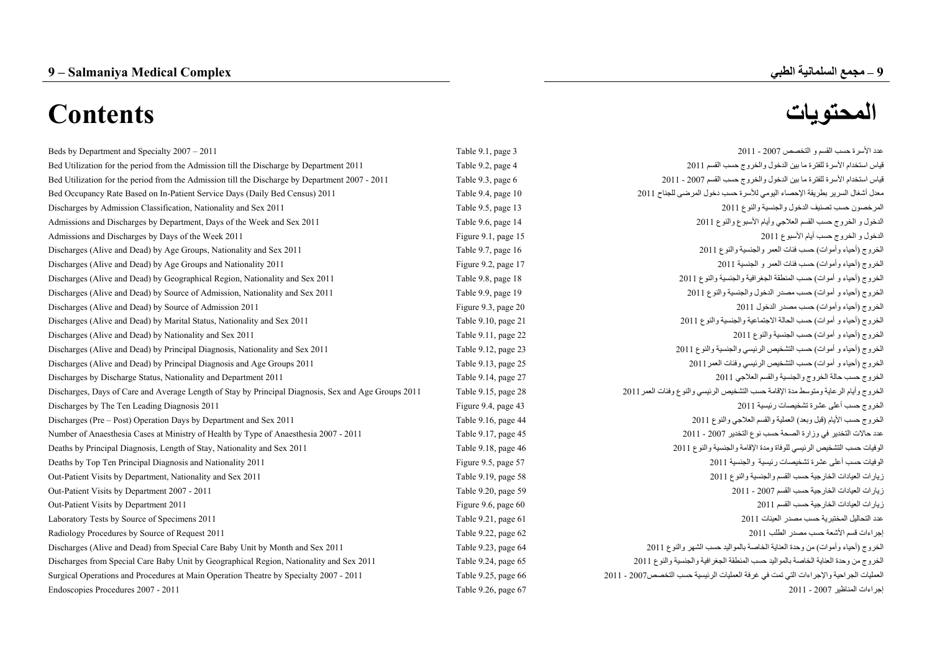# **9**

# **– مجمع السلمانية الطبي Complex Medical Salmaniya – 9**

# **المحتويات Contents**

| Beds by Department and Specialty 2007 – 2011                                                        | Table 9.1, page 3   | عدد الأسر ة حسب القسم و التخصص 2007 - 2011                                            |
|-----------------------------------------------------------------------------------------------------|---------------------|---------------------------------------------------------------------------------------|
| Bed Utilization for the period from the Admission till the Discharge by Department 2011             | Table 9.2, page 4   | قياس استخدام الأسرة للفترة ما بين الدخول والخروج حسب القسم 2011                       |
| Bed Utilization for the period from the Admission till the Discharge by Department 2007 - 2011      | Table 9.3, page 6   | قياس استخدام الأسرة للفترة ما بين الدخول والخروج حسب القسم 2007 - 2011                |
| Bed Occupancy Rate Based on In-Patient Service Days (Daily Bed Census) 2011                         | Table 9.4, page 10  | معدل أشغال السرير بطريقة الإحصاء اليومي للأسرة حسب دخول المرضى للجناح 2011            |
| Discharges by Admission Classification, Nationality and Sex 2011                                    | Table 9.5, page 13  | المرخصون حسب تصنيف الدخول والجنسية والنوع 2011                                        |
| Admissions and Discharges by Department, Days of the Week and Sex 2011                              | Table 9.6, page 14  | الدخول و الخروج حسب القسم العلاجي وأيام الأسبوع والنوع 2011                           |
| Admissions and Discharges by Days of the Week 2011                                                  | Figure 9.1, page 15 | الدخول و الخروج حسب أيام الأسبوع 2011                                                 |
| Discharges (Alive and Dead) by Age Groups, Nationality and Sex 2011                                 | Table 9.7, page 16  | الخروج (أحياء وأموات) حسب فئات العمر والجنسية والنوع 2011                             |
| Discharges (Alive and Dead) by Age Groups and Nationality 2011                                      | Figure 9.2, page 17 | الخروج (أحياء وأموات) حسب فئات العمر و الجنسية 2011                                   |
| Discharges (Alive and Dead) by Geographical Region, Nationality and Sex 2011                        | Table 9.8, page 18  | الخروج (أحياء و أموات) حسب المنطقة الجغرافية والجنسية والنوع 2011                     |
| Discharges (Alive and Dead) by Source of Admission, Nationality and Sex 2011                        | Table 9.9, page 19  | الخروج (أحياء و أموات) حسب مصدر الدخول والجنسية والنوع 2011                           |
| Discharges (Alive and Dead) by Source of Admission 2011                                             | Figure 9.3, page 20 | الخروج (أحياء وأموات) حسب مصدر الدخول 2011                                            |
| Discharges (Alive and Dead) by Marital Status, Nationality and Sex 2011                             | Table 9.10, page 21 | الخروج (أحياء و أموات) حسب الحالة الاجتماعية والجنسية والنوع 2011                     |
| Discharges (Alive and Dead) by Nationality and Sex 2011                                             | Table 9.11, page 22 | الخروج (أحياء و أموات) حسب الجنسية والنوع 2011                                        |
| Discharges (Alive and Dead) by Principal Diagnosis, Nationality and Sex 2011                        | Table 9.12, page 23 | الخروج (أحياء و أموات) حسب التشخيص الرئيسي والجنسية والنوع 2011                       |
| Discharges (Alive and Dead) by Principal Diagnosis and Age Groups 2011                              | Table 9.13, page 25 | الخروج (أحياء و أموات) حسب التشخيص الرئيسي وفئات العمر 2011                           |
| Discharges by Discharge Status, Nationality and Department 2011                                     | Table 9.14, page 27 | الخروج حسب حالة الخروج والجنسية والقسم العلاجي 2011                                   |
| Discharges, Days of Care and Average Length of Stay by Principal Diagnosis, Sex and Age Groups 2011 | Table 9.15, page 28 | الخروج وأيام الرعاية ومتوسط مدة الإقامة حسب التشخيص الرئيسي والنوع وفئات العمر 2011   |
| Discharges by The Ten Leading Diagnosis 2011                                                        | Figure 9.4, page 43 | الخروج حسب أعلى عشرة تشخيصات رئيسية 2011                                              |
| Discharges (Pre – Post) Operation Days by Department and Sex 2011                                   | Table 9.16, page 44 | الخروج حسب الأيام (قبل وبعد) العملية والقسم العلاجي والنوع 2011                       |
| Number of Anaesthesia Cases at Ministry of Health by Type of Anaesthesia 2007 - 2011                | Table 9.17, page 45 | عدد حالات التخدير في وزارة الصحة حسب نوع التخدير 2007 - 2011                          |
| Deaths by Principal Diagnosis, Length of Stay, Nationality and Sex 2011                             | Table 9.18, page 46 | الوفيات حسب التشخيص الرئيسي للوفاة ومدة الإقامة والجنسية والنوع 2011                  |
| Deaths by Top Ten Principal Diagnosis and Nationality 2011                                          | Figure 9.5, page 57 | الوفيات حسب أعلى عشرة تشخيصات رئيسية والجنسية 2011                                    |
| Out-Patient Visits by Department, Nationality and Sex 2011                                          | Table 9.19, page 58 | زيارات العيادات الخارجية حسب القسم والجنسية والنوع 2011                               |
| Out-Patient Visits by Department 2007 - 2011                                                        | Table 9.20, page 59 | زيارات العيادات الخارجية حسب القسم 2007 - 2011                                        |
| Out-Patient Visits by Department 2011                                                               | Figure 9.6, page 60 | زيارات العيادات الخارجية حسب القسم 2011                                               |
| Laboratory Tests by Source of Specimens 2011                                                        | Table 9.21, page 61 | عدد التحاليل المختبرية حسب مصدر العينات 2011                                          |
| Radiology Procedures by Source of Request 2011                                                      | Table 9.22, page 62 | إجراءات قسم الأشعة حسب مصدر الطلب 2011                                                |
| Discharges (Alive and Dead) from Special Care Baby Unit by Month and Sex 2011                       | Table 9.23, page 64 | الخروج (أحياء وأموات) من وحدة العناية الخاصة بالمواليد حسب الشهر والنوع 2011          |
| Discharges from Special Care Baby Unit by Geographical Region, Nationality and Sex 2011             | Table 9.24, page 65 | الخروج من وحدة العناية الخاصة بالمواليد حسب المنطقة الجغرافية والجنسية والنوع 2011    |
| Surgical Operations and Procedures at Main Operation Theatre by Specialty 2007 - 2011               | Table 9.25, page 66 | العمليات الجراحية والإجراءات التي تمت في غرفة العمليات الرئيسية حسب التخصص2007 - 2011 |
| Endoscopies Procedures 2007 - 2011                                                                  | Table 9.26, page 67 | إجراءات المناظير 2007 - 2011                                                          |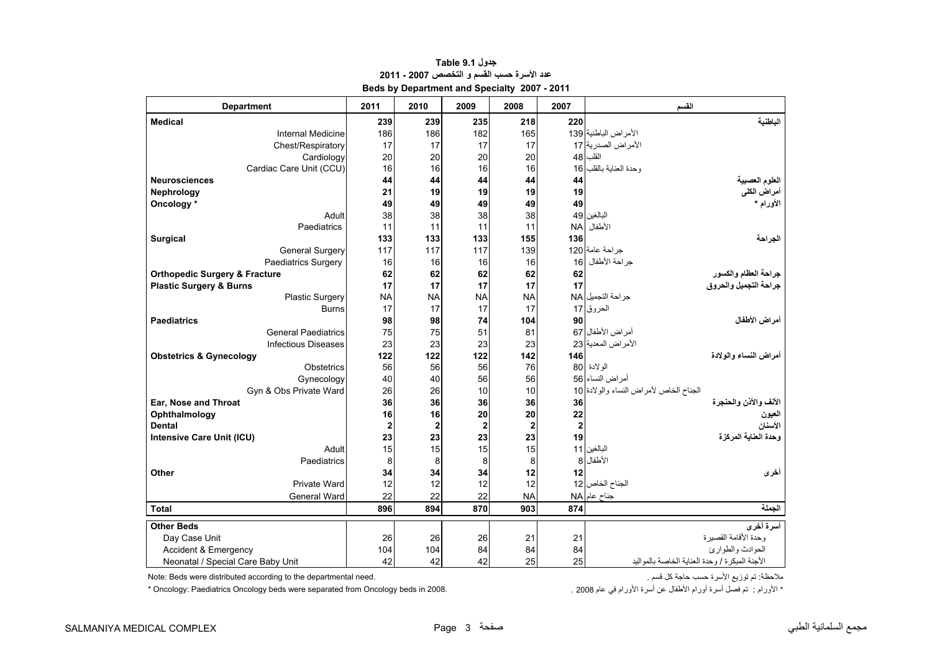<span id="page-1-0"></span>

| <b>Department</b>                        | 2011                    | 2010                    | 2009           | 2008           | 2007     | القسم                                          |
|------------------------------------------|-------------------------|-------------------------|----------------|----------------|----------|------------------------------------------------|
| <b>Medical</b>                           | 239                     | 239                     | 235            | 218            | 220      | الناطنية                                       |
| Internal Medicine                        | 186                     | 186                     | 182            | 165            |          | الأمراض الباطنية 139                           |
| Chest/Respiratory                        | 17                      | 17                      | 17             | 17             |          | الأمراض الصدرية 17                             |
| Cardiology                               | 20                      | 20                      | 20             | 20             | 48       | القلب                                          |
| Cardiac Care Unit (CCU)                  | 16                      | 16                      | 16             | 16             | 16       | وحدة العناية بالقلب                            |
| <b>Neurosciences</b>                     | 44                      | 44                      | 44             | 44             | 44       | العلوم العصبية                                 |
| <b>Nephrology</b>                        | 21                      | 19                      | 19             | 19             | 19       | أمراض الكلى                                    |
| Oncology*                                | 49                      | 49                      | 49             | 49             | 49       | الأورام *                                      |
| Adult                                    | 38                      | 38                      | 38             | 38             |          | البالغين 49                                    |
| Paediatrics                              | 11                      | 11                      | 11             | 11             |          | الأطفال NA                                     |
| <b>Surgical</b>                          | 133                     | 133                     | 133            | 155            | 136      | الجراحة                                        |
| <b>General Surgery</b>                   | 117                     | 117                     | 117            | 139            |          | جراحة عامة 120                                 |
| <b>Paediatrics Surgery</b>               | 16                      | 16                      | 16             | 16             | 16       | جر احة الأطفال                                 |
| <b>Orthopedic Surgery &amp; Fracture</b> | 62                      | 62                      | 62             | 62             | 62       | جراحة العظام والكسور                           |
| <b>Plastic Surgery &amp; Burns</b>       | 17                      | 17                      | 17             | 17             | 17       | جراحة التجميل والحروق                          |
| <b>Plastic Surgery</b>                   | <b>NA</b>               | <b>NA</b>               | <b>NA</b>      | <b>NA</b>      |          | جراحة التجميل NA                               |
| <b>Burns</b>                             | 17                      | 17                      | 17             | 17             |          | الحروق 17                                      |
| <b>Paediatrics</b>                       | 98                      | 98                      | 74             | 104            | 90       | أمراض الأطفال                                  |
| <b>General Paediatrics</b>               | 75                      | 75                      | 51             | 81             |          | أمراض الأطفال 67                               |
| <b>Infectious Diseases</b>               | 23                      | 23                      | 23             | 23             |          | الأمراض المعدية 23                             |
| <b>Obstetrics &amp; Gynecology</b>       | 122                     | 122                     | 122            | 142            | 146      | أمر اض النساع و الو لادة                       |
| Obstetrics                               | 56                      | 56                      | 56             | 76             |          | الولادة 80                                     |
| Gynecology                               | 40                      | 40                      | 56             | 56             |          | أمراض النساء 56                                |
| Gyn & Obs Private Ward                   | 26                      | 26                      | 10             | 10             |          | الجناح الخاص لأمراض النساء والولادة 10         |
| Ear, Nose and Throat                     | 36                      | 36                      | 36             | 36             | 36       | الأنف والأذن والحنجرة                          |
| Ophthalmology                            | 16                      | 16                      | 20             | 20             | 22       | العيون                                         |
| <b>Dental</b>                            | $\overline{\mathbf{2}}$ | $\overline{\mathbf{c}}$ | $\overline{2}$ | $\overline{2}$ | $\bf{2}$ | الأسنان                                        |
| Intensive Care Unit (ICU)                | 23                      | 23                      | 23             | 23             | 19       | وحدة العناية المركزة                           |
| Adult                                    | 15                      | 15                      | 15             | 15             |          | البالغين 11                                    |
| Paediatrics                              | 8                       | 8                       | 8              | 8              | 8        | الأطفال                                        |
| Other                                    | 34                      | 34                      | 34             | 12             | 12       | أخرى                                           |
| Private Ward                             | 12                      | 12                      | 12             | 12             |          | الجناح الخاص 12                                |
| General Ward                             | 22                      | 22                      | 22             | <b>NA</b>      |          | جناح عام NA                                    |
| <b>Total</b>                             | 896                     | 894                     | 870            | 903            | 874      | الجملة                                         |
| <b>Other Beds</b>                        |                         |                         |                |                |          | أسرة أخرى                                      |
| Day Case Unit                            | 26                      | 26                      | 26             | 21             | 21       | وحدة الأقامة القصير ة                          |
| Accident & Emergency                     | 104                     | 104                     | 84             | 84             | 84       | الحوادث والطوارئ                               |
| Neonatal / Special Care Baby Unit        | 42                      | 42                      | 42             | 25             | 25       | الأجنة المبكرة / وحدة العناية الخاصة بالمواليد |

# **جدول 9.1 Table عدد األسرة حسب القسم <sup>و</sup> التخصص 2007 - 2011 Beds by Department and Specialty 2007 - 2011**

Note: Beds were distributed according to the departmental need.

األورام : تم فصل أسرة أورام األطفال عن أسرة األورام في عام 2008 . 2008. in beds Oncology from separated were beds Oncology Paediatrics :Oncology\*

ملاحظة: تم توزيع الأسرة حسب حاجة كل قسم .<br>\* الأورام : تم فصل أسرة أورام الأطفال عن أسرة الأورام في عام 2008 .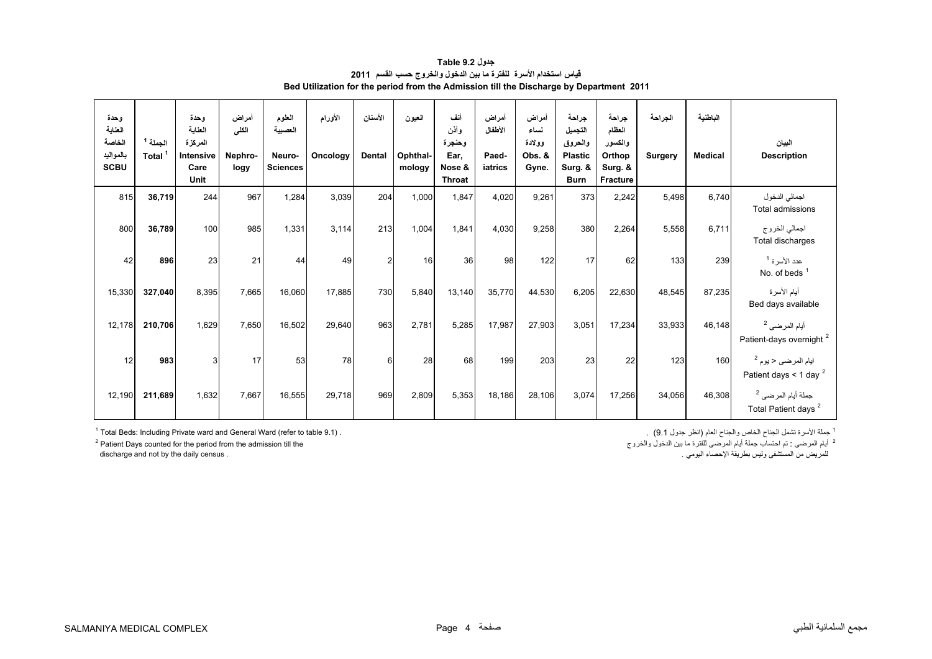| جدول Table 9.2                                                                          |  |
|-----------------------------------------------------------------------------------------|--|
| قياس استخدام الأسرة للفترة ما بين الدخول والخروج حسب القسم 2011                         |  |
| Bed Utilization for the period from the Admission till the Discharge by Department 2011 |  |

<span id="page-2-0"></span>

| وحدة<br>العناية<br>الخاصة<br>بالمواليد<br><b>SCBU</b> | الجملة <sup>1</sup><br>Total | وحدة<br>العناية<br>المركزة<br>Intensive<br>Care<br>Unit | أمراض<br>الكلى<br>Nephro-<br>logy | العلوم<br>العصسة<br>Neuro-<br><b>Sciences</b> | الأورام<br>Oncology | الأسنان<br><b>Dental</b> | العيون<br>Ophthal-<br>mology | أنف<br>وأذن<br>وحنجرة<br>Ear,<br>Nose &<br><b>Throat</b> | أمراض<br>الأطفال<br>Paed-<br>iatrics | أمراض<br>نساء<br>وولادة<br>Obs. &<br>Gyne. | جراحة<br>التجميل<br>والحروق<br><b>Plastic</b><br>Surg. &<br><b>Burn</b> | جراحة<br>العظام<br>والكسور<br>Orthop<br>Surg. &<br><b>Fracture</b> | الجراحة<br><b>Surgery</b> | الباطنية<br><b>Medical</b> | البيان<br><b>Description</b>                                     |
|-------------------------------------------------------|------------------------------|---------------------------------------------------------|-----------------------------------|-----------------------------------------------|---------------------|--------------------------|------------------------------|----------------------------------------------------------|--------------------------------------|--------------------------------------------|-------------------------------------------------------------------------|--------------------------------------------------------------------|---------------------------|----------------------------|------------------------------------------------------------------|
| 815                                                   | 36,719                       | 244                                                     | 967                               | 1,284                                         | 3,039               | 204                      | 1,000                        | 1,847                                                    | 4,020                                | 9,261                                      | 373                                                                     | 2,242                                                              | 5,498                     | 6,740                      | اجمالي الدخول<br>Total admissions                                |
| 800                                                   | 36,789                       | 100                                                     | 985                               | 1,331                                         | 3,114               | 213                      | 1,004                        | 1,841                                                    | 4,030                                | 9,258                                      | 380                                                                     | 2,264                                                              | 5,558                     | 6,711                      | اجمالي الخروج<br>Total discharges                                |
| 42                                                    | 896                          | 23                                                      | 21                                | 44                                            | 49                  | $\overline{2}$           | 16                           | 36                                                       | 98                                   | 122                                        | 17                                                                      | 62                                                                 | 133                       | 239                        | عدد الأسرة <sup>1</sup><br>No. of beds $1$                       |
| 15,330                                                | 327,040                      | 8,395                                                   | 7,665                             | 16,060                                        | 17,885              | 730                      | 5,840                        | 13,140                                                   | 35,770                               | 44,530                                     | 6,205                                                                   | 22,630                                                             | 48,545                    | 87,235                     | أيام الأسرة<br>Bed days available                                |
| 12,178                                                | 210,706                      | 1,629                                                   | 7,650                             | 16,502                                        | 29,640              | 963                      | 2,781                        | 5,285                                                    | 17,987                               | 27,903                                     | 3,051                                                                   | 17,234                                                             | 33,933                    | 46,148                     | أيام المرضى <sup>2</sup><br>Patient-days overnight <sup>2</sup>  |
| 12                                                    | 983                          | 3                                                       | 17                                | 53                                            | 78                  | 6                        | 28                           | 68                                                       | 199                                  | 203                                        | 23                                                                      | 22                                                                 | 123                       | 160                        | ايام المرضى < يوم <sup>2</sup><br>Patient days < 1 day $^2$      |
| 12,190                                                | 211,689                      | 1,632                                                   | 7,667                             | 16,555                                        | 29,718              | 969                      | 2,809                        | 5,353                                                    | 18,186                               | 28,106                                     | 3,074                                                                   | 17,256                                                             | 34,056                    | 46,308                     | جملة أيام المرضى <sup>2</sup><br>Total Patient days <sup>2</sup> |

للمريض من المستشفى وليس بطريقة اإلحصاء اليومي . . census daily the by not and discharge

 $1$  Total Beds: Including Private ward and General Ward (refer to table 9.1).  $<sup>2</sup>$  Patient Days counted for the period from the admission till the discharge and not by the daily census .</sup>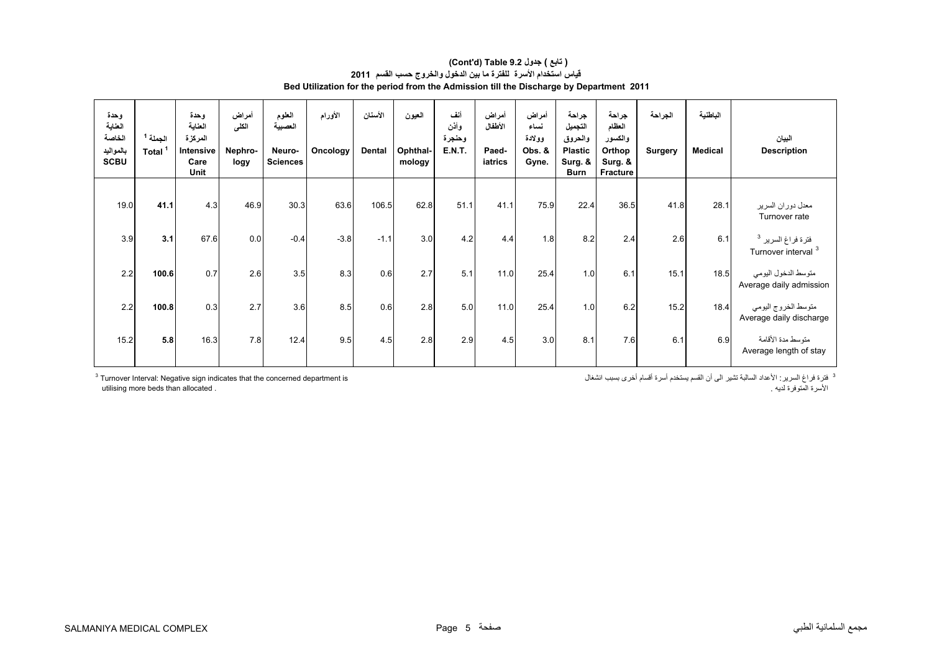#### **Bed Utilization for the period from the Admission till the Discharge by Department 2011 (Cont'd) Table 9.2 جدول ) تابع( قياس استخدام األسرة للفترة ما بين الدخول والخروج حسب القسم <sup>2011</sup>**

| وحدة<br>العناية<br>الخاصة<br>بالمواليد<br><b>SCBU</b> | الجملة 1<br>Total <sup>1</sup> | وحدة<br>العناية<br>المركزة<br><b>Intensive</b><br>Care<br>Unit | أمراض<br>الكلى<br>Nephro-<br>logy | العلوم<br>العصبية<br>Neuro-<br><b>Sciences</b> | الأورام<br>Oncology | الأسنان<br>Dental | العيون<br>Ophthal-<br>mology | أنف<br>وأذن<br>وحنجرة<br><b>E.N.T.</b> | أمراض<br>الأطفال<br>Paed-<br>iatrics | أمراض<br>نساء<br>وولادة<br>Obs. &<br>Gyne. | جراحة<br>التجميل<br>والحروق<br><b>Plastic</b><br>Surg. &<br>Burn | جراحة<br>العظام<br>والكسور<br>Orthop<br>Surg. &<br>Fracture | الجراحة<br>Surgery | الباطنية<br><b>Medical</b> | البيان<br><b>Description</b>                                    |
|-------------------------------------------------------|--------------------------------|----------------------------------------------------------------|-----------------------------------|------------------------------------------------|---------------------|-------------------|------------------------------|----------------------------------------|--------------------------------------|--------------------------------------------|------------------------------------------------------------------|-------------------------------------------------------------|--------------------|----------------------------|-----------------------------------------------------------------|
| 19.0                                                  | 41.1                           | 4.3                                                            | 46.9                              | 30.3                                           | 63.6                | 106.5             | 62.8                         | 51.1                                   | 41.1                                 | 75.9                                       | 22.4                                                             | 36.5                                                        | 41.8               | 28.1                       | معدل دوران السرير<br>Turnover rate                              |
| 3.9                                                   | 3.1                            | 67.6                                                           | 0.0                               | $-0.4$                                         | $-3.8$              | $-1.1$            | 3.0                          | 4.2                                    | 4.4                                  | 1.8                                        | 8.2                                                              | 2.4                                                         | 2.6                | 6.1                        | فترة فراغ السرير <sup>3</sup><br>Turnover interval <sup>3</sup> |
| 2.2                                                   | 100.6                          | 0.7                                                            | 2.6                               | 3.5                                            | 8.3                 | 0.6               | 2.7                          | 5.1                                    | 11.0                                 | 25.4                                       | 1.0                                                              | 6.1                                                         | 15.1               | 18.5                       | متوسط الدخول اليومي<br>Average daily admission                  |
| 2.2                                                   | 100.8                          | 0.3                                                            | 2.7                               | 3.6                                            | 8.5                 | 0.6               | 2.8                          | 5.0                                    | 11.0                                 | 25.4                                       | 1.0                                                              | 6.2                                                         | 15.2               | 18.4                       | متوسط الخروج اليومي<br>Average daily discharge                  |
| 15.2                                                  | 5.8                            | 16.3                                                           | 7.8                               | 12.4                                           | 9.5                 | 4.5               | 2.8                          | 2.9                                    | 4.5                                  | 3.0                                        | 8.1                                                              | 7.6                                                         | 6.1                | 6.9                        | متوسط مدة الأقامة<br>Average length of stay                     |

 $3$  Turnover Interval: Negative sign indicates that the concerned department is utilising more beds than allocated . . لديه المتوفرة األسرة

3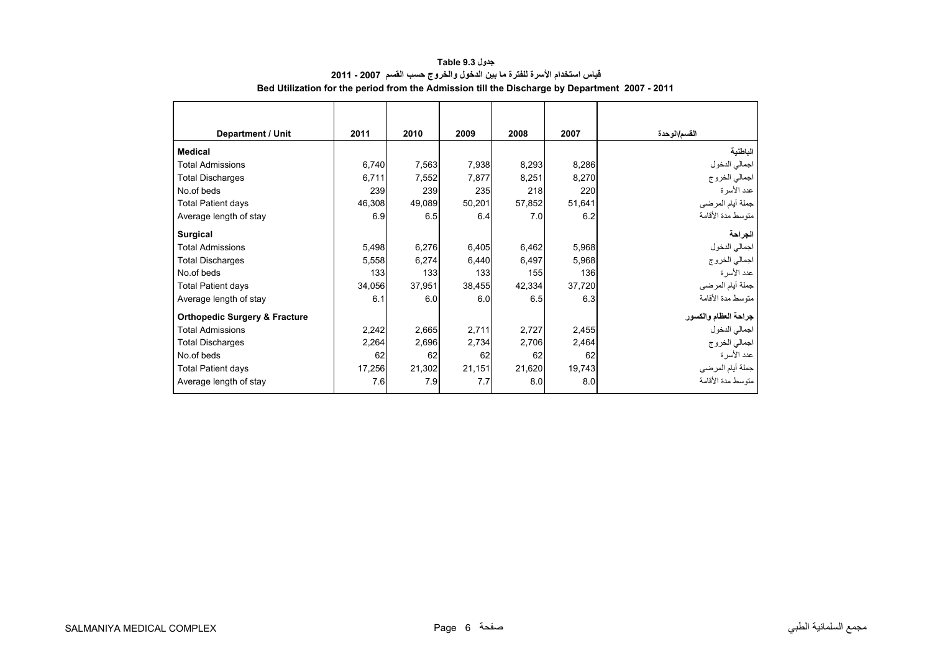<span id="page-4-0"></span>

| <b>Department / Unit</b>                 | 2011   | 2010   | 2009   | 2008   | 2007   | القسم/الوحدة         |
|------------------------------------------|--------|--------|--------|--------|--------|----------------------|
| <b>Medical</b>                           |        |        |        |        |        | الباطنية             |
| <b>Total Admissions</b>                  | 6,740  | 7,563  | 7,938  | 8,293  | 8,286  | اجمالي الدخول        |
| <b>Total Discharges</b>                  | 6,711  | 7,552  | 7,877  | 8,251  | 8,270  | اجمالي الخروج        |
| No.of beds                               | 239    | 239    | 235    | 218    | 220    | عدد الأسرة           |
| <b>Total Patient days</b>                | 46,308 | 49,089 | 50,201 | 57,852 | 51,641 | جملة أيام المرضي     |
| Average length of stay                   | 6.9    | 6.5    | 6.4    | 7.0    | 6.2    | متوسط مدة الأقامة    |
| Surgical                                 |        |        |        |        |        | الجراحة              |
| <b>Total Admissions</b>                  | 5,498  | 6,276  | 6,405  | 6,462  | 5,968  | اجمالي الدخول        |
| <b>Total Discharges</b>                  | 5,558  | 6,274  | 6,440  | 6,497  | 5,968  | اجمالي الخروج        |
| No.of beds                               | 133    | 133    | 133    | 155    | 136    | عدد الأسرة           |
| <b>Total Patient days</b>                | 34,056 | 37,951 | 38,455 | 42,334 | 37,720 | جملة أيام المرضي     |
| Average length of stay                   | 6.1    | 6.0    | 6.0    | 6.5    | 6.3    | منّوسط مدة الأقامة   |
| <b>Orthopedic Surgery &amp; Fracture</b> |        |        |        |        |        | جراحة العظام والكسور |
| <b>Total Admissions</b>                  | 2,242  | 2,665  | 2,711  | 2,727  | 2,455  | اجمالي الدخول        |
| <b>Total Discharges</b>                  | 2,264  | 2,696  | 2,734  | 2,706  | 2,464  | اجمالي الخروج        |
| No.of beds                               | 62     | 62     | 62     | 62     | 62     | عدد الأسرة           |
| <b>Total Patient days</b>                | 17,256 | 21,302 | 21,151 | 21,620 | 19,743 | جملة أيام المرضي     |
| Average length of stay                   | 7.6    | 7.9    | 7.7    | 8.0    | 8.0    | متوسط مدة الأقامة    |

# **جدول 9.3 Table قياس استخدام األسرة للفترة ما بين الدخول والخروج حسب القسم 2007 - 2011 Bed Utilization for the period from the Admission till the Discharge by Department 2007 - 2011**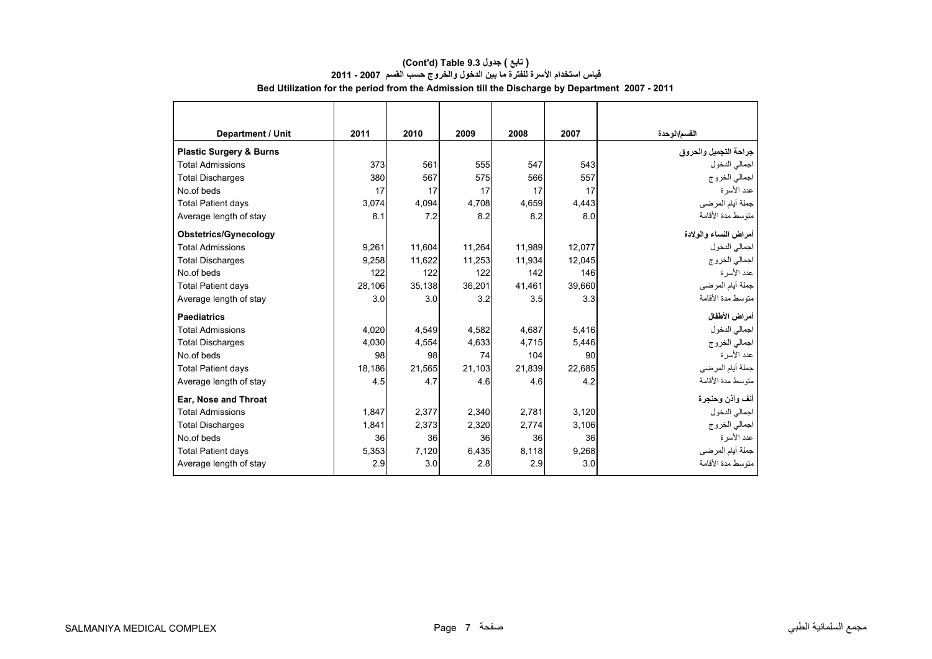# **قياس استخدام األسرة للفترة ما بين الدخول والخروج حسب القسم 2007 - 2011 Bed Utilization for the period from the Admission till the Discharge by Department 2007 - 2011 (Cont'd) Table 9.3 جدول ) تابع(**

| Department / Unit                  | 2011   | 2010   | 2009   | 2008   | 2007   | القسم/الوحدة          |
|------------------------------------|--------|--------|--------|--------|--------|-----------------------|
| <b>Plastic Surgery &amp; Burns</b> |        |        |        |        |        | جراحة التجميل والحروق |
| <b>Total Admissions</b>            | 373    | 561    | 555    | 547    | 543    | اجمالي الدخول         |
| <b>Total Discharges</b>            | 380    | 567    | 575    | 566    | 557    | اجمالي الخروج         |
| No.of beds                         | 17     | 17     | 17     | 17     | 17     | عدد الأسر ة           |
| <b>Total Patient days</b>          | 3,074  | 4.094  | 4,708  | 4,659  | 4,443  | جملة أيام المرضي      |
| Average length of stay             | 8.1    | 7.2    | 8.2    | 8.2    | 8.0    | متوسط مدة الأقامة     |
| <b>Obstetrics/Gynecology</b>       |        |        |        |        |        | أمراض النساء والولادة |
| <b>Total Admissions</b>            | 9,261  | 11.604 | 11,264 | 11.989 | 12.077 | اجمالي الدخول         |
| <b>Total Discharges</b>            | 9,258  | 11,622 | 11,253 | 11,934 | 12.045 | اجمالي الخروج         |
| No.of beds                         | 122    | 122    | 122    | 142    | 146    | عدد الأسرة            |
| <b>Total Patient days</b>          | 28,106 | 35,138 | 36,201 | 41,461 | 39,660 | جملة أيام المرضي      |
| Average length of stay             | 3.0    | 3.0    | 3.2    | 3.5    | 3.3    | متوسط مدة الأقامة     |
| <b>Paediatrics</b>                 |        |        |        |        |        | أمراض الأطفال         |
| <b>Total Admissions</b>            | 4.020  | 4.549  | 4.582  | 4.687  | 5,416  | اجمالي الدخول         |
| <b>Total Discharges</b>            | 4,030  | 4,554  | 4,633  | 4,715  | 5,446  | اجمالي الخروج         |
| No.of beds                         | 98     | 98     | 74     | 104    | 90     | عدد الأسرة            |
| <b>Total Patient days</b>          | 18,186 | 21.565 | 21,103 | 21,839 | 22.685 | جملة أيام المرضي      |
| Average length of stay             | 4.5    | 4.7    | 4.6    | 4.6    | 4.2    | متوسط مدة الأقامة     |
| Ear, Nose and Throat               |        |        |        |        |        | أنف وأذن وحنجرة       |
| <b>Total Admissions</b>            | 1.847  | 2.377  | 2,340  | 2.781  | 3,120  | اجمالي الدخول         |
| <b>Total Discharges</b>            | 1,841  | 2.373  | 2,320  | 2.774  | 3,106  | اجمالي الخروج         |
| No.of beds                         | 36     | 36     | 36     | 36     | 36     | عدد الأسرة            |
| <b>Total Patient days</b>          | 5,353  | 7,120  | 6,435  | 8,118  | 9,268  | جملة أيام المرضي      |
| Average length of stay             | 2.9    | 3.0    | 2.8    | 2.9    | 3.0    | منوسط مدة الأقامة     |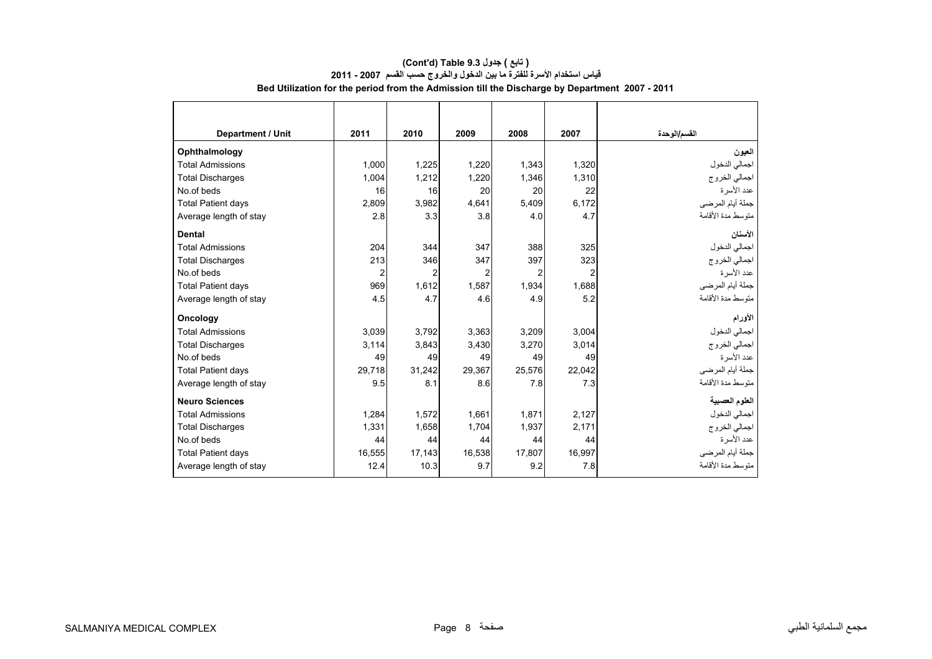| Department / Unit         | 2011   | 2010           | 2009           | 2008   | 2007           | القسم/الوحدة      |
|---------------------------|--------|----------------|----------------|--------|----------------|-------------------|
| Ophthalmology             |        |                |                |        |                | العيون            |
| <b>Total Admissions</b>   | 1,000  | 1,225          | 1,220          | 1,343  | 1,320          | اجمالي الدخول     |
| <b>Total Discharges</b>   | 1,004  | 1,212          | 1,220          | 1,346  | 1,310          | اجمالي الخروج     |
| No.of beds                | 16     | 16             | 20             | 20     | 22             | عدد الأسر ة       |
| <b>Total Patient days</b> | 2,809  | 3,982          | 4,641          | 5,409  | 6,172          | جملة أيام المرضي  |
| Average length of stay    | 2.8    | 3.3            | 3.8            | 4.0    | 4.7            | متوسط مدة الأقامة |
| <b>Dental</b>             |        |                |                |        |                | الأسنان           |
| <b>Total Admissions</b>   | 204    | 344            | 347            | 388    | 325            | اجمالي الدخول     |
| <b>Total Discharges</b>   | 213    | 346            | 347            | 397    | 323            | اجمالي الخروج     |
| No.of beds                | 2      | $\overline{2}$ | $\overline{2}$ | 2      | $\overline{2}$ | عدد الأسرة        |
| <b>Total Patient days</b> | 969    | 1,612          | 1,587          | 1,934  | 1,688          | جملة أيام المرضى  |
| Average length of stay    | 4.5    | 4.7            | 4.6            | 4.9    | 5.2            | متوسط مدة الأقامة |
| <b>Oncology</b>           |        |                |                |        |                | الأورام           |
| <b>Total Admissions</b>   | 3.039  | 3.792          | 3,363          | 3.209  | 3,004          | اجمالي الدخول     |
| <b>Total Discharges</b>   | 3,114  | 3,843          | 3,430          | 3,270  | 3,014          | اجمالي الخروج     |
| No.of beds                | 49     | 49             | 49             | 49     | 49             | عدد الأسرة        |
| <b>Total Patient days</b> | 29.718 | 31,242         | 29.367         | 25,576 | 22.042         | جملة أيام المرضي  |
| Average length of stay    | 9.5    | 8.1            | 8.6            | 7.8    | 7.3            | متوسط مدة الأقامة |
| <b>Neuro Sciences</b>     |        |                |                |        |                | العلوم العصبية    |
| <b>Total Admissions</b>   | 1,284  | 1,572          | 1,661          | 1,871  | 2,127          | اجمالي الدخول     |
| <b>Total Discharges</b>   | 1.331  | 1.658          | 1,704          | 1.937  | 2.171          | اجمالي الخروج     |
| No.of beds                | 44     | 44             | 44             | 44     | 44             | عدد الأسرة        |
| <b>Total Patient days</b> | 16,555 | 17.143         | 16,538         | 17,807 | 16.997         | جملة أيام المرضي  |
| Average length of stay    | 12.4   | 10.3           | 9.7            | 9.2    | 7.8            | متوسط مدة الأقامة |

# **(Cont'd) Table 9.3 جدول ) تابع( قياس استخدام األسرة للفترة ما بين الدخول والخروج حسب القسم 2007 - 2011 Bed Utilization for the period from the Admission till the Discharge by Department 2007 - 2011**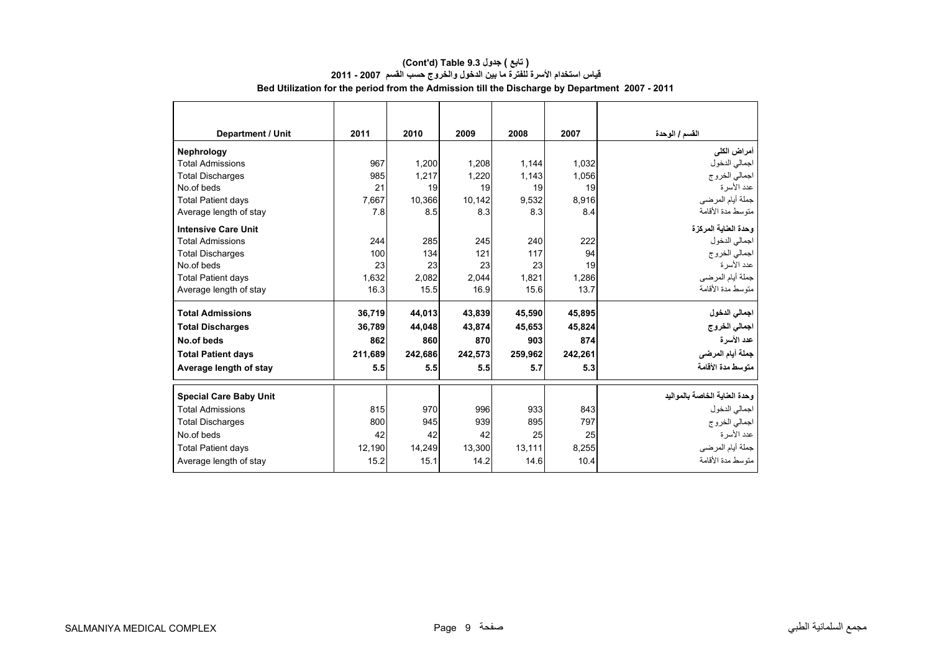| <b>Department / Unit</b>      | 2011    | 2010    | 2009    | 2008    | 2007    | القسم / الوحدة                |
|-------------------------------|---------|---------|---------|---------|---------|-------------------------------|
| <b>Nephrology</b>             |         |         |         |         |         | أمراض الكلى                   |
| <b>Total Admissions</b>       | 967     | 1,200   | 1,208   | 1,144   | 1,032   | اجمالي الدخول                 |
| <b>Total Discharges</b>       | 985     | 1.217   | 1,220   | 1,143   | 1.056   | اجمالي الخروج                 |
| No.of beds                    | 21      | 19      | 19      | 19      | 19      | عدد الأسرة                    |
| <b>Total Patient days</b>     | 7,667   | 10.366  | 10,142  | 9,532   | 8,916   | جملة أيام المرضى              |
| Average length of stay        | 7.8     | 8.5     | 8.3     | 8.3     | 8.4     | متوسط مدة الأقامة             |
| <b>Intensive Care Unit</b>    |         |         |         |         |         | وحدة العناية المركزة          |
| <b>Total Admissions</b>       | 244     | 285     | 245     | 240     | 222     | اجمالي الدخول                 |
| <b>Total Discharges</b>       | 100     | 134     | 121     | 117     | 94      | اجمالي الخروج                 |
| No.of beds                    | 23      | 23      | 23      | 23      | 19      | عدد الأسرة                    |
| <b>Total Patient days</b>     | 1,632   | 2,082   | 2,044   | 1,821   | 1,286   | جملة أيام المرضى              |
| Average length of stay        | 16.3    | 15.5    | 16.9    | 15.6    | 13.7    | منّوسط مدة الأقامة            |
| <b>Total Admissions</b>       | 36,719  | 44,013  | 43,839  | 45,590  | 45,895  | اجمالي الدخول                 |
| <b>Total Discharges</b>       | 36,789  | 44,048  | 43,874  | 45,653  | 45,824  | اجمالي الخروج                 |
| No.of beds                    | 862     | 860     | 870     | 903     | 874     | عدد الأسرة                    |
| <b>Total Patient days</b>     | 211.689 | 242.686 | 242.573 | 259.962 | 242.261 | جملة أيام المرضى              |
| Average length of stay        | 5.5     | 5.5     | 5.5     | 5.7     | 5.3     | متوسط مدة الأقامة             |
| <b>Special Care Baby Unit</b> |         |         |         |         |         | وحدة العناية الخاصة بالمواليد |
| <b>Total Admissions</b>       | 815     | 970     | 996     | 933     | 843     | اجمالي الدخول                 |
| <b>Total Discharges</b>       | 800     | 945     | 939     | 895     | 797     | اجمالي الخروج                 |
| No.of beds                    | 42      | 42      | 42      | 25      | 25      | عدد الأسرة                    |
| <b>Total Patient days</b>     | 12,190  | 14,249  | 13,300  | 13,111  | 8.255   | جملة أيام المرضي              |
| Average length of stay        | 15.2    | 15.1    | 14.2    | 14.6    | 10.4    | منّوسط مدة الأقامة            |
|                               |         |         |         |         |         |                               |

# **(Cont'd) Table 9.3 جدول ) تابع( قياس استخدام األسرة للفترة ما بين الدخول والخروج حسب القسم 2007 - 2011 Bed Utilization for the period from the Admission till the Discharge by Department 2007 - 2011**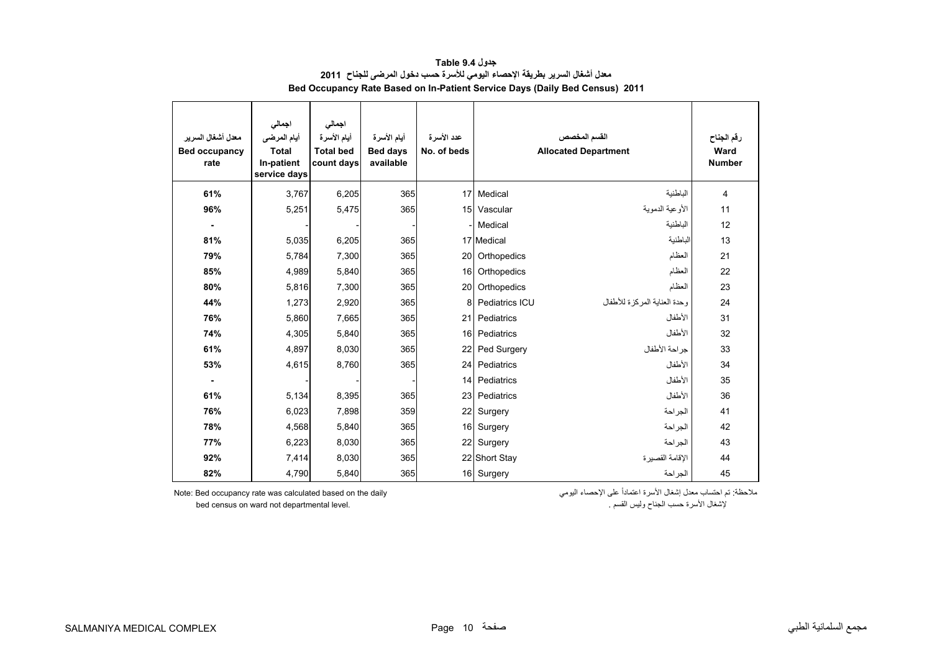<span id="page-8-0"></span>

| معدل أشغال السرير<br><b>Bed occupancy</b><br>rate | اجمالى<br>أيام المرضى<br><b>Total</b><br>In-patient<br>service days | اجمالى<br>أيام الأسرة<br><b>Total bed</b><br>count days | أيام الأسرة<br><b>Bed days</b><br>available | عدد الأسرة<br>No. of beds |                | القسم المخصص<br><b>Allocated Department</b> | رقم الجناح<br>Ward<br><b>Number</b> |
|---------------------------------------------------|---------------------------------------------------------------------|---------------------------------------------------------|---------------------------------------------|---------------------------|----------------|---------------------------------------------|-------------------------------------|
| 61%                                               | 3,767                                                               | 6,205                                                   | 365                                         | 17                        | Medical        | الباطنية                                    | 4                                   |
| 96%                                               | 5,251                                                               | 5,475                                                   | 365                                         | 15                        | Vascular       | الأوعية الدموية                             | 11                                  |
| $\blacksquare$                                    |                                                                     |                                                         |                                             |                           | Medical        | الباطنية                                    | 12                                  |
| 81%                                               | 5,035                                                               | 6,205                                                   | 365                                         |                           | 17 Medical     | الباطنية                                    | 13                                  |
| 79%                                               | 5,784                                                               | 7,300                                                   | 365                                         | 20                        | Orthopedics    | العظام                                      | 21                                  |
| 85%                                               | 4,989                                                               | 5,840                                                   | 365                                         | 16                        | Orthopedics    | العظام                                      | 22                                  |
| 80%                                               | 5,816                                                               | 7,300                                                   | 365                                         | 20                        | Orthopedics    | العظام                                      | 23                                  |
| 44%                                               | 1,273                                                               | 2,920                                                   | 365                                         | 8                         | Pediatrics ICU | وحدة العنابة المركز ة للأطفال               | 24                                  |
| 76%                                               | 5,860                                                               | 7,665                                                   | 365                                         | 21                        | Pediatrics     | الأطفال                                     | 31                                  |
| 74%                                               | 4,305                                                               | 5,840                                                   | 365                                         | 16                        | Pediatrics     | الأطفال                                     | 32                                  |
| 61%                                               | 4,897                                                               | 8,030                                                   | 365                                         | 22                        | Ped Surgery    | جراحة الأطفال                               | 33                                  |
| 53%                                               | 4,615                                                               | 8,760                                                   | 365                                         | 24                        | Pediatrics     | الأطفال                                     | 34                                  |
|                                                   |                                                                     |                                                         |                                             | 14                        | Pediatrics     | الأطفال                                     | 35                                  |
| 61%                                               | 5,134                                                               | 8,395                                                   | 365                                         | 23                        | Pediatrics     | الأطفال                                     | 36                                  |
| 76%                                               | 6,023                                                               | 7,898                                                   | 359                                         | 22                        | Surgery        | الجراحة                                     | 41                                  |
| 78%                                               | 4,568                                                               | 5,840                                                   | 365                                         | 16                        | Surgery        | الجراحة                                     | 42                                  |
| 77%                                               | 6,223                                                               | 8,030                                                   | 365                                         | 22                        | Surgery        | الجراحة                                     | 43                                  |
| 92%                                               | 7,414                                                               | 8,030                                                   | 365                                         |                           | 22 Short Stay  | الاقامة القصبر ة                            | 44                                  |
| 82%                                               | 4,790                                                               | 5,840                                                   | 365                                         |                           | 16 Surgery     | الجراحة                                     | 45                                  |

**جدول 9.4 Table معدل أشغال السرير بطريقة اإلحصاء اليومي لألسرة حسب دخول المرضى للجناح <sup>2011</sup> Bed Occupancy Rate Based on In-Patient Service Days (Daily Bed Census) 2011**

Note: Bed occupancy rate was calculated based on the daily

ملاحظة: تم احتساب معذل الشغال الأسرة اعتماداً على الإحصاء اليومي<br>وليس القسم . للقسم وليس القسم وليس القسم . الجناح وليس القسم . الجناح وليس القسم . الجناح وليس القسم . الجناح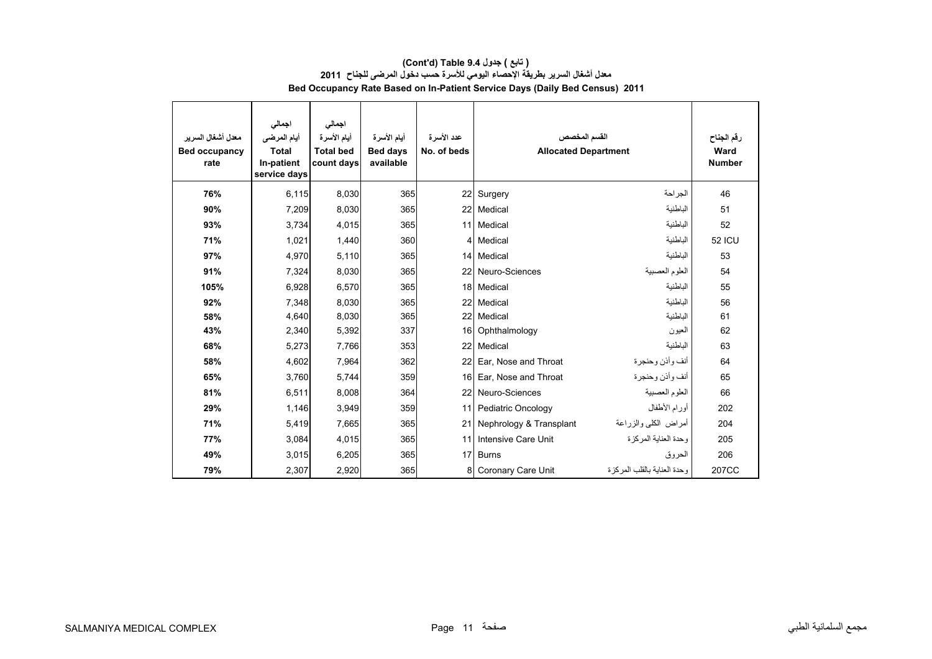| معدل أشغال السرير<br><b>Bed occupancy</b><br>rate | اجمالى<br>أيام المرضى<br><b>Total</b><br>In-patient<br>service days | اجمالي<br>أيام الأسرة<br><b>Total bed</b><br>count days | أيام الأسرة<br><b>Bed days</b><br>available | عدد الأسرة<br>No. of beds | القسم المخصص<br><b>Allocated Department</b> |                              | رقم الجناح<br>Ward<br><b>Number</b> |
|---------------------------------------------------|---------------------------------------------------------------------|---------------------------------------------------------|---------------------------------------------|---------------------------|---------------------------------------------|------------------------------|-------------------------------------|
| 76%                                               | 6,115                                                               | 8,030                                                   | 365                                         |                           | 22 Surgery                                  | الجراحة                      | 46                                  |
| 90%                                               | 7,209                                                               | 8,030                                                   | 365                                         |                           | 22 Medical                                  | الباطنية                     | 51                                  |
| 93%                                               | 3.734                                                               | 4,015                                                   | 365                                         |                           | 11 Medical                                  | الباطنية                     | 52                                  |
| 71%                                               | 1,021                                                               | 1,440                                                   | 360                                         |                           | 4 Medical                                   | الباطنية                     | <b>52 ICU</b>                       |
| 97%                                               | 4.970                                                               | 5,110                                                   | 365                                         |                           | 14 Medical                                  | الباطنية                     | 53                                  |
| 91%                                               | 7,324                                                               | 8,030                                                   | 365                                         |                           | 22 Neuro-Sciences                           | العلوم العصبية               | 54                                  |
| 105%                                              | 6,928                                                               | 6,570                                                   | 365                                         |                           | 18 Medical                                  | الباطنية                     | 55                                  |
| 92%                                               | 7,348                                                               | 8,030                                                   | 365                                         |                           | 22 Medical                                  | الباطنية                     | 56                                  |
| 58%                                               | 4,640                                                               | 8,030                                                   | 365                                         |                           | 22 Medical                                  | الباطنية                     | 61                                  |
| 43%                                               | 2,340                                                               | 5,392                                                   | 337                                         |                           | 16 Ophthalmology                            | العيون                       | 62                                  |
| 68%                                               | 5,273                                                               | 7,766                                                   | 353                                         | 22                        | Medical                                     | الباطنية                     | 63                                  |
| 58%                                               | 4,602                                                               | 7,964                                                   | 362                                         | 22 <sub>l</sub>           | Ear, Nose and Throat                        | أنف وأذن وحنجرة              | 64                                  |
| 65%                                               | 3,760                                                               | 5,744                                                   | 359                                         | 16 <sup>1</sup>           | Ear, Nose and Throat                        | أنف وأذن وحنجرة              | 65                                  |
| 81%                                               | 6,511                                                               | 8,008                                                   | 364                                         |                           | 22 Neuro-Sciences                           | العلوم العصبية               | 66                                  |
| 29%                                               | 1,146                                                               | 3,949                                                   | 359                                         | 11                        | Pediatric Oncology                          | أورام الأطفال                | 202                                 |
| 71%                                               | 5,419                                                               | 7,665                                                   | 365                                         | 21                        | Nephrology & Transplant                     | أمراض الكلى والزراعة         | 204                                 |
| 77%                                               | 3.084                                                               | 4.015                                                   | 365                                         | 11                        | Intensive Care Unit                         | وحدة العنابة المركز ة        | 205                                 |
| 49%                                               | 3,015                                                               | 6,205                                                   | 365                                         | 17                        | <b>Burns</b>                                | الحروق                       | 206                                 |
| 79%                                               | 2,307                                                               | 2,920                                                   | 365                                         | 8                         | Coronary Care Unit                          | وحدة العنابة بالقلب المركز ة | 207CC                               |

# **(Cont'd) Table 9.4 جدول ) تابع( معدل أشغال السرير بطريقة اإلحصاء اليومي لألسرة حسب دخول المرضى للجناح <sup>2011</sup> Bed Occupancy Rate Based on In-Patient Service Days (Daily Bed Census) 2011**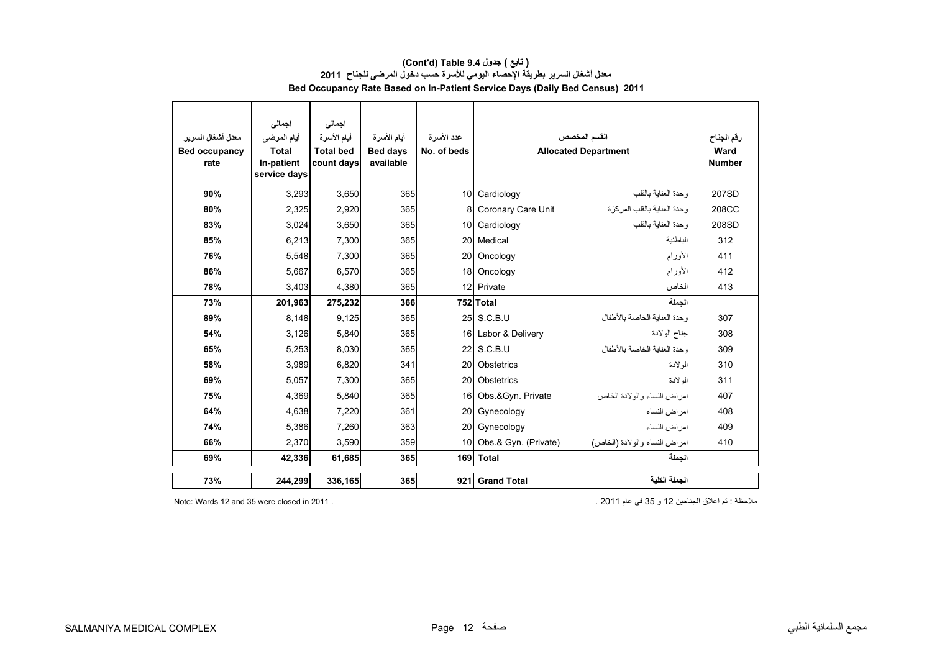| ( تابع ) جدول Cont'd) Table 9.4 )                                                  |  |  |  |  |  |  |  |  |  |
|------------------------------------------------------------------------------------|--|--|--|--|--|--|--|--|--|
|                                                                                    |  |  |  |  |  |  |  |  |  |
| <b>Bed Occupancy Rate Based on In-Patient Service Days (Daily Bed Census) 2011</b> |  |  |  |  |  |  |  |  |  |
|                                                                                    |  |  |  |  |  |  |  |  |  |

| معدل أشغال السر ير<br><b>Bed occupancy</b><br>rate | اجمالى<br>أيام المرضى<br><b>Total</b><br>In-patient<br>service days | اجمالى<br>أيام الأسرة<br><b>Total bed</b><br>count days | أيام الأسرة<br><b>Bed days</b><br>available | عدد الأسرة<br>No. of beds |                      | القسم المخصص<br><b>Allocated Department</b> | رقم الجناح<br>Ward<br><b>Number</b> |
|----------------------------------------------------|---------------------------------------------------------------------|---------------------------------------------------------|---------------------------------------------|---------------------------|----------------------|---------------------------------------------|-------------------------------------|
| 90%                                                | 3.293                                                               | 3,650                                                   | 365                                         | 10 <sup>1</sup>           | Cardiology           | وحدة العنابة بالقلب                         | 207SD                               |
| 80%                                                | 2.325                                                               | 2,920                                                   | 365                                         |                           | Coronary Care Unit   | وحدة العنابة بالقلب المركز ة                | 208CC                               |
| 83%                                                | 3.024                                                               | 3,650                                                   | 365                                         | 10 <sup>1</sup>           | Cardiology           | وحدة العنابة بالقلب                         | 208SD                               |
| 85%                                                | 6,213                                                               | 7,300                                                   | 365                                         | <b>20</b>                 | Medical              | الباطنية                                    | 312                                 |
| 76%                                                | 5.548                                                               | 7,300                                                   | 365                                         | 20                        | Oncology             | الأورام                                     | 411                                 |
| 86%                                                | 5.667                                                               | 6.570                                                   | 365                                         | 18                        | Oncology             | الأورام                                     | 412                                 |
| 78%                                                | 3.403                                                               | 4,380                                                   | 365                                         | 12 <sup>1</sup>           | Private              | الخاص                                       | 413                                 |
| 73%                                                | 201,963                                                             | 275,232                                                 | 366                                         |                           | 752 Total            | الحملة                                      |                                     |
| 89%                                                | 8.148                                                               | 9,125                                                   | 365                                         |                           | 25 S.C.B.U           | وحدة العناية الخاصة بالأطفال                | 307                                 |
| 54%                                                | 3,126                                                               | 5,840                                                   | 365                                         |                           | 16 Labor & Delivery  | جناح الولادة                                | 308                                 |
| 65%                                                | 5,253                                                               | 8,030                                                   | 365                                         |                           | 22 S.C.B.U           | وحدة العناية الخاصة بالأطفال                | 309                                 |
| 58%                                                | 3.989                                                               | 6,820                                                   | 341                                         | <b>20</b>                 | Obstetrics           | الو لادة                                    | 310                                 |
| 69%                                                | 5.057                                                               | 7,300                                                   | 365                                         | 20                        | Obstetrics           | الو لادة                                    | 311                                 |
| 75%                                                | 4,369                                                               | 5,840                                                   | 365                                         | 16 <sup>1</sup>           | Obs.&Gyn. Private    | امراض النساء والولادة الخاص                 | 407                                 |
| 64%                                                | 4.638                                                               | 7,220                                                   | 361                                         | <b>20</b>                 | Gynecology           | امراض النساء                                | 408                                 |
| 74%                                                | 5,386                                                               | 7,260                                                   | 363                                         | <b>20</b>                 | Gynecology           | امر اض النساء                               | 409                                 |
| 66%                                                | 2,370                                                               | 3,590                                                   | 359                                         | 10 <sup>1</sup>           | Obs.& Gyn. (Private) | امراض النساء والولادة (الخاص)               | 410                                 |
| 69%                                                | 42,336                                                              | 61,685                                                  | 365                                         |                           | 169 Total            | الحملة                                      |                                     |
| 73%                                                | 244,299                                                             | 336,165                                                 | 365                                         | 921                       | <b>Grand Total</b>   | الحملة الكلبة                               |                                     |

مالحظة : تم اغالق الجناحين 12 و 35 في عام 2011 . . 2011 in closed were 35 and 12 Wards :Note

 $\overline{\phantom{0}}$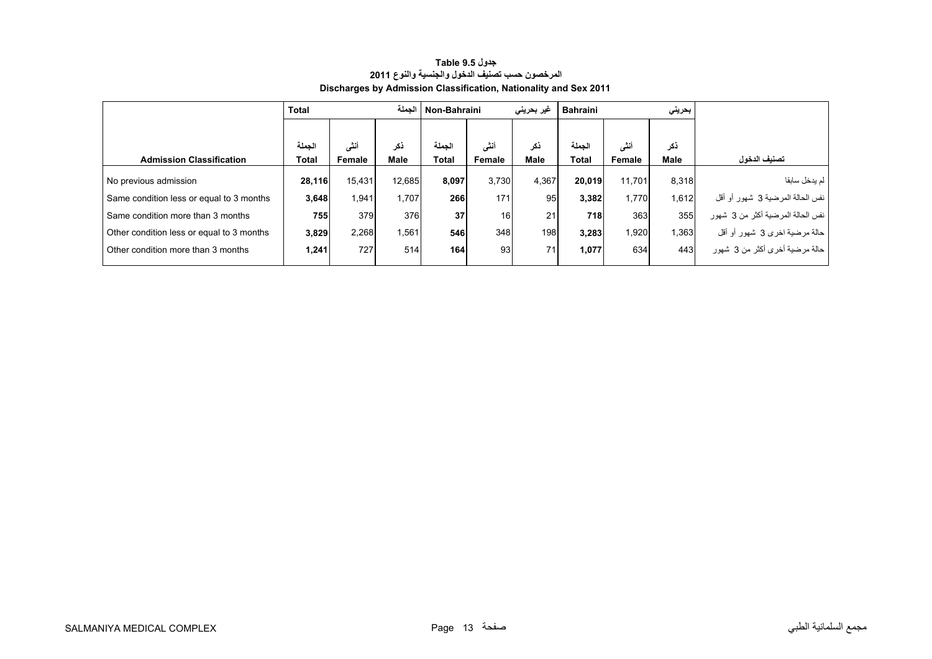<span id="page-11-0"></span>

|                                           | <b>Total</b> |        | الحملة | Non-Bahraini |        | غیر بحرینی  | <b>Bahraini</b> |        | بحريني |                                     |
|-------------------------------------------|--------------|--------|--------|--------------|--------|-------------|-----------------|--------|--------|-------------------------------------|
|                                           |              |        |        |              |        |             |                 |        |        |                                     |
|                                           | الحملة       | أنشى   | ذكر    | الحملة       | أنشى   | ذكر         | الحملة          | أنشى   | ذكر    |                                     |
| <b>Admission Classification</b>           | Total        | Female | Male   | Total        | Female | <b>Male</b> | Total           | Female | Male   | تصنيف الدخول                        |
| No previous admission                     | 28,116       | 15,431 | 12.685 | 8.097        | 3.730  | 4.367       | 20.019          | 11.701 | 8.318  | لم يدخل سابقا                       |
| Same condition less or equal to 3 months  | 3,648        | 1,941  | 1.707  | 266          | 171    | 95          | 3,382           | 1,770  | 1.612  | نفس الحالة المرضية 3 شهور أو أقل    |
| Same condition more than 3 months         | 755          | 379    | 376    | 37           | 16     | 21          | 718             | 363    | 355    | ا نفس الحالة المرضية أكثر من 3 شهور |
| Other condition less or equal to 3 months | 3,829        | 2,268  | 1,561  | 546          | 348    | 198         | 3,283           | 1,920  | 1.363  | حالة مرضية اخرى 3 شهور أو أقل       |
| Other condition more than 3 months        | 1,241        | 727    | 514    | 164          | 93     | 71          | 1,077           | 634    | 443    | حالة مرضية أخرى أكثر من 3 شهور      |

# **جدول 9.5 Table المرخصون حسب تصنيف الدخول والجنسية والنوع <sup>2011</sup> Discharges by Admission Classification, Nationality and Sex 2011**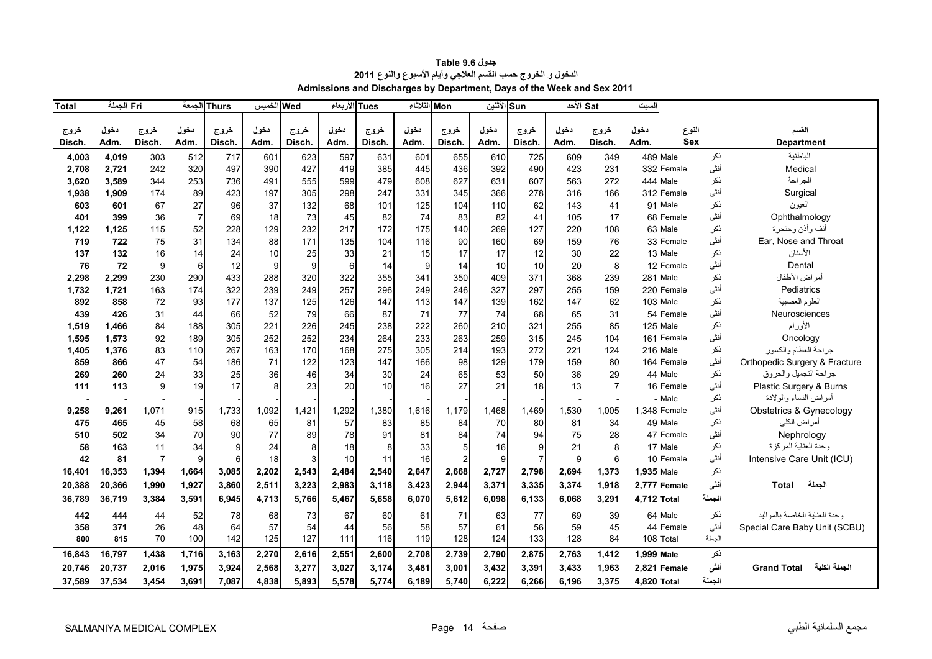<span id="page-12-0"></span>

| <b>Total</b> | Fri الجملة |                |                | Thurs الجمعة | Wed الخميس |        | الأربعاء | <b>Tues</b> | Mon الثلاثاء |                | Sun الأثنين |                | Sat الأحد |                | السبت       |              |        |                                     |
|--------------|------------|----------------|----------------|--------------|------------|--------|----------|-------------|--------------|----------------|-------------|----------------|-----------|----------------|-------------|--------------|--------|-------------------------------------|
|              |            |                |                |              |            |        |          |             |              |                |             |                |           |                |             |              |        |                                     |
| خروج         | دخول       | خروج           | دخول           | خروج         | دخول       | خروج   | دخول     | خروج        | دخول         | خروج           | دخول        | خروج           | دخول      | خروج           | دخول        | النوع        |        | القسم                               |
| Disch.       | <b>Adm</b> | Disch.         | Adm.           | Disch.       | Adm.       | Disch. | Adm.     | Disch.      | Adm.         | Disch.         | Adm.        | Disch.         | Adm.      | Disch.         | Adm.        | <b>Sex</b>   |        | <b>Department</b>                   |
| 4,003        | 4.019      | 303            | 512            | 717          | 601        | 623    | 597      | 631         | 601          | 655            | 610         | 725            | 609       | 349            |             | 489 Male     | نكر    | الباطنية                            |
| 2,708        | 2,721      | 242            | 320            | 497          | 390        | 427    | 419      | 385         | 445          | 436            | 392         | 490            | 423       | 231            |             | 332 Female   | أنثى   | Medical                             |
| 3,620        | 3,589      | 344            | 253            | 736          | 491        | 555    | 599      | 479         | 608          | 627            | 631         | 607            | 563       | 272            |             | 444 Male     | نكر    | الجراحة                             |
| 1,938        | 1,909      | 174            | 89             | 423          | 197        | 305    | 298      | 247         | 331          | 345            | 366         | 278            | 316       | 166            |             | 312 Female   | أنثى   | Surgical                            |
| 603          | 601        | 67             | 27             | 96           | 37         | 132    | 68       | 101         | 125          | 104            | 110         | 62             | 143       | 41             |             | 91 Male      | ذكر    | العيون                              |
| 401          | 399        | 36             | $\overline{7}$ | 69           | 18         | 73     | 45       | 82          | 74           | 83             | 82          | 41             | 105       | 17             |             | 68 Female    | أنثى   | Ophthalmology                       |
| 1,122        | 1,125      | 115            | 52             | 228          | 129        | 232    | 217      | 172         | 175          | 140            | 269         | 127            | 220       | 108            |             | 63 Male      | نكر    | أنف وأذن وحنجرة                     |
| 719          | 722        | 75             | 31             | 134          | 88         | 171    | 135      | 104         | 116          | 90             | 160         | 69             | 159       | 76             |             | 33 Female    | أنثى   | Ear, Nose and Throat                |
| 137          | 132        | 16             | 14             | 24           | 10         | 25     | 33       | 21          | 15           | 17             | 17          | 12             | 30        | 22             |             | 13 Male      | ذكر    | الأسنان                             |
| 76           | 72         | 9              | 6              | 12           | 9          | 9      | 6        | 14          | 9            | 14             | 10          | 10             | 20        | 8              |             | 12 Female    | أنثى   | Dental                              |
| 2,298        | 2,299      | 230            | 290            | 433          | 288        | 320    | 322      | 355         | 341          | 350            | 409         | 371            | 368       | 239            |             | 281 Male     | ذكر    | أمراض الأطفال                       |
| 1,732        | 1,721      | 163            | 174            | 322          | 239        | 249    | 257      | 296         | 249          | 246            | 327         | 297            | 255       | 159            |             | 220 Female   | أنثى   | Pediatrics                          |
| 892          | 858        | 72             | 93             | 177          | 137        | 125    | 126      | 147         | 113          | 147            | 139         | 162            | 147       | 62             |             | 103 Male     | ذكر    | العلوم العصبية                      |
| 439          | 426        | 31             | 44             | 66           | 52         | 79     | 66       | 87          | 71           | 77             | 74          | 68             | 65        | 31             |             | 54 Female    | أنثى   | Neurosciences                       |
| 1,519        | 1,466      | 84             | 188            | 305          | 221        | 226    | 245      | 238         | 222          | 260            | 210         | 321            | 255       | 85             |             | 125 Male     | ذكر    | الأورام                             |
| 1,595        | 1,573      | 92             | 189            | 305          | 252        | 252    | 234      | 264         | 233          | 263            | 259         | 315            | 245       | 104            |             | 161 Female   | أنثى   | Oncology                            |
| 1,405        | 1,376      | 83             | 110            | 267          | 163        | 170    | 168      | 275         | 305          | 214            | 193         | 272            | 221       | 124            |             | 216 Male     | نكر    | جراحة العظام والكسور                |
| 859          | 866        | 47             | 54             | 186          | 71         | 122    | 123      | 147         | 166          | 98             | 129         | 179            | 159       | 80             |             | 164 Female   | أنثى   | Orthopedic Surgery & Fracture       |
| 269          | 260        | 24             | 33             | 25           | 36         | 46     | 34       | 30          | 24           | 65             | 53          | 50             | 36        | 29             |             | 44 Male      | نكر    | جراحة التجميل والحروق               |
| 111          | 113        | 9              | 19             | 17           | 8          | 23     | 20       | 10          | 16           | 27             | 21          | 18             | 13        | $\overline{7}$ |             | 16 Female    | أنثى   | Plastic Surgery & Burns             |
|              |            |                |                |              |            |        |          |             |              |                |             |                |           |                |             | Male         | نكر    | أمراض النساء والولادة               |
| 9,258        | 9,261      | 1,071          | 915            | ,733         | 1,092      | 1,421  | 1,292    | 1,380       | 1,616        | 1,179          | ,468        | 1.469          | 1.530     | 1,005          |             | 1,348 Female | أنثى   | Obstetrics & Gynecology             |
| 475          | 465        | 45             | 58             | 68           | 65         | 81     | 57       | 83          | 85           | 84             | 70          | 80             | 81        | 34             |             | 49 Male      | نكر    | أمراض الكلى                         |
| 510          | 502        | 34             | 70             | 90           | 77         | 89     | 78       | 91          | 81           | 84             | 74          | 94             | 75        | 28             |             | 47 Female    | أنثى   | Nephrology                          |
| 58           | 163        | 11             | 34             | 9            | 24         | 8      | 18       | 8           | 33           | 5              | 16          | 9              | 21        | 8              |             | 17 Male      | ذكر    | وحدة العناية المركزة                |
| 42           | 81         | $\overline{7}$ | 9              | 6            | 18         | 3      | 10       | 11          | 16           | $\mathfrak{p}$ | 9           | $\overline{7}$ | 9         | 6              |             | 10 Female    | أنثى   | Intensive Care Unit (ICU)           |
| 16,401       | 16,353     | 1,394          | 1,664          | 3,085        | 2,202      | 2,543  | 2,484    | 2,540       | 2,647        | 2,668          | 2,727       | 2,798          | 2,694     | 1,373          | 1,935 Male  |              | ذكر    |                                     |
| 20,388       | 20,366     | 1,990          | 1,927          | 3,860        | 2,511      | 3,223  | 2,983    | 3,118       | 3,423        | 2,944          | 3,371       | 3,335          | 3,374     | 1,918          |             | 2,777 Female | أنشى   | الجملة<br><b>Total</b>              |
| 36,789       | 36,719     | 3,384          | 3,591          | 6,945        | 4,713      | 5,766  | 5,467    | 5,658       | 6.070        | 5,612          | 6,098       | 6,133          | 6,068     | 3,291          | 4,712 Total |              | لجملة  |                                     |
| 442          | 444        | 44             | 52             | 78           | 68         | 73     | 67       | 60          | 61           | 71             | 63          | 77             | 69        | 39             |             | 64 Male      | نكر    | وحدة العناية الخاصة بالمواليد       |
| 358          | 371        | 26             | 48             | 64           | 57         | 54     | 44       | 56          | 58           | 57             | 61          | 56             | 59        | 45             |             | 44 Female    | أنثى   | Special Care Baby Unit (SCBU)       |
| 800          | 815        | 70             | 100            | 142          | 125        | 127    | 111      | 116         | 119          | 128            | 124         | 133            | 128       | 84             |             | 108 Total    | الجملة |                                     |
| 16,843       | 16,797     | 1.438          | 1,716          | 3,163        | 2,270      | 2,616  | 2,551    | 2,600       | 2,708        | 2,739          | 2,790       | 2,875          | 2,763     | 1,412          | 1,999 Male  |              | ذكر    |                                     |
| 20,746       | 20,737     | 2,016          | 1,975          | 3,924        | 2,568      | 3,277  | 3,027    | 3,174       | 3.481        | 3,001          | 3,432       | 3,391          | 3,433     | 1,963          | 2,821       | Female       | أننى   | الجملة الكلية<br><b>Grand Total</b> |
|              |            |                |                |              |            |        |          |             |              |                |             |                |           |                |             |              |        |                                     |
| 37,589       | 37,534     | 3,454          | 3,691          | 7,087        | 4,838      | 5,893  | 5,578    | 5,774       | 6,189        | 5,740          | 6,222       | 6,266          | 6,196     | 3,375          | 4,820 Total |              | لجملة  |                                     |

| <b>Table 9.6</b> جدول                                                  |
|------------------------------------------------------------------------|
| الدخول و الخروج حسب القسم العلاجي وأيام الأسبوع والنوع 2011            |
| Admissions and Discharges by Department, Days of the Week and Sex 2011 |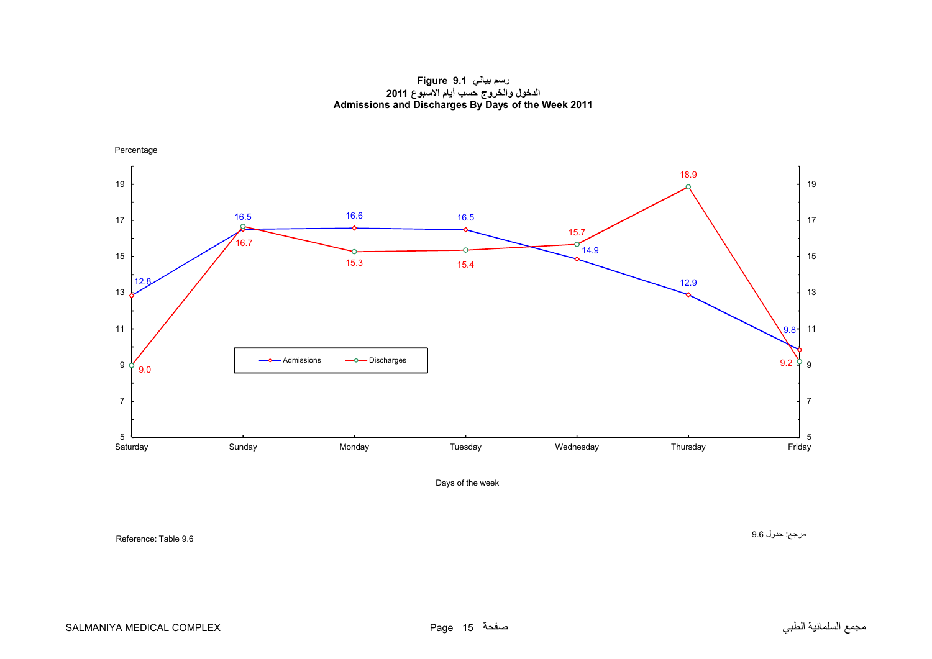**رسم بياني 9.1 Figure الدخول والخروج حسب أيام االسبوع <sup>2011</sup> Admissions and Discharges By Days of the Week 2011**

<span id="page-13-0"></span>

Days of the week

Reference: Table 9.6

مرجع: جدول 9.6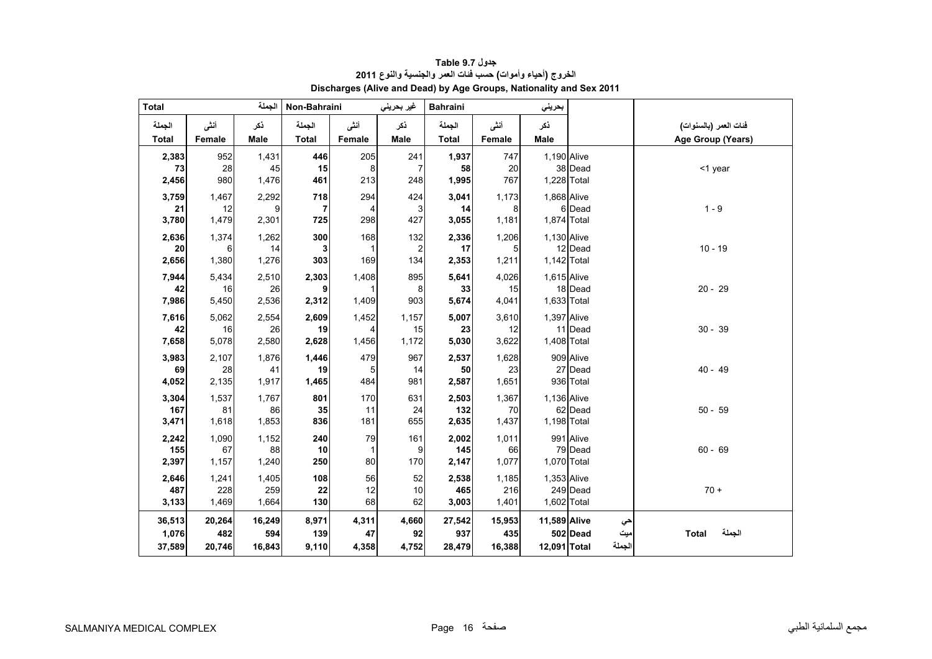<span id="page-14-0"></span>

| <b>Total</b> |             | الجملة      | Non-Bahraini                   |           | غير بحريني            | <b>Bahraini</b> |             | بحريني       |                 |                        |
|--------------|-------------|-------------|--------------------------------|-----------|-----------------------|-----------------|-------------|--------------|-----------------|------------------------|
| الجملة       | أنشى        | ڏکر         | الجملة                         | أنشى      | ذكر                   | الجملة          | أنشى        | ذكر          |                 | فنات العمر (بالسنوات)  |
| <b>Total</b> | Female      | Male        | <b>Total</b>                   | Female    | Male                  | <b>Total</b>    | Female      | <b>Male</b>  |                 | Age Group (Years)      |
| 2,383        | 952         | 1,431       | 446                            | 205       | 241                   | 1,937           | 747         | 1,190 Alive  |                 |                        |
| 73           | 28          | 45          | 15                             | 8         | $\overline{7}$        | 58              | 20          |              | 38 Dead         | <1 year                |
| 2,456        | 980         | 1,476       | 461                            | 213       | 248                   | 1,995           | 767         | 1,228 Total  |                 |                        |
| 3,759        | 1,467       | 2,292       | 718                            | 294       | 424                   | 3,041           | 1,173       | 1,868 Alive  |                 |                        |
| 21<br>3,780  | 12<br>1,479 | 9<br>2,301  | $\overline{\mathbf{r}}$<br>725 | 4<br>298  | 3<br>427              | 14<br>3,055     | 8<br>1,181  | 1,874 Total  | 6 Dead          | $1 - 9$                |
|              |             |             |                                |           |                       |                 |             |              |                 |                        |
| 2,636<br>20  | 1,374<br>6  | 1,262<br>14 | 300<br>3                       | 168       | 132<br>$\overline{c}$ | 2,336<br>17     | 1,206<br>5  | 1,130 Alive  | 12 Dead         | $10 - 19$              |
| 2,656        | 1,380       | 1,276       | 303                            | 169       | 134                   | 2,353           | 1,211       | 1,142 Total  |                 |                        |
| 7,944        | 5,434       | 2,510       | 2,303                          | 1,408     | 895                   | 5,641           | 4,026       | 1,615 Alive  |                 |                        |
| 42           | 16          | 26          | 9                              |           | 8                     | 33              | 15          |              | 18 Dead         | $20 - 29$              |
| 7,986        | 5,450       | 2,536       | 2,312                          | 1,409     | 903                   | 5,674           | 4,041       | 1,633 Total  |                 |                        |
| 7,616        | 5,062       | 2,554       | 2,609                          | 1,452     | 1,157                 | 5,007           | 3,610       | 1,397 Alive  |                 |                        |
| 42           | 16          | 26          | 19                             |           | 15                    | 23              | 12          |              | 11 Dead         | $30 - 39$              |
| 7,658        | 5,078       | 2,580       | 2,628                          | 1,456     | 1,172                 | 5,030           | 3,622       | 1,408 Total  |                 |                        |
| 3,983        | 2,107       | 1,876       | 1,446                          | 479       | 967                   | 2,537           | 1,628       |              | 909 Alive       |                        |
| 69           | 28          | 41          | 19                             | 5         | 14                    | 50              | 23          |              | 27 Dead         | $40 - 49$              |
| 4,052        | 2,135       | 1,917       | 1,465                          | 484       | 981                   | 2,587           | 1,651       |              | 936 Total       |                        |
| 3,304        | 1,537       | 1,767       | 801                            | 170       | 631                   | 2,503           | 1,367<br>70 | 1,136 Alive  |                 |                        |
| 167<br>3,471 | 81<br>1,618 | 86<br>1,853 | 35<br>836                      | 11<br>181 | 24<br>655             | 132<br>2,635    | 1,437       | 1,198 Total  | 62 Dead         | $50 - 59$              |
|              | 1,090       |             |                                |           | 161                   | 2,002           | 1,011       |              | 991 Alive       |                        |
| 2,242<br>155 | 67          | 1,152<br>88 | 240<br>10                      | 79        | 9                     | 145             | 66          |              | 79 Dead         | $60 - 69$              |
| 2,397        | 1,157       | 1,240       | 250                            | 80        | 170                   | 2,147           | 1,077       | 1,070 Total  |                 |                        |
| 2,646        | 1,241       | 1,405       | 108                            | 56        | 52                    | 2,538           | 1,185       | 1,353 Alive  |                 |                        |
| 487          | 228         | 259         | 22                             | 12        | 10                    | 465             | 216         |              | 249 Dead        | $70 +$                 |
| 3,133        | 1,469       | 1,664       | 130                            | 68        | 62                    | 3,003           | 1,401       | 1,602 Total  |                 |                        |
| 36,513       | 20,264      | 16,249      | 8,971                          | 4,311     | 4,660                 | 27,542          | 15,953      | 11,589 Alive | حي              |                        |
| 1,076        | 482         | 594         | 139                            | 47        | 92                    | 937             | 435         |              | 502 Dead<br>میت | الجملة<br><b>Total</b> |
| 37,589       | 20,746      | 16,843      | 9,110                          | 4,358     | 4,752                 | 28,479          | 16,388      | 12,091 Total | الجملة          |                        |

**جدول 9.7 Table الخروج (أحياء وأموات) حسب فئات العمر والجنسية والنوع <sup>2011</sup> Discharges (Alive and Dead) by Age Groups, Nationality and Sex 2011**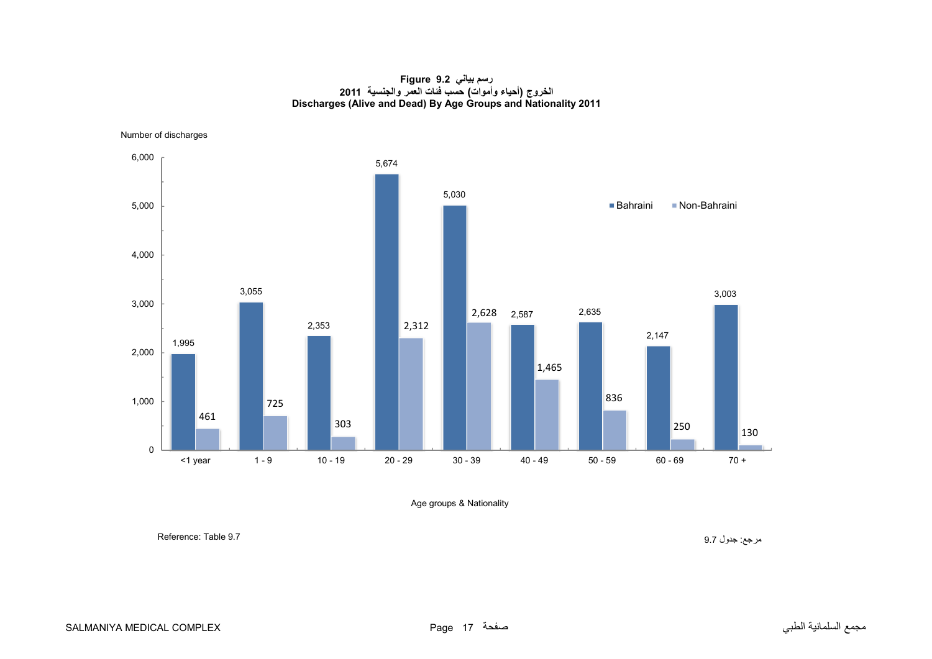#### **رسم بياني 9.2 Figure الخروج (أحياء وأموات) حسب فئات العمر والجنسية <sup>2011</sup> Discharges (Alive and Dead) By Age Groups and Nationality 2011**

<span id="page-15-0"></span>Number of discharges



Age groups & Nationality

مرجع: جدول 9.7 9.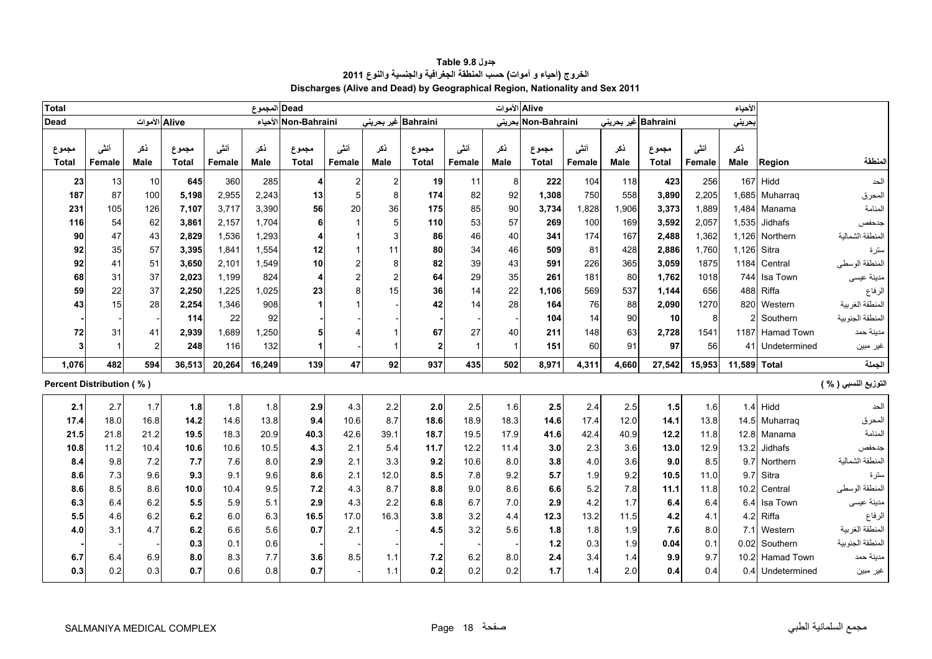<span id="page-16-0"></span>

| <b>Total</b>             |        |               |              |        | المجموع | <b>Dead</b>             |                  |               |                     |              | Alive الأموات |                     |        |                     |              |        | الأحياء      |                   |                      |
|--------------------------|--------|---------------|--------------|--------|---------|-------------------------|------------------|---------------|---------------------|--------------|---------------|---------------------|--------|---------------------|--------------|--------|--------------|-------------------|----------------------|
| <b>Dead</b>              |        | Alive الأموات |              |        |         | Non-Bahraini الأحياء    |                  |               | Bahraini غير بحريني |              |               | Non-Bahraini بحرينى |        | Bahraini غير بحريني |              |        | بحريني       |                   |                      |
|                          |        |               |              |        |         |                         |                  |               |                     |              |               |                     |        |                     |              |        |              |                   |                      |
| مجموع                    | أنشى   | ذكر           | مجموع        | أنشى   | ذكر     | مجموع                   | أننى             | نكر           | مجموع               | أننى         | نكر           | مجموع               | أنشى   | نكر                 | مجموع        | أننى   | نكر          |                   |                      |
| <b>Total</b>             | Female | Male          | <b>Total</b> | Female | Male    | <b>Total</b>            | Female           | <b>Male</b>   | <b>Total</b>        | Female       | <b>Male</b>   | <b>Total</b>        | Female | Male                | <b>Total</b> | Female | <b>Male</b>  | Region            | لمنطقة               |
| 23                       | 13     | 10            | 645          | 360    | 285     | $\overline{4}$          | $\boldsymbol{2}$ | $\mathcal{P}$ | 19                  | 11           | 8             | 222                 | 104    | 118                 | 423          | 256    | 167          | Hidd              | الحد                 |
| 187                      | 87     | 100           | 5,198        | 2,955  | 2,243   | 13                      | 5                | 8             | 174                 | 82           | 92            | 1,308               | 750    | 558                 | 3,890        | 2,205  |              | 1,685 Muharraq    | المحرق               |
| 231                      | 105    | 126           | 7,107        | 3,717  | 3,390   | 56                      | 20               | 36            | 175                 | 85           | 90            | 3,734               | 1,828  | 1,906               | 3,373        | 1,889  |              | 1,484 Manama      | المنامة              |
| 116                      | 54     | 62            | 3,861        | 2,157  | 1,704   | 6                       | 1                |               | 110                 | 53           | 57            | 269                 | 100    | 169                 | 3,592        | 2,057  | 1,535        | Jidhafs           | جدحفص                |
| 90                       | 47     | 43            | 2,829        | 1,536  | 1,293   | 4                       |                  |               | 86                  | 46           | 40            | 341                 | 174    | 167                 | 2,488        | 1,362  | 1,126        | Northern          | المنطقة الشمالية     |
| 92                       | 35     | 57            | 3,395        | 1,841  | 1,554   | 12                      | 1                | 11            | 80                  | 34           | 46            | 509                 | 81     | 428                 | 2,886        | 1,760  | 1,126        | Sitra             | سترة                 |
| 92                       | 41     | 51            | 3,650        | 2,101  | 1,549   | 10                      | $\overline{c}$   |               | 82                  | 39           | 43            | 591                 | 226    | 365                 | 3,059        | 1875   | 1184         | Central           | المنطقة الوسطى       |
| 68                       | 31     | 37            | 2,023        | 1,199  | 824     | $\overline{\mathbf{4}}$ | $\overline{c}$   |               | 64                  | 29           | 35            | 261                 | 181    | 80                  | 1,762        | 1018   | 744          | Isa Town          | مدينة عيسى           |
| 59                       | 22     | 37            | 2,250        | 1,225  | 1,025   | 23                      | 8                | 15            | 36                  | 14           | 22            | 1,106               | 569    | 537                 | 1,144        | 656    | 488          | Riffa             | الرفاع               |
| 43                       | 15     | 28            | 2,254        | 1,346  | 908     | $\mathbf 1$             |                  |               | 42                  | 14           | 28            | 164                 | 76     | 88                  | 2,090        | 1270   | 820          | Western           | المنطقة الغربية      |
|                          |        |               | 114          | 22     | 92      |                         |                  |               |                     |              |               | 104                 | 14     | 90                  | 10           | 8      | 2            | Southern          | المنطقة الجنوبية     |
| 72                       | 31     | 41            | 2,939        | 1,689  | 1,250   | 5                       |                  |               | 67                  | 27           | 40            | 211                 | 148    | 63                  | 2,728        | 1541   | 1187         | <b>Hamad Town</b> | مدينة حمد            |
| 3                        |        | 2             | 248          | 116    | 132     | 1                       |                  |               | $\overline{2}$      | $\mathbf{1}$ |               | 151                 | 60     | 91                  | 97           | 56     | 41           | Undetermined      | غير مبين             |
| 1,076                    | 482    | 594           | 36.513       | 20,264 | 16,249  | 139                     | 47               | 92            | 937                 | 435          | 502           | 8.971               | 4,311  | 4,660               | 27,542       | 15,953 | 11,589 Total |                   | الجملة               |
| Percent Distribution (%) |        |               |              |        |         |                         |                  |               |                     |              |               |                     |        |                     |              |        |              |                   | التوزيع النسبي ( % ) |
| 2.1                      | 2.7    | 1.7           | 1.8          | 1.8    | 1.8     | 2.9                     | 4.3              | 2.2           | 2.0                 | 2.5          | 1.6           | 2.5                 | 2.4    | 2.5                 | $1.5$        | 1.6    | 1.4          | Hidd              | الحد                 |
| 17.4                     | 18.0   | 16.8          | 14.2         | 14.6   | 13.8    | 9.4                     | 10.6             | 8.7           | 18.6                | 18.9         | 18.3          | 14.6                | 17.4   | 12.0                | 14.1         | 13.8   |              | 14.5 Muharraq     | المحرق               |
| 21.5                     | 21.8   | 21.2          | 19.5         | 18.3   | 20.9    | 40.3                    | 42.6             | 39.1          | 18.7                | 19.5         | 17.9          | 41.6                | 42.4   | 40.9                | 12.2         | 11.8   | 12.8         | Manama            | المنامة              |
| 10.8                     | 11.2   | 10.4          | 10.6         | 10.6   | 10.5    | 4.3                     | 2.1              | 5.4           | 11.7                | 12.2         | 11.4          | 3.0                 | 2.3    | 3.6                 | 13.0         | 12.9   | 13.2         | Jidhafs           | جدحفص                |
| 8.4                      | 9.8    | 7.2           | 7.7          | 7.6    | 8.0     | 2.9                     | 2.1              | 3.3           | 9.2                 | 10.6         | 8.0           | 3.8                 | 4.0    | 3.6                 | 9.0          | 8.5    | 9.7          | Northern          | لمنطقة الشمالية      |
| 8.6                      | 7.3    | 9.6           | 9.3          | 9.1    | 9.6     | 8.6                     | 2.1              | 12.0          | 8.5                 | 7.8          | 9.2           | 5.7                 | 1.9    | 9.2                 | 10.5         | 11.0   | 9.7          | Sitra             | سترة                 |
| 8.6                      | 8.5    | 8.6           | 10.0         | 10.4   | 9.5     | 7.2                     | 4.3              | 8.7           | 8.8                 | 9.0          | 8.6           | 6.6                 | 5.2    | 7.8                 | 11.1         | 11.8   | 10.2         | Central           | المنطقة الوسطى       |
| 6.3                      | 6.4    | 6.2           | 5.5          | 5.9    | 5.1     | 2.9                     | 4.3              | 2.2           | 6.8                 | 6.7          | 7.0           | 2.9                 | 4.2    | 1.7                 | 6.4          | 6.4    | 6.4          | Isa Town          | مدينة عيسى           |
| 5.5                      | 4.6    | 6.2           | 6.2          | 6.0    | 6.3     | 16.5                    | 17.0             | 16.3          | 3.8                 | 3.2          | 4.4           | 12.3                | 13.2   | 11.5                | 4.2          | 4.1    | 4.2          | Riffa             | الرفاع               |
| 4.0                      | 3.1    | 4.7           | 6.2          | 6.6    | 5.6     | 0.7                     | 2.1              |               | 4.5                 | 3.2          | 5.6           | 1.8                 | 1.8    | 1.9                 | 7.6          | 8.0    | 7.1          | Western           | المنطقة الغربية      |
|                          |        |               | 0.3          | 0.1    | 0.6     |                         |                  |               |                     |              |               | $1.2$               | 0.3    | 1.9                 | 0.04         | 0.1    | 0.02         | Southern          | المنطقة الجنوبية     |
| 6.7                      | 6.4    | 6.9           | 8.0          | 8.3    | 7.7     | 3.6                     | 8.5              | 1.1           | 7.2                 | 6.2          | 8.0           | 2.4                 | 3.4    | 1.4                 | 9.9          | 9.7    | 10.2         | <b>Hamad Town</b> | مدينة حمد            |
| 0.3                      | 0.2    | 0.3           | 0.7          | 0.6    | 0.8     | 0.7                     |                  | 1.1           | 0.2                 | 0.2          | 0.2           | 1.7                 | 1.4    | 2.0                 | 0.4          | 0.4    |              | 0.4 Undetermined  | غير مبين             |

**جدول 9.8 Table الخروج (أحياء <sup>و</sup> أموات) حسب المنطقة الجغرافية والجنسية والنوع <sup>2011</sup> Discharges (Alive and Dead) by Geographical Region, Nationality and Sex 2011**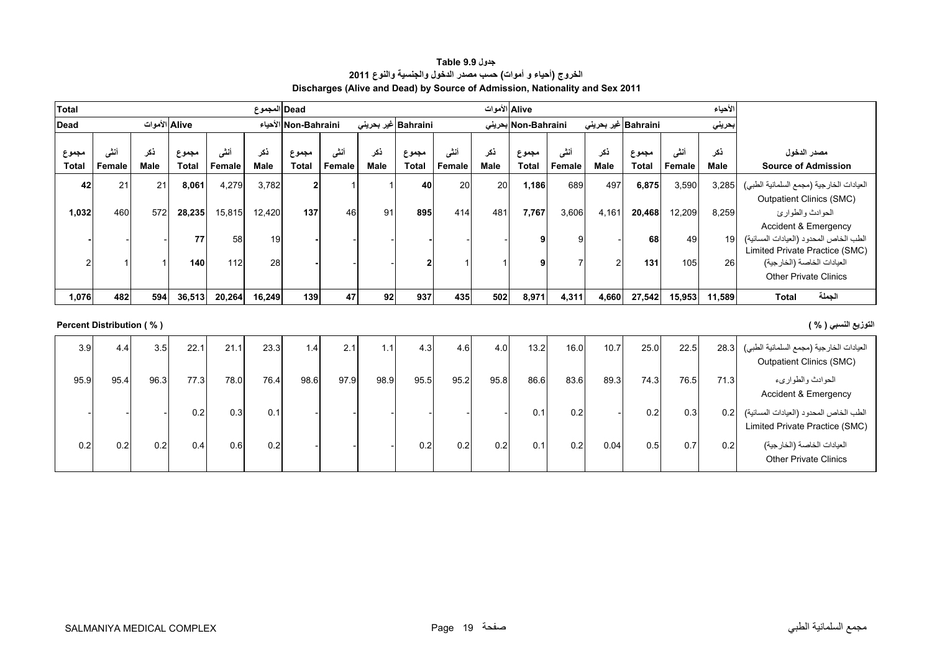| <b>Table 9.9</b> جدول                                                        |
|------------------------------------------------------------------------------|
| الخروج (أحياء و أموات) حسب مصدر الدخول والجنسية والنوع 2011                  |
| Discharges (Alive and Dead) by Source of Admission, Nationality and Sex 2011 |

<span id="page-17-0"></span>

| Total                 |                          |                    |                       |                | Dead  المجموع      |                       |                |                         |                       |                | Alive الأموات      |                       |                |                     |                       |                | الأحياء            |                                                                                                             |
|-----------------------|--------------------------|--------------------|-----------------------|----------------|--------------------|-----------------------|----------------|-------------------------|-----------------------|----------------|--------------------|-----------------------|----------------|---------------------|-----------------------|----------------|--------------------|-------------------------------------------------------------------------------------------------------------|
| Dead                  |                          | Alive الأموات      |                       |                |                    | Non-Bahraini الأحياء  |                | Bahraini غیر بحرینی     |                       |                |                    | Non-Bahraini بحرينى   |                | Bahraini غير بحريني |                       |                | بحريني             |                                                                                                             |
| مجموع<br><b>Total</b> | أننسى<br>Female          | نكر<br><b>Male</b> | مجموع<br><b>Total</b> | أننى<br>Female | ذكر<br><b>Male</b> | مجموع<br><b>Total</b> | أنثى<br>Female | نكر<br><b>Male</b>      | مجموع<br><b>Total</b> | أننى<br>Female | نكر<br><b>Male</b> | مجموع<br><b>Total</b> | أننى<br>Female | ذكر<br>Male         | مجموع<br><b>Total</b> | أنشى<br>Female | ذكر<br><b>Male</b> | مصدر الدخول<br><b>Source of Admission</b>                                                                   |
| 42                    | 21                       | 21                 | 8,061                 | 4,279          | 3,782              | $\mathbf{2}$          |                | $\overline{\mathbf{1}}$ | 40                    | 20             | 20                 | 1,186                 | 689            | 497                 | 6,875                 | 3,590          | 3,285              | العيادات الخارجية (مجمع السلمانية الطبي)                                                                    |
| 1,032                 | 460                      | 572                | 28,235                | 15,815         | 12,420             | 137                   | 46             | 91                      | 895                   | 414            | 481                | 7,767                 | 3,606          | 4,161               | 20,468                | 12,209         | 8,259              | <b>Outpatient Clinics (SMC)</b><br>الحوادث والطوارئ                                                         |
|                       |                          |                    | 77                    | 58             | 19                 |                       |                |                         |                       |                |                    | 9                     | 9              |                     | 68                    | 49             | 19                 | <b>Accident &amp; Emergency</b><br>الطب الخاص المحدود (العيادات المسائية)<br>Limited Private Practice (SMC) |
|                       |                          |                    | 140                   | 112            | 28                 |                       |                |                         | $\overline{2}$        |                |                    | 9                     |                |                     | 131                   | 105            | 26                 | العيادات الخاصة (الخارجية)<br><b>Other Private Clinics</b>                                                  |
| 1,076                 | 482                      | 594                | 36,513                | 20,264         | 16,249             | 139                   | 47             | 92                      | 937                   | 435            | 502                | 8,971                 | 4,311          | 4,660               | 27,542                | 15,953         | 11,589             | الجملة<br><b>Total</b>                                                                                      |
|                       | Percent Distribution (%) |                    |                       |                |                    |                       |                |                         |                       |                |                    |                       |                |                     |                       |                |                    | التوزيع النسبي ( % )                                                                                        |
| 3.9                   | 4.4                      | 3.5                | 22.1                  | 21.1           | 23.3               | 1.4                   | 2.1            | 1.1                     | 4.3                   | 4.6            | 4.0                | 13.2                  | 16.0           | 10.7                | 25.0                  | 22.5           | 28.3               | العيادات الخارجية (مجمع السلمانية الطبي)<br><b>Outpatient Clinics (SMC)</b>                                 |
| 95.9                  | 95.4                     | 96.3               | 77.3                  | 78.0           | 76.4               | 98.6                  | 97.9           | 98.9                    | 95.5                  | 95.2           | 95.8               | 86.6                  | 83.6           | 89.3                | 74.3                  | 76.5           | 71.3               | الحوادث والطوارىء<br><b>Accident &amp; Emergency</b>                                                        |
|                       |                          |                    | 0.2                   | 0.3            | 0.1                |                       |                |                         |                       |                |                    | 0.1                   | 0.2            |                     | 0.2                   | 0.3            | 0.2                | الطب الخاص المحدود (العيادات المسائية)<br>Limited Private Practice (SMC)                                    |
| 0.2                   | 0.2                      | 0.2                | 0.4                   | 0.6            | 0.2                |                       |                |                         | 0.2                   | 0.2            | 0.2                | 0.1                   | 0.2            | 0.04                | 0.5                   | 0.7            | 0.2                | العيادات الخاصة (الخارجية)<br><b>Other Private Clinics</b>                                                  |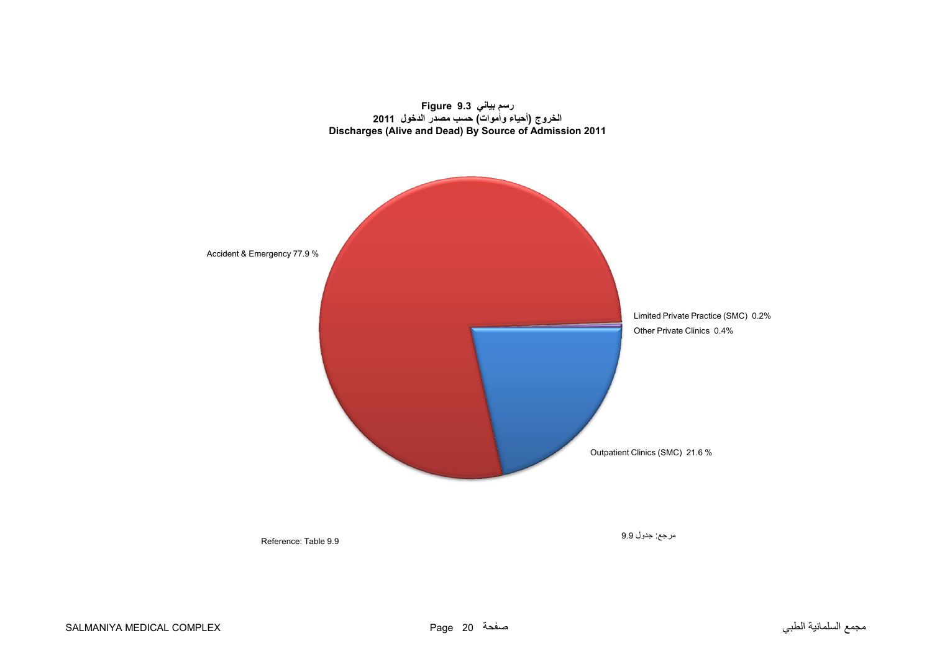<span id="page-18-0"></span>



Reference: Table 9.9

مرجع: جدول 9.9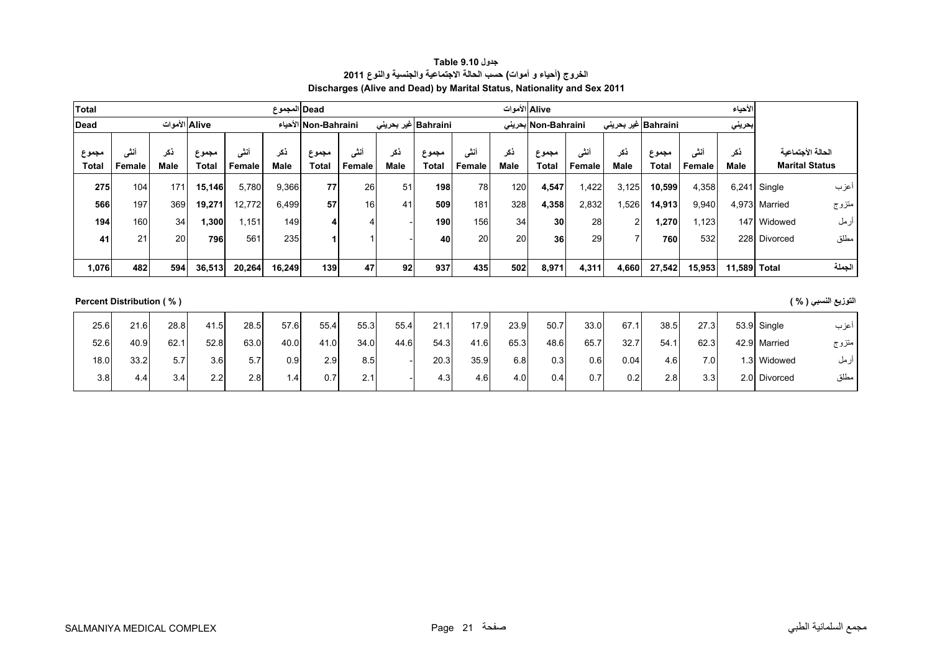| <b>جدول Table 9.10</b>                                                  |
|-------------------------------------------------------------------------|
| الخروج (أحياء و أموات) حسب الحالة الاجتماعية والجنسية والنوع 2011       |
| Discharges (Alive and Dead) by Marital Status, Nationality and Sex 2011 |

<span id="page-19-0"></span>

| <b>Total</b>   |                    |              |                       |                | Dead المجموع       |                       |                      |             |                      |                | Aliveالأموات |                     |                |                             |                       |                | الأحياء      |                                            |        |
|----------------|--------------------|--------------|-----------------------|----------------|--------------------|-----------------------|----------------------|-------------|----------------------|----------------|--------------|---------------------|----------------|-----------------------------|-----------------------|----------------|--------------|--------------------------------------------|--------|
| <b>Dead</b>    |                    | Aliveالأموات |                       |                |                    | Non-Bahraini الأحياء  |                      |             | Bahraini  غیر بحرینی |                |              | Non-Bahraini بحرينى |                | Bahraini غیر بحرین <i>ی</i> |                       |                | بحريني       |                                            |        |
| مجموع<br>Total | <br>انتی<br>Female | دکر<br>Male  | مجموع<br><b>Total</b> | أنشى<br>Female | ذكر<br><b>Male</b> | مجموع<br><b>Total</b> | 2.4<br>ستی<br>Female | ذكر<br>Male | مجموع<br>Total       | أنشى<br>Female | ذكر<br>Male  | مجموع<br>Total      | أنثى<br>Female | ذكر<br>Male                 | مجموع<br><b>Total</b> | أنشى<br>Female | ذكر<br>Male  | الحالة الأجتماعية<br><b>Marital Status</b> |        |
| 275            | 104                | 171          | 15,146                | 5,780          | 9,366              | 77                    | 26                   | 51          | 198                  | 78             | 120          | 4.547               | .422           | 3,125                       | 10,599                | 4,358          |              | $6,241$ Single                             | اعزب   |
| 566            | 197                | 369          | 19,271                | 12,772         | 6,499              | 57                    | 16 <sup>1</sup>      | 41          | 509                  | 181            | 328          | 4,358               | 2,832          | 1,526                       | 14,913                | 9,940          |              | 4.973 Married                              | متزوج  |
| 194            | 160                | 34           | .300 <sub>1</sub>     | .151           | 149                |                       | 4                    |             | 190                  | 156            | 34           | 30                  | 28             |                             | 270. ا                | 1,123          |              | 147 Widowed                                | رمل    |
| 41             | 21                 | 20           | 796                   | 561            | 235                |                       |                      |             | 40                   | 20             | 20           | 36                  | 29             |                             | 760                   | 532            |              | 228 Divorced                               | مطلق   |
|                |                    |              |                       |                |                    |                       |                      |             |                      |                |              |                     |                |                             |                       |                |              |                                            |        |
| 1,076          | 482                | 594          | 36,513                | 20,264         | 16,249             | 139                   | 47                   | 92          | 937                  | 435            | 502          | 8,971               | 4,311          | 4,660                       | 27,542                | 15,953         | 11,589 Total |                                            | الجملة |

**التوزيع النسبي ( % ) ( % ) Distribution Percent**

| 25.6 | 21.6 | 28.8 | 41.5 | 28.5 | 57.6 | 55.4 | 55.3 | 55.4 | 21.1 | 17.9 | 23.9             | 50.7 | 33.0 | 67.1 | 38.5 | 27.3             | 53.9 Single  | اعزب  |
|------|------|------|------|------|------|------|------|------|------|------|------------------|------|------|------|------|------------------|--------------|-------|
| 52.6 | 40.9 | 62.1 | 52.8 | 63.0 | 40.0 | 41.0 | 34.0 | 44.6 | 54.3 | 41.6 | 65.3             | 48.6 | 65.7 | 32.7 | 54.1 | 62.3             | 42.9 Married | متزوج |
| 18.0 | 33.2 | 5.7  | 3.6  | 5.7  | 0.9  | 2.9  | 8.5  |      | 20.3 | 35.9 | 6.8              | 0.3  | 0.6  | 0.04 | 4.6I | 7.0 <sub>1</sub> | 1.3 Widowed  | ازمل  |
| 3.8  | 4.4  | 3.4  | 2.2  | 2.8  | l .4 | 0.7  | 2.1  |      | 4.3  | 4.6  | 4.0 <sub>1</sub> | 0.4  | 0.7  | 0.2  | 2.8  | 3.3              | 2.0 Divorced | مطلق  |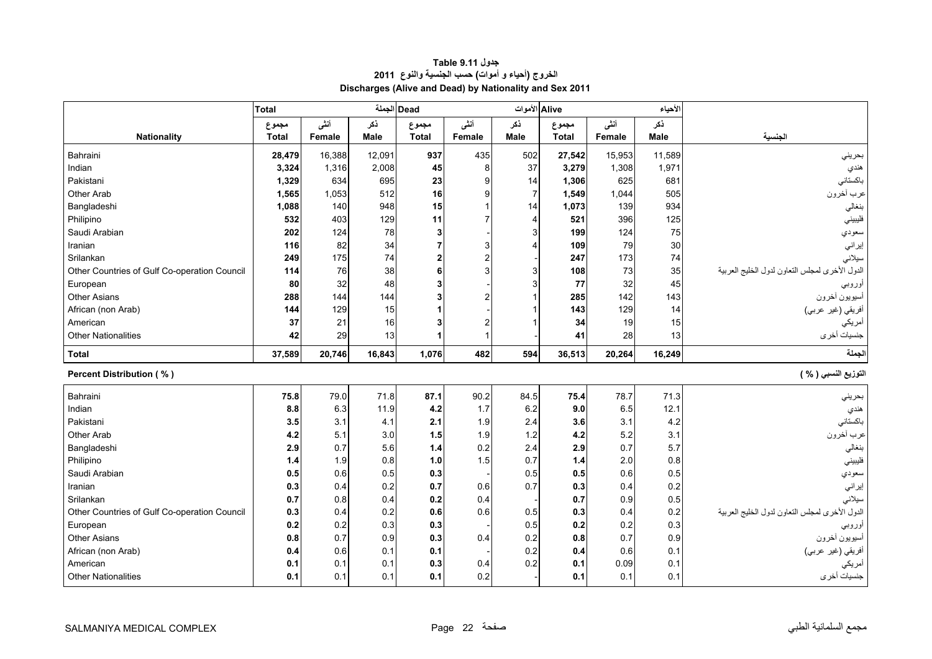<span id="page-20-0"></span>

|                                              | <b>Total</b> |            |            | Dead الجملة    |            | Alive الأموات            |              |        | لأحياء     |                                                |
|----------------------------------------------|--------------|------------|------------|----------------|------------|--------------------------|--------------|--------|------------|------------------------------------------------|
|                                              | مجموع        | أنشى       | ذكر        | مجموع          | أنشى       | نكر                      | مجموع        | أنشى   | نكر        |                                                |
| <b>Nationality</b>                           | <b>Total</b> | Female     | Male       | <b>Total</b>   | Female     | <b>Male</b>              | <b>Total</b> | Female | Male       | الجنسية                                        |
| Bahraini                                     | 28,479       | 16,388     | 12,091     | 937            | 435        | 502                      | 27,542       | 15,953 | 11,589     | بحرينى                                         |
| Indian                                       | 3,324        | 1,316      | 2,008      | 45             | 8          | 37                       | 3,279        | 1,308  | 1,971      | هندي                                           |
| Pakistani                                    | 1,329        | 634        | 695        | 23             | 9          | 14                       | 1,306        | 625    | 681        | باكستاني                                       |
| Other Arab                                   | 1,565        | 1,053      | 512        | 16             | g          | $\overline{7}$           | 1,549        | 1,044  | 505        | عرب أخرون                                      |
| Bangladeshi                                  | 1,088        | 140        | 948        | 15             |            | 14                       | 1,073        | 139    | 934        | بنغالي                                         |
| Philipino                                    | 532          | 403        | 129        | 11             |            | $\boldsymbol{\varDelta}$ | 521          | 396    | 125        | فليبيني                                        |
| Saudi Arabian                                | 202          | 124        | 78         | 3              |            | 3                        | 199          | 124    | 75         | سعودي                                          |
| Iranian                                      | 116          | 82         | 34         |                | 3          | $\Delta$                 | 109          | 79     | 30         | إير اني                                        |
| Srilankan                                    | 249          | 175        | 74         | $\overline{2}$ | 2          |                          | 247          | 173    | 74         | سيلانى                                         |
| Other Countries of Gulf Co-operation Council | 114          | 76         | 38         | 6              |            | 3                        | 108          | 73     | 35         | الدول الأخرى لمجلس التعاون لدول الخليج العربية |
| European                                     | 80           | 32         | 48         |                |            | 3                        | 77           | 32     | 45         | أوروبي                                         |
| <b>Other Asians</b>                          | 288          | 144        | 144        |                |            |                          | 285          | 142    | 143        | أسيويون أخرون                                  |
| African (non Arab)                           | 144          | 129        | 15         |                |            |                          | 143          | 129    | 14         | أفريقي (غير عربي)                              |
| American                                     | 37           | 21         | 16         |                |            |                          | 34           | 19     | 15         | أمريكي                                         |
| <b>Other Nationalities</b>                   | 42           | 29         | 13         |                |            |                          | 41           | 28     | 13         | جنسيات أخرى                                    |
| <b>Total</b>                                 | 37,589       | 20,746     | 16,843     | 1,076          | 482        | 594                      | 36,513       | 20,264 | 16,249     | لجملة                                          |
|                                              |              |            |            |                |            |                          |              |        |            |                                                |
| <b>Percent Distribution (%)</b>              |              |            |            |                |            |                          |              |        |            | التوزيع النسبي ( % )                           |
| Bahraini                                     | 75.8         | 79.0       | 71.8       | 87.1           | 90.2       | 84.5                     | 75.4         | 78.7   | 71.3       |                                                |
| Indian                                       | 8.8          | 6.3        | 11.9       | 4.2            | 1.7        | 6.2                      | 9.0          | 6.5    | 12.1       | بحريني<br>هندي                                 |
| Pakistani                                    | 3.5          | 3.1        | 4.1        | 2.1            | 1.9        | 2.4                      | 3.6          | 3.1    | 4.2        | باكستاني                                       |
| Other Arab                                   | 4.2          | 5.1        | 3.0        | 1.5            | 1.9        | 1.2                      | 4.2          | 5.2    | 3.1        | عرب أخرون                                      |
| Bangladeshi                                  | 2.9          | 0.7        | 5.6        | 1.4            | 0.2        | 2.4                      | 2.9          | 0.7    | 5.7        | بنغالي                                         |
| Philipino                                    | 1.4          | 1.9        | 0.8        | 1.0            | 1.5        | 0.7                      | 1.4          | 2.0    | 0.8        | فليبيني                                        |
| Saudi Arabian                                | 0.5          | 0.6        | 0.5        | 0.3            |            | 0.5                      | 0.5          | 0.6    | 0.5        | سعودي                                          |
| Iranian                                      | 0.3          | 0.4        | 0.2        | 0.7            | 0.6        | 0.7                      | 0.3          | 0.4    | 0.2        | إيراني                                         |
| Srilankan                                    | 0.7          | 0.8        | 0.4        | 0.2            | 0.4        |                          | 0.7          | 0.9    | 0.5        | سيلاني                                         |
| Other Countries of Gulf Co-operation Council | 0.3          | 0.4        | 0.2        | 0.6            | 0.6        | 0.5                      | 0.3          | 0.4    | 0.2        | الدول الأخرى لمجلس التعاون لدول الخليج العربية |
| European                                     | 0.2          | 0.2        | 0.3        | 0.3            |            | 0.5                      | 0.2          | 0.2    | 0.3        | او ر و ب <i>ي</i>                              |
| <b>Other Asians</b>                          | 0.8          | 0.7        | 0.9        | 0.3            | 0.4        | 0.2                      | 0.8          | 0.7    | 0.9        | أسيويون أخرون                                  |
| African (non Arab)                           | 0.4          | 0.6        | 0.1        | 0.1            |            | 0.2                      | 0.4          | 0.6    | 0.1        | أفريقي (غير عربي)                              |
| American<br><b>Other Nationalities</b>       | 0.1          | 0.1<br>0.1 | 0.1<br>0.1 | 0.3<br>0.1     | 0.4<br>0.2 | 0.2                      | 0.1          | 0.09   | 0.1<br>0.1 | أمريكي<br>جنسيات أخرى                          |

# **جدول 9.11 Table الخروج (أحياء <sup>و</sup> أموات) حسب الجنسية والنوع <sup>2011</sup> Discharges (Alive and Dead) by Nationality and Sex 2011**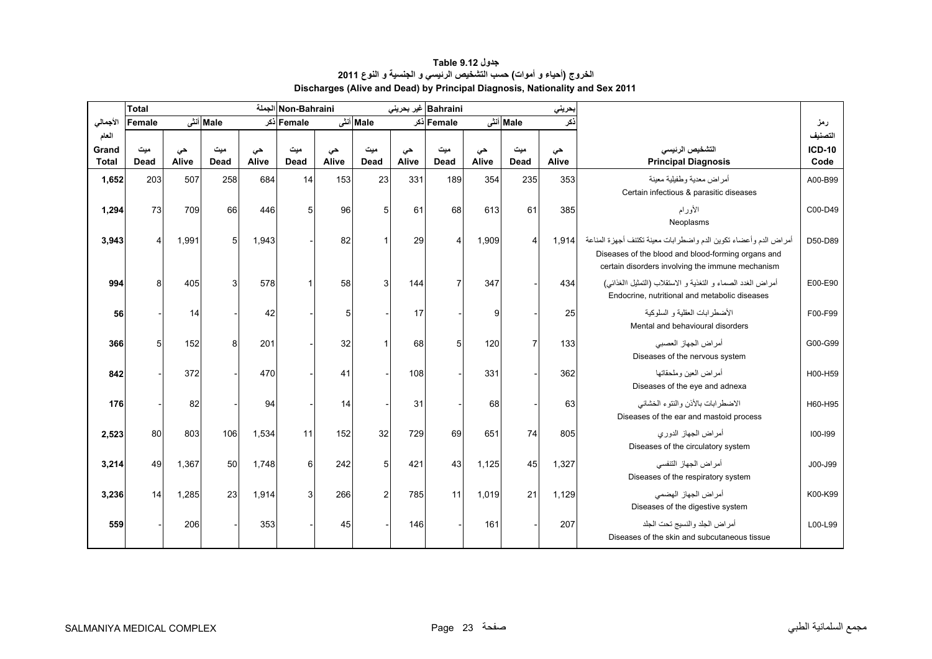<span id="page-21-0"></span>

|                | <b>Total</b>   |             |             |             | Non-Bahraini الجملة |             |             |             | Bahraini غیر بحرینی |             |                | بحريني      |                                                                                                                                                                            |                          |
|----------------|----------------|-------------|-------------|-------------|---------------------|-------------|-------------|-------------|---------------------|-------------|----------------|-------------|----------------------------------------------------------------------------------------------------------------------------------------------------------------------------|--------------------------|
| الأجمالي       | Female         |             | Male أنشى   |             | Female أذكر         |             | Male أنشى   |             | Female دکر          |             | Male أنشى      | ذكر         |                                                                                                                                                                            | رمز                      |
| العام<br>Grand | میت            |             | ميت         |             | میت                 |             | ميت         |             | میت                 |             | ميت            |             | التشخيص الرنيسى                                                                                                                                                            | التصنيف<br><b>ICD-10</b> |
| <b>Total</b>   | <b>Dead</b>    | حى<br>Alive | <b>Dead</b> | حى<br>Alive | Dead                | حى<br>Alive | <b>Dead</b> | حى<br>Alive | <b>Dead</b>         | حى<br>Alive | <b>Dead</b>    | حى<br>Alive | <b>Principal Diagnosis</b>                                                                                                                                                 | Code                     |
| 1,652          | 203            | 507         | 258         | 684         | 14                  | 153         | 23          | 331         | 189                 | 354         | 235            | 353         | أمراض معدية وطفيلية معينة<br>Certain infectious & parasitic diseases                                                                                                       | A00-B99                  |
| 1,294          | 73             | 709         | 66          | 446         | 5                   | 96          | 5           | 61          | 68                  | 613         | 61             | 385         | الأورام<br>Neoplasms                                                                                                                                                       | C00-D49                  |
| 3,943          | $\overline{4}$ | 1,991       | 5           | 1,943       |                     | 82          |             | 29          | $\overline{4}$      | 1,909       | 4              | 1,914       | أمراض الدم وأعضاء تكوين الدم واضطرابات معينة تكتنف أجهزة المناعة<br>Diseases of the blood and blood-forming organs and<br>certain disorders involving the immune mechanism | D50-D89                  |
| 994            | 8              | 405         | 3           | 578         |                     | 58          | 3           | 144         | $\overline{7}$      | 347         |                | 434         | أمراض الغدد الصماء و التغذية و الاستقلاب (التمثيل االغذائبي)<br>Endocrine, nutritional and metabolic diseases                                                              | E00-E90                  |
| 56             |                | 14          |             | 42          |                     | 5           |             | 17          |                     | 9           |                | 25          | الأضطر ابات العقلبة و السلوكبة<br>Mental and behavioural disorders                                                                                                         | F00-F99                  |
| 366            | 5              | 152         | 8           | 201         |                     | 32          |             | 68          | 5                   | 120         | $\overline{7}$ | 133         | أمراض الجهاز العصبي<br>Diseases of the nervous system                                                                                                                      | G00-G99                  |
| 842            |                | 372         |             | 470         |                     | 41          |             | 108         |                     | 331         |                | 362         | أمر اض العين وملحقاتها<br>Diseases of the eye and adnexa                                                                                                                   | H00-H59                  |
| 176            |                | 82          |             | 94          |                     | 14          |             | 31          |                     | 68          |                | 63          | الاضطرابات بالأنن والنتوء الخشائي<br>Diseases of the ear and mastoid process                                                                                               | H60-H95                  |
| 2,523          | 80             | 803         | 106         | 1,534       | 11                  | 152         | 32          | 729         | 69                  | 651         | 74             | 805         | أمر اض الجهاز الدوري<br>Diseases of the circulatory system                                                                                                                 | 100-199                  |
| 3,214          | 49             | 1,367       | 50          | 1,748       | 6                   | 242         | 5           | 421         | 43                  | 1,125       | 45             | 1,327       | أمراض الجهاز التنفسي<br>Diseases of the respiratory system                                                                                                                 | J00-J99                  |
| 3,236          | 14             | 1,285       | 23          | 1,914       | 3                   | 266         | 2           | 785         | 11                  | 1,019       | 21             | 1,129       | أمر اض الجهاز الهضمي<br>Diseases of the digestive system                                                                                                                   | K00-K99                  |
| 559            |                | 206         |             | 353         |                     | 45          |             | 146         |                     | 161         |                | 207         | أمراض الجلد والنسيج تحت الجلد<br>Diseases of the skin and subcutaneous tissue                                                                                              | L00-L99                  |

# **جدول 9.12 Table الخروج (أحياء <sup>و</sup> أموات) حسب التشخيص الرئيسي <sup>و</sup> الجنسية <sup>و</sup> النوع <sup>2011</sup> Discharges (Alive and Dead) by Principal Diagnosis, Nationality and Sex 2011**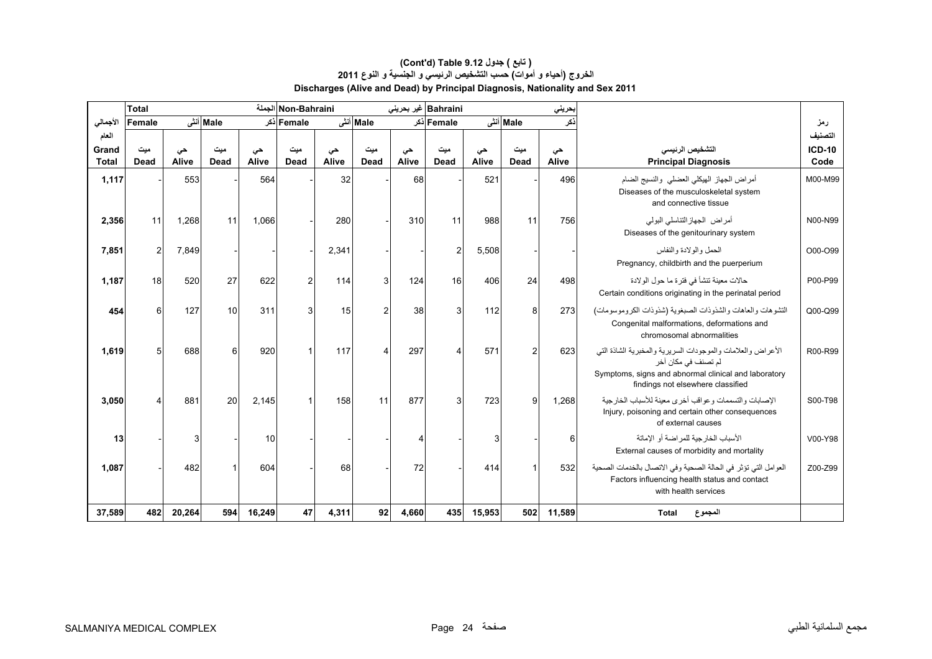# **Discharges (Alive and Dead) by Principal Diagnosis, Nationality and Sex 2011 (Cont'd) Table 9.12 جدول ) تابع( الخروج (أحياء <sup>و</sup> أموات) حسب التشخيص الرئيسي <sup>و</sup> الجنسية <sup>و</sup> النوع <sup>2011</sup>**

|                       | <b>Total</b>            |             |                    |             | Non-Bahraini الجملة |             |                    |             | Bahraini غیر بحرینی |             |                    | بحريني      |                                                                                                                                                                                 |                  |
|-----------------------|-------------------------|-------------|--------------------|-------------|---------------------|-------------|--------------------|-------------|---------------------|-------------|--------------------|-------------|---------------------------------------------------------------------------------------------------------------------------------------------------------------------------------|------------------|
| الأجمالى              | Female                  |             | Male أنشى          |             | Femaleاذکر          |             | Male أنشى          |             | Female أذكر         |             | Male أنش           | نكر         |                                                                                                                                                                                 | رمز              |
| العام                 |                         |             |                    |             |                     |             |                    |             |                     |             |                    |             |                                                                                                                                                                                 | التصنيف          |
| Grand<br><b>Total</b> | میت<br>Dead             | حى<br>Alive | میت<br><b>Dead</b> | حى<br>Alive | میت<br>Dead         | حى<br>Alive | ميت<br><b>Dead</b> | حى<br>Alive | میت<br><b>Dead</b>  | حى<br>Alive | مىت<br><b>Dead</b> | حى<br>Alive | التشخيص الرنيسى                                                                                                                                                                 | $ICD-10$<br>Code |
|                       |                         |             |                    |             |                     |             |                    |             |                     |             |                    |             | <b>Principal Diagnosis</b>                                                                                                                                                      |                  |
| 1,117                 |                         | 553         |                    | 564         |                     | 32          |                    | 68          |                     | 521         |                    | 496         | أمراض الجهاز الهيكلي العضلى والنسيج الضام<br>Diseases of the musculoskeletal system<br>and connective tissue                                                                    | M00-M99          |
| 2,356                 | 11                      | 1,268       | 11                 | 1,066       |                     | 280         |                    | 310         | 11                  | 988         | 11                 | 756         | أمراض الجهازالنتاسلي البولمي<br>Diseases of the genitourinary system                                                                                                            | N00-N99          |
| 7,851                 | $\overline{\mathbf{c}}$ | 7,849       |                    |             |                     | 2,341       |                    |             | $\overline{2}$      | 5,508       |                    |             | الحمل والو لادة والنفاس<br>Pregnancy, childbirth and the puerperium                                                                                                             | O00-O99          |
| 1,187                 | 18                      | 520         | 27                 | 622         |                     | 114         |                    | 124         | 16                  | 406         | 24                 | 498         | حالات معينة تنشأ في فترة ما حول الولادة<br>Certain conditions originating in the perinatal period                                                                               | P00-P99          |
| 454                   | 6                       | 127         | 10                 | 311         | 3                   | 15          | 2                  | 38          | 3                   | 112         | 8                  | 273         | التشوهات والعاهات والشذوذات الصبغوية (شذوذات الكروموسومات)<br>Congenital malformations, deformations and<br>chromosomal abnormalities                                           | Q00-Q99          |
| 1,619                 | 5                       | 688         | 6                  | 920         |                     | 117         |                    | 297         | 4                   | 571         | $\overline{2}$     | 623         | الأعراض والعلامات والموجودات السريرية والمخبرية الشاذة التي<br>لم تصنف في مكان آخر<br>Symptoms, signs and abnormal clinical and laboratory<br>findings not elsewhere classified | R00-R99          |
| 3,050                 |                         | 881         | 20                 | 2,145       |                     | 158         | 11                 | 877         | 3                   | 723         | 9                  | 1,268       | الإصابات والتسممات وعواقب أخرى معينة للأسباب الخار جية<br>Injury, poisoning and certain other consequences<br>of external causes                                                | S00-T98          |
| 13                    |                         | 3           |                    | 10          |                     |             |                    |             |                     | 3           |                    | 6           | الأسباب الخار جية للمر اضنة أو الإماتة<br>External causes of morbidity and mortality                                                                                            | V00-Y98          |
| 1,087                 |                         | 482         |                    | 604         |                     | 68          |                    | 72          |                     | 414         |                    | 532         | العوامل التي تؤثر في الحالة الصحية وفي الاتصال بالخدمات الصحية<br>Factors influencing health status and contact<br>with health services                                         | Z00-Z99          |
| 37,589                | 482                     | 20,264      | 594                | 16,249      | 47                  | 4,311       | 92                 | 4,660       | 435                 | 15,953      | 502                | 11,589      | <b>Total</b><br>المجموع                                                                                                                                                         |                  |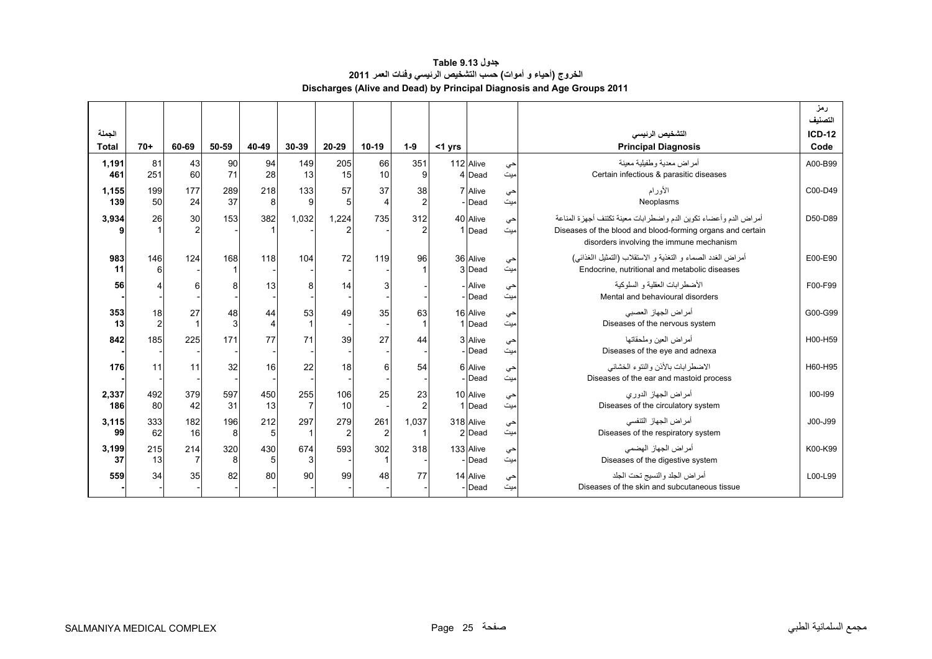| جدول Table 9.13                                                        |
|------------------------------------------------------------------------|
| الخروج (أحياء و أموات) حسب التشخيص الرئيسي وفَنات العمر 2011           |
| Discharges (Alive and Dead) by Principal Diagnosis and Age Groups 2011 |

<span id="page-23-0"></span>

|                        |                        |                       |           |           |           |                       |                       |                      |           |                     |            |                                                                                                                                                                                 | رمز<br>التصنيف        |
|------------------------|------------------------|-----------------------|-----------|-----------|-----------|-----------------------|-----------------------|----------------------|-----------|---------------------|------------|---------------------------------------------------------------------------------------------------------------------------------------------------------------------------------|-----------------------|
| الجملة<br><b>Total</b> | $70+$                  | 60-69                 | 50-59     | 40-49     | 30-39     | 20-29                 | $10-19$               | $1-9$                | $<$ 1 yrs |                     |            | التشخيص الرنيسي<br><b>Principal Diagnosis</b>                                                                                                                                   | <b>ICD-12</b><br>Code |
| 1,191<br>461           | 81<br>251              | 43<br>60              | 90<br>71  | 94<br>28  | 149<br>13 | 205<br>15             | 66<br>10              | 351<br>9             |           | 112 Alive<br>4 Dead | .حي<br>میت | أمر اض معدية وطفيلية معينة<br>Certain infectious & parasitic diseases                                                                                                           | A00-B99               |
| 1,155<br>139           | 199<br>50 <sup>1</sup> | 177<br>24             | 289<br>37 | 218<br>8  | 133<br>9  | 57<br>5               | 37<br>$\Delta$        | 38                   |           | 7 Alive<br>- Dead   | حي<br>میت  | الأورام<br>Neoplasms                                                                                                                                                            | C00-D49               |
| 3,934                  | 26                     | 30                    | 153       | 382       | 1,032     | 1.224                 | 735                   | 312                  |           | 40 Alive<br>1 Dead  | حي<br>میت  | أمر اض الدم و أعضاء تكوين الدم و اضطر ابات معينة تكتنف أجهز ة المناعة<br>Diseases of the blood and blood-forming organs and certain<br>disorders involving the immune mechanism | D50-D89               |
| 983<br>11              | 146<br>6               | 124                   | 168       | 118       | 104       | 72                    | 119                   | 96                   |           | 36 Alive<br>3 Dead  | حي<br>ميت  | أمر اض الغدد الصماء و التغذية و الاستقلاب (التمثيل االغذائـي)<br>Endocrine, nutritional and metabolic diseases                                                                  | E00-E90               |
| 56                     |                        | 6                     | 8         | 13        | 8         | 14                    | 3                     |                      |           | - Alive<br>- Dead   | حي<br>ميت  | الأضطر ابات العقلبة و السلوكبة<br>Mental and behavioural disorders                                                                                                              | F00-F99               |
| 353<br>13              | 18<br>2                | 27<br>1               | 48<br>3   | 44<br>4   | 53        | 49                    | 35                    | 63                   |           | 16 Alive<br>1 Dead  | حي<br>میت  | أمراض الجهاز العصبي<br>Diseases of the nervous system                                                                                                                           | G00-G99               |
| 842                    | 185                    | 225                   | 171       | 77        | 71        | 39                    | 27                    | 44                   |           | 3 Alive<br>- Dead   | حي<br>ميت  | أمر اض العبن وملحقاتها<br>Diseases of the eye and adnexa                                                                                                                        | H00-H59               |
| 176                    | 11                     | 11                    | 32        | 16        | 22        | 18                    | 6                     | 54                   |           | 6 Alive<br>- Dead   | حي<br>میت  | الاضطرابات بالأذن والنتوء الخشائي<br>Diseases of the ear and mastoid process                                                                                                    | H60-H95               |
| 2,337<br>186           | 492<br>80              | 379<br>42             | 597<br>31 | 450<br>13 | 255<br>7  | 106<br>10             | 25                    | 23<br>$\overline{2}$ |           | 10 Alive<br>1 Dead  | حي<br>میت  | أمراض الجهاز الدوري<br>Diseases of the circulatory system                                                                                                                       | 100-199               |
| 3,115<br>99            | 333<br>62              | 182<br>16             | 196<br>8  | 212<br>5  | 297       | 279<br>$\overline{2}$ | 261<br>$\overline{2}$ | 1,037                |           | 318 Alive<br>2 Dead | حي<br>ميت  | أمر اض الجهاز التنفسي<br>Diseases of the respiratory system                                                                                                                     | J00-J99               |
| 3,199<br>37            | 215<br>13              | 214<br>$\overline{7}$ | 320<br>8  | 430<br>5  | 674<br>3  | 593                   | 302                   | 318                  |           | 133 Alive<br>- Dead | حي<br>میت  | أمر اض الجهاز الهضمي<br>Diseases of the digestive system                                                                                                                        | K00-K99               |
| 559                    | 34                     | 35                    | 82        | 80        | 90        | 99                    | 48                    | 77                   |           | 14 Alive<br>- Dead  | حي<br>میت  | أمراض الجلد والنسيج تحت الجلد<br>Diseases of the skin and subcutaneous tissue                                                                                                   | L00-L99               |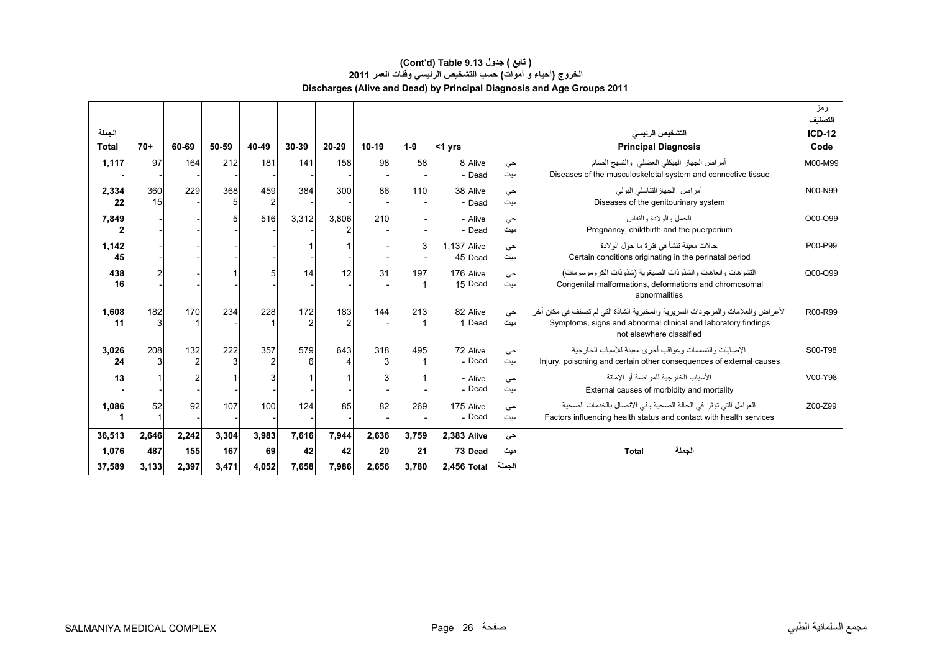# **Discharges (Alive and Dead) by Principal Diagnosis and Age Groups 2011 (Cont'd) Table 9.13 جدول ) تابع( الخروج (أحياء <sup>و</sup> أموات) حسب التشخيص الرئيسي وفئات العمر <sup>2011</sup>**

|                        |           |                       |       |                       |          |       |         |       |                    |                           |            |                                                                                                                                                                              | رمز<br>التصنيف        |
|------------------------|-----------|-----------------------|-------|-----------------------|----------|-------|---------|-------|--------------------|---------------------------|------------|------------------------------------------------------------------------------------------------------------------------------------------------------------------------------|-----------------------|
| الجملة<br><b>Total</b> | $70+$     | 60-69                 | 50-59 | 40-49                 | 30-39    | 20-29 | $10-19$ | $1-9$ | $<$ 1 yrs          |                           |            | التشخيص الرنيسى<br><b>Principal Diagnosis</b>                                                                                                                                | <b>ICD-12</b><br>Code |
| 1,117                  | 97        | 164                   | 212   | 181                   | 141      | 158   | 98      | 58    |                    | 8 Alive<br>Dead           | حي<br>'ميت | أمر اض الجهاز الهيكلي العضلي والنسيج الضام<br>Diseases of the musculoskeletal system and connective tissue                                                                   | M00-M99               |
| 2,334<br>22            | 360<br>15 | 229                   | 368   | 459<br>$\overline{c}$ | 384      | 300   | 86      | 110   |                    | 38 Alive<br>- Dead        | حي<br>میت  | أمر اض الجهاز التناسلي البولي<br>Diseases of the genitourinary system                                                                                                        | N00-N99               |
| 7,849                  |           |                       |       | 516                   | 3,312    | 3,806 | 210     |       |                    | - Alive<br>- Dead         | حي<br>ميت  | الحمل والو لادة والنفاس<br>Pregnancy, childbirth and the puerperium                                                                                                          | O00-O99               |
| 1,142<br>45            |           |                       |       |                       |          |       |         | 3     | <b>1.137 Alive</b> | 45 Dead                   | حي<br>میت  | حالات معينة تنشأ في فتر ة ما حول الو لادة<br>Certain conditions originating in the perinatal period                                                                          | P00-P99               |
| 438<br>16              |           |                       |       | 5                     | 14       | 12    | 31      | 197   |                    | 176 Alive<br>15 Dead      | حي<br>میت  | التشوهات والعاهات والشذوذات الصبغوية (شذوذات الكروموسومات)<br>Congenital malformations, deformations and chromosomal<br>abnormalities                                        | Q00-Q99               |
| 1,608<br>11            | 182       | 170                   | 234   | 228                   | 172<br>2 | 183   | 144     | 213   |                    | 82 Alive<br>1 Dead        | حي<br>ميت  | الأعراض والعلامات والموجودات السريرية والمخبرية الشاذة التي لم تصنف في مكان أخر<br>Symptoms, signs and abnormal clinical and laboratory findings<br>not elsewhere classified | R00-R99               |
| 3,026<br>24            | 208       | 132<br>$\overline{2}$ | 222   | 357                   | 579<br>6 | 643   | 318     | 495   |                    | 72 Alive<br>Dead          | حي<br>ميت  | الإصبابات والتسممات و عواقب أخر ي معينة للأسباب الخار جية<br>Injury, poisoning and certain other consequences of external causes                                             | S00-T98               |
| 13                     |           |                       |       | 3                     |          |       |         |       |                    | - Alive<br>Dead           | حي<br>ميت  | الأسباب الخار جية للمر اضنة أو الإماتة<br>External causes of morbidity and mortality                                                                                         | V00-Y98               |
| 1,086                  | 52        | 92                    | 107   | 100                   | 124      | 85    | 82      | 269   |                    | 175 Alive<br><b>IDead</b> | حي<br>میت  | العوامل التي تؤثر في الحالة الصحية وفي الاتصال بالخدمات الصحية<br>Factors influencing health status and contact with health services                                         | Z00-Z99               |
| 36,513                 | 2,646     | 2,242                 | 3,304 | 3,983                 | 7,616    | 7,944 | 2,636   | 3,759 | 2,383 Alive        |                           | حي         |                                                                                                                                                                              |                       |
| 1,076                  | 487       | 155                   | 167   | 69                    | 42       | 42    | 20      | 21    |                    | 73 Dead                   | ميت        | الحملة<br><b>Total</b>                                                                                                                                                       |                       |
| 37,589                 | 3,133     | 2,397                 | 3,471 | 4,052                 | 7,658    | 7,986 | 2,656   | 3,780 | 2,456 Total        |                           | الجملة     |                                                                                                                                                                              |                       |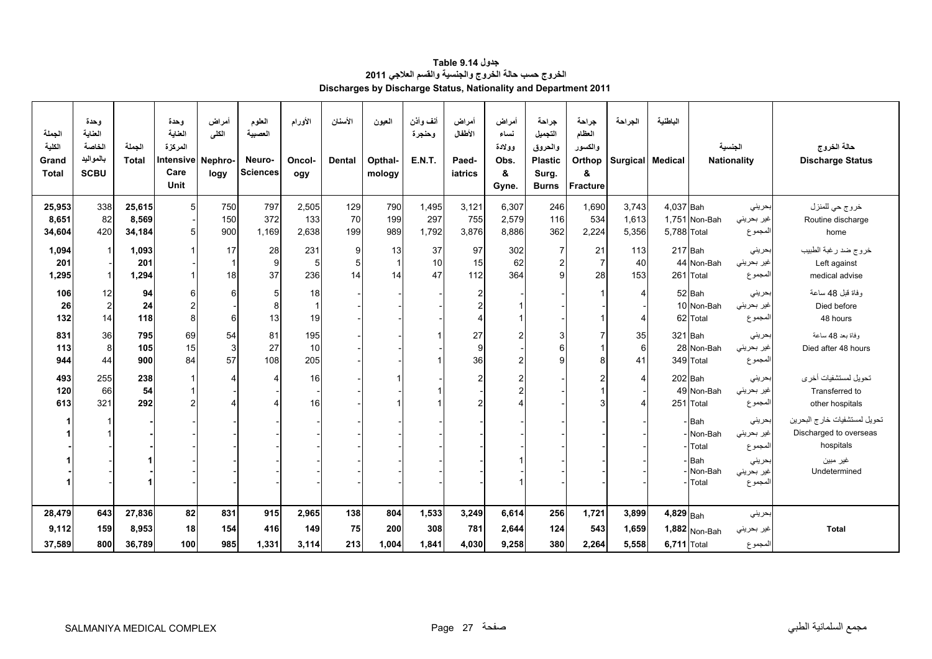<span id="page-25-0"></span>

| الجملة<br>الكلبة<br>Grand<br><b>Total</b> | وحدة<br>العناية<br>الخاصة<br>بالمواليد<br><b>SCBU</b> | الجملة<br>Total | وحدة<br>العناية<br>المركزة<br>Intensive<br>Care<br>Unit | أمراض<br>الكلى<br>Nephro-<br>logy | العلوم<br>العصبية<br>Neuro-<br><b>Sciences</b> | الأورام<br>Oncol-<br>ogy | الأسنان<br><b>Dental</b> | العيون<br>Opthal-<br>mology | أنف وأذن<br>وحنجرة<br><b>E.N.T.</b> | أمراض<br>الأطفال<br>Paed-<br>iatrics | أمراض<br>نساء<br>وولادة<br>Obs.<br>&<br>Gyne. | جراحة<br>التجميل<br>والحروق<br><b>Plastic</b><br>Surg.<br><b>Burns</b> | جراحة<br>العظام<br>والكسور<br>Orthop<br>&<br><b>Fracture</b> | الجراحة<br>Surgical Medical | الباطنية    |                         | الجنسية<br><b>Nationality</b> | حالة الخروج<br><b>Discharge Status</b> |
|-------------------------------------------|-------------------------------------------------------|-----------------|---------------------------------------------------------|-----------------------------------|------------------------------------------------|--------------------------|--------------------------|-----------------------------|-------------------------------------|--------------------------------------|-----------------------------------------------|------------------------------------------------------------------------|--------------------------------------------------------------|-----------------------------|-------------|-------------------------|-------------------------------|----------------------------------------|
| 25,953                                    | 338                                                   | 25,615          | 5                                                       | 750                               | 797                                            | 2,505                    | 129                      | 790                         | 1,495                               | 3,121                                | 6,307                                         | 246                                                                    | 1,690                                                        | 3,743                       | 4,037 Bah   |                         | بحريني                        | خروج حي للمنزل                         |
| 8,651                                     | 82                                                    | 8,569           |                                                         | 150                               | 372                                            | 133                      | 70                       | 199                         | 297                                 | 755                                  | 2,579                                         | 116                                                                    | 534                                                          | 1,613                       |             | 1,751 Non-Bah           | غير بحريني                    | Routine discharge                      |
| 34,604                                    | 420                                                   | 34,184          | 5                                                       | 900                               | 1,169                                          | 2,638                    | 199                      | 989                         | 1,792                               | 3,876                                | 8,886                                         | 362                                                                    | 2,224                                                        | 5,356                       | 5,788 Total |                         | المجموع                       | home                                   |
|                                           |                                                       |                 |                                                         |                                   |                                                |                          |                          |                             |                                     |                                      |                                               |                                                                        |                                                              |                             |             |                         |                               |                                        |
| 1,094                                     | $\mathbf{1}$                                          | 1,093           |                                                         | 17                                | 28<br>9                                        | 231                      | 9                        | 13<br>$\mathbf{1}$          | 37<br>10                            | 97<br>15                             | 302                                           | $\overline{7}$                                                         | 21<br>$\overline{7}$                                         | 113                         | 217 Bah     |                         | بحريني                        | خروج ضد رغبة الطبيب                    |
| 201                                       | $\mathbf{1}$                                          | 201             |                                                         | 18                                | 37                                             | 5<br>236                 | 5 <sup>1</sup><br>14     | 14                          | 47                                  | 112                                  | 62<br>364                                     | $\overline{c}$<br>9                                                    | 28                                                           | 40<br>153                   |             | 44 Non-Bah<br>261 Total | غير بحريني<br>المجموع         | Left against<br>medical advise         |
| 1,295                                     |                                                       | 1,294           |                                                         |                                   |                                                |                          |                          |                             |                                     |                                      |                                               |                                                                        |                                                              |                             |             |                         |                               |                                        |
| 106                                       | 12                                                    | 94              | 6                                                       | 6                                 | 5                                              | 18                       |                          |                             |                                     | 2                                    |                                               |                                                                        |                                                              | $\overline{4}$              |             | 52 Bah                  | بحريني                        | وفاة قبل 48 ساعة                       |
| 26                                        | $\overline{2}$                                        | 24              | $\overline{2}$                                          |                                   | 8                                              | $\mathbf{1}$             |                          |                             |                                     | 2                                    |                                               |                                                                        |                                                              |                             |             | 10 Non-Bah              | غير بحريني                    | Died before                            |
| 132                                       | 14                                                    | 118             | 8                                                       | 6                                 | 13                                             | 19                       |                          |                             |                                     | 4                                    |                                               |                                                                        |                                                              | $\overline{4}$              |             | 62 Total                | المجموع                       | 48 hours                               |
| 831                                       | 36                                                    | 795             | 69                                                      | 54                                | 81                                             | 195                      |                          |                             |                                     | 27                                   | $\overline{\mathbf{c}}$                       | 3                                                                      |                                                              | 35                          | 321 Bah     |                         | بحريني                        | وفاة بعد 48 ساعة                       |
| 113                                       | 8                                                     | 105             | 15                                                      | $\mathbf{3}$                      | 27                                             | 10                       |                          |                             |                                     | 9                                    |                                               | 6                                                                      |                                                              | $6\phantom{a}$              |             | 28 Non-Bah              | غير بحريني                    | Died after 48 hours                    |
| 944                                       | 44                                                    | 900             | 84                                                      | 57                                | 108                                            | 205                      |                          |                             |                                     | 36                                   | $\overline{c}$                                | 9                                                                      |                                                              | 41                          |             | 349 Total               | المجموع                       |                                        |
| 493                                       | 255                                                   | 238             |                                                         | $\overline{4}$                    |                                                | 16                       |                          |                             |                                     | $\overline{\mathbf{c}}$              | $\overline{2}$                                |                                                                        |                                                              | $\overline{4}$              | 202 Bah     |                         | بحرينى                        | تحويل لمستشفيات أخرى                   |
| 120                                       | 66                                                    | 54              |                                                         |                                   |                                                |                          |                          |                             |                                     |                                      | $\overline{2}$                                |                                                                        |                                                              |                             |             | 49 Non-Bah              | غير بحريني                    | Transferred to                         |
| 613                                       | 321                                                   | 292             | $\mathcal{P}$                                           |                                   |                                                | 16                       |                          |                             |                                     | $\overline{2}$                       |                                               |                                                                        |                                                              | $\overline{4}$              | 251         | Total                   | المجموع                       | other hospitals                        |
|                                           |                                                       |                 |                                                         |                                   |                                                |                          |                          |                             |                                     |                                      |                                               |                                                                        |                                                              |                             |             |                         |                               |                                        |
|                                           |                                                       |                 |                                                         |                                   |                                                |                          |                          |                             |                                     |                                      |                                               |                                                                        |                                                              |                             |             | Bah                     | بحريني                        | تحويل لمستشفيات خارج البحرين           |
|                                           |                                                       |                 |                                                         |                                   |                                                |                          |                          |                             |                                     |                                      |                                               |                                                                        |                                                              |                             |             | Non-Bah                 | غير بحريني                    | Discharged to overseas                 |
|                                           |                                                       |                 |                                                         |                                   |                                                |                          |                          |                             |                                     |                                      |                                               |                                                                        |                                                              |                             |             | Total                   | المجموع                       | hospitals                              |
|                                           |                                                       |                 |                                                         |                                   |                                                |                          |                          |                             |                                     |                                      |                                               |                                                                        |                                                              |                             |             | - Bah                   | بحريني                        | غير مبين                               |
|                                           |                                                       |                 |                                                         |                                   |                                                |                          |                          |                             |                                     |                                      |                                               |                                                                        |                                                              |                             |             | Non-Bah<br>Total        | غير بحريني<br>المجموع         | Undetermined                           |
|                                           |                                                       |                 |                                                         |                                   |                                                |                          |                          |                             |                                     |                                      |                                               |                                                                        |                                                              |                             |             |                         |                               |                                        |
| 28,479                                    | 643                                                   | 27,836          | 82                                                      | 831                               | 915                                            | 2,965                    | 138                      | 804                         | 1,533                               | 3,249                                | 6,614                                         | 256                                                                    | 1,721                                                        | 3,899                       | $4,829$ Bah |                         | بحريني                        |                                        |
|                                           |                                                       |                 |                                                         |                                   |                                                |                          |                          |                             |                                     |                                      |                                               |                                                                        |                                                              |                             |             |                         |                               |                                        |
| 9,112                                     | 159                                                   | 8,953           | 18                                                      | 154                               | 416                                            | 149                      | 75                       | 200                         | 308                                 | 781                                  | 2,644                                         | 124                                                                    | 543                                                          | 1,659                       |             | $1,882$ Non-Bah         | غير بحريني                    | <b>Total</b>                           |
| 37,589                                    | 800                                                   | 36,789          | 100                                                     | 985                               | 1,331                                          | 3.114                    | 213                      | 1.004                       | 1,841                               | 4,030                                | 9,258                                         | 380                                                                    | 2,264                                                        | 5.558                       | 6,711 Total |                         | المجموع                       |                                        |

**جدول 9.14 Table الخروج حسب حالة الخروج والجنسية والقسم العالجي <sup>2011</sup> Discharges by Discharge Status, Nationality and Department 2011**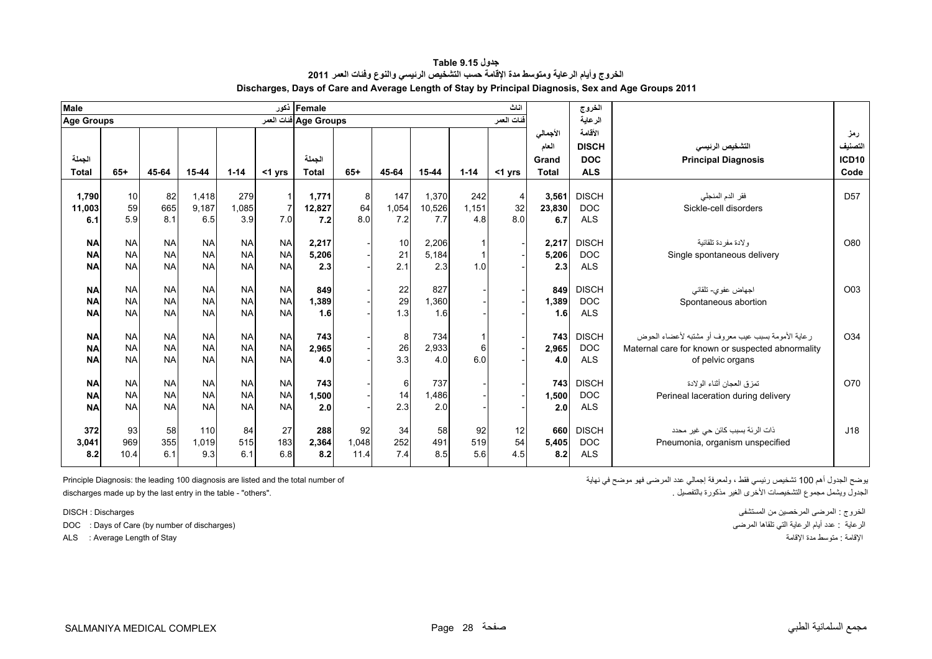<span id="page-26-0"></span>

| <b>Male</b>       |           |           |                |           |           | Female أفور           |         |              |        |              | اناث                 |               | الخروج       |                                                      |                 |
|-------------------|-----------|-----------|----------------|-----------|-----------|-----------------------|---------|--------------|--------|--------------|----------------------|---------------|--------------|------------------------------------------------------|-----------------|
| <b>Age Groups</b> |           |           |                |           |           | Age Groups ففات العمر |         |              |        |              | فنات العمر           |               | الرعاية      |                                                      |                 |
|                   |           |           |                |           |           |                       |         |              |        |              |                      | الأجمالي      | الأقامة      |                                                      | رمز             |
|                   |           |           |                |           |           |                       |         |              |        |              |                      | العام         | <b>DISCH</b> | التشخيص الرنيسى                                      | التصنيف         |
| الجملة            |           |           |                |           |           | الجملة                |         |              |        |              |                      | Grand         | <b>DOC</b>   | <b>Principal Diagnosis</b>                           | <b>ICD10</b>    |
| <b>Total</b>      | $65+$     | 45-64     | 15-44          | $1 - 14$  | $<$ 1 yrs | <b>Total</b>          | $65+$   | 45-64        | 15-44  | $1 - 14$     | $<$ 1 yrs            | <b>Total</b>  | <b>ALS</b>   |                                                      | Code            |
|                   | 10        |           |                | 279       |           |                       |         |              | 1.370  | 242          |                      |               | <b>DISCH</b> |                                                      | D <sub>57</sub> |
| 1,790<br>11,003   | 59        | 82<br>665 | 1,418<br>9.187 | 1.085     |           | 1,771<br>12,827       | 8<br>64 | 147<br>1,054 | 10.526 | 1.151        | $\overline{4}$<br>32 | 3,561         | <b>DOC</b>   | فقر الدم المنجلي<br>Sickle-cell disorders            |                 |
| 6.1               | 5.9       | 8.1       | 6.5            | 3.9       | 7.0       | 7.2                   | 8.0     | 7.2          | 7.7    | 4.8          | 8.0                  | 23,830<br>6.7 | <b>ALS</b>   |                                                      |                 |
|                   |           |           |                |           |           |                       |         |              |        |              |                      |               |              |                                                      |                 |
| <b>NA</b>         | <b>NA</b> | <b>NA</b> | <b>NA</b>      | <b>NA</b> | <b>NA</b> | 2,217                 |         | 10           | 2,206  | $\mathbf{1}$ |                      | 2,217         | <b>DISCH</b> | ولادة مفردة تلقائية                                  | O80             |
| <b>NA</b>         | <b>NA</b> | <b>NA</b> | <b>NA</b>      | <b>NA</b> | <b>NA</b> | 5,206                 |         | 21           | 5,184  | $\mathbf{1}$ |                      | 5,206         | <b>DOC</b>   | Single spontaneous delivery                          |                 |
| <b>NA</b>         | <b>NA</b> | <b>NA</b> | <b>NA</b>      | <b>NA</b> | <b>NA</b> | 2.3                   |         | 2.1          | 2.3    | 1.0          |                      | 2.3           | <b>ALS</b>   |                                                      |                 |
|                   |           |           |                |           |           |                       |         |              |        |              |                      |               |              |                                                      |                 |
| <b>NA</b>         | <b>NA</b> | <b>NA</b> | <b>NA</b>      | <b>NA</b> | <b>NA</b> | 849                   |         | 22           | 827    |              |                      | 849           | <b>DISCH</b> | اجهاض عفوي- تلقائي                                   | O <sub>03</sub> |
| <b>NA</b>         | <b>NA</b> | <b>NA</b> | <b>NA</b>      | <b>NA</b> | <b>NA</b> | 1,389                 |         | 29           | 1.360  |              |                      | 1,389         | <b>DOC</b>   | Spontaneous abortion                                 |                 |
| <b>NA</b>         | <b>NA</b> | <b>NA</b> | <b>NA</b>      | <b>NA</b> | <b>NA</b> | 1.6                   |         | 1.3          | 1.6    |              |                      | 1.6           | <b>ALS</b>   |                                                      |                 |
|                   |           |           |                |           |           |                       |         |              |        |              |                      |               |              |                                                      |                 |
| <b>NA</b>         | <b>NA</b> | <b>NA</b> | <b>NA</b>      | <b>NA</b> | <b>NA</b> | 743                   |         | 8            | 734    | $\mathbf{1}$ |                      | 743           | <b>DISCH</b> | ر عاية الأمومة بسبب عيب معر وف أو مشتبه لأعضاء الحوض | O34             |
| <b>NA</b>         | <b>NA</b> | <b>NA</b> | <b>NA</b>      | <b>NA</b> | <b>NA</b> | 2,965                 |         | 26           | 2,933  | 6            |                      | 2,965         | <b>DOC</b>   | Maternal care for known or suspected abnormality     |                 |
| <b>NA</b>         | <b>NA</b> | <b>NA</b> | <b>NA</b>      | <b>NA</b> | <b>NA</b> | 4.0                   |         | 3.3          | 4.0    | 6.0          |                      | 4.0           | <b>ALS</b>   | of pelvic organs                                     |                 |
| <b>NA</b>         | <b>NA</b> | <b>NA</b> | <b>NA</b>      | <b>NA</b> | <b>NA</b> | 743                   |         | 6            | 737    |              |                      | 743           | <b>DISCH</b> | تمزق العجان أثناء الولادة                            | O70             |
| <b>NA</b>         | <b>NA</b> | <b>NA</b> | <b>NA</b>      | <b>NA</b> | <b>NA</b> | 1,500                 |         | 14           | 1.486  |              |                      | 1,500         | <b>DOC</b>   | Perineal laceration during delivery                  |                 |
| <b>NA</b>         | <b>NA</b> | <b>NA</b> | <b>NA</b>      | <b>NA</b> | <b>NA</b> | 2.0                   |         | 2.3          | 2.0    |              |                      | 2.0           | <b>ALS</b>   |                                                      |                 |
|                   |           |           |                |           |           |                       |         |              |        |              |                      |               |              |                                                      |                 |
| 372               | 93        | 58        | 110            | 84        | 27        | 288                   | 92      | 34           | 58     | 92           | 12                   | 660           | <b>DISCH</b> | ذات الرئة بسبب كائن حي غير محدد                      | J18             |
| 3,041             | 969       | 355       | 1,019          | 515       | 183       | 2,364                 | 1,048   | 252          | 491    | 519          | 54                   | 5,405         | <b>DOC</b>   | Pneumonia, organism unspecified                      |                 |
| 8.2               | 10.4      | 6.1       | 9.3            | 6.1       | 6.8       | 8.2                   | 11.4    | 7.4          | 8.5    | 5.6          | 4.5                  | 8.2           | <b>ALS</b>   |                                                      |                 |
|                   |           |           |                |           |           |                       |         |              |        |              |                      |               |              |                                                      |                 |

**جدول 9.15 Table الخروج وأيام الرعاية ومتوسط مدة اإلقامة حسب التشخيص الرئيسي والنوع وفئات العمر <sup>2011</sup> Discharges, Days of Care and Average Length of Stay by Principal Diagnosis, Sex and Age Groups 2011**

discharges made up by the last entry in the table - "others".

DOC : Days of Care (by number of discharges) المرضى تلقاھا التي الرعاية أيام عدد : الرعاية

يوضح الجدول أھم 100 تشخيص رئيسي فقط ، ولمعرفة إجمالي عدد المرضى فھو موضح في نھاية of number total the and listed are diagnosis 100 leading the :Diagnosis Principle

الخروج : المرضى المرخصين من المستشفى Discharges : DISCH ALS : Average Length of Stay اإلقامة مدة متوسط : اإلقامة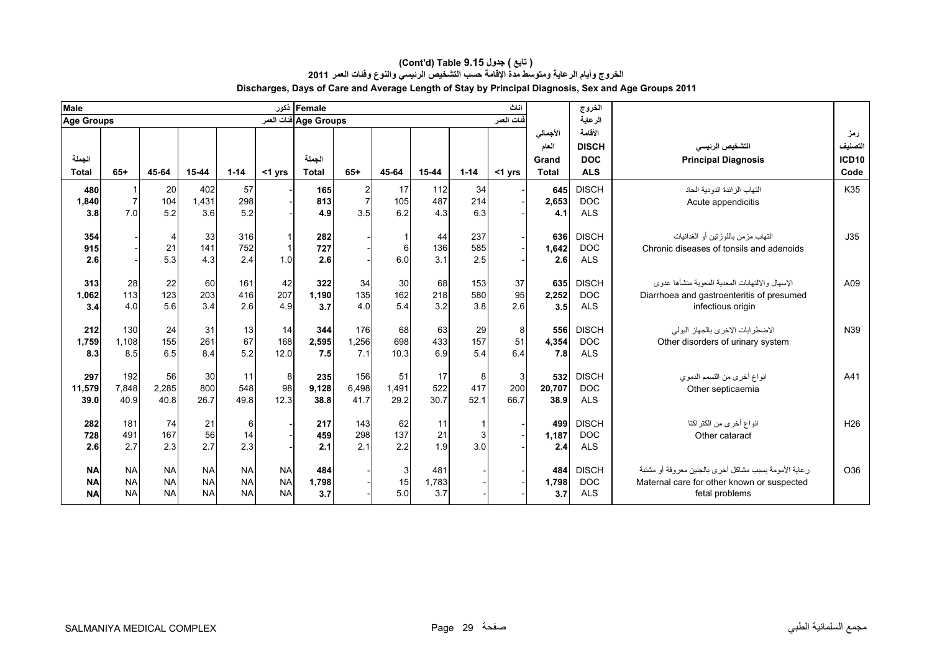| <b>Male</b>                         |                                     |                                     |                                     |                                     |                                     | Female أذكور          |                                                  |                                        |                     |                   | اناث                        |                            | الغروج                                   |                                                                                                                        |                               |
|-------------------------------------|-------------------------------------|-------------------------------------|-------------------------------------|-------------------------------------|-------------------------------------|-----------------------|--------------------------------------------------|----------------------------------------|---------------------|-------------------|-----------------------------|----------------------------|------------------------------------------|------------------------------------------------------------------------------------------------------------------------|-------------------------------|
| Age Groups                          |                                     |                                     |                                     |                                     |                                     | Age Groups فنات العمر |                                                  |                                        |                     |                   | ا <u>فن</u> ات العمر        |                            | الرعاية                                  |                                                                                                                        |                               |
| الجملة                              |                                     |                                     |                                     |                                     |                                     | الجملة                |                                                  |                                        |                     |                   |                             | الأجمالي<br>العام<br>Grand | الأقامة<br><b>DISCH</b><br><b>DOC</b>    | التشخيص الرنيسى<br><b>Principal Diagnosis</b>                                                                          | رمز<br>لتصنيف<br><b>ICD10</b> |
| <b>Total</b>                        | $65+$                               | 45-64                               | $15 - 44$                           | $1 - 14$                            | $<$ 1 yrs                           | <b>Total</b>          | $65+$                                            | 45-64                                  | 15-44               | $1 - 14$          | $<$ 1 yrs                   | <b>Total</b>               | <b>ALS</b>                               |                                                                                                                        | Code                          |
| 480<br>1,840<br>3.8                 | $\overline{7}$<br>7.0               | 20<br>104<br>5.2                    | 402<br>1,431<br>3.6                 | 57<br>298<br>5.2                    |                                     | 165<br>813<br>4.9     | $\overline{\mathbf{c}}$<br>$\overline{7}$<br>3.5 | 17<br>105<br>6.2                       | 112<br>487<br>4.3   | 34<br>214<br>6.3  |                             | 645<br>2,653<br>4.1        | <b>DISCH</b><br><b>DOC</b><br><b>ALS</b> | التهاب الز ائدة الدو دية الحاد<br>Acute appendicitis                                                                   | K35                           |
| 354<br>915<br>2.6                   |                                     | 4<br>21<br>5.3                      | 33<br>141<br>4.3                    | 316<br>752<br>2.4                   | 1.0                                 | 282<br>727<br>2.6     |                                                  | 6<br>6.0                               | 44<br>136<br>3.1    | 237<br>585<br>2.5 |                             | 636<br>1,642<br>2.6        | <b>DISCH</b><br><b>DOC</b><br><b>ALS</b> | التهاب مزمن باللوزنين أو الغدانيات<br>Chronic diseases of tonsils and adenoids                                         | J35                           |
| 313<br>1,062<br>3.4                 | 28<br>113<br>4.0                    | 22<br>123<br>5.6                    | 60<br>203<br>3.4                    | 161<br>416<br>2.6                   | 42<br>207<br>4.9                    | 322<br>1,190<br>3.7   | 34<br>135<br>4.0                                 | 30<br>162<br>5.4                       | 68<br>218<br>3.2    | 153<br>580<br>3.8 | 37<br>95<br>2.6             | 635<br>2,252<br>3.5        | <b>DISCH</b><br><b>DOC</b><br><b>ALS</b> | الإسهال والالتهابات المعدية المعوية منشأها عدوى<br>Diarrhoea and gastroenteritis of presumed<br>infectious origin      | A09                           |
| 212<br>1,759<br>8.3                 | 130<br>1,108<br>8.5                 | 24<br>155<br>6.5                    | 31<br>261<br>8.4                    | 13<br>67<br>5.2                     | 14<br>168<br>12.0                   | 344<br>2,595<br>7.5   | 176<br>1,256<br>7.1                              | 68<br>698<br>10.3                      | 63<br>433<br>6.9    | 29<br>157<br>5.4  | 8<br>51<br>6.4              | 556<br>4,354<br>7.8        | <b>DISCH</b><br><b>DOC</b><br><b>ALS</b> | الاضطر ابات الاخرى بالجهاز البولي<br>Other disorders of urinary system                                                 | N39                           |
| 297<br>11,579<br>39.0               | 192<br>7,848<br>40.9                | 56<br>2,285<br>40.8                 | 30<br>800<br>26.7                   | 11<br>548<br>49.8                   | 8<br>98<br>12.3                     | 235<br>9,128<br>38.8  | 156<br>6,498<br>41.7                             | 51<br>1,491<br>29.2                    | 17<br>522<br>30.7   | 8<br>417<br>52.1  | $\mathbf{3}$<br>200<br>66.7 | 532<br>20,707<br>38.9      | <b>DISCH</b><br><b>DOC</b><br><b>ALS</b> | انواع أخرى من التسمم الدموي<br>Other septicaemia                                                                       | A41                           |
| 282<br>728<br>2.6                   | 181<br>491<br>2.7                   | 74<br>167<br>2.3                    | 21<br>56<br>2.7                     | 6<br>14<br>2.3                      |                                     | 217<br>459<br>2.1     | 143<br>298<br>2.1                                | 62<br>137<br>2.2                       | 11<br>21<br>1.9     | 3<br>3.0          |                             | 499<br>1,187<br>2.4        | <b>DISCH</b><br><b>DOC</b><br><b>ALS</b> | انواع أخرى من الكتر اكتا<br>Other cataract                                                                             | H <sub>26</sub>               |
| <b>NA</b><br><b>NA</b><br><b>NA</b> | <b>NA</b><br><b>NA</b><br><b>NA</b> | <b>NA</b><br><b>NA</b><br><b>NA</b> | <b>NA</b><br><b>NA</b><br><b>NA</b> | <b>NA</b><br><b>NA</b><br><b>NA</b> | <b>NA</b><br><b>NA</b><br><b>NA</b> | 484<br>1,798<br>3.7   |                                                  | $\ensuremath{\mathsf{3}}$<br>15<br>5.0 | 481<br>1,783<br>3.7 |                   |                             | 484<br>1,798<br>3.7        | <b>DISCH</b><br><b>DOC</b><br><b>ALS</b> | ر عاية الأمومة بسبب مشاكل أخرى بالجنين معروفة أو مشتبة<br>Maternal care for other known or suspected<br>fetal problems | O36                           |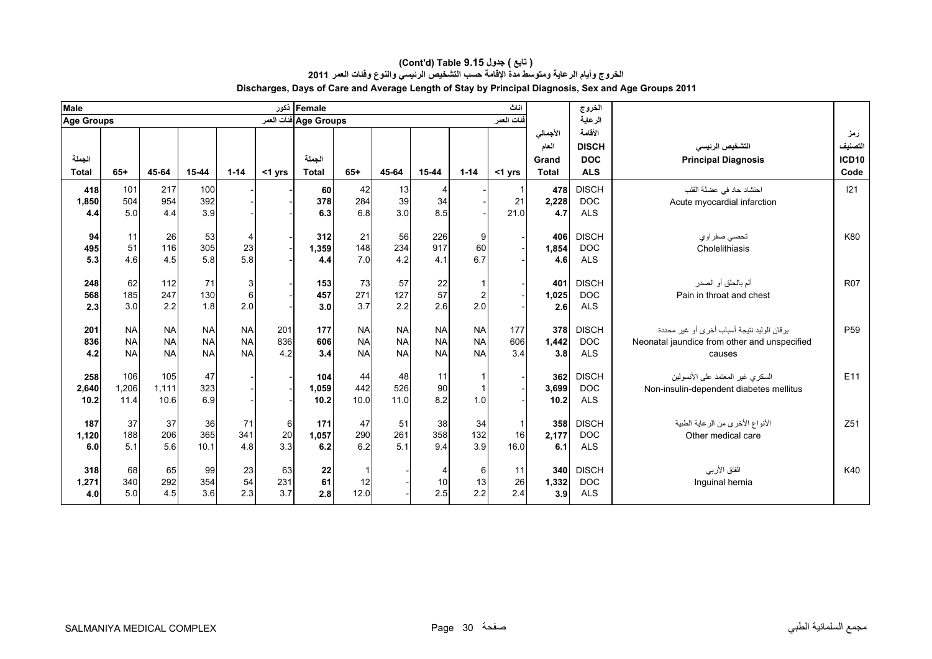| <b>Male</b>          |                                     |                                     |                                     |                                     |                   | Female ذکور           |                                     |                                     |                                     |                                       | اناث                         |                            | الخروج                                   |                                                                                                        |                                |
|----------------------|-------------------------------------|-------------------------------------|-------------------------------------|-------------------------------------|-------------------|-----------------------|-------------------------------------|-------------------------------------|-------------------------------------|---------------------------------------|------------------------------|----------------------------|------------------------------------------|--------------------------------------------------------------------------------------------------------|--------------------------------|
| <b>Age Groups</b>    |                                     |                                     |                                     |                                     |                   | Age Groups فنات العمر |                                     |                                     |                                     |                                       | فنات العمر                   |                            | الرعاية                                  |                                                                                                        |                                |
| الجملة               |                                     |                                     |                                     |                                     |                   | الجملة                |                                     |                                     |                                     |                                       |                              | الأجمالي<br>العام<br>Grand | الأقامة<br><b>DISCH</b><br><b>DOC</b>    | التشخيص الرئيسى<br><b>Principal Diagnosis</b>                                                          | رمز<br>التصنيف<br><b>ICD10</b> |
| <b>Total</b>         | $65+$                               | 45-64                               | 15-44                               | $1 - 14$                            | <1 yrs            | <b>Total</b>          | $65+$                               | 45-64                               | 15-44                               | $1 - 14$                              | <1 yrs                       | <b>Total</b>               | <b>ALS</b>                               |                                                                                                        | Code                           |
| 418<br>1,850<br>4.4  | 101<br>504<br>5.0                   | 217<br>954<br>4.4                   | 100<br>392<br>3.9                   |                                     |                   | 60<br>378<br>6.3      | 42<br>284<br>6.8                    | 13<br>39<br>3.0                     | 4<br>34<br>8.5                      |                                       | 21<br>21.0                   | 478<br>2,228<br>4.7        | <b>DISCH</b><br><b>DOC</b><br><b>ALS</b> | احتشاد حاد في عضلة القلب<br>Acute myocardial infarction                                                | 121                            |
| 94<br>495<br>5.3     | 11<br>51<br>4.6                     | 26<br>116<br>4.5                    | 53<br>305<br>5.8                    | 4<br>23<br>5.8                      |                   | 312<br>1,359<br>4.4   | 21<br>148<br>7.0                    | 56<br>234<br>4.2                    | 226<br>917<br>4.1                   | 9<br>60<br>6.7                        |                              | 406<br>1,854<br>4.6        | <b>DISCH</b><br><b>DOC</b><br><b>ALS</b> | تحصي صفراوي<br>Cholelithiasis                                                                          | K80                            |
| 248<br>568<br>2.3    | 62<br>185<br>3.0                    | 112<br>247<br>2.2                   | 71<br>130<br>1.8                    | 3<br>6<br>2.0                       |                   | 153<br>457<br>3.0     | 73<br>271<br>3.7                    | 57<br>127<br>2.2                    | 22<br>57<br>2.6                     | $\mathbf{1}$<br>$\overline{2}$<br>2.0 |                              | 401<br>1,025<br>2.6        | <b>DISCH</b><br><b>DOC</b><br><b>ALS</b> | ألم بالحلق أو الصدر<br>Pain in throat and chest                                                        | <b>R07</b>                     |
| 201<br>836<br>4.2    | <b>NA</b><br><b>NA</b><br><b>NA</b> | <b>NA</b><br><b>NA</b><br><b>NA</b> | <b>NA</b><br><b>NA</b><br><b>NA</b> | <b>NA</b><br><b>NA</b><br><b>NA</b> | 201<br>836<br>4.2 | 177<br>606<br>3.4     | <b>NA</b><br><b>NA</b><br><b>NA</b> | <b>NA</b><br><b>NA</b><br><b>NA</b> | <b>NA</b><br><b>NA</b><br><b>NA</b> | <b>NA</b><br><b>NA</b><br><b>NA</b>   | 177<br>606<br>3.4            | 378<br>1,442<br>3.8        | <b>DISCH</b><br><b>DOC</b><br><b>ALS</b> | ير قان الوليد نتيجة أسباب أخر ي أو غير محددة<br>Neonatal jaundice from other and unspecified<br>causes | P <sub>59</sub>                |
| 258<br>2,640<br>10.2 | 106<br>1,206<br>11.4                | 105<br>1.111<br>10.6                | 47<br>323<br>6.9                    |                                     |                   | 104<br>1,059<br>10.2  | 44<br>442<br>10.0                   | 48<br>526<br>11.0                   | 11<br>90<br>8.2                     | $\mathbf{1}$<br>$\mathbf{1}$<br>1.0   |                              | 362<br>3,699<br>10.2       | <b>DISCH</b><br><b>DOC</b><br><b>ALS</b> | السكري غير المعتمد على الأنسولين<br>Non-insulin-dependent diabetes mellitus                            | E <sub>11</sub>                |
| 187<br>1,120<br>6.0  | 37<br>188<br>5.1                    | 37<br>206<br>5.6                    | 36<br>365<br>10.1                   | 71<br>341<br>4.8                    | 6<br>20<br>3.3    | 171<br>1,057<br>6.2   | 47<br>290<br>6.2                    | 51<br>261<br>5.1                    | 38<br>358<br>9.4                    | 34<br>132<br>3.9                      | $\overline{1}$<br>16<br>16.0 | 358<br>2,177<br>6.1        | <b>DISCH</b><br><b>DOC</b><br><b>ALS</b> | الأنواع الأخرى من الرعاية الطبية<br>Other medical care                                                 | Z51                            |
| 318<br>1,271<br>4.0  | 68<br>340<br>5.0                    | 65<br>292<br>4.5                    | 99<br>354<br>3.6                    | 23<br>54<br>2.3                     | 63<br>231<br>3.7  | 22<br>61<br>2.8       | $\overline{1}$<br>12<br>12.0        |                                     | 4<br>10<br>2.5                      | 6<br>13<br>2.2                        | 11<br>26<br>2.4              | 340<br>1,332<br>3.9        | <b>DISCH</b><br><b>DOC</b><br><b>ALS</b> | الفتق الأربي<br>Inguinal hernia                                                                        | K40                            |

#### **Discharges, Days of Care and Average Length of Stay by Principal Diagnosis, Sex and Age Groups 2011 (Cont'd) Table 9.15 جدول ) تابع( الخروج وأيام الرعاية ومتوسط مدة اإلقامة حسب التشخيص الرئيسي والنوع وفئات العمر <sup>2011</sup>**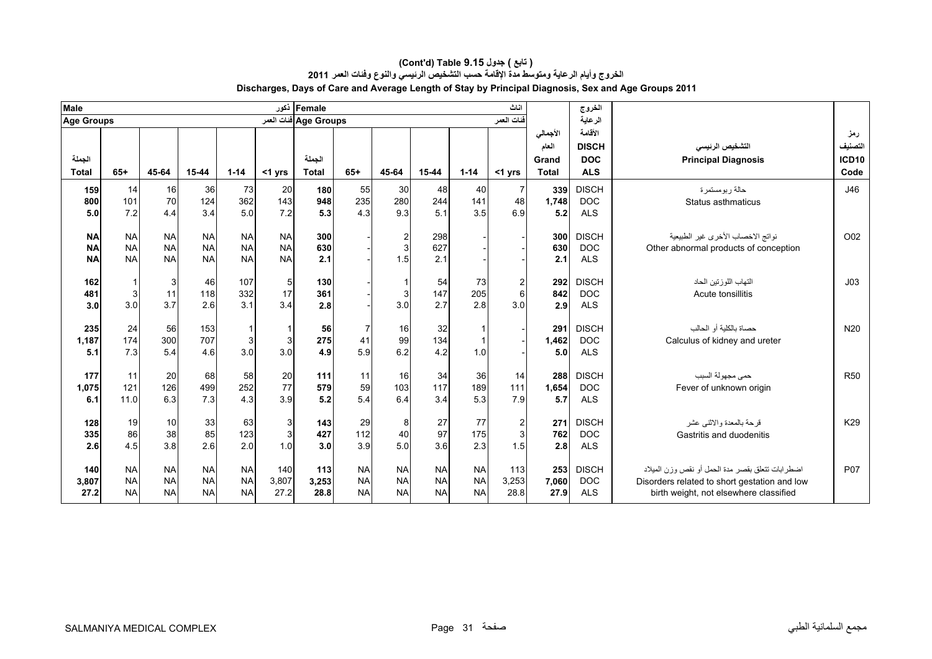| Male              |             |              |            |            |            | Female أكور           |            |               |                       |            | اناث                    |              | الخروج                   |                                                         |                 |
|-------------------|-------------|--------------|------------|------------|------------|-----------------------|------------|---------------|-----------------------|------------|-------------------------|--------------|--------------------------|---------------------------------------------------------|-----------------|
| <b>Age Groups</b> |             |              |            |            |            | Age Groups ففات العمر |            |               |                       |            | فنات العمر              |              | الرعاية                  |                                                         |                 |
|                   |             |              |            |            |            |                       |            |               |                       |            |                         | الأجمالي     | الأقامة                  |                                                         | رمز             |
|                   |             |              |            |            |            |                       |            |               |                       |            |                         | العام        | <b>DISCH</b>             | التشخيص الرنيسى                                         | التصنيف         |
| الجملة            | $65+$       |              |            |            |            | الحملة                | $65+$      |               |                       |            |                         | Grand        | <b>DOC</b>               | <b>Principal Diagnosis</b>                              | ICD10           |
| <b>Total</b>      |             | 45-64        | $15 - 44$  | $1 - 14$   | $<$ 1 yrs  | <b>Total</b>          |            | 45-64         | 15-44                 | $1 - 14$   | $<$ 1 yrs               | <b>Total</b> | <b>ALS</b>               |                                                         | Code            |
| 159               | 14          | 16           | 36         | 73         | 20         | 180                   | 55         | 30            | 48                    | 40         | -7                      | 339          | <b>DISCH</b>             | حالة ربومستمرة                                          | J46             |
| 800<br>5.0        | 101<br>7.2  | 70<br>4.4    | 124<br>3.4 | 362<br>5.0 | 143<br>7.2 | 948<br>5.3            | 235<br>4.3 | 280<br>9.3    | 244<br>5 <sub>1</sub> | 141<br>3.5 | 48<br>6.9               | 1,748<br>5.2 | <b>DOC</b><br><b>ALS</b> | Status asthmaticus                                      |                 |
|                   |             |              |            |            |            |                       |            |               |                       |            |                         |              |                          |                                                         |                 |
| <b>NA</b>         | <b>NA</b>   | <b>NA</b>    | <b>NA</b>  | <b>NA</b>  | <b>NA</b>  | 300                   |            |               | 298                   |            |                         | 300          | <b>DISCH</b>             | نواتج الاخصاب الأخرى غير الطبيعية                       | O02             |
| <b>NA</b>         | <b>NA</b>   | <b>NA</b>    | <b>NA</b>  | <b>NA</b>  | <b>NA</b>  | 630                   |            | $\frac{2}{3}$ | 627                   |            |                         | 630          | <b>DOC</b>               | Other abnormal products of conception                   |                 |
| <b>NA</b>         | <b>NA</b>   | <b>NA</b>    | <b>NA</b>  | <b>NA</b>  | <b>NA</b>  | 2.1                   |            | 1.5           | 2.1                   |            |                         | 2.1          | <b>ALS</b>               |                                                         |                 |
| 162               | $\mathbf 1$ | $\mathbf{3}$ | 46         | 107        | 5          | 130                   |            |               | 54                    | 73         | $\overline{\mathbf{c}}$ | 292          | <b>DISCH</b>             | التهاب اللوز تين الحاد                                  | J <sub>03</sub> |
| 481               | 3           | 11           | 118        | 332        | 17         | 361                   |            | 3             | 147                   | 205        | 6                       | 842          | <b>DOC</b>               | Acute tonsillitis                                       |                 |
| 3.0               | 3.0         | 3.7          | 2.6        | 3.1        | 3.4        | 2.8                   |            | 3.0           | 2.7                   | 2.8        | 3.0                     | 2.9          | <b>ALS</b>               |                                                         |                 |
|                   |             |              |            |            |            |                       |            |               |                       |            |                         |              |                          |                                                         |                 |
| 235               | 24          | 56           | 153        |            |            | 56                    |            | 16            | 32                    |            |                         | 291          | <b>DISCH</b>             | حصاة بالكلبة أو الحالب                                  | N <sub>20</sub> |
| 1,187<br>5.1      | 174<br>7.3  | 300<br>5.4   | 707<br>4.6 | 3<br>3.0   | 3<br>3.0   | 275<br>4.9            | 41<br>5.9  | 99<br>6.2     | 134<br>4.2            | 1.0        |                         | 1,462<br>5.0 | <b>DOC</b><br><b>ALS</b> | Calculus of kidney and ureter                           |                 |
|                   |             |              |            |            |            |                       |            |               |                       |            |                         |              |                          |                                                         |                 |
| 177               | 11          | 20           | 68         | 58         | 20         | 111                   | 11         | 16            | 34                    | 36         | 14                      | 288          | <b>DISCH</b>             | حمى مجهولة السبب                                        | <b>R50</b>      |
| 1,075             | 121         | 126          | 499        | 252        | 77         | 579                   | 59         | 103           | 117                   | 189        | 111                     | 1,654        | <b>DOC</b>               | Fever of unknown origin                                 |                 |
| 6.1               | 11.0        | 6.3          | 7.3        | 4.3        | 3.9        | 5.2                   | 5.4        | 6.4           | 3.4                   | 5.3        | 7.9                     | 5.7          | <b>ALS</b>               |                                                         |                 |
|                   | 19          |              |            |            |            |                       |            |               |                       | 77         |                         |              | <b>DISCH</b>             |                                                         | K29             |
| 128<br>335        | 86          | 10<br>38     | 33<br>85   | 63<br>123  | 3<br>3     | 143<br>427            | 29<br>112  | 8<br>40       | 27<br>97              | 175        | $\sqrt{2}$<br>3         | 271<br>762   | <b>DOC</b>               | قر حة بالمعدة و الاثنبي عشر<br>Gastritis and duodenitis |                 |
| 2.6               | 4.5         | 3.8          | 2.6        | 2.0        | 1.0        | 3.0                   | 3.9        | 5.0           | 3.6                   | 2.3        | 1.5                     | 2.8          | <b>ALS</b>               |                                                         |                 |
|                   |             |              |            |            |            |                       |            |               |                       |            |                         |              |                          |                                                         |                 |
| 140               | <b>NA</b>   | <b>NA</b>    | <b>NA</b>  | <b>NA</b>  | 140        | 113                   | <b>NA</b>  | <b>NA</b>     | <b>NA</b>             | <b>NA</b>  | 113                     | 253          | <b>DISCH</b>             | اضطر ابات تتعلَّق بقصر ً مدة الحمل أو نقص وزن الميلاد   | <b>P07</b>      |
| 3,807             | <b>NA</b>   | <b>NA</b>    | <b>NA</b>  | <b>NA</b>  | 3,807      | 3,253                 | <b>NA</b>  | <b>NA</b>     | <b>NA</b>             | <b>NA</b>  | 3,253                   | 7,060        | <b>DOC</b>               | Disorders related to short gestation and low            |                 |
| 27.2              | <b>NA</b>   | <b>NA</b>    | <b>NA</b>  | <b>NA</b>  | 27.2       | 28.8                  | <b>NA</b>  | <b>NA</b>     | <b>NA</b>             | <b>NA</b>  | 28.8                    | 27.9         | <b>ALS</b>               | birth weight, not elsewhere classified                  |                 |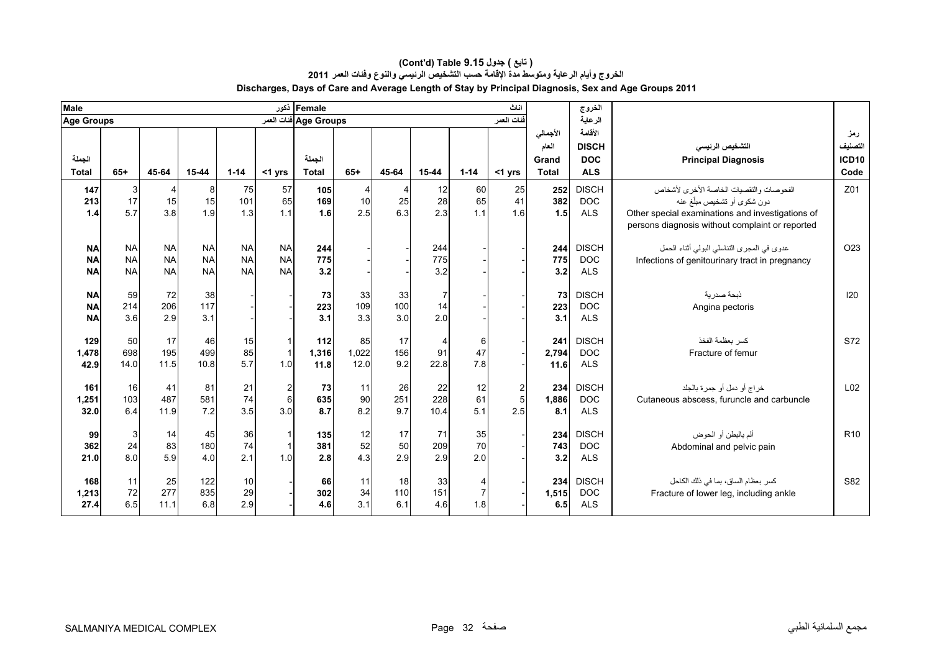| Male                   |                           |                        |                        |                        |                        | Female أذكور          |       |       |            |                | اناث             |              | الخروج                   |                                                  |                 |
|------------------------|---------------------------|------------------------|------------------------|------------------------|------------------------|-----------------------|-------|-------|------------|----------------|------------------|--------------|--------------------------|--------------------------------------------------|-----------------|
| <b>Age Groups</b>      |                           |                        |                        |                        |                        | Age Groups فنات العمر |       |       |            |                | فنات العمر       |              | الرعاية                  |                                                  |                 |
|                        |                           |                        |                        |                        |                        |                       |       |       |            |                |                  | الأجمالي     | الأقامة                  |                                                  | رمز             |
|                        |                           |                        |                        |                        |                        |                       |       |       |            |                |                  | العام        | <b>DISCH</b>             | التشخيص الرنيسي                                  | التصنيف         |
| الجملة                 |                           |                        |                        |                        |                        | الجملة                |       |       |            |                |                  | Grand        | <b>DOC</b>               | <b>Principal Diagnosis</b>                       | <b>ICD10</b>    |
| <b>Total</b>           | $65+$                     | 45-64                  | 15-44                  | $1 - 14$               | $<$ 1 yrs              | <b>Total</b>          | $65+$ | 45-64 | 15-44      | $1 - 14$       | $<$ 1 yrs        | <b>Total</b> | <b>ALS</b>               |                                                  | Code            |
| 147                    | $\ensuremath{\mathsf{3}}$ | $\overline{4}$         | 8                      | 75                     | 57                     | 105                   | 4     | 4     | 12         | 60             | 25               | 252          | <b>DISCH</b>             | الفحوصات والتقصيات الخاصة الأخرى لأشخاص          | Z01             |
| 213                    | 17                        | 15                     | 15                     | 101                    | 65                     | 169                   | 10    | 25    | 28         | 65             | 41               | 382          | <b>DOC</b>               | دون شكوى أو تشخيص مبلّغ عنه                      |                 |
| 1.4                    | 5.7                       | 3.8                    | 1.9                    | 1.3                    | 1.1                    | 1.6                   | 2.5   | 6.3   | 2.3        | 1.1            | 1.6              | 1.5          | <b>ALS</b>               | Other special examinations and investigations of |                 |
|                        |                           |                        |                        |                        |                        |                       |       |       |            |                |                  |              |                          | persons diagnosis without complaint or reported  |                 |
|                        |                           |                        |                        |                        |                        |                       |       |       |            |                |                  |              |                          |                                                  |                 |
| <b>NA</b>              | <b>NA</b>                 | <b>NA</b><br><b>NA</b> | <b>NA</b>              | <b>NA</b><br><b>NA</b> | <b>NA</b><br><b>NA</b> | 244                   |       |       | 244        |                |                  | 244          | <b>DISCH</b>             | عدوى في المجرى التناسلي البولمي أثناء الحمل      | O <sub>23</sub> |
| <b>NA</b><br><b>NA</b> | <b>NA</b><br><b>NA</b>    | <b>NA</b>              | <b>NA</b><br><b>NA</b> | <b>NA</b>              | <b>NA</b>              | 775<br>3.2            |       |       | 775<br>3.2 |                |                  | 775<br>3.2   | <b>DOC</b><br><b>ALS</b> | Infections of genitourinary tract in pregnancy   |                 |
|                        |                           |                        |                        |                        |                        |                       |       |       |            |                |                  |              |                          |                                                  |                 |
| <b>NA</b>              | 59                        | 72                     | 38                     |                        |                        | 73                    | 33    | 33    | 7          |                |                  | 73           | <b>DISCH</b>             | ذبحة صدرية                                       | 120             |
| <b>NA</b>              | 214                       | 206                    | 117                    |                        |                        | 223                   | 109   | 100   | 14         |                |                  | 223          | <b>DOC</b>               | Angina pectoris                                  |                 |
| <b>NA</b>              | 3.6                       | 2.9                    | 3.1                    |                        |                        | 3.1                   | 3.3   | 3.0   | 2.0        |                |                  | 3.1          | <b>ALS</b>               |                                                  |                 |
|                        |                           |                        |                        |                        |                        |                       |       |       |            |                |                  |              |                          |                                                  |                 |
| 129                    | 50                        | 17                     | 46                     | 15                     |                        | 112                   | 85    | 17    | 4          | 6              |                  | 241          | <b>DISCH</b>             | كسر بعظمة الفخذ                                  | S72             |
| 1,478                  | 698                       | 195                    | 499                    | 85                     |                        | 1,316                 | 1,022 | 156   | 91         | 47             |                  | 2,794        | <b>DOC</b>               | Fracture of femur                                |                 |
| 42.9                   | 14.0                      | 11.5                   | 10.8                   | 5.7                    | 1.0                    | 11.8                  | 12.0  | 9.2   | 22.8       | 7.8            |                  | 11.6         | <b>ALS</b>               |                                                  |                 |
| 161                    | 16                        | 41                     | 81                     | 21                     | 2                      | 73                    | 11    | 26    | 22         | 12             | $\boldsymbol{2}$ | 234          | <b>DISCH</b>             | خراج أو دمل أو جمرة بالجلد                       | L <sub>02</sub> |
| 1,251                  | 103                       | 487                    | 581                    | 74                     | 6                      | 635                   | 90    | 251   | 228        | 61             | 5                | 1,886        | <b>DOC</b>               | Cutaneous abscess, furuncle and carbuncle        |                 |
| 32.0                   | 6.4                       | 11.9                   | 7.2                    | 3.5                    | 3.0                    | 8.7                   | 8.2   | 9.7   | 10.4       | 5.1            | 2.5              | 8.1          | <b>ALS</b>               |                                                  |                 |
|                        |                           |                        |                        |                        |                        |                       |       |       |            |                |                  |              |                          |                                                  |                 |
| 99                     | 3                         | 14                     | 45                     | 36                     |                        | 135                   | 12    | 17    | 71         | 35             |                  | 234          | <b>DISCH</b>             | ألم بالبطن أو الحوض                              | R <sub>10</sub> |
| 362                    | 24                        | 83                     | 180                    | 74                     |                        | 381                   | 52    | 50    | 209        | 70             |                  | 743          | <b>DOC</b>               | Abdominal and pelvic pain                        |                 |
| 21.0                   | 8.0                       | 5.9                    | 4.0                    | 2.1                    | 1.0                    | 2.8                   | 4.3   | 2.9   | 2.9        | 2.0            |                  | 3.2          | <b>ALS</b>               |                                                  |                 |
| 168                    | 11                        | 25                     | 122                    | 10                     |                        | 66                    | 11    | 18    | 33         | $\overline{4}$ |                  | 234          | <b>DISCH</b>             | كسر بعظام الساق، بما في ذلك الكاحل               | S82             |
| 1,213                  | 72                        | 277                    | 835                    | 29                     |                        | 302                   | 34    | 110   | 151        | $\overline{7}$ |                  | 1,515        | <b>DOC</b>               | Fracture of lower leg, including ankle           |                 |
| 27.4                   | 6.5                       | 11.1                   | 6.8                    | 2.9                    |                        | 4.6                   | 3.1   | 6.1   | 4.6        | 1.8            |                  | 6.5          | <b>ALS</b>               |                                                  |                 |
|                        |                           |                        |                        |                        |                        |                       |       |       |            |                |                  |              |                          |                                                  |                 |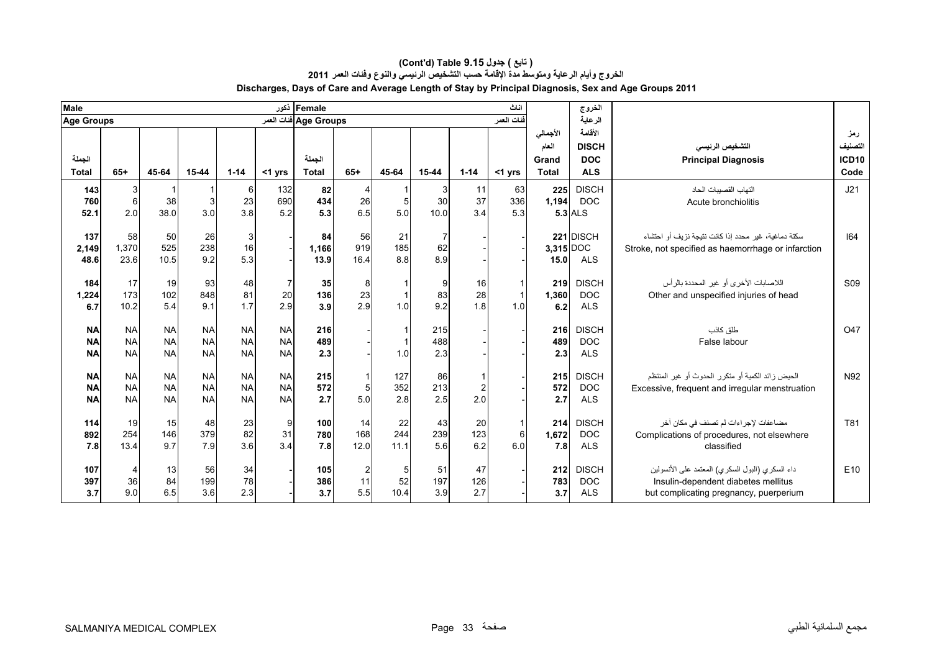| Male                                |                                     |                                     |                                     |                                     |                                     | Female ذکور            |                             |                       |                             |                       | اناث             |                                            | الغروج                                              |                                                                                                                                  |                                             |
|-------------------------------------|-------------------------------------|-------------------------------------|-------------------------------------|-------------------------------------|-------------------------------------|------------------------|-----------------------------|-----------------------|-----------------------------|-----------------------|------------------|--------------------------------------------|-----------------------------------------------------|----------------------------------------------------------------------------------------------------------------------------------|---------------------------------------------|
| <b>Age Groups</b>                   |                                     |                                     |                                     |                                     |                                     | Age Groups فنات العمر  |                             |                       |                             |                       | فنات العمر       |                                            | الرعاية                                             |                                                                                                                                  |                                             |
| الجملة<br><b>Total</b>              | $65+$                               | 45-64                               | 15-44                               | $1 - 14$                            | $<$ 1 yrs                           | الجملة<br><b>Total</b> | $65+$                       | 45-64                 | 15-44                       | $1 - 14$              | $<$ 1 yrs        | الأجمالي<br>العام<br>Grand<br><b>Total</b> | الأقامة<br><b>DISCH</b><br><b>DOC</b><br><b>ALS</b> | التشخيص الرنيسي<br><b>Principal Diagnosis</b>                                                                                    | رمز<br>التصنيف<br>ICD <sub>10</sub><br>Code |
| 143<br>760<br>52.1                  | 3<br>6<br>2.0                       | -1<br>38<br>38.0                    | -1<br>3<br>3.0                      | 6<br>23<br>3.8                      | 132<br>690<br>5.2                   | 82<br>434<br>5.3       | 4<br>26<br>6.5              | 5<br>5.0              | 3<br>30<br>10.0             | 11<br>37<br>3.4       | 63<br>336<br>5.3 | 225<br>1,194                               | <b>DISCH</b><br><b>DOC</b><br>$5.3$ ALS             | التهاب القصبيات الحاد<br>Acute bronchiolitis                                                                                     | J21                                         |
| 137<br>2,149<br>48.6                | 58<br>1,370<br>23.6                 | 50<br>525<br>10.5                   | 26<br>238<br>9.2                    | 3<br>16<br>5.3                      |                                     | 84<br>1,166<br>13.9    | 56<br>919<br>16.4           | 21<br>185<br>8.8      | $\overline{7}$<br>62<br>8.9 |                       |                  | 3,315 DOC<br>15.0                          | 221 DISCH<br><b>ALS</b>                             | سكتة دماغية، غير (محدد إذا كانت نتيجة نزيف أو احتشاء<br>Stroke, not specified as haemorrhage or infarction                       | 164                                         |
| 184<br>1,224<br>6.7                 | 17<br>173<br>10.2                   | 19<br>102<br>5.4                    | 93<br>848<br>9.1                    | 48<br>81<br>1.7                     | 20<br>2.9                           | 35<br>136<br>3.9       | 8<br>23<br>2.9              | $\overline{1}$<br>1.0 | 9<br>83<br>9.2              | 16<br>28<br>1.8       | 1.0              | 219<br>1,360<br>6.2                        | <b>DISCH</b><br><b>DOC</b><br><b>ALS</b>            | اللاصابات الأخرى أو غير المحددة بالرأس<br>Other and unspecified injuries of head                                                 | S <sub>09</sub>                             |
| <b>NA</b><br><b>NA</b><br><b>NA</b> | <b>NA</b><br><b>NA</b><br><b>NA</b> | <b>NA</b><br><b>NA</b><br><b>NA</b> | <b>NA</b><br><b>NA</b><br><b>NA</b> | <b>NA</b><br><b>NA</b><br><b>NA</b> | <b>NA</b><br><b>NA</b><br><b>NA</b> | 216<br>489<br>2.3      |                             | $\overline{1}$<br>1.0 | 215<br>488<br>2.3           |                       |                  | 216<br>489<br>2.3                          | <b>DISCH</b><br><b>DOC</b><br><b>ALS</b>            | طلق كاذب<br>False labour                                                                                                         | O47                                         |
| <b>NA</b><br><b>NA</b><br><b>NA</b> | <b>NA</b><br><b>NA</b><br><b>NA</b> | <b>NA</b><br><b>NA</b><br><b>NA</b> | <b>NA</b><br><b>NA</b><br><b>NA</b> | <b>NA</b><br><b>NA</b><br><b>NA</b> | <b>NA</b><br><b>NA</b><br><b>NA</b> | 215<br>572<br>2.7      | 5<br>5.0                    | 127<br>352<br>2.8     | 86<br>213<br>2.5            | $\overline{2}$<br>2.0 |                  | 215<br>572<br>2.7                          | <b>DISCH</b><br><b>DOC</b><br><b>ALS</b>            | الحيض ز ائد الكمية أو متكر ر الحدوث أو غير المنتظم<br>Excessive, frequent and irregular menstruation                             | N92                                         |
| 114<br>892<br>7.8                   | 19<br>254<br>13.4                   | 15<br>146<br>9.7                    | 48<br>379<br>7.9                    | 23<br>82<br>3.6                     | 9<br>31<br>34                       | 100<br>780<br>7.8      | 14<br>168<br>12.0           | 22<br>244<br>11.1     | 43<br>239<br>5.6            | 20<br>123<br>6.2      | 6<br>6.0         | 214<br>1,672<br>7.8                        | <b>DISCH</b><br><b>DOC</b><br><b>ALS</b>            | مضاعفات لإجر اءات لم تصنف في مكان آخر<br>Complications of procedures, not elsewhere<br>classified                                | T81                                         |
| 107<br>397<br>3.7                   | 4<br>36<br>9.0                      | 13<br>84<br>6.5                     | 56<br>199<br>3.6                    | 34<br>78<br>2.3                     |                                     | 105<br>386<br>3.7      | $\overline{c}$<br>11<br>5.5 | 5<br>52<br>10.4       | 51<br>197<br>3.9            | 47<br>126<br>2.7      |                  | 212<br>783<br>3.7                          | <b>DISCH</b><br><b>DOC</b><br><b>ALS</b>            | داء السكري (البول السكري) المعتمد على الأنسولين<br>Insulin-dependent diabetes mellitus<br>but complicating pregnancy, puerperium | E10                                         |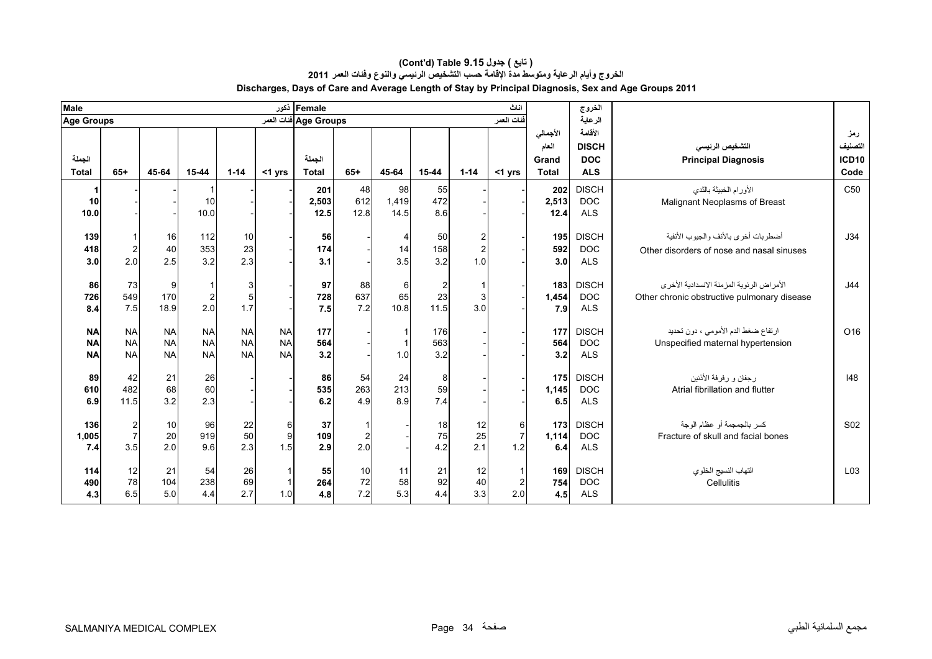| <b>Male</b>       |                         |            |                |           |           | Female أكور           |                |           |                |                | اناث           |              | الخروج       |                                               |                 |
|-------------------|-------------------------|------------|----------------|-----------|-----------|-----------------------|----------------|-----------|----------------|----------------|----------------|--------------|--------------|-----------------------------------------------|-----------------|
| <b>Age Groups</b> |                         |            |                |           |           | Age Groups فنات العمر |                |           |                |                | فنات العمر     |              | الرعاية      |                                               |                 |
|                   |                         |            |                |           |           |                       |                |           |                |                |                | الأجمالي     | الأقامة      |                                               | رمز             |
|                   |                         |            |                |           |           |                       |                |           |                |                |                | العام        | <b>DISCH</b> | التشخيص الرئيسى                               | التصنيف         |
| الجملة            |                         |            |                |           |           | الجملة                |                |           |                |                |                | Grand        | <b>DOC</b>   | <b>Principal Diagnosis</b>                    | ICD10           |
| <b>Total</b>      | $65+$                   | 45-64      | $15 - 44$      | $1 - 14$  | $<$ 1 yrs | <b>Total</b>          | $65+$          | 45-64     | $15 - 44$      | $1 - 14$       | $<$ 1 yrs      | <b>Total</b> | <b>ALS</b>   |                                               | Code            |
|                   |                         |            |                |           |           | 201                   | 48             | 98        | 55             |                |                | 202          | <b>DISCH</b> | الأورام الخبيثة بالثدى                        | C <sub>50</sub> |
| 10                |                         |            | 10             |           |           | 2,503                 | 612            | 1,419     | 472            |                |                | 2,513        | <b>DOC</b>   | Malignant Neoplasms of Breast                 |                 |
| 10.0              |                         |            | 10.0           |           |           | 12.5                  | 12.8           | 14.5      | 8.6            |                |                | 12.4         | <b>ALS</b>   |                                               |                 |
|                   |                         |            |                |           |           |                       |                |           |                |                |                |              |              |                                               |                 |
| 139               |                         | 16         | 112            | 10        |           | 56                    |                | 4         | 50             | $\overline{2}$ |                | 195          | <b>DISCH</b> | أضطربات أخرى بالأنف والجيوب الأنفية           | J34             |
| 418               | $\overline{2}$          | 40         | 353            | 23        |           | 174                   |                | 14        | 158            | $\overline{2}$ |                | 592          | <b>DOC</b>   | Other disorders of nose and nasal sinuses     |                 |
| 3.0               | 2.0                     | 2.5        | 3.2            | 2.3       |           | 3.1                   |                | 3.5       | 3.2            | 1.0            |                | 3.0          | <b>ALS</b>   |                                               |                 |
| 86                | 73                      | 9          | $\overline{1}$ | 3         |           | 97                    | 88             | 6         | $\overline{c}$ |                |                | 183          | <b>DISCH</b> | الأمر اض الر ئوية المز منة الانسدادية الأخر ي | J44             |
| 726               | 549                     | 170        | $\overline{c}$ | 5         |           | 728                   | 637            | 65        | 23             | 3              |                | 1,454        | <b>DOC</b>   | Other chronic obstructive pulmonary disease   |                 |
| 8.4               | 7.5                     | 18.9       | 2.0            | 1.7       |           | 7.5                   | 7.2            | 10.8      | 11.5           | 3.0            |                | 7.9          | <b>ALS</b>   |                                               |                 |
|                   |                         |            |                |           |           |                       |                |           |                |                |                |              |              |                                               |                 |
| <b>NA</b>         | <b>NA</b>               | <b>NA</b>  | <b>NA</b>      | <b>NA</b> | <b>NA</b> | 177                   |                |           | 176            |                |                | 177          | <b>DISCH</b> | ارتفاع ضغط الدم الأمومي ، دون تحديد           | O16             |
| <b>NA</b>         | <b>NA</b>               | <b>NA</b>  | <b>NA</b>      | <b>NA</b> | <b>NA</b> | 564                   |                | 1         | 563            |                |                | 564          | <b>DOC</b>   | Unspecified maternal hypertension             |                 |
| <b>NA</b>         | <b>NA</b>               | <b>NA</b>  | <b>NA</b>      | <b>NA</b> | <b>NA</b> | 3.2                   |                | 1.0       | 3.2            |                |                | 3.2          | <b>ALS</b>   |                                               |                 |
| 89                | 42                      | 21         | 26             |           |           | 86                    | 54             | 24        | 8              |                |                | 175          | <b>DISCH</b> | رجفان و رفرفة الأننين                         | 48              |
| 610               | 482                     | 68         | 60             |           |           | 535                   | 263            | 213       | 59             |                |                | 1,145        | <b>DOC</b>   | Atrial fibrillation and flutter               |                 |
| 6.9               | 11.5                    | 3.2        | 2.3            |           |           | 6.2                   | 4.9            | 8.9       | 7.4            |                |                | 6.5          | <b>ALS</b>   |                                               |                 |
|                   |                         |            |                |           |           |                       |                |           |                |                |                |              |              |                                               |                 |
| 136               | $\overline{\mathbf{c}}$ | 10         | 96             | 22        | 6         | 37                    |                |           | 18             | 12             | 6              | 173          | <b>DISCH</b> | كسر بالجمجمة أو عظام الوجة                    | S <sub>02</sub> |
| 1,005             | $\overline{7}$          | 20         | 919            | 50        | 9         | 109                   | $\overline{a}$ |           | 75             | 25             | $\overline{7}$ | 1,114        | <b>DOC</b>   | Fracture of skull and facial bones            |                 |
| 7.4               | 3.5                     | 2.0        | 9.6            | 2.3       | 1.5       | 2.9                   | 2.0            |           | 4.2            | 2.1            | 1.2            | 6.4          | <b>ALS</b>   |                                               |                 |
|                   |                         |            |                |           |           |                       |                |           |                |                |                |              |              |                                               |                 |
| 114               | 12                      | 21         | 54             | 26        |           | 55                    | 10             | 11        | 21             | 12             | $\overline{1}$ | 169          | <b>DISCH</b> | التهاب النسيج الخلوي                          | L03             |
| 490               | 78<br>6.5               | 104<br>5.0 | 238<br>4.4     | 69<br>2.7 | 1.0       | 264                   | 72<br>7.2      | 58<br>5.3 | 92<br>4.4      | 40<br>3.3      | $\overline{2}$ | 754          | <b>DOC</b>   | Cellulitis                                    |                 |
| 4.3               |                         |            |                |           |           | 4.8                   |                |           |                |                | 2.0            | 4.5          | <b>ALS</b>   |                                               |                 |

#### **Discharges, Days of Care and Average Length of Stay by Principal Diagnosis, Sex and Age Groups 2011 (Cont'd) Table 9.15 جدول ) تابع( الخروج وأيام الرعاية ومتوسط مدة اإلقامة حسب التشخيص الرئيسي والنوع وفئات العمر <sup>2011</sup>**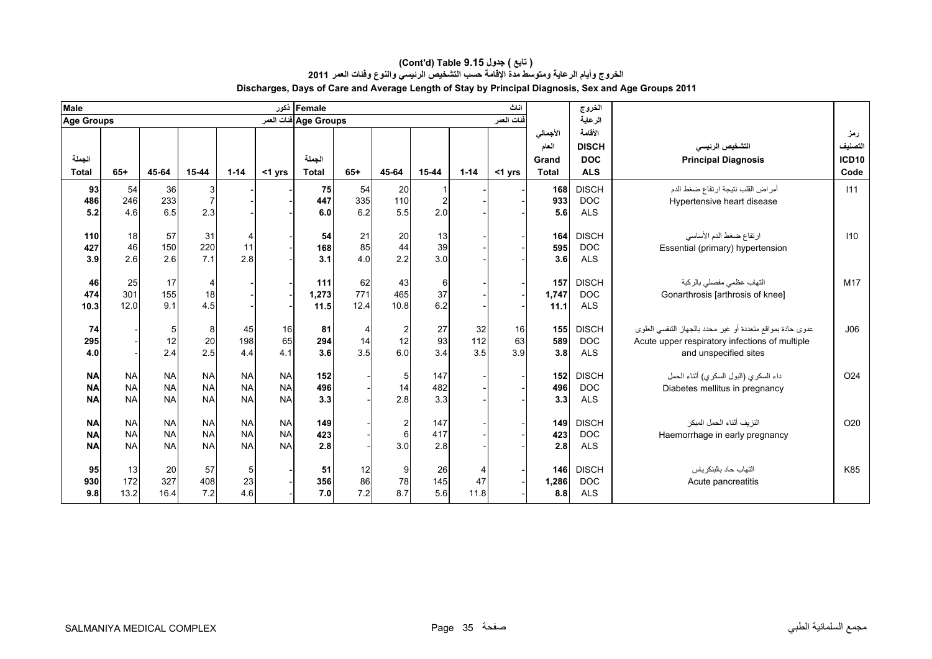| <b>Male</b>       |           |            |             |           |           | Female ذکور           |       |                |          |                | اناث       |              | الغروج       |                                                            |                   |
|-------------------|-----------|------------|-------------|-----------|-----------|-----------------------|-------|----------------|----------|----------------|------------|--------------|--------------|------------------------------------------------------------|-------------------|
| <b>Age Groups</b> |           |            |             |           |           | Age Groups فنات العمر |       |                |          |                | فنات العمر |              | الرعاية      |                                                            |                   |
|                   |           |            |             |           |           |                       |       |                |          |                |            | الأجمالي     | الأقامة      |                                                            | رمز               |
|                   |           |            |             |           |           |                       |       |                |          |                |            | العام        | <b>DISCH</b> | التشخيص الرنيسي                                            | التصنيف           |
| الجملة            |           |            |             |           |           | الجملة                |       |                |          |                |            | Grand        | <b>DOC</b>   | <b>Principal Diagnosis</b>                                 | ICD <sub>10</sub> |
| <b>Total</b>      | $65+$     | 45-64      | $15 - 44$   | $1 - 14$  | <1 yrs    | <b>Total</b>          | $65+$ | 45-64          | 15-44    | $1 - 14$       | <1 yrs     | <b>Total</b> | <b>ALS</b>   |                                                            | Code              |
| 93                | 54        | 36         |             |           |           | 75                    | 54    | 20             |          |                |            | 168          | <b>DISCH</b> | أمراض القلب نتيجة ارتفاع ضغط الدم                          | 111               |
| 486               | 246       | 233        | $rac{3}{7}$ |           |           | 447                   | 335   | 110            | 2        |                |            | 933          | <b>DOC</b>   | Hypertensive heart disease                                 |                   |
| 5.2               | 4.6       | 6.5        | 2.3         |           |           | 6.0                   | 6.2   | 5.5            | 2.0      |                |            | 5.6          | <b>ALS</b>   |                                                            |                   |
|                   |           |            |             |           |           |                       |       |                |          |                |            |              |              |                                                            |                   |
| 110               | 18        | 57         | 31          | 4         |           | 54                    | 21    | 20             | 13<br>39 |                |            | 164          | <b>DISCH</b> | ارتفاع ضغط الدم الأساسي                                    | 110               |
| 427               | 46        | 150<br>2.6 | 220<br>7.1  | 11<br>2.8 |           | 168                   | 85    | 44<br>2.2      | 3.0      |                |            | 595          | <b>DOC</b>   | Essential (primary) hypertension                           |                   |
| 3.9               | 2.6       |            |             |           |           | 3.1                   | 4.0   |                |          |                |            | 3.6          | <b>ALS</b>   |                                                            |                   |
| 46                | 25        | 17         | 4           |           |           | 111                   | 62    | 43             | 6        |                |            | 157          | <b>DISCH</b> | التهاب عظمى مفصلي بالركبة                                  | M17               |
| 474               | 301       | 155        | 18          |           |           | 1,273                 | 771   | 465            | 37       |                |            | 1,747        | <b>DOC</b>   | Gonarthrosis [arthrosis of knee]                           |                   |
| 10.3              | 12.0      | 9.1        | 4.5         |           |           | 11.5                  | 12.4  | 10.8           | 6.2      |                |            | 11.1         | <b>ALS</b>   |                                                            |                   |
|                   |           |            |             |           |           |                       |       |                |          |                |            |              |              |                                                            |                   |
| 74                |           | 5          | 8           | 45        | 16        | 81                    | 4     | $\overline{2}$ | 27       | 32             | 16         | 155          | <b>DISCH</b> | عدوى حادة بمواقع متعددة أو غير محدد بالجهاز التنفسي العلوى | J06               |
| 295               |           | 12         | 20          | 198       | 65        | 294                   | 14    | 12             | 93       | 112            | 63         | 589          | <b>DOC</b>   | Acute upper respiratory infections of multiple             |                   |
| 4.0               |           | 2.4        | 2.5         | 4.4       | 4.1       | 3.6                   | 3.5   | 6.0            | 3.4      | 3.5            | 3.9        | 3.8          | <b>ALS</b>   | and unspecified sites                                      |                   |
| <b>NA</b>         | <b>NA</b> | <b>NA</b>  | <b>NA</b>   | <b>NA</b> | <b>NA</b> | 152                   |       | 5              | 147      |                |            | 152          | <b>DISCH</b> | داء السكري (البول السكري) أثناء الحمل                      | O <sub>24</sub>   |
| <b>NA</b>         | <b>NA</b> | <b>NA</b>  | <b>NA</b>   | <b>NA</b> | <b>NA</b> | 496                   |       | 14             | 482      |                |            | 496          | <b>DOC</b>   | Diabetes mellitus in pregnancy                             |                   |
| <b>NA</b>         | <b>NA</b> | <b>NA</b>  | <b>NA</b>   | <b>NA</b> | <b>NA</b> | 3.3                   |       | 2.8            | 3.3      |                |            | 3.3          | <b>ALS</b>   |                                                            |                   |
|                   |           |            |             |           |           |                       |       |                |          |                |            |              |              |                                                            |                   |
| <b>NA</b>         | <b>NA</b> | <b>NA</b>  | <b>NA</b>   | <b>NA</b> | <b>NA</b> | 149                   |       | $\overline{2}$ | 147      |                |            | 149          | <b>DISCH</b> | النزيف أثناء الحمل المبكر                                  | O <sub>20</sub>   |
| <b>NA</b>         | <b>NA</b> | <b>NA</b>  | <b>NA</b>   | <b>NA</b> | <b>NA</b> | 423                   |       | 6              | 417      |                |            | 423          | <b>DOC</b>   | Haemorrhage in early pregnancy                             |                   |
| <b>NA</b>         | <b>NA</b> | <b>NA</b>  | <b>NA</b>   | <b>NA</b> | <b>NA</b> | 2.8                   |       | 3.0            | 2.8      |                |            | 2.8          | <b>ALS</b>   |                                                            |                   |
|                   |           |            |             |           |           |                       |       |                |          |                |            |              |              |                                                            |                   |
| 95                | 13        | 20         | 57          | 5         |           | 51                    | 12    | 9              | 26       | $\overline{4}$ |            | 146          | <b>DISCH</b> | التهاب حاد بالبنكر ياس                                     | K85               |
| 930               | 172       | 327        | 408         | 23        |           | 356                   | 86    | 78<br>8.7      | 145      | 47             |            | 1,286        | <b>DOC</b>   | Acute pancreatitis                                         |                   |
| 9.8               | 13.2      | 16.4       | 7.2         | 4.6       |           | 7.0                   | 7.2   |                | 5.6      | 11.8           |            | 8.8          | <b>ALS</b>   |                                                            |                   |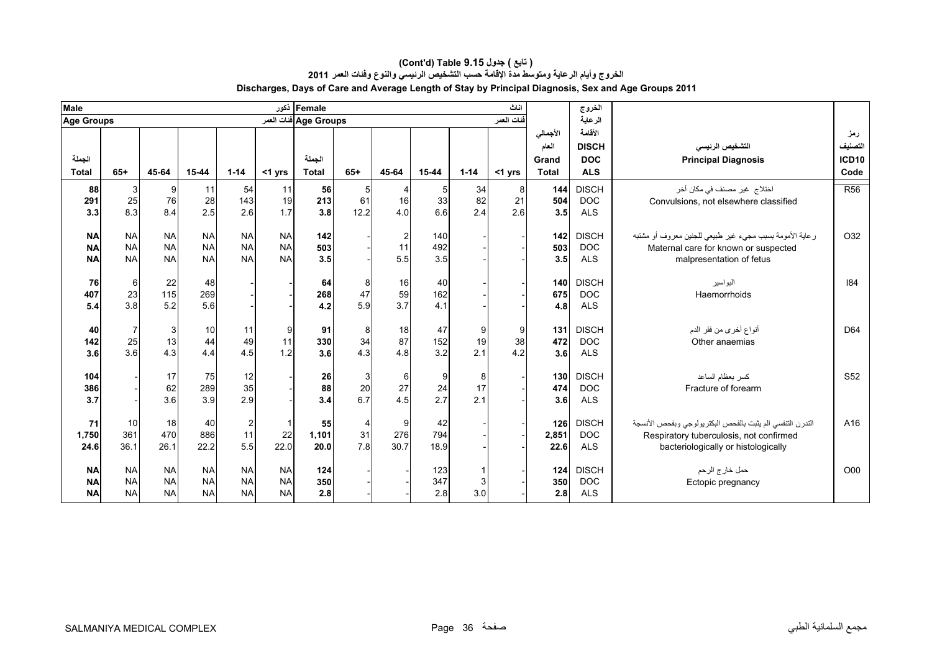| <b>Male</b>            |                        |                        |                        |                                        |                        | Female ذکور           |                |                      |            |           | اناث        |              | الغروج                     |                                                                  |                 |
|------------------------|------------------------|------------------------|------------------------|----------------------------------------|------------------------|-----------------------|----------------|----------------------|------------|-----------|-------------|--------------|----------------------------|------------------------------------------------------------------|-----------------|
| <b>Age Groups</b>      |                        |                        |                        |                                        |                        | Age Groups فنات العمر |                |                      |            |           | افنات العمر |              | الرعاية                    |                                                                  |                 |
|                        |                        |                        |                        |                                        |                        |                       |                |                      |            |           |             | الأجمالي     | الأقامة                    |                                                                  | رمز             |
|                        |                        |                        |                        |                                        |                        |                       |                |                      |            |           |             | العام        | <b>DISCH</b>               | التشخيص الرنيسي                                                  | التصنيف         |
| الجملة                 |                        |                        |                        |                                        |                        | الجملة                |                |                      |            |           |             | Grand        | <b>DOC</b>                 | <b>Principal Diagnosis</b>                                       | <b>ICD10</b>    |
| <b>Total</b>           | $65+$                  | 45-64                  | 15-44                  | $1 - 14$                               | $<$ 1 yrs              | <b>Total</b>          | $65+$          | 45-64                | 15-44      | $1 - 14$  | <1 yrs      | <b>Total</b> | <b>ALS</b>                 |                                                                  | Code            |
| 88                     | 3                      | 9                      | 11                     | 54                                     | 11                     | 56                    | 5 <sub>l</sub> | 4                    |            | 34        | 8           | 144          | <b>DISCH</b>               | اختلاج  غير  مصنف في مكان آخر                                    | R <sub>56</sub> |
| 291                    | 25                     | 76                     | 28                     | 143                                    | 19                     | 213                   | 61             | 16                   | 33         | 82        | 21          | 504          | <b>DOC</b>                 | Convulsions, not elsewhere classified                            |                 |
| 3.3                    | 8.3                    | 8.4                    | 2.5                    | 2.6                                    | 1.7                    | 3.8                   | 12.2           | 4.0                  | 66         | 2.4       | 2.6         | 3.5          | <b>ALS</b>                 |                                                                  |                 |
|                        |                        |                        |                        |                                        |                        |                       |                |                      |            |           |             |              |                            |                                                                  |                 |
| <b>NA</b><br><b>NA</b> | <b>NA</b><br><b>NA</b> | <b>NA</b><br><b>NA</b> | <b>NA</b><br><b>NA</b> | <b>NA</b><br><b>NA</b>                 | <b>NA</b><br><b>NA</b> | 142<br>503            |                | $\overline{2}$<br>11 | 140<br>492 |           |             | 142<br>503   | <b>DISCH</b><br><b>DOC</b> | ر عاية الأمومة بسبب مجيء غير طبيعي للجنين معروف أو مشتبه         | O32             |
| <b>NA</b>              | <b>NA</b>              | <b>NA</b>              | <b>NA</b>              | <b>NA</b>                              | <b>NA</b>              | 3.5                   |                | 5.5                  | 3.5        |           |             | 3.5          | <b>ALS</b>                 | Maternal care for known or suspected<br>malpresentation of fetus |                 |
|                        |                        |                        |                        |                                        |                        |                       |                |                      |            |           |             |              |                            |                                                                  |                 |
| 76                     | 6                      | 22                     | 48                     |                                        |                        | 64                    | 8              | 16                   | 40         |           |             | 140          | <b>DISCH</b>               | البواسير                                                         | 184             |
| 407                    | 23                     | 115                    | 269                    |                                        |                        | 268                   | 47             | 59                   | 162        |           |             | 675          | <b>DOC</b>                 | Haemorrhoids                                                     |                 |
| 5.4                    | 3.8                    | 5.2                    | 5.6                    |                                        |                        | 4.2                   | 5.9            | 3.7                  | 4.1        |           |             | 4.8          | <b>ALS</b>                 |                                                                  |                 |
|                        |                        |                        |                        |                                        |                        |                       |                |                      |            |           |             |              |                            |                                                                  |                 |
| 40                     | $\overline{7}$         | 3                      | 10                     | 11                                     | 9                      | 91                    | 8              | 18                   | 47         | 9         | 9           | 131          | <b>DISCH</b>               | أنواع أخرى من فقر الدم                                           | D <sub>64</sub> |
| 142                    | 25                     | 13                     | 44                     | 49                                     | 11                     | 330                   | 34             | 87                   | 152        | 19        | 38          | 472          | <b>DOC</b>                 | Other anaemias                                                   |                 |
| 3.6                    | 3.6                    | 4.3                    | 4.4                    | 4.5                                    | 1.2                    | 3.6                   | 4.3            | 4.8                  | 3.2        | 2.1       | 4.2         | 3.6          | <b>ALS</b>                 |                                                                  |                 |
|                        |                        |                        |                        |                                        |                        |                       |                |                      |            |           |             |              |                            |                                                                  |                 |
| 104                    |                        | 17                     | 75                     | 12<br>35                               |                        | 26                    | 3<br>20        | 6<br>27              | 9          | 8         |             | 130          | <b>DISCH</b><br><b>DOC</b> | كسر بعظام الساعد                                                 | S <sub>52</sub> |
| 386<br>3.7             |                        | 62<br>3.6              | 289<br>3.9             | 2.9                                    |                        | 88<br>3.4             | 6.7            | 4.5                  | 24<br>2.7  | 17<br>2.1 |             | 474<br>3.6   | <b>ALS</b>                 | Fracture of forearm                                              |                 |
|                        |                        |                        |                        |                                        |                        |                       |                |                      |            |           |             |              |                            |                                                                  |                 |
| 71                     | 10                     | 18                     | 40                     |                                        |                        | 55                    | $\overline{4}$ | 9                    | 42         |           |             | 126          | <b>DISCH</b>               | التدرن التنفسي الم يثبت بالفحص البكتريولوجي وبفحص الأنسجة        | A16             |
| 1,750                  | 361                    | 470                    | 886                    | $\begin{array}{c} 2 \\ 11 \end{array}$ | 22                     | 1,101                 | 31             | 276                  | 794        |           |             | 2,851        | <b>DOC</b>                 | Respiratory tuberculosis, not confirmed                          |                 |
| 24.6                   | 36.1                   | 26.1                   | 22.2                   | 5.5                                    | 22.0                   | 20.0                  | 7.8            | 30.7                 | 18.9       |           |             | 22.6         | <b>ALS</b>                 | bacteriologically or histologically                              |                 |
|                        |                        |                        |                        |                                        |                        |                       |                |                      |            |           |             |              |                            |                                                                  |                 |
| <b>NA</b>              | <b>NA</b>              | <b>NA</b>              | <b>NA</b>              | <b>NA</b>                              | <b>NA</b>              | 124                   |                |                      | 123        |           |             | 124          | <b>DISCH</b>               | حمل خارج الرحم                                                   | O00             |
| <b>NA</b>              | <b>NA</b>              | <b>NA</b>              | <b>NA</b>              | <b>NA</b>                              | <b>NA</b>              | 350                   |                |                      | 347        | 3         |             | 350          | <b>DOC</b>                 | Ectopic pregnancy                                                |                 |
| <b>NA</b>              | <b>NA</b>              | <b>NA</b>              | <b>NA</b>              | <b>NA</b>                              | <b>NA</b>              | 2.8                   |                |                      | 2.8        | 3.0       |             | 2.8          | <b>ALS</b>                 |                                                                  |                 |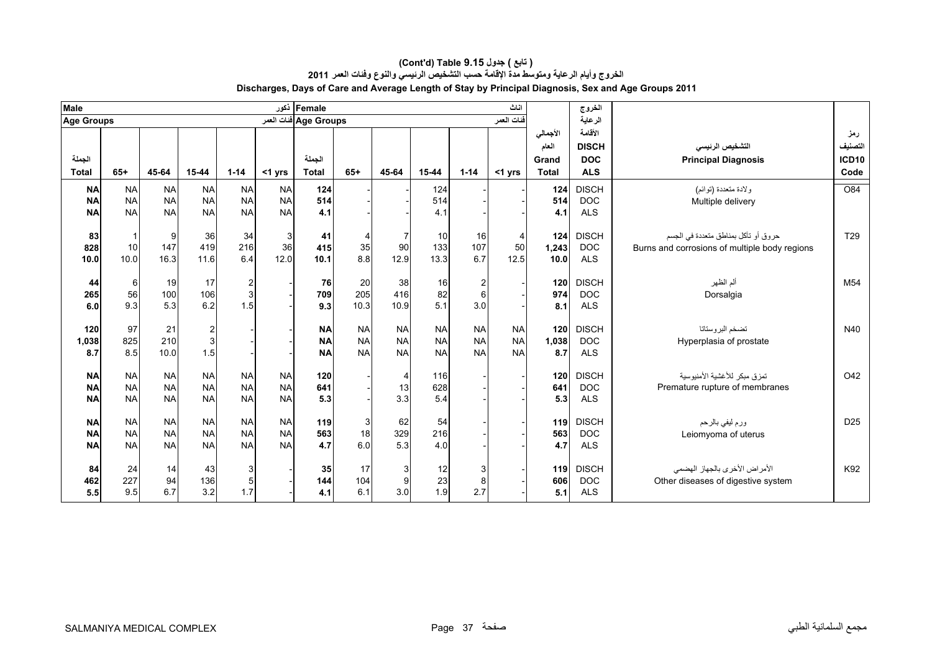| <b>Male</b>            |                        |                        |                         |                        | أنكور                  | Female                |           |                |            |            | اناث           |            | الخروج                   |                                               |                  |
|------------------------|------------------------|------------------------|-------------------------|------------------------|------------------------|-----------------------|-----------|----------------|------------|------------|----------------|------------|--------------------------|-----------------------------------------------|------------------|
| <b>Age Groups</b>      |                        |                        |                         |                        |                        | Age Groups فنات العمر |           |                |            |            | فنات العمر     |            | الرعاية                  |                                               |                  |
|                        |                        |                        |                         |                        |                        |                       |           |                |            |            |                | الأجمالي   | الأقامة                  |                                               | رمز              |
|                        |                        |                        |                         |                        |                        |                       |           |                |            |            |                | العام      | <b>DISCH</b>             | التشخيص الرنيسي                               | التصنيف          |
| الجملة                 |                        |                        |                         |                        |                        | الجملة                |           |                |            |            |                | Grand      | <b>DOC</b>               | <b>Principal Diagnosis</b>                    | <b>ICD10</b>     |
| <b>Total</b>           | $65+$                  | 45-64                  | $15 - 44$               | $1 - 14$               | $<$ 1 yrs              | <b>Total</b>          | $65+$     | 45-64          | 15-44      | $1 - 14$   | <1 yrs         | Total      | <b>ALS</b>               |                                               | Code             |
| <b>NA</b>              | <b>NA</b>              | <b>NA</b>              | <b>NA</b>               | <b>NA</b>              | <b>NA</b>              | 124                   |           |                | 124        |            |                | 124        | <b>DISCH</b>             | ولادة متعددة (توائم)                          | $\overline{O84}$ |
| <b>NA</b>              | <b>NA</b>              | <b>NA</b>              | <b>NA</b>               | <b>NA</b>              | <b>NA</b>              | 514                   |           |                | 514        |            |                | 514        | <b>DOC</b>               | Multiple delivery                             |                  |
| <b>NA</b>              | <b>NA</b>              | <b>NA</b>              | <b>NA</b>               | <b>NA</b>              | <b>NA</b>              | 4.1                   |           |                | 4.1        |            |                | 4.1        | <b>ALS</b>               |                                               |                  |
|                        |                        |                        |                         |                        |                        |                       |           |                |            |            |                |            |                          |                                               |                  |
| 83                     |                        | 9                      | 36                      | 34                     | 3                      | 41                    | 4         |                | 10         | 16         | $\overline{4}$ | 124        | <b>DISCH</b>             | حروق أو تآكل بمناطق متعددة في الجسم           | T <sub>29</sub>  |
| 828                    | 10                     | 147                    | 419                     | 216                    | 36                     | 415                   | 35<br>8.8 | 90             | 133        | 107<br>6.7 | 50             | 1,243      | <b>DOC</b>               | Burns and corrosions of multiple body regions |                  |
| 10.0                   | 10.0                   | 16.3                   | 11.6                    | 6.4                    | 12.0                   | 10.1                  |           | 12.9           | 13.3       |            | 12.5           | 10.0       | <b>ALS</b>               |                                               |                  |
| 44                     | 6                      | 19                     | 17                      |                        |                        | 76                    | 20        | 38             | 16         | 2          |                | 120        | <b>DISCH</b>             | ألم الظهر                                     | M <sub>54</sub>  |
| 265                    | 56                     | 100                    | 106                     | $\frac{2}{3}$          |                        | 709                   | 205       | 416            | 82         | 6          |                | 974        | <b>DOC</b>               | Dorsalgia                                     |                  |
| 6.0                    | 9.3                    | 5.3                    | 6.2                     | 1.5                    |                        | 9.3                   | 10.3      | 10.9           | 5.1        | 3.0        |                | 8.1        | <b>ALS</b>               |                                               |                  |
|                        |                        |                        |                         |                        |                        |                       |           |                |            |            |                |            |                          |                                               |                  |
| 120                    | 97                     | 21                     | $\overline{\mathbf{c}}$ |                        |                        | <b>NA</b>             | <b>NA</b> | <b>NA</b>      | <b>NA</b>  | <b>NA</b>  | <b>NA</b>      | 120        | <b>DISCH</b>             | تضخم البروستاتا                               | N40              |
| 1,038                  | 825                    | 210                    | $\overline{3}$          |                        |                        | <b>NA</b>             | <b>NA</b> | <b>NA</b>      | <b>NA</b>  | <b>NA</b>  | <b>NA</b>      | 1,038      | <b>DOC</b>               | Hyperplasia of prostate                       |                  |
| 8.7                    | 8.5                    | 10.0                   | 1.5                     |                        |                        | <b>NA</b>             | <b>NA</b> | <b>NA</b>      | <b>NA</b>  | <b>NA</b>  | <b>NA</b>      | 8.7        | <b>ALS</b>               |                                               |                  |
|                        |                        |                        |                         |                        |                        |                       |           |                |            |            |                |            |                          |                                               |                  |
| <b>NA</b>              | <b>NA</b>              | <b>NA</b>              | <b>NA</b>               | <b>NA</b>              | <b>NA</b>              | 120                   |           | $\overline{4}$ | 116        |            |                | 120        | <b>DISCH</b>             | تمزق مبكر للأغشية الأمنيوسية                  | O42              |
| <b>NA</b><br><b>NA</b> | <b>NA</b><br><b>NA</b> | <b>NA</b><br><b>NA</b> | <b>NA</b><br><b>NA</b>  | <b>NA</b><br><b>NA</b> | <b>NA</b><br><b>NA</b> | 641<br>5.3            |           | 13<br>3.3      | 628<br>5.4 |            |                | 641<br>5.3 | <b>DOC</b><br><b>ALS</b> | Premature rupture of membranes                |                  |
|                        |                        |                        |                         |                        |                        |                       |           |                |            |            |                |            |                          |                                               |                  |
| <b>NA</b>              | <b>NA</b>              | <b>NA</b>              | <b>NA</b>               | <b>NA</b>              | <b>NA</b>              | 119                   | 3         | 62             | 54         |            |                | 119        | <b>DISCH</b>             | ورم ليفي بالرحم                               | D <sub>25</sub>  |
| <b>NA</b>              | <b>NA</b>              | <b>NA</b>              | <b>NA</b>               | <b>NA</b>              | <b>NA</b>              | 563                   | 18        | 329            | 216        |            |                | 563        | <b>DOC</b>               | Leiomyoma of uterus                           |                  |
| <b>NA</b>              | <b>NA</b>              | <b>NA</b>              | <b>NA</b>               | <b>NA</b>              | <b>NA</b>              | 4.7                   | 6.0       | 5.3            | 4.0        |            |                | 4.7        | <b>ALS</b>               |                                               |                  |
|                        |                        |                        |                         |                        |                        |                       |           |                |            |            |                |            |                          |                                               |                  |
| 84                     | 24                     | 14                     | 43                      | $\mathbf{3}$           |                        | 35                    | 17        | 3              | 12         | 3          |                | 119        | <b>DISCH</b>             | الأمراض الأخرى بالجهاز الهضمى                 | K92              |
| 462                    | 227                    | 94                     | 136                     | $\overline{5}$         |                        | 144                   | 104       | 9              | 23         | 8          |                | 606        | <b>DOC</b>               | Other diseases of digestive system            |                  |
| 5.5                    | 9.5                    | 6.7                    | 3.2                     | 1.7                    |                        | 4.1                   | 6.1       | 3.0            | 1.9        | 2.7        |                | 5.1        | <b>ALS</b>               |                                               |                  |

#### **الخروج وأيام الرعاية ومتوسط مدة اإلقامة حسب التشخيص الرئيسي والنوع وفئات العمر <sup>2011</sup> Discharges, Days of Care and Average Length of Stay by Principal Diagnosis, Sex and Age Groups 2011 (Cont'd) Table 9.15 جدول ) تابع(**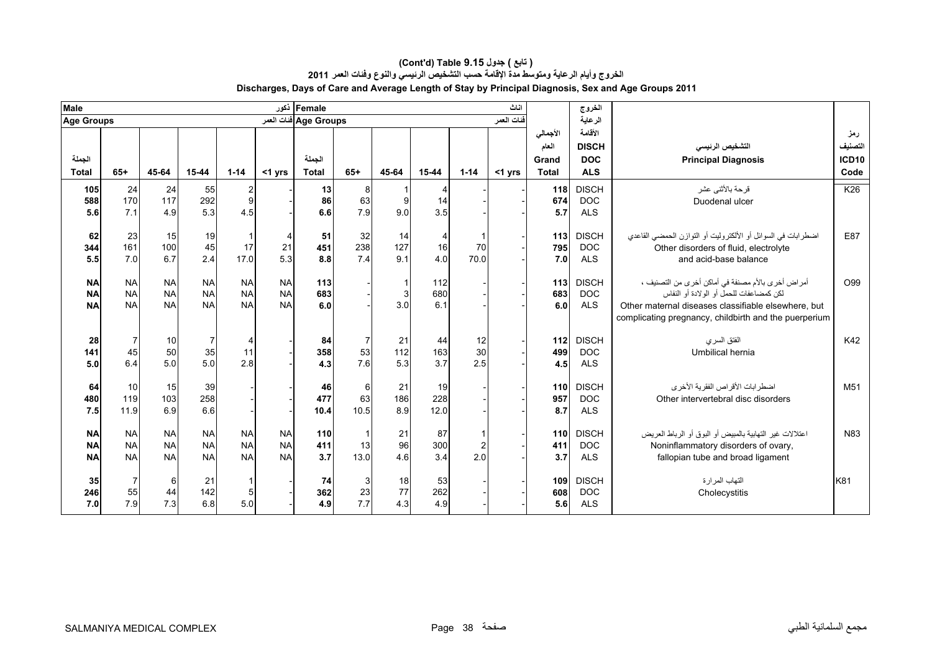| <b>Male</b>       |                |           |                |                          |           | Female أذكور          |                |       |                |                | اناث       |              | الخروج       |                                                              |         |
|-------------------|----------------|-----------|----------------|--------------------------|-----------|-----------------------|----------------|-------|----------------|----------------|------------|--------------|--------------|--------------------------------------------------------------|---------|
| <b>Age Groups</b> |                |           |                |                          |           | Age Groups ففات العمر |                |       |                |                | فنات العمر |              | الرعاية      |                                                              |         |
|                   |                |           |                |                          |           |                       |                |       |                |                |            | الأجمالي     | الأقامة      |                                                              | رمز     |
|                   |                |           |                |                          |           |                       |                |       |                |                |            | العام        | <b>DISCH</b> | التشخيص الرنيسى                                              | التصنيف |
| الجملة            |                |           |                |                          |           | الجملة                |                |       |                |                |            | Grand        | <b>DOC</b>   | <b>Principal Diagnosis</b>                                   | ICD10   |
| <b>Total</b>      | $65+$          | 45-64     | $15 - 44$      | $1 - 14$                 | $<$ 1 yrs | <b>Total</b>          | $65+$          | 45-64 | $15 - 44$      | $1 - 14$       | $<$ 1 yrs  | <b>Total</b> | <b>ALS</b>   |                                                              | Code    |
| 105               | 24             | 24        | 55             | $\overline{2}$           |           | 13                    | 8              |       |                |                |            | 118          | <b>DISCH</b> | قرحة بالأثنى عشر                                             | K26     |
| 588               | 170            | 117       | 292            | 9                        |           | 86                    | 63             | 9     | 14             |                |            | 674          | <b>DOC</b>   | Duodenal ulcer                                               |         |
| 5.6               | 7.1            | 4.9       | 5.3            | 4.5                      |           | 6.6                   | 7.9            | 9.0   | 3.5            |                |            | 5.7          | <b>ALS</b>   |                                                              |         |
| 62                | 23             | 15        | 19             |                          | 4         | 51                    | 32             | 14    | $\overline{4}$ |                |            | 113          | <b>DISCH</b> | اضطرابات في السوائل أو الألكتروليت أو التوازن الحمضى القاعدي | E87     |
| 344               | 161            | 100       | 45             | 17                       | 21        | 451                   | 238            | 127   | 16             | 70             |            | 795          | <b>DOC</b>   | Other disorders of fluid, electrolyte                        |         |
| 5.5               | 7.0            | 6.7       | 2.4            | 17.0                     | 5.3       | 8.8                   | 7.4            | 9.1   | 4.0            | 70.0           |            | 7.0          | <b>ALS</b>   | and acid-base balance                                        |         |
|                   |                |           |                |                          |           |                       |                |       |                |                |            |              |              |                                                              |         |
| <b>NA</b>         | <b>NA</b>      | <b>NA</b> | <b>NA</b>      | <b>NA</b>                | <b>NA</b> | 113                   |                |       | 112            |                |            | 113          | <b>DISCH</b> | أمراض أخرى بالأم مصنفة في أماكن أخرى من التصنيف ،            | O99     |
| <b>NA</b>         | <b>NA</b>      | <b>NA</b> | <b>NA</b>      | <b>NA</b>                | <b>NA</b> | 683                   |                | 3     | 680            |                |            | 683          | <b>DOC</b>   | لكن كمضاعفات للحمل أو الولادة أو النفاس                      |         |
| <b>NA</b>         | <b>NA</b>      | <b>NA</b> | <b>NA</b>      | <b>NA</b>                | <b>NA</b> | 6.0                   |                | 3.0   | 6.1            |                |            | 6.0          | <b>ALS</b>   | Other maternal diseases classifiable elsewhere, but          |         |
|                   |                |           |                |                          |           |                       |                |       |                |                |            |              |              | complicating pregnancy, childbirth and the puerperium        |         |
| 28                | $\overline{7}$ | 10        | $\overline{7}$ | $\overline{\mathcal{L}}$ |           | 84                    | $\overline{7}$ | 21    | 44             | 12             |            | 112          | <b>DISCH</b> | الفتق السرى                                                  | K42     |
| 141               | 45             | 50        | 35             | 11                       |           | 358                   | 53             | 112   | 163            | 30             |            | 499          | <b>DOC</b>   | Umbilical hernia                                             |         |
| 5.0               | 6.4            | 5.0       | 5.0            | 2.8                      |           | 4.3                   | 7.6            | 5.3   | 3.7            | 2.5            |            | 4.5          | <b>ALS</b>   |                                                              |         |
|                   |                |           |                |                          |           |                       |                |       |                |                |            |              |              |                                                              |         |
| 64                | 10             | 15        | 39             |                          |           | 46                    | $6 \,$         | 21    | 19             |                |            | 110          | <b>DISCH</b> | اضطرابات الأقراص الفقرية الأخرى                              | M51     |
| 480               | 119            | 103       | 258            |                          |           | 477                   | 63             | 186   | 228            |                |            | 957          | <b>DOC</b>   | Other intervertebral disc disorders                          |         |
| 7.5               | 11.9           | 6.9       | 6.6            |                          |           | 10.4                  | 10.5           | 8.9   | 12.0           |                |            | 8.7          | <b>ALS</b>   |                                                              |         |
| <b>NA</b>         | <b>NA</b>      | <b>NA</b> | <b>NA</b>      | <b>NA</b>                | <b>NA</b> | 110                   | $\mathbf{1}$   | 21    | 87             |                |            | 110          | <b>DISCH</b> | اعتلالات غير التهابية بالمبيض أو البوق أو الرباط العريض      | N83     |
| <b>NA</b>         | <b>NA</b>      | <b>NA</b> | <b>NA</b>      | <b>NA</b>                | <b>NA</b> | 411                   | 13             | 96    | 300            | $\overline{2}$ |            | 411          | <b>DOC</b>   | Noninflammatory disorders of ovary,                          |         |
| <b>NA</b>         | <b>NA</b>      | <b>NA</b> | <b>NA</b>      | <b>NA</b>                | <b>NA</b> | 3.7                   | 13.0           | 4.6   | 3.4            | 2.0            |            | 3.7          | <b>ALS</b>   | fallopian tube and broad ligament                            |         |
|                   |                |           |                |                          |           |                       |                |       |                |                |            |              |              |                                                              |         |
| 35                |                | 6         | 21             |                          |           | 74                    | $\mathbf{3}$   | 18    | 53             |                |            | 109          | <b>DISCH</b> | التهاب المرارة                                               | K81     |
| 246               | 55             | 44        | 142            | 5                        |           | 362                   | 23             | 77    | 262            |                |            | 608          | <b>DOC</b>   | Cholecystitis                                                |         |
| 7.0               | 7.9            | 7.3       | 6.8            | 5.0                      |           | 4.9                   | 7.7            | 4.3   | 4.9            |                |            | 5.6          | <b>ALS</b>   |                                                              |         |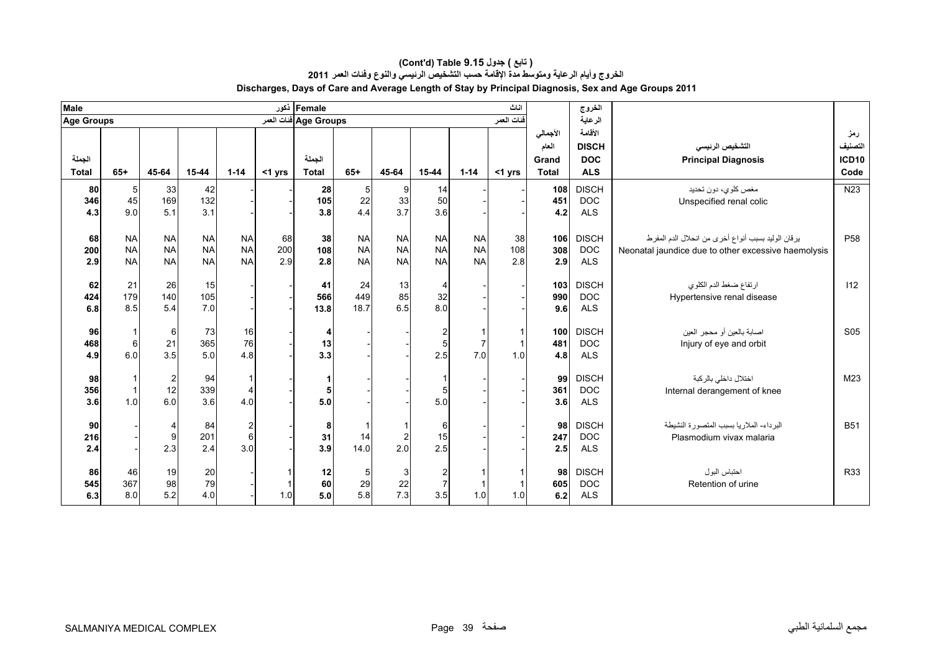| <b>Male</b>       |                 |                |            |                |           | Female ذکور           |                |           |                |                | اناث                       |              | الخروج       |                                                     |                   |
|-------------------|-----------------|----------------|------------|----------------|-----------|-----------------------|----------------|-----------|----------------|----------------|----------------------------|--------------|--------------|-----------------------------------------------------|-------------------|
| <b>Age Groups</b> |                 |                |            |                |           | Age Groups فنات العمر |                |           |                |                | ا <mark>فنات الع</mark> مر |              | الرعاية      |                                                     |                   |
|                   |                 |                |            |                |           |                       |                |           |                |                |                            | الأجمالي     | الأقامة      |                                                     | رمز               |
|                   |                 |                |            |                |           |                       |                |           |                |                |                            | العام        | <b>DISCH</b> | التشخيص الرنيسي                                     | التصنيف           |
| الجملة            |                 |                |            |                |           | الجملة                |                |           |                |                |                            | Grand        | <b>DOC</b>   | <b>Principal Diagnosis</b>                          | ICD <sub>10</sub> |
| <b>Total</b>      | $65+$           | 45-64          | 15-44      | $1 - 14$       | $<$ 1 yrs | <b>Total</b>          | $65+$          | 45-64     | 15-44          | $1 - 14$       | $<$ 1 yrs                  | <b>Total</b> | <b>ALS</b>   |                                                     | Code              |
| 80                | $5\phantom{.0}$ | 33             | 42         |                |           | 28                    | $5 \mid$       |           | 14             |                |                            | 108          | <b>DISCH</b> | مغص كلوي، دون تحديد                                 | N <sub>23</sub>   |
| 346               | 45              | 169            | 132        |                |           | 105                   | 22             | 33        | 50             |                |                            | 451          | <b>DOC</b>   | Unspecified renal colic                             |                   |
| 4.3               | 9.0             | 5.1            | 3.1        |                |           | 3.8                   | 4.4            | 37        | 3.6            |                |                            | 4.2          | <b>ALS</b>   |                                                     |                   |
|                   |                 |                |            |                |           |                       |                |           |                |                |                            |              |              |                                                     |                   |
| 68                | <b>NA</b>       | <b>NA</b>      | <b>NA</b>  | <b>NA</b>      | 68        | 38                    | <b>NA</b>      | <b>NA</b> | <b>NA</b>      | <b>NA</b>      | 38                         | 106          | <b>DISCH</b> | يرقان الوليد بسبب أنواع أخرى من انحلال الدم المفرط  | P <sub>58</sub>   |
| 200               | <b>NA</b>       | <b>NA</b>      | <b>NA</b>  | <b>NA</b>      | 200       | 108                   | <b>NA</b>      | <b>NA</b> | <b>NA</b>      | <b>NA</b>      | 108                        | 308          | <b>DOC</b>   | Neonatal jaundice due to other excessive haemolysis |                   |
| 2.9               | <b>NA</b>       | <b>NA</b>      | <b>NA</b>  | <b>NA</b>      | 2.9       | 2.8                   | <b>NA</b>      | <b>NA</b> | <b>NA</b>      | <b>NA</b>      | 2.8                        | 2.9          | <b>ALS</b>   |                                                     |                   |
| 62                | 21              | 26             | 15         |                |           | 41                    | 24             | 13        | 4              |                |                            | 103          | <b>DISCH</b> | ارتفاع ضغط الدم الكلوي                              | 112               |
| 424               | 179             | 140            | 105        |                |           | 566                   | 449            | 85        | 32             |                |                            | 990          | <b>DOC</b>   | Hypertensive renal disease                          |                   |
| 6.8               | 8.5             | 5.4            | 7.0        |                |           | 13.8                  | 18.7           | 6.5       | 8.0            |                |                            | 9.6          | <b>ALS</b>   |                                                     |                   |
|                   |                 |                |            |                |           |                       |                |           |                |                |                            |              |              |                                                     |                   |
| 96                |                 | 6              | 73         | 16             |           | 4                     |                |           | $\overline{a}$ |                | 1                          | 100          | <b>DISCH</b> | اصابة بالعين أو محجر العين                          | S <sub>05</sub>   |
| 468               | 6               | 21             | 365        | 76             |           | 13                    |                |           | $\sqrt{5}$     | $\overline{7}$ | $\mathbf{1}$               | 481          | <b>DOC</b>   | Injury of eye and orbit                             |                   |
| 4.9               | 6.0             | 3.5            | 5.0        | 4.8            |           | 3.3                   |                |           | 2.5            | 7.0            | 1.0                        | 4.8          | <b>ALS</b>   |                                                     |                   |
|                   |                 |                |            |                |           |                       |                |           |                |                |                            |              |              |                                                     |                   |
| 98                |                 | $\overline{2}$ | 94         |                |           |                       |                |           |                |                |                            | 99           | <b>DISCH</b> | اختلال داخلي بالركبة                                | M <sub>23</sub>   |
| 356               |                 | 12             | 339<br>3.6 | $\overline{4}$ |           | 5                     |                |           | 5 <sup>5</sup> |                |                            | 361          | <b>DOC</b>   | Internal derangement of knee                        |                   |
| 3.6               | 1.0             | 6.0            |            | 4.0            |           | 5.0                   |                |           | 5.0            |                |                            | 3.6          | <b>ALS</b>   |                                                     |                   |
| 90                |                 | 4              | 84         | $\overline{2}$ |           | 8                     |                |           | $6 \mid$       |                |                            | 98           | <b>DISCH</b> | البر داء- الملار يا بسبب المتصور ة النشيطة          | <b>B51</b>        |
| 216               |                 | 9              | 201        | 6              |           | 31                    | 14             |           | 15             |                |                            | 247          | <b>DOC</b>   | Plasmodium vivax malaria                            |                   |
| 2.4               |                 | 2.3            | 2.4        | 3.0            |           | 3.9                   | 14.0           | 2.0       | 2.5            |                |                            | 2.5          | <b>ALS</b>   |                                                     |                   |
|                   |                 |                |            |                |           |                       |                |           |                |                |                            |              |              |                                                     |                   |
| 86                | 46              | 19             | 20         |                |           | 12                    | 5 <sub>5</sub> | 3         | $\overline{2}$ |                |                            | 98           | <b>DISCH</b> | احتباس البول                                        | <b>R33</b>        |
| 545               | 367             | 98             | 79         |                |           | 60                    | 29             | 22        | $\overline{7}$ |                |                            | 605          | <b>DOC</b>   | Retention of urine                                  |                   |
| 6.3               | 8.0             | 5.2            | 4.0        |                | 1.0       | $5.0\,$               | 5.8            | 7.3       | 3.5            | 1.0            | 1.0                        | 6.2          | <b>ALS</b>   |                                                     |                   |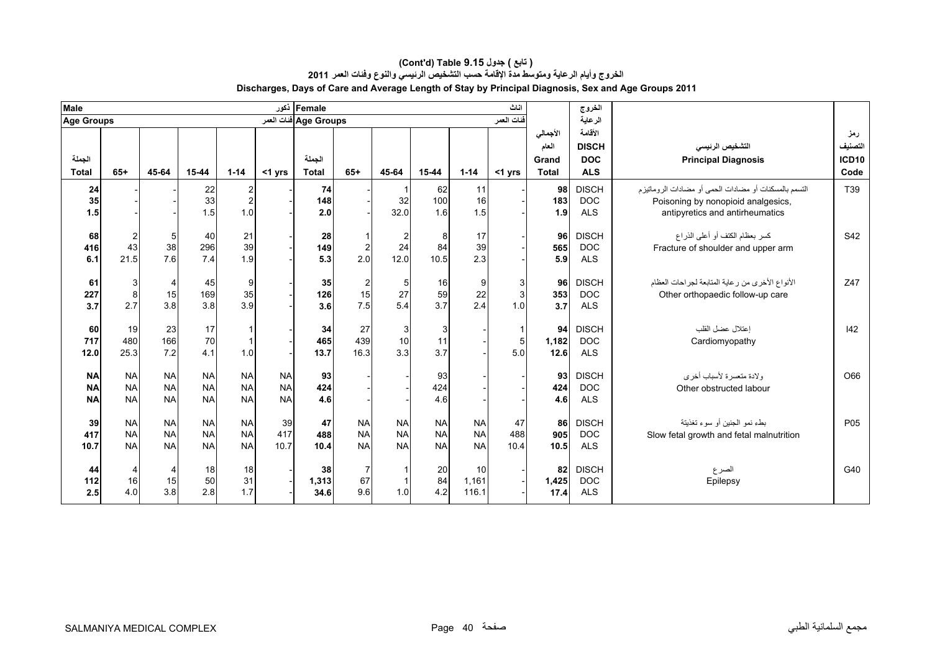| <b>Male</b>            |                           |                |                 |                |           | Female أكور            |                   |           |           |           | اناث       |                       | الخروج                   |                                                       |               |
|------------------------|---------------------------|----------------|-----------------|----------------|-----------|------------------------|-------------------|-----------|-----------|-----------|------------|-----------------------|--------------------------|-------------------------------------------------------|---------------|
| <b>Age Groups</b>      |                           |                |                 |                |           | Age Groups ففات العمر  |                   |           |           |           | فنات العمر |                       | الرعاية                  |                                                       |               |
|                        |                           |                |                 |                |           |                        |                   |           |           |           |            | الأجمالي              | الأقامة                  |                                                       | رمز           |
|                        |                           |                |                 |                |           |                        |                   |           |           |           |            | العام                 | <b>DISCH</b>             | التشخيص الرنيسي                                       | التصنيف       |
| الجملة<br><b>Total</b> | $65+$                     | 45-64          | $15 - 44$       | $1 - 14$       | <1 yrs    | الجملة<br><b>Total</b> | $65+$             | 45-64     | 15-44     | $1 - 14$  | <1 yrs     | Grand<br><b>Total</b> | <b>DOC</b><br><b>ALS</b> | <b>Principal Diagnosis</b>                            | ICD10<br>Code |
| 24                     |                           |                |                 | 2              |           | 74                     |                   |           | 62        | 11        |            | 98                    | <b>DISCH</b>             | التسمم بالمسكنات أو مضادات الحمى أو مضادات الروماتيزم | T39           |
| 35                     |                           |                | $\frac{22}{33}$ | $\overline{2}$ |           | 148                    |                   | 32        | 100       | 16        |            | 183                   | <b>DOC</b>               | Poisoning by nonopioid analgesics,                    |               |
| 1.5                    |                           |                | 1.5             | 1.0            |           | 2.0                    |                   | 32.0      | 1.6       | 1.5       |            | 1.9                   | <b>ALS</b>               | antipyretics and antirheumatics                       |               |
|                        |                           |                |                 |                |           |                        |                   |           |           |           |            |                       |                          |                                                       |               |
| 68                     | 2                         | 5              | 40              | 21             |           | 28                     |                   |           | 8         | 17        |            | 96                    | <b>DISCH</b>             | كسر بعظام الكتف أو أعلى الذراع                        | S42           |
| 416                    | 43                        | 38             | 296             | 39             |           | 149                    | $\sqrt{2}$<br>2.0 | 24        | 84        | 39        |            | 565                   | <b>DOC</b>               | Fracture of shoulder and upper arm                    |               |
| 6.1                    | 21.5                      | 7.6            | 7.4             | 1.9            |           | 5.3                    |                   | 12.0      | 10.5      | 2.3       |            | 5.9                   | <b>ALS</b>               |                                                       |               |
| 61                     | $\ensuremath{\mathsf{3}}$ | 4              | 45              | 9              |           | 35                     | $\overline{c}$    | 5         | 16        | 9         | 3          | 96                    | <b>DISCH</b>             | الأنواع الأخرى من رعاية المتابعة لجراحات العظام       | Z47           |
| 227                    | 8                         | 15             | 169             | 35             |           | 126                    | 15                | 27        | 59        | 22        | 3          | 353                   | <b>DOC</b>               | Other orthopaedic follow-up care                      |               |
| 3.7                    | 2.7                       | 3.8            | 3.8             | 3.9            |           | 3.6                    | 7.5               | 5.4       | 3.7       | 2.4       | 1.0        | 3.7                   | <b>ALS</b>               |                                                       |               |
|                        |                           |                |                 |                |           |                        |                   |           |           |           |            |                       |                          |                                                       |               |
| 60<br>717              | 19<br>480                 | 23<br>166      | 17<br>70        |                |           | 34                     | 27<br>439         | 3<br>10   | 3<br>11   |           | 1          | 94                    | <b>DISCH</b>             | إعتلال عضل القلب                                      | 142           |
| 12.0                   | 25.3                      | 7.2            | 4.1             | 1.0            |           | 465<br>13.7            | 16.3              | 3.3       | 3.7       |           | 5<br>5.0   | 1,182<br>12.6         | <b>DOC</b><br><b>ALS</b> | Cardiomyopathy                                        |               |
|                        |                           |                |                 |                |           |                        |                   |           |           |           |            |                       |                          |                                                       |               |
| <b>NA</b>              | <b>NA</b>                 | <b>NA</b>      | <b>NA</b>       | <b>NA</b>      | <b>NA</b> | 93                     |                   |           | 93        |           |            | 93                    | <b>DISCH</b>             | ولادة متعسرة لأسباب أخرى                              | O66           |
| <b>NA</b>              | <b>NA</b>                 | <b>NA</b>      | <b>NA</b>       | <b>NA</b>      | <b>NA</b> | 424                    |                   |           | 424       |           |            | 424                   | <b>DOC</b>               | Other obstructed labour                               |               |
| <b>NA</b>              | <b>NA</b>                 | <b>NA</b>      | <b>NA</b>       | <b>NA</b>      | <b>NA</b> | 4.6                    |                   |           | 4.6       |           |            | 4.6                   | <b>ALS</b>               |                                                       |               |
| 39                     | <b>NA</b>                 | <b>NA</b>      | <b>NA</b>       | <b>NA</b>      | 39        | 47                     | <b>NA</b>         | <b>NA</b> | <b>NA</b> | <b>NA</b> | 47         | 86                    | <b>DISCH</b>             | بطء نمو الجنين أو سوء تغذيتة                          | P05           |
| 417                    | <b>NA</b>                 | <b>NA</b>      | <b>NA</b>       | <b>NA</b>      | 417       | 488                    | <b>NA</b>         | <b>NA</b> | <b>NA</b> | <b>NA</b> | 488        | 905                   | <b>DOC</b>               | Slow fetal growth and fetal malnutrition              |               |
| 10.7                   | <b>NA</b>                 | <b>NA</b>      | <b>NA</b>       | <b>NA</b>      | 10.7      | 10.4                   | <b>NA</b>         | <b>NA</b> | <b>NA</b> | <b>NA</b> | 10.4       | 10.5                  | <b>ALS</b>               |                                                       |               |
|                        |                           |                |                 |                |           |                        |                   |           |           |           |            |                       |                          |                                                       |               |
| 44                     | 4                         | $\overline{4}$ | 18              | 18             |           | 38                     | 7                 |           | 20        | 10        |            | 82                    | <b>DISCH</b>             | الصرع                                                 | G40           |
| 112                    | 16                        | 15             | 50              | 31             |           | 1,313                  | 67                |           | 84        | 1,161     |            | 1,425                 | DOC                      | Epilepsy                                              |               |
| 2.5                    | 4.0                       | 3.8            | 2.8             | 1.7            |           | 34.6                   | 9.6               | 1.0       | 4.2       | 116.1     |            | 17.4                  | <b>ALS</b>               |                                                       |               |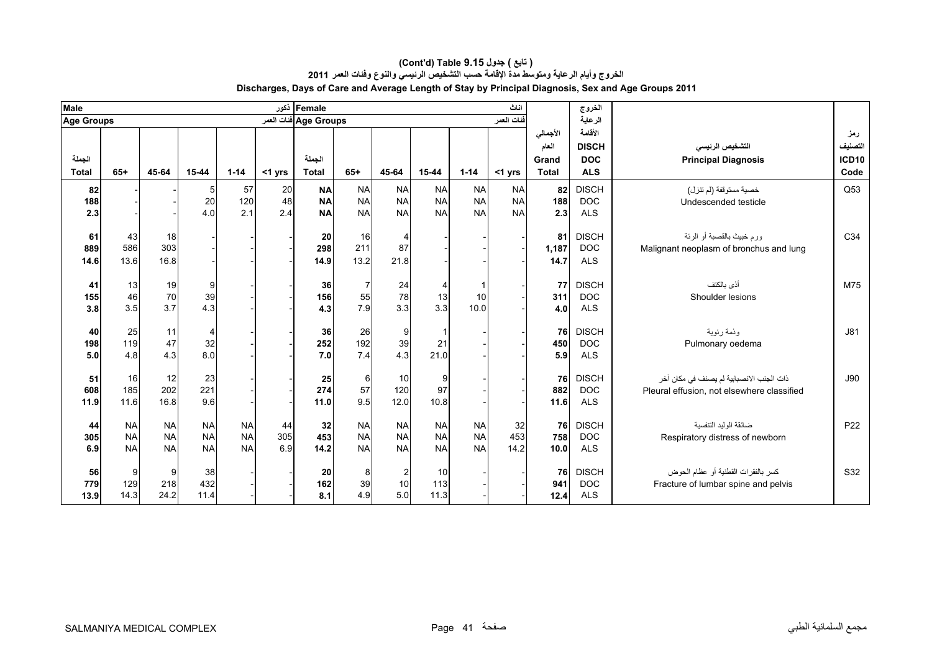| الرعاية<br>Age Groups فنات العمر<br>فنات العمر<br><b>Age Groups</b><br>الأقامة<br>الأجمالي<br>رمز<br>التصنيف<br>العام<br><b>DISCH</b><br>التشخيص الرنيسي<br>الجملة<br>الجملة<br><b>ICD10</b><br><b>DOC</b><br>Grand<br><b>Principal Diagnosis</b><br><b>Total</b><br>$65+$<br>45-64<br>$15 - 44$<br>$1 - 14$<br>45-64<br>15-44<br>$1 - 14$<br><b>ALS</b><br>Code<br><b>Total</b><br>$65+$<br>Total<br>$<$ 1 yrs<br>$<$ 1 yrs<br><b>DISCH</b><br>Q53<br>82<br>57<br>20<br><b>NA</b><br>82<br>5<br><b>NA</b><br><b>NA</b><br><b>NA</b><br><b>NA</b><br><b>NA</b><br>خصية مستوقفة (لم تتزل)<br>48<br>20<br>120<br><b>NA</b><br><b>NA</b><br><b>NA</b><br><b>NA</b><br><b>NA</b><br>188<br><b>DOC</b><br>188<br><b>NA</b><br>Undescended testicle<br>2.1<br>2.4<br><b>NA</b><br><b>NA</b><br><b>NA</b><br><b>NA</b><br>2.3<br>2.3<br>4.0<br><b>NA</b><br><b>NA</b><br><b>ALS</b><br>C34<br><b>DISCH</b><br>ور م خبيث بالقصبة أو الرئة<br>43<br>18<br>16<br>81<br>20<br>61<br>4<br>303<br>211<br>87<br>586<br><b>DOC</b><br>1,187<br>Malignant neoplasm of bronchus and lung<br>298<br>889<br>16.8<br>13.2<br>13.6<br>14.9<br>21.8<br><b>ALS</b><br>14.6<br>14.7<br><b>DISCH</b><br>أذى بالكتف<br>M75<br>13<br>19<br>9<br>7<br>24<br>77<br>41<br>36<br>4<br>70<br>39<br>55<br>78<br>46<br>13<br>10<br>311<br><b>DOC</b><br>156<br>Shoulder lesions<br>155<br>3.7<br>3.3<br>4.3<br>7.9<br>3.3<br>3.5<br><b>ALS</b><br>3.8<br>10.0<br>4.0<br>4.3<br>11<br><b>DISCH</b><br>J81<br>40<br>25<br>26<br>9<br>76<br>$\overline{4}$<br>36<br>وذمة رئوية<br>47<br>192<br>119<br>32<br>39<br>21<br>252<br><b>DOC</b><br>198<br>450<br>Pulmonary oedema<br>8.0<br>4.3<br>4.3<br>4.8<br>7.4<br>21.0<br>7.0<br><b>ALS</b><br>5.9<br>5.0 | <b>Male</b> |  |  | Female ذکور |  |  | اناث | الخروج |  |
|----------------------------------------------------------------------------------------------------------------------------------------------------------------------------------------------------------------------------------------------------------------------------------------------------------------------------------------------------------------------------------------------------------------------------------------------------------------------------------------------------------------------------------------------------------------------------------------------------------------------------------------------------------------------------------------------------------------------------------------------------------------------------------------------------------------------------------------------------------------------------------------------------------------------------------------------------------------------------------------------------------------------------------------------------------------------------------------------------------------------------------------------------------------------------------------------------------------------------------------------------------------------------------------------------------------------------------------------------------------------------------------------------------------------------------------------------------------------------------------------------------------------------------------------------------------------------------------------------------------------------------------------------------------------------------------------------------------------|-------------|--|--|-------------|--|--|------|--------|--|
|                                                                                                                                                                                                                                                                                                                                                                                                                                                                                                                                                                                                                                                                                                                                                                                                                                                                                                                                                                                                                                                                                                                                                                                                                                                                                                                                                                                                                                                                                                                                                                                                                                                                                                                      |             |  |  |             |  |  |      |        |  |
|                                                                                                                                                                                                                                                                                                                                                                                                                                                                                                                                                                                                                                                                                                                                                                                                                                                                                                                                                                                                                                                                                                                                                                                                                                                                                                                                                                                                                                                                                                                                                                                                                                                                                                                      |             |  |  |             |  |  |      |        |  |
|                                                                                                                                                                                                                                                                                                                                                                                                                                                                                                                                                                                                                                                                                                                                                                                                                                                                                                                                                                                                                                                                                                                                                                                                                                                                                                                                                                                                                                                                                                                                                                                                                                                                                                                      |             |  |  |             |  |  |      |        |  |
|                                                                                                                                                                                                                                                                                                                                                                                                                                                                                                                                                                                                                                                                                                                                                                                                                                                                                                                                                                                                                                                                                                                                                                                                                                                                                                                                                                                                                                                                                                                                                                                                                                                                                                                      |             |  |  |             |  |  |      |        |  |
|                                                                                                                                                                                                                                                                                                                                                                                                                                                                                                                                                                                                                                                                                                                                                                                                                                                                                                                                                                                                                                                                                                                                                                                                                                                                                                                                                                                                                                                                                                                                                                                                                                                                                                                      |             |  |  |             |  |  |      |        |  |
|                                                                                                                                                                                                                                                                                                                                                                                                                                                                                                                                                                                                                                                                                                                                                                                                                                                                                                                                                                                                                                                                                                                                                                                                                                                                                                                                                                                                                                                                                                                                                                                                                                                                                                                      |             |  |  |             |  |  |      |        |  |
|                                                                                                                                                                                                                                                                                                                                                                                                                                                                                                                                                                                                                                                                                                                                                                                                                                                                                                                                                                                                                                                                                                                                                                                                                                                                                                                                                                                                                                                                                                                                                                                                                                                                                                                      |             |  |  |             |  |  |      |        |  |
|                                                                                                                                                                                                                                                                                                                                                                                                                                                                                                                                                                                                                                                                                                                                                                                                                                                                                                                                                                                                                                                                                                                                                                                                                                                                                                                                                                                                                                                                                                                                                                                                                                                                                                                      |             |  |  |             |  |  |      |        |  |
|                                                                                                                                                                                                                                                                                                                                                                                                                                                                                                                                                                                                                                                                                                                                                                                                                                                                                                                                                                                                                                                                                                                                                                                                                                                                                                                                                                                                                                                                                                                                                                                                                                                                                                                      |             |  |  |             |  |  |      |        |  |
|                                                                                                                                                                                                                                                                                                                                                                                                                                                                                                                                                                                                                                                                                                                                                                                                                                                                                                                                                                                                                                                                                                                                                                                                                                                                                                                                                                                                                                                                                                                                                                                                                                                                                                                      |             |  |  |             |  |  |      |        |  |
|                                                                                                                                                                                                                                                                                                                                                                                                                                                                                                                                                                                                                                                                                                                                                                                                                                                                                                                                                                                                                                                                                                                                                                                                                                                                                                                                                                                                                                                                                                                                                                                                                                                                                                                      |             |  |  |             |  |  |      |        |  |
|                                                                                                                                                                                                                                                                                                                                                                                                                                                                                                                                                                                                                                                                                                                                                                                                                                                                                                                                                                                                                                                                                                                                                                                                                                                                                                                                                                                                                                                                                                                                                                                                                                                                                                                      |             |  |  |             |  |  |      |        |  |
|                                                                                                                                                                                                                                                                                                                                                                                                                                                                                                                                                                                                                                                                                                                                                                                                                                                                                                                                                                                                                                                                                                                                                                                                                                                                                                                                                                                                                                                                                                                                                                                                                                                                                                                      |             |  |  |             |  |  |      |        |  |
|                                                                                                                                                                                                                                                                                                                                                                                                                                                                                                                                                                                                                                                                                                                                                                                                                                                                                                                                                                                                                                                                                                                                                                                                                                                                                                                                                                                                                                                                                                                                                                                                                                                                                                                      |             |  |  |             |  |  |      |        |  |
|                                                                                                                                                                                                                                                                                                                                                                                                                                                                                                                                                                                                                                                                                                                                                                                                                                                                                                                                                                                                                                                                                                                                                                                                                                                                                                                                                                                                                                                                                                                                                                                                                                                                                                                      |             |  |  |             |  |  |      |        |  |
|                                                                                                                                                                                                                                                                                                                                                                                                                                                                                                                                                                                                                                                                                                                                                                                                                                                                                                                                                                                                                                                                                                                                                                                                                                                                                                                                                                                                                                                                                                                                                                                                                                                                                                                      |             |  |  |             |  |  |      |        |  |
| 12<br>23<br><b>DISCH</b><br>J90<br>51<br>16<br>6<br>76<br>ذات الجنب الانصبابية لم يصنف في مكان آخر<br>25<br>10<br>9                                                                                                                                                                                                                                                                                                                                                                                                                                                                                                                                                                                                                                                                                                                                                                                                                                                                                                                                                                                                                                                                                                                                                                                                                                                                                                                                                                                                                                                                                                                                                                                                  |             |  |  |             |  |  |      |        |  |
| 202<br>221<br>97<br>185<br>57<br>882<br>274<br>120<br><b>DOC</b><br>608<br>Pleural effusion, not elsewhere classified                                                                                                                                                                                                                                                                                                                                                                                                                                                                                                                                                                                                                                                                                                                                                                                                                                                                                                                                                                                                                                                                                                                                                                                                                                                                                                                                                                                                                                                                                                                                                                                                |             |  |  |             |  |  |      |        |  |
| 16.8<br>9.6<br>10.8<br>11.6<br>11.0<br>9.5<br><b>ALS</b><br>11.9<br>12.0<br>11.6                                                                                                                                                                                                                                                                                                                                                                                                                                                                                                                                                                                                                                                                                                                                                                                                                                                                                                                                                                                                                                                                                                                                                                                                                                                                                                                                                                                                                                                                                                                                                                                                                                     |             |  |  |             |  |  |      |        |  |
| <b>NA</b><br><b>NA</b><br><b>NA</b><br><b>NA</b><br><b>NA</b><br><b>NA</b><br><b>NA</b><br>32<br><b>DISCH</b><br>ضائقة الوليد التنفسية<br>P <sub>22</sub><br>44<br><b>NA</b><br>32<br>76<br>44                                                                                                                                                                                                                                                                                                                                                                                                                                                                                                                                                                                                                                                                                                                                                                                                                                                                                                                                                                                                                                                                                                                                                                                                                                                                                                                                                                                                                                                                                                                       |             |  |  |             |  |  |      |        |  |
| <b>NA</b><br><b>NA</b><br><b>NA</b><br><b>NA</b><br>305<br>453<br><b>NA</b><br><b>NA</b><br>453<br><b>DOC</b><br><b>NA</b><br><b>NA</b><br>758<br>305<br>Respiratory distress of newborn                                                                                                                                                                                                                                                                                                                                                                                                                                                                                                                                                                                                                                                                                                                                                                                                                                                                                                                                                                                                                                                                                                                                                                                                                                                                                                                                                                                                                                                                                                                             |             |  |  |             |  |  |      |        |  |
| 6.9<br><b>NA</b><br><b>NA</b><br><b>NA</b><br><b>NA</b><br><b>NA</b><br><b>NA</b><br><b>NA</b><br>14.2<br>14.2<br><b>NA</b><br><b>ALS</b><br>6.9<br>10.0                                                                                                                                                                                                                                                                                                                                                                                                                                                                                                                                                                                                                                                                                                                                                                                                                                                                                                                                                                                                                                                                                                                                                                                                                                                                                                                                                                                                                                                                                                                                                             |             |  |  |             |  |  |      |        |  |
| S32<br><b>DISCH</b><br>كسر بالفقرات القطنية أو عظام الحوض<br>56<br>9<br>9<br>38<br>20<br>8<br>10<br>76                                                                                                                                                                                                                                                                                                                                                                                                                                                                                                                                                                                                                                                                                                                                                                                                                                                                                                                                                                                                                                                                                                                                                                                                                                                                                                                                                                                                                                                                                                                                                                                                               |             |  |  |             |  |  |      |        |  |
| $\overline{\mathbf{c}}$<br>218<br>432<br>10<br>129<br>113<br>39<br><b>DOC</b><br>779<br>162<br>941<br>Fracture of lumbar spine and pelvis                                                                                                                                                                                                                                                                                                                                                                                                                                                                                                                                                                                                                                                                                                                                                                                                                                                                                                                                                                                                                                                                                                                                                                                                                                                                                                                                                                                                                                                                                                                                                                            |             |  |  |             |  |  |      |        |  |
| 14.3<br>5.0<br>24.2<br>4.9<br>11.3<br>11.4<br><b>ALS</b><br>8.1<br>13.9<br>12.4                                                                                                                                                                                                                                                                                                                                                                                                                                                                                                                                                                                                                                                                                                                                                                                                                                                                                                                                                                                                                                                                                                                                                                                                                                                                                                                                                                                                                                                                                                                                                                                                                                      |             |  |  |             |  |  |      |        |  |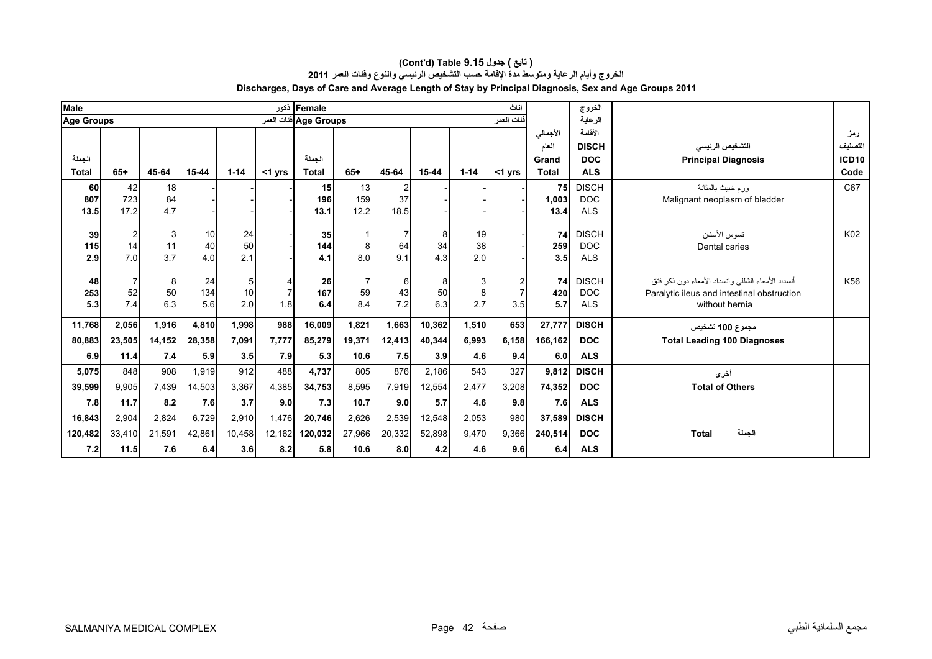|                                                                                                     | ( تابع ) جدول Cont'd) Table 9.15 ) |        |  |
|-----------------------------------------------------------------------------------------------------|------------------------------------|--------|--|
| الخروج وأيام الرعاية ومتوسط مدة الإقامة حسب التشخيص الرئيسي والنوع وففات العمر 2011                 |                                    |        |  |
| Discharges, Days of Care and Average Length of Stay by Principal Diagnosis, Sex and Age Groups 2011 |                                    |        |  |
| lFemale ذکور                                                                                        | اناث                               | الخروج |  |

| <b>Male</b>       |                |                 |          |          |           | Female   ذکور         |                       |                |           |           | اناث       |              | الخروج                     |                                                   |                   |
|-------------------|----------------|-----------------|----------|----------|-----------|-----------------------|-----------------------|----------------|-----------|-----------|------------|--------------|----------------------------|---------------------------------------------------|-------------------|
| <b>Age Groups</b> |                |                 |          |          |           | Age Groups فنات العمر |                       |                |           |           | فنات العمر |              | الرعاية                    |                                                   |                   |
|                   |                |                 |          |          |           |                       |                       |                |           |           |            | الأجمالي     | الأقامة                    |                                                   | رمز               |
|                   |                |                 |          |          |           |                       |                       |                |           |           |            | العام        | <b>DISCH</b>               | التشخيص الرنيسى                                   | التصنيف           |
| الجملة            |                |                 |          |          |           | الحملة                |                       |                |           |           |            | Grand        | <b>DOC</b>                 | <b>Principal Diagnosis</b>                        | ICD <sub>10</sub> |
| <b>Total</b>      | $65+$          | 45-64           | 15-44    | $1 - 14$ | $<$ 1 yrs | <b>Total</b>          | $65+$                 | 45-64          | $15 - 44$ | $1 - 14$  | $<$ 1 yrs  | <b>Total</b> | <b>ALS</b>                 |                                                   | Code              |
| 60                | 42             | 18 <sup>1</sup> |          |          |           | 15                    | 13                    | $\overline{2}$ |           |           |            | 75           | <b>DISCH</b>               | ورم خبيث بالمثانة                                 | C67               |
| 807               | 723            | 84              |          |          |           | 196                   | 159                   | 37             |           |           |            | 1,003        | <b>DOC</b>                 | Malignant neoplasm of bladder                     |                   |
| 13.5              | 17.2           | 4.7             |          |          |           | 13.1                  | 12.2                  | 18.5           |           |           |            | 13.4         | <b>ALS</b>                 |                                                   |                   |
|                   |                |                 |          |          |           |                       |                       |                |           |           |            |              |                            |                                                   |                   |
| 39                | 2              | 3<br>11         | 10<br>40 | 24<br>50 |           | 35                    |                       |                | 8         | 19        |            | 74           | <b>DISCH</b><br><b>DOC</b> | تسوس الأسنان                                      | K02               |
| 115<br>2.9        | 14<br>7.0      | 3.7             | 4.0      | 2.1      |           | 144<br>4.1            | 8<br>8.0 <sub>l</sub> | 64<br>9.1      | 34<br>4.3 | 38<br>2.0 |            | 259<br>3.5   | <b>ALS</b>                 | Dental caries                                     |                   |
|                   |                |                 |          |          |           |                       |                       |                |           |           |            |              |                            |                                                   |                   |
| 48                | $\overline{7}$ | 8               | 24       | 5        |           | 26                    | $\overline{7}$        | 6              | 8         | 3         | 2          | 74           | <b>DISCH</b>               | أنسداد الأمعاء الشللم وانسداد الأمعاء دون ذكر فتق | K <sub>56</sub>   |
| 253               | 52             | 50              | 134      | 10       |           | 167                   | 59                    | 43             | 50        | 8         |            | 420          | <b>DOC</b>                 | Paralytic ileus and intestinal obstruction        |                   |
| 5.3               | 7.4            | 6.3             | 5.6      | 2.0      | 1.8       | 6.4                   | 8.4                   | 7.2            | 6.3       | 2.7       | 3.5        | 5.7          | <b>ALS</b>                 | without hernia                                    |                   |
|                   |                |                 |          |          |           |                       |                       |                |           |           |            |              |                            |                                                   |                   |
| 11,768            | 2,056          | 1,916           | 4,810    | 1,998    | 988       | 16,009                | 1,821                 | 1,663          | 10,362    | 1,510     | 653        | 27,777       | <b>DISCH</b>               | مجموع 100 تشخيص                                   |                   |
| 80,883            | 23,505         | 14,152          | 28,358   | 7,091    | 7,777     | 85,279                | 19,371                | 12,413         | 40,344    | 6,993     | 6,158      | 166,162      | <b>DOC</b>                 | <b>Total Leading 100 Diagnoses</b>                |                   |
| 6.9               | 11.4           | 7.4             | 5.9      | 3.5      | 7.9       | 5.3                   | 10.6                  | 7.5            | 3.9       | 4.6       | 9.4        | 6.0          | <b>ALS</b>                 |                                                   |                   |
| 5,075             | 848            | 908             | 1,919    | 912      | 488       | 4,737                 | 805                   | 876            | 2,186     | 543       | 327        | 9,812        | <b>DISCH</b>               | أخرى                                              |                   |
| 39,599            | 9,905          | 7,439           | 14,503   | 3,367    | 4,385     | 34,753                | 8,595                 | 7,919          | 12,554    | 2,477     | 3,208      | 74,352       | <b>DOC</b>                 | <b>Total of Others</b>                            |                   |
| 7.8               | 11.7           | 8.2             | 7.6      | 3.7      | 9.0       | 7.3                   | 10.7                  | 9.0            | 5.7       | 4.6       | 9.8        | 7.6          | <b>ALS</b>                 |                                                   |                   |
| 16,843            | 2,904          | 2,824           | 6,729    | 2,910    | 1,476     | 20,746                | 2,626                 | 2,539          | 12,548    | 2,053     | 980        | 37,589       | <b>DISCH</b>               |                                                   |                   |
|                   |                |                 |          |          |           |                       |                       |                |           |           |            |              |                            |                                                   |                   |
| 120,482           | 33,410         | 21,591          | 42,861   | 10,458   | 12,162    | 120,032               | 27,966                | 20,332         | 52,898    | 9,470     | 9,366      | 240,514      | <b>DOC</b>                 | الجملة<br><b>Total</b>                            |                   |
| 7.2               | 11.5           | 7.6             | 6.4      | 3.6      | 8.2       | 5.8                   | 10.6                  | 8.0            | 4.2       | 4.6       | 9.6        | 6.4          | <b>ALS</b>                 |                                                   |                   |

- 11

۳.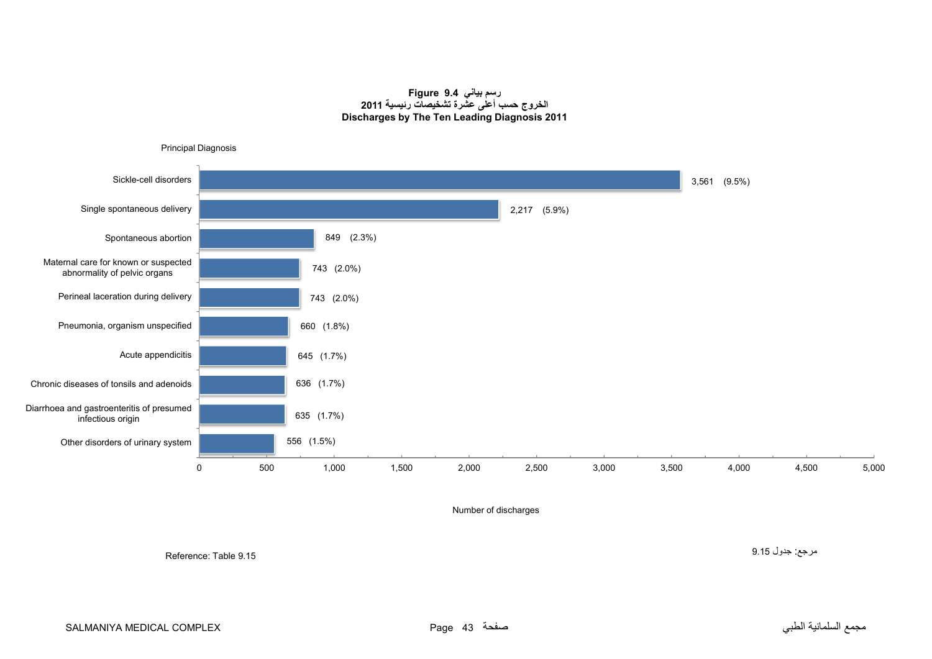#### **رسم بياني 9.4 Figure الخروج حسب أعلى عشرة تشخيصات رئيسية <sup>2011</sup> Discharges by The Ten Leading Diagnosis 2011**

<span id="page-41-0"></span>

Number of discharges

Reference: Table 9.15

مرجع: جدول 9.15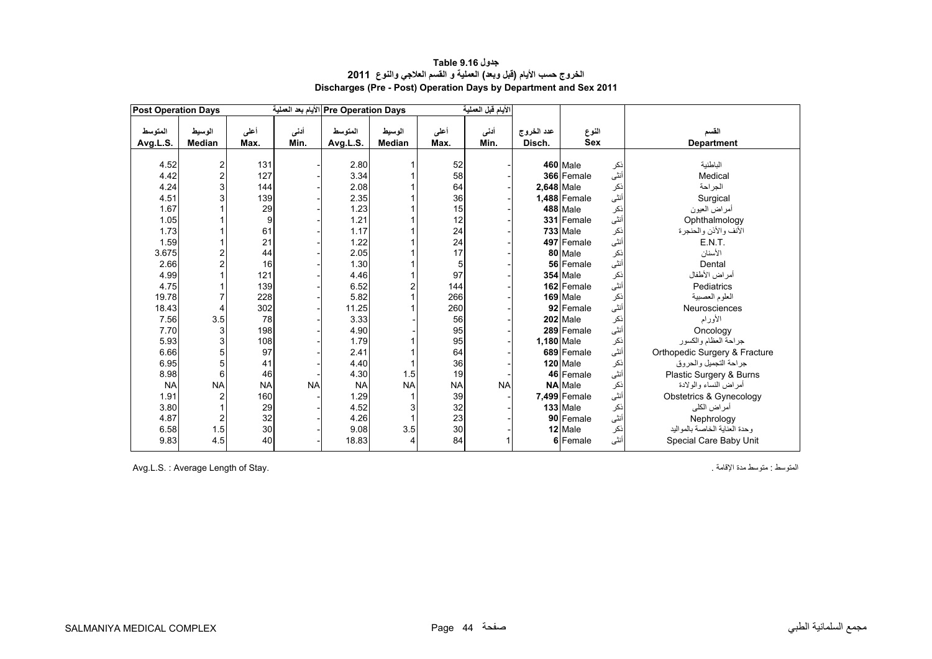<span id="page-42-0"></span>

| <b>Post Operation Days</b> |                         |              |              | Pre Operation Days الأيام بعد العملية |                         |              | الأيام قبل العملية |                      |                     |             |                               |
|----------------------------|-------------------------|--------------|--------------|---------------------------------------|-------------------------|--------------|--------------------|----------------------|---------------------|-------------|-------------------------------|
| المتوسط<br>Avg.L.S.        | الوسيط<br><b>Median</b> | أعلى<br>Max. | أننى<br>Min. | المتوسط<br>Avg.L.S.                   | الوسيط<br><b>Median</b> | أعلى<br>Max. | أدنى<br>Min.       | عدد الخروج<br>Disch. | النوع<br><b>Sex</b> |             | القسم<br><b>Department</b>    |
|                            |                         |              |              |                                       |                         |              |                    |                      |                     |             |                               |
| 4.52                       | 2                       | 131          |              | 2.80                                  |                         | 52           |                    |                      | 460 Male            | ذكر         | الباطنية                      |
| 4.42                       | $\overline{c}$          | 127          |              | 3.34                                  |                         | 58           |                    |                      | 366 Female          | أنثى        | Medical                       |
| 4.24                       | 3                       | 144          |              | 2.08                                  |                         | 64           |                    | 2,648 Male           |                     | نكر         | الجراحة                       |
| 4.51                       | 3                       | 139          |              | 2.35                                  |                         | 36           |                    |                      | 1,488 Female        | أنثىّ       | Surgical                      |
| 1.67                       |                         | 29           |              | 1.23                                  |                         | 15           |                    |                      | 488 Male            | نكر         | أمراض العيون                  |
| 1.05                       |                         | 9            |              | 1.21                                  |                         | 12           |                    |                      | 331 Female          | أنثى        | Ophthalmology                 |
| 1.73                       |                         | 61           |              | 1.17                                  |                         | 24           |                    |                      | 733 Male            | ذكر         | الأنف والأذن والحنجرة         |
| 1.59                       |                         | 21           |              | 1.22                                  |                         | 24           |                    |                      | 497 Female          | أنثىّ       | E.N.T.                        |
| 3.675                      | $\overline{c}$          | 44           |              | 2.05                                  |                         | 17           |                    |                      | 80 Male             | نكر         | الأسنان                       |
| 2.66                       | $\overline{a}$          | 16           |              | 1.30                                  |                         | 5            |                    |                      | 56 Female           | أنڈى        | Dental                        |
| 4.99                       |                         | 121          |              | 4.46                                  |                         | 97           |                    |                      | 354 Male            | نكر         | أمراض الأطفال                 |
| 4.75                       |                         | 139          |              | 6.52                                  | 2                       | 144          |                    |                      | 162 Female          | أنثىّ       | Pediatrics                    |
| 19.78                      | 7                       | 228          |              | 5.82                                  |                         | 266          |                    |                      | 169 Male            | ذکر<br>أنثى | العلوم العصبية                |
| 18.43                      | 4                       | 302          |              | 11.25                                 |                         | 260          |                    |                      | 92 Female           |             | Neurosciences                 |
| 7.56                       | 3.5                     | 78           |              | 3.33                                  |                         | 56           |                    |                      | 202 Male            | نكر         | الأورام                       |
| 7.70                       | 3                       | 198          |              | 4.90                                  |                         | 95           |                    |                      | 289 Female          | أنثى        | Oncology                      |
| 5.93                       | 3                       | 108          |              | 1.79                                  |                         | 95           |                    | 1,180 Male           |                     | ذكر         | جراحة العظام والكسور          |
| 6.66                       | 5                       | 97           |              | 2.41                                  |                         | 64           |                    |                      | 689 Female          | أنثى        | Orthopedic Surgery & Fracture |
| 6.95                       | 5                       | 41           |              | 4.40                                  |                         | 36           |                    |                      | 120 Male            | ذكر         | جر احة التجميل و الحر و ق     |
| 8.98                       | 6                       | 46           |              | 4.30                                  | 1.5                     | 19           |                    |                      | 46 Female           | أنثى        | Plastic Surgery & Burns       |
| <b>NA</b>                  | <b>NA</b>               | <b>NA</b>    | <b>NA</b>    | <b>NA</b>                             | <b>NA</b>               | <b>NA</b>    | <b>NA</b>          |                      | <b>NA</b> Male      | نكر         | أمراض النساء والولادة         |
| 1.91                       |                         | 160          |              | 1.29                                  |                         | 39           |                    |                      | 7,499 Female        | أنثى        | Obstetrics & Gynecology       |
| 3.80                       |                         | 29           |              | 4.52                                  | 3                       | 32           |                    |                      | <b>133 Male</b>     | ذكر         | أمر اض الكلي                  |
| 4.87                       | 2                       | 32           |              | 4.26                                  |                         | 23           |                    |                      | 90 Female           | أنثىّ       | Nephrology                    |
| 6.58                       | 1.5                     | 30           |              | 9.08                                  | 3.5                     | 30           |                    |                      | 12 Male             | ذكر         | وحدة العناية الخاصة بالمواليد |
| 9.83                       | 4.5                     | 40           |              | 18.83                                 | 4                       | 84           |                    |                      | 6 Female            | أنثى        | Special Care Baby Unit        |

# **جدول 9.16 Table الخروج حسب األيام (قبل وبعد) العملية <sup>و</sup> القسم العالجي والنوع<sup>2011</sup> Discharges (Pre - Post) Operation Days by Department and Sex 2011**

Avg.L.S. : Average Length of Stay. . اإلقامة مدة متوسط : المتوسط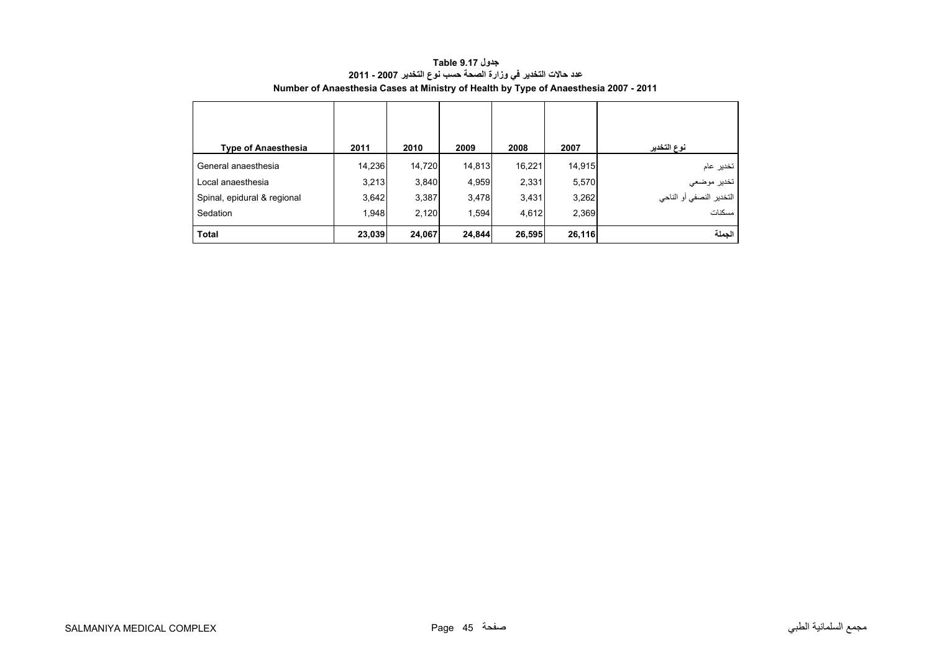<span id="page-43-0"></span>

| <b>Type of Anaesthesia</b>  | 2011   | 2010   | 2009   | 2008   | 2007   | نوع التخدير                             |
|-----------------------------|--------|--------|--------|--------|--------|-----------------------------------------|
| General anaesthesia         | 14,236 | 14,720 | 14,813 | 16,221 | 14,915 | تخدير عام                               |
| Local anaesthesia           | 3,213  | 3,840  | 4,959  | 2,331  | 5,570  |                                         |
| Spinal, epidural & regional | 3,642  | 3,387  | 3,478  | 3,431  | 3,262  | تخدير موضعي<br>التخدير النصفي أو الناحي |
| Sedation                    | 1,948  | 2,120  | 1,594  | 4,612  | 2,369  | مسكنات                                  |
| <b>Total</b>                | 23,039 | 24,067 | 24,844 | 26,595 | 26,116 | الجملة                                  |

**جدول 9.17 Table عدد حاالت التخدير في وزارة الصحة حسب نوع التخدير 2007 - 2011 Number of Anaesthesia Cases at Ministry of Health by Type of Anaesthesia 2007 - 2011**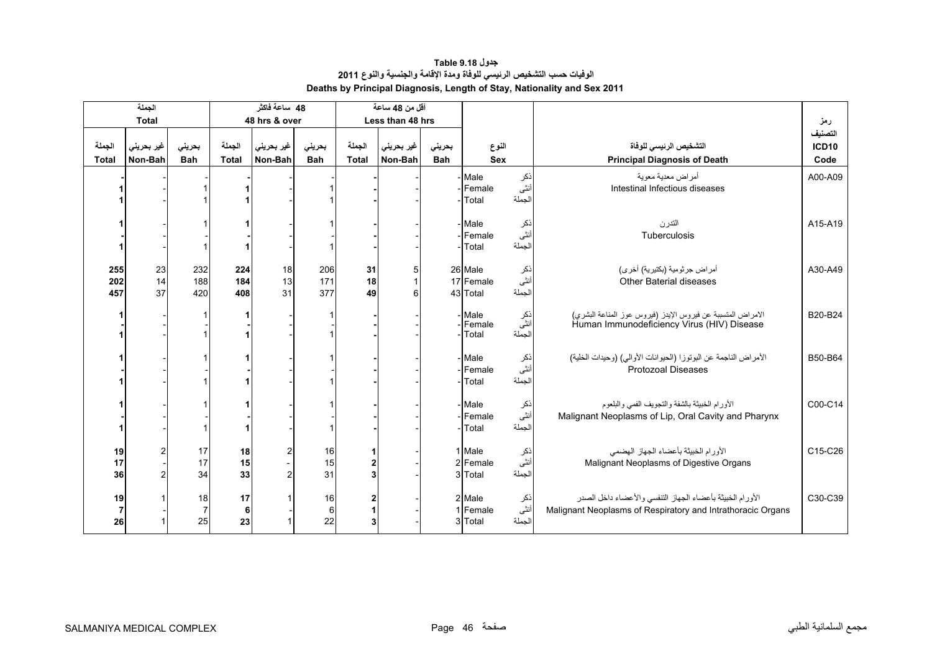# **جدول 9.18 Table الوفيات حسب التشخيص الرئيسي للوفاة ومدة اإلقامة والجنسية والنوع <sup>2011</sup> Deaths by Principal Diagnosis, Length of Stay, Nationality and Sex 2011**

<span id="page-44-0"></span>

|                            | الجملة                |                            |                        | 48 ساعة فاكثر         |                       |                        | أقل من 48 ساعة        |               |                                                        |                               |                                                                                                                          |                                 |
|----------------------------|-----------------------|----------------------------|------------------------|-----------------------|-----------------------|------------------------|-----------------------|---------------|--------------------------------------------------------|-------------------------------|--------------------------------------------------------------------------------------------------------------------------|---------------------------------|
|                            | <b>Total</b>          |                            |                        | 48 hrs & over         |                       |                        | Less than 48 hrs      |               |                                                        |                               |                                                                                                                          | رمز                             |
| الجملة<br><b>Total</b>     | غير بحريني<br>Non-Bah | بحريني<br><b>Bah</b>       | الجملة<br><b>Total</b> | غير بحريني<br>Non-Bah | بحريني<br><b>Bah</b>  | الجملة<br><b>Total</b> | غير بحريني<br>Non-Bah | بحريني<br>Bah | النوع<br><b>Sex</b>                                    |                               | التشخيص الرئيسى للوفاة<br><b>Principal Diagnosis of Death</b>                                                            | التصنيف<br><b>ICD10</b><br>Code |
|                            |                       |                            |                        |                       |                       |                        |                       |               |                                                        |                               |                                                                                                                          |                                 |
|                            |                       |                            |                        |                       |                       |                        |                       |               | - Male<br>- Female<br>- Total                          | نكر<br>أننى<br>الجملة         | أمر اض معدية معوية<br>Intestinal Infectious diseases                                                                     | A00-A09                         |
|                            |                       |                            |                        |                       |                       |                        |                       |               | - Male<br>- Female                                     | نكر<br>أننًى                  | التدرن<br>Tuberculosis                                                                                                   | A15-A19                         |
|                            |                       |                            |                        |                       |                       |                        |                       |               | - Total                                                | الجملة                        |                                                                                                                          |                                 |
| 255<br>202<br>457          | 23<br>14<br>37        | 232<br>188<br>420          | 224<br>184<br>408      | 18<br>13<br>31        | 206<br>171<br>377     | 31<br>18<br>49         | 5<br>6                |               | 26 Male<br>17 Female<br>43 Total                       | ذكر<br>أننى<br>الجملة         | أمر اض جرثومية (بكتيرية) أخر ي)<br><b>Other Baterial diseases</b>                                                        | A30-A49                         |
|                            |                       |                            |                        |                       |                       |                        |                       |               | - Male<br>- Female<br>Total                            | ذکر<br>أنث <i>ى</i><br>الجملة | الأمراض المتسببة عن فيروس الإيدز (فيروس عوز المناعة البشري)<br>Human Immunodeficiency Virus (HIV) Disease                | B20-B24                         |
|                            |                       |                            |                        |                       |                       |                        |                       |               | - Male<br>Female<br>Total                              | نكر<br>أننى<br>الجملة         | الأمراض الناجمة عن البوتوزا (الحيوانات الأوالي) (وحيدات الخلية)<br><b>Protozoal Diseases</b>                             | B50-B64                         |
|                            |                       |                            |                        |                       |                       |                        |                       |               | - Male<br>Female<br>Total                              | ذکر<br>أنثى<br>الجملة         | الأورام الخبيثة بالشفة والتجويف الفمى والبلعوم<br>Malignant Neoplasms of Lip, Oral Cavity and Pharynx                    | C00-C14                         |
| 19<br>17<br>36             |                       | 17<br>17<br>34             | 18<br>15<br>33         |                       | $\frac{16}{15}$<br>31 |                        |                       |               | 1 Male<br>2 Female<br>3 Total                          | ذکر<br>أنث <i>ى</i><br>الجملة | الأورام الخبيثة بأعضاء الجهاز الهضمى<br>Malignant Neoplasms of Digestive Organs                                          | C15-C26                         |
| 19<br>$\overline{7}$<br>26 |                       | 18<br>$\overline{7}$<br>25 | 17<br>6<br>23          |                       | 16<br>$\,6$<br>22     | 3                      |                       |               | 2 Male<br>ذكر<br>أنثى<br>1 Female<br>الجملة<br>3 Total |                               | الأورام الخبيثة بأعضاء الجهاز التنفسي والأعضاء داخل الصدر<br>Malignant Neoplasms of Respiratory and Intrathoracic Organs | C30-C39                         |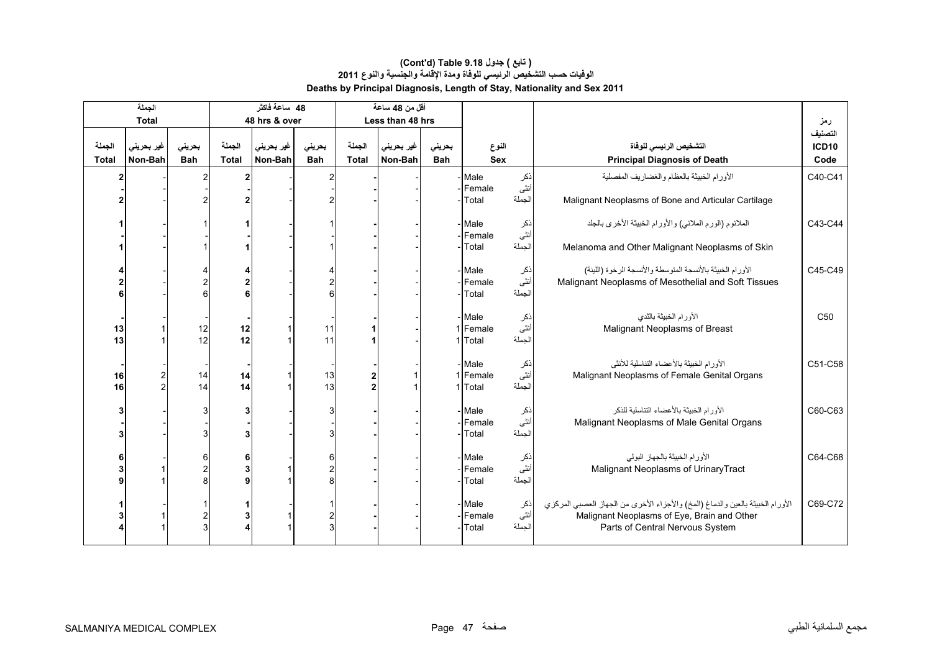<span id="page-45-0"></span>

|                        | الجملة                |                      |                        | 48 ساعة فاكثر         |                      |                        | أقل من 48 ساعة        |                      |                               |                       |                                                                                                                                                                  |                                 |
|------------------------|-----------------------|----------------------|------------------------|-----------------------|----------------------|------------------------|-----------------------|----------------------|-------------------------------|-----------------------|------------------------------------------------------------------------------------------------------------------------------------------------------------------|---------------------------------|
|                        | <b>Total</b>          |                      |                        | 48 hrs & over         |                      |                        | Less than 48 hrs      |                      |                               |                       |                                                                                                                                                                  | رمز                             |
| الجملة<br><b>Total</b> | غير بحريني<br>Non-Bah | بحريني<br><b>Bah</b> | الجملة<br><b>Total</b> | غير بحريني<br>Non-Bah | بحريني<br><b>Bah</b> | الجملة<br><b>Total</b> | غير بحريني<br>Non-Bah | بحريني<br><b>Bah</b> | النوع<br><b>Sex</b>           |                       | التشخيص الرئيسي للوفاة<br><b>Principal Diagnosis of Death</b>                                                                                                    | التصنيف<br><b>ICD10</b><br>Code |
|                        |                       |                      |                        |                       |                      |                        |                       |                      |                               |                       |                                                                                                                                                                  |                                 |
| 2                      |                       | 2                    |                        |                       |                      |                        |                       |                      | - Male<br>Female<br>Total     | ذكر<br>أنثى<br>الجملة | الأورام الخبيثة بالعظام والغضاريف المفصلية<br>Malignant Neoplasms of Bone and Articular Cartilage                                                                | C40-C41                         |
|                        |                       |                      |                        |                       |                      |                        |                       |                      | - Male<br>-Female             | نكر<br>أنثى           | الملانوم (الورم الملاني) والأورام الخبيثة الأخرى بالجلد                                                                                                          | C43-C44                         |
|                        |                       |                      |                        |                       |                      |                        |                       |                      | Total                         | الجملة                | Melanoma and Other Malignant Neoplasms of Skin                                                                                                                   |                                 |
|                        |                       | 2<br>6               |                        |                       | 6                    |                        |                       |                      | - Male<br>- Female<br>Total   | نكر<br>أنثى<br>الجملة | الأورام الخبيثة بالأنسجة المتوسطة والأنسجة الرخوة (اللينة)<br>Malignant Neoplasms of Mesothelial and Soft Tissues                                                | C45-C49                         |
| 13<br>13               |                       | 12<br>12             | 12<br>12               |                       | 11<br>11             |                        |                       | 1                    | - Male<br>1 Female<br>Total   | نكر<br>أنثى<br>الجملة | الأورام الخبيثة بالثدى<br>Malignant Neoplasms of Breast                                                                                                          | C50                             |
| 16<br>16               | $\overline{c}$<br>2   | 14<br>14             | 14<br>14               |                       | 13<br>13             | $\overline{2}$<br>2    |                       |                      | - Male<br>1 Female<br>1 Total | نكر<br>أنثى<br>الجملة | الأورام الخبيثة بالأعضاء التناسلية للأنثى<br>Malignant Neoplasms of Female Genital Organs                                                                        | C51-C58                         |
|                        |                       | З                    |                        |                       |                      |                        |                       |                      | - Male<br>Female<br>Total     | نكر<br>أننى<br>الجملة | الأورام الخبيثة بالأعضاء التناسلية للذكر<br>Malignant Neoplasms of Male Genital Organs                                                                           | C60-C63                         |
|                        |                       | 6                    |                        |                       |                      |                        |                       |                      | - Male<br>- Female<br>Total   | نكر<br>أننى<br>الجملة | الأورام الخبيثة بالجهاز البولي<br>Malignant Neoplasms of Urinary Tract                                                                                           | C64-C68                         |
|                        |                       |                      |                        |                       |                      |                        |                       |                      | - Male<br>Female<br>Total     | نكر<br>أنثى<br>الجملة | الأورام الخبيثة بالعين والدماغ (المخ) والأجزاء الأخرى من الجهاز العصبي المركزي<br>Malignant Neoplasms of Eye, Brain and Other<br>Parts of Central Nervous System | C69-C72                         |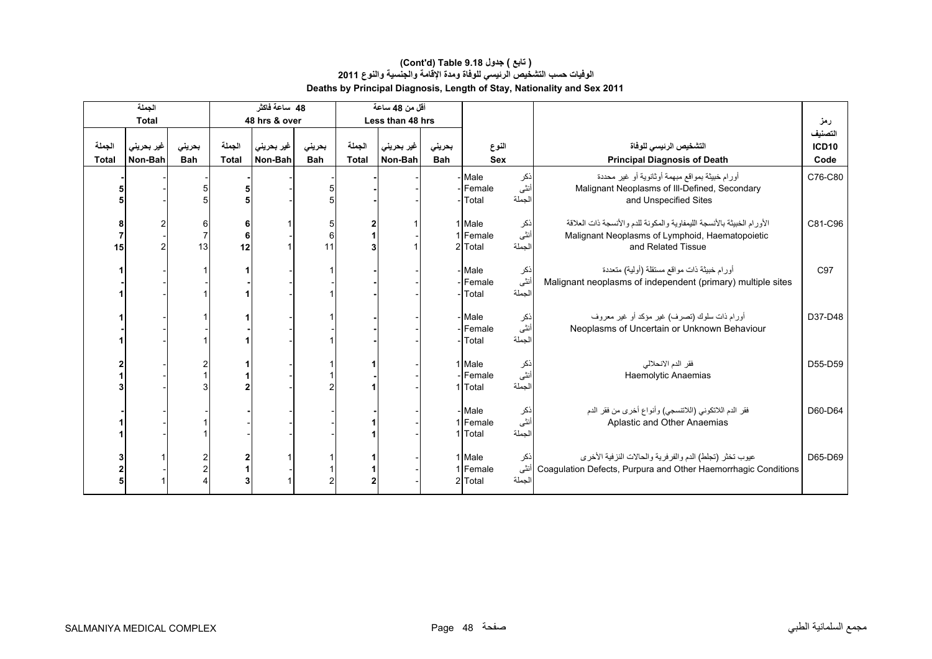|                        | الجملة                |                      |                        | 48 ساعة فاكثر         |                      |                        | أقل من 48 ساعة        |                      |                               |                       |                                                                                                                                                 |                                 |
|------------------------|-----------------------|----------------------|------------------------|-----------------------|----------------------|------------------------|-----------------------|----------------------|-------------------------------|-----------------------|-------------------------------------------------------------------------------------------------------------------------------------------------|---------------------------------|
|                        | <b>Total</b>          |                      |                        | 48 hrs & over         |                      |                        | Less than 48 hrs      |                      |                               |                       |                                                                                                                                                 | رمز                             |
| الجملة<br><b>Total</b> | غیر بحرینی<br>Non-Bah | بحريني<br><b>Bah</b> | الجملة<br><b>Total</b> | غير بحريني<br>Non-Bah | بحريني<br><b>Bah</b> | الجملة<br><b>Total</b> | غير بحريني<br>Non-Bah | بحريني<br><b>Bah</b> | النوع<br><b>Sex</b>           |                       | التشخيص الرئيسى للوفاة<br><b>Principal Diagnosis of Death</b>                                                                                   | التصنيف<br><b>ICD10</b><br>Code |
|                        |                       |                      |                        |                       |                      |                        |                       |                      | Male<br>Female<br>Total       | نكر<br>أنثى<br>الجملة | أورام خبيثة بمواقع مبهمة أوثانوية أو غير محددة<br>Malignant Neoplasms of III-Defined, Secondary<br>and Unspecified Sites                        | C76-C80                         |
| 15                     |                       | 61<br>13             | 6<br>6<br>12           |                       | 5<br>6<br>11         | $\overline{2}$         |                       |                      | 1 Male<br>Female<br>2 Total   | نكر<br>أنثى<br>الجملة | الأورام الخبيثة بالأنسجة الليمفاوية والمكونة للدم والأنسجة ذات العلاقة<br>Malignant Neoplasms of Lymphoid, Haematopoietic<br>and Related Tissue | C81-C96                         |
|                        |                       |                      |                        |                       |                      |                        |                       |                      | - Male<br>Female<br>Total     | نكر<br>أنڈى<br>الجملة | أورام خبيثة ذات مواقع مستقلة (أولية) متعددة<br>Malignant neoplasms of independent (primary) multiple sites                                      | C97                             |
|                        |                       |                      |                        |                       |                      |                        |                       |                      | Male<br>Female<br>Total       | ذكر<br>أنثى<br>الجملة | أورام ذات سلوك (تصرف) غير مؤكد أو غير معروف<br>Neoplasms of Uncertain or Unknown Behaviour                                                      | D37-D48                         |
|                        |                       |                      |                        |                       |                      |                        |                       |                      | 1 Male<br>Female<br>1 Total   | نكر<br>أنثى<br>الجملة | فقر الدم الانحلالي<br>Haemolytic Anaemias                                                                                                       | D55-D59                         |
|                        |                       |                      |                        |                       |                      |                        |                       |                      | - Male<br>1 Female<br>1 Total | ذکر<br>أنثى<br>الجملة | فقر الدم اللاتكوني (اللاتنسجي) وأنواع أخرى من فقر الدم<br>Aplastic and Other Anaemias                                                           | D60-D64                         |
|                        |                       |                      |                        |                       | 2                    | $\mathbf{2}$           |                       |                      | 1 Male<br>1 Female<br>2 Total | ذكر<br>أنثى<br>الجملة | عيوب تخثر (تجلط) الدم والفرفرية والحالات النزفية الأخرى<br>Coagulation Defects, Purpura and Other Haemorrhagic Conditions                       | D65-D69                         |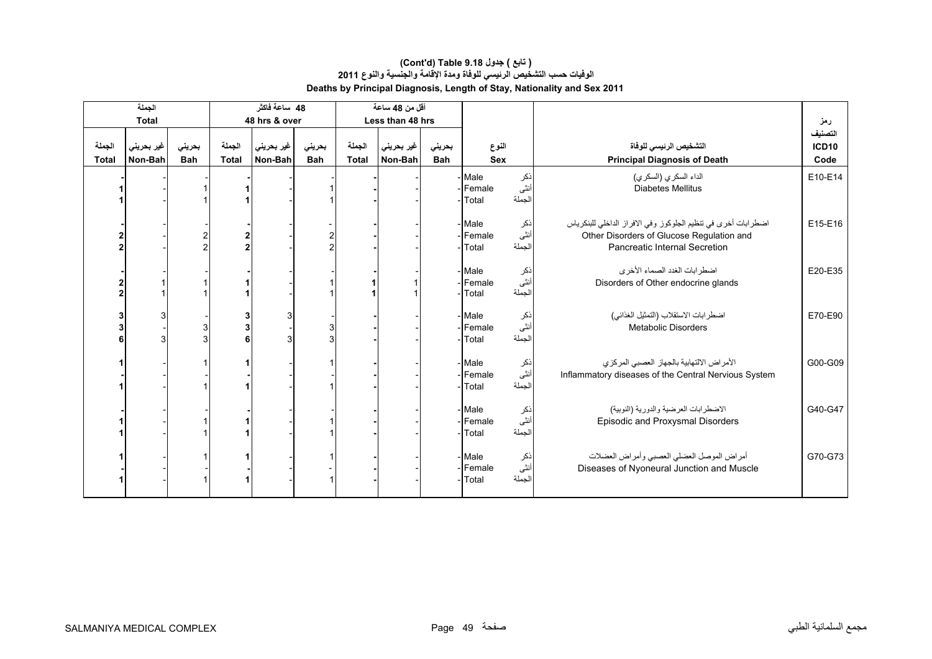#### **Deaths by Principal Diagnosis, Length of Stay, Nationality and Sex 2011 (Cont'd) Table 9.18 جدول ) تابع( الوفيات حسب التشخيص الرئيسي للوفاة ومدة اإلقامة والجنسية والنوع <sup>2011</sup>**

|                 | الجملة                |                      |                        | 48 ساعة فاكثر         |                      |                        | أقل من 48 ساعة        |                      |                           |                       |                                                                                                                                                    |                                      |
|-----------------|-----------------------|----------------------|------------------------|-----------------------|----------------------|------------------------|-----------------------|----------------------|---------------------------|-----------------------|----------------------------------------------------------------------------------------------------------------------------------------------------|--------------------------------------|
|                 | <b>Total</b>          |                      |                        | 48 hrs & over         |                      |                        | Less than 48 hrs      |                      |                           |                       |                                                                                                                                                    | رمز                                  |
| الجملة<br>Total | غير بحريني<br>Non-Bah | بحريني<br><b>Bah</b> | الجملة<br><b>Total</b> | غير بحريني<br>Non-Bah | بحرينى<br><b>Bah</b> | الجملة<br><b>Total</b> | غير بحريني<br>Non-Bah | بحريني<br><b>Bah</b> | النوع<br>Sex              |                       | التشخيص الرئيسى للوفاة<br><b>Principal Diagnosis of Death</b>                                                                                      | التصنيف<br>ICD <sub>10</sub><br>Code |
|                 |                       |                      |                        |                       |                      |                        |                       |                      | Male<br>Female<br>Total   | نكر<br>أنثى<br>الجملة | الداء السكري (السكري)<br><b>Diabetes Mellitus</b>                                                                                                  | E10-E14                              |
|                 |                       |                      |                        |                       |                      |                        |                       |                      | Male<br>Female<br>Total   | ذكر<br>أنثى<br>الجملة | اضطرابات أخرى في تنظيم الجلوكوز وفي الافراز الداخلي للبنكرياس<br>Other Disorders of Glucose Regulation and<br><b>Pancreatic Internal Secretion</b> | E15-E16                              |
|                 |                       |                      |                        |                       |                      |                        |                       |                      | - Male<br>Female<br>Total | ذكر<br>أننى<br>الجملة | اضطرابات الغدد الصماء الأخرى<br>Disorders of Other endocrine glands                                                                                | E20-E35                              |
|                 |                       |                      |                        |                       | 3                    |                        |                       |                      | Male<br>Female<br>Total   | نكر<br>أنثى<br>الجملة | اضطر ابات الاستقلاب (التمثيل الغذائي)<br>Metabolic Disorders                                                                                       | E70-E90                              |
|                 |                       |                      |                        |                       |                      |                        |                       |                      | - Male<br>Female<br>Total | نكر<br>أنثى<br>الجملة | الأمراض الالتهابية بالجهاز العصبي المركزي<br>Inflammatory diseases of the Central Nervious System                                                  | G00-G09                              |
|                 |                       |                      |                        |                       |                      |                        |                       |                      | Male<br>Female<br>Total   | نكر<br>أننى<br>الجملة | الاضطرابات العرضية والدورية (النوبية)<br>Episodic and Proxysmal Disorders                                                                          | G40-G47                              |
|                 |                       |                      |                        |                       |                      |                        |                       |                      | Male<br>Female<br>Total   | ذكر<br>أنثى<br>الجملة | أمراض الموصل العضلى العصبي وأمراض العضلات<br>Diseases of Nyoneural Junction and Muscle                                                             | G70-G73                              |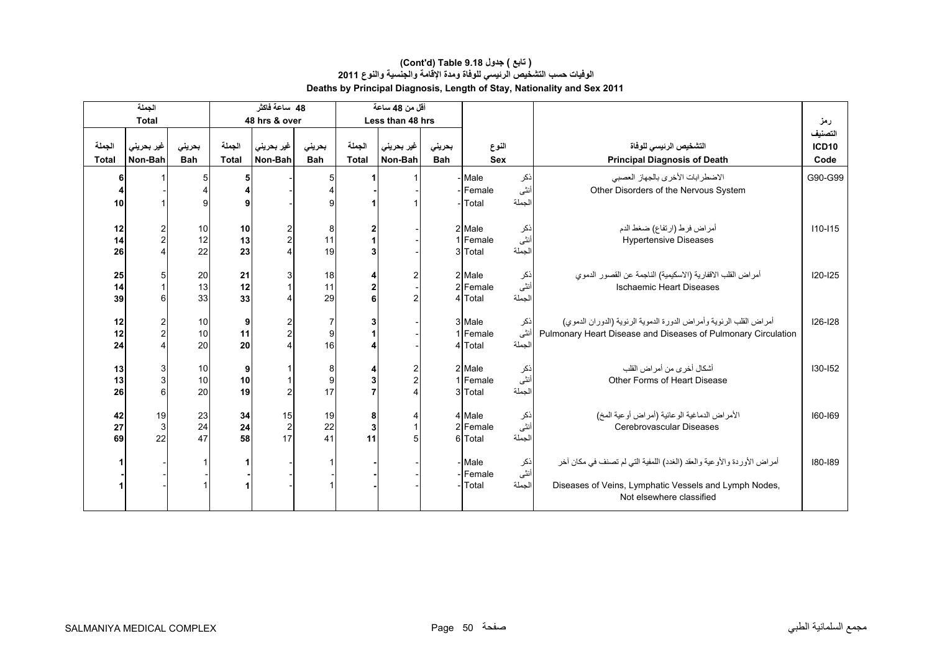|                        | الجملة                |                      |                        | 48 ساعة فاكثر              |                      |                        | أقل من 48 ساعة                                              |                      |                               |                       |                                                                                                                                                             |                                      |
|------------------------|-----------------------|----------------------|------------------------|----------------------------|----------------------|------------------------|-------------------------------------------------------------|----------------------|-------------------------------|-----------------------|-------------------------------------------------------------------------------------------------------------------------------------------------------------|--------------------------------------|
|                        | <b>Total</b>          |                      |                        | 48 hrs & over              |                      |                        | Less than 48 hrs                                            |                      |                               |                       |                                                                                                                                                             | رمز                                  |
| الجملة<br><b>Total</b> | غير بحريني<br>Non-Bah | بحريني<br><b>Bah</b> | الجملة<br><b>Total</b> | غير بحريني<br>Non-Bah      | بحرينى<br><b>Bah</b> | الجملة<br><b>Total</b> | غیر بحرین <i>ی</i><br>Non-Bah                               | بحريني<br><b>Bah</b> | النوع<br><b>Sex</b>           |                       | التشخيص الرئيسى للوفاة<br><b>Principal Diagnosis of Death</b>                                                                                               | التصنيف<br>ICD <sub>10</sub><br>Code |
| 10                     |                       | 5<br>g               | 5<br>9                 |                            | 5                    |                        |                                                             |                      | - Male<br>Female<br>-Total    | نكر<br>أنثى<br>الجملة | الاضطرابات الأخرى بالجهاز العصبي<br>Other Disorders of the Nervous System                                                                                   | G90-G99                              |
| 12<br>14<br>26         | $\frac{2}{2}$         | 10<br>12<br>22       | 10<br>13<br>23         |                            | 8<br>11<br>19        | 3                      |                                                             |                      | 2 Male<br>1 Female<br>3 Total | ذكر<br>أنثى<br>الجملة | أمراض فرط (ارتفاع) ضغط الدم<br><b>Hypertensive Diseases</b>                                                                                                 | $110 - 115$                          |
| 25<br>14<br>39         | 5<br>հ                | 20<br>13<br>33       | 21<br>12<br>33         |                            | 18<br>11<br>29       | 4<br>2                 | $\overline{2}$<br>$\overline{2}$                            |                      | 2 Male<br>2 Female<br>4 Total | نكر<br>أنثى<br>الجملة | أمراض القلب الاقفارية (الاسكيمية) الناجمة عن القصور الدموي<br><b>Ischaemic Heart Diseases</b>                                                               | $120 - 125$                          |
| 12<br>12<br>24         | $\overline{2}$        | 10<br>10<br>20       | 9<br>11<br>20          |                            | 7<br>9<br>16         |                        |                                                             |                      | 3 Male<br>Female<br>4 Total   | نكر<br>أنثى<br>الجملة | أمراض القلب الرئوية وأمراض الدورة الدموية الرئوية (الدوران الدموي)<br>Pulmonary Heart Disease and Diseases of Pulmonary Circulation                         | $126 - 128$                          |
| 13<br>13<br>26         | 3<br>3<br>6           | 10<br>10<br>20       | 9<br>10<br>19          |                            | 8<br>9<br>17         | $\overline{7}$         | $\overline{2}$<br>$\overline{c}$<br>$\overline{\mathbf{4}}$ |                      | 2 Male<br>1 Female<br>3 Total | ذكر<br>أنثى<br>الحملة | أشكال أخرى من أمر اض القلب<br>Other Forms of Heart Disease                                                                                                  | $130 - 152$                          |
| 42<br>27<br>69         | 19<br>3<br>22         | 23<br>24<br>47       | 34<br>24<br>58         | 15<br>$\overline{2}$<br>17 | 19<br>22<br>41       | 8<br>3<br>11           | 4<br>5                                                      |                      | 4 Male<br>2 Female<br>6 Total | ذکر<br>أنثى<br>الجملة | الأمراض الدماغية الوعائية (أمراض أوعية المخ)<br>Cerebrovascular Diseases                                                                                    | 160-169                              |
|                        |                       |                      |                        |                            |                      |                        |                                                             |                      | - Male<br>- Female<br>- Total | نكر<br>أنثى<br>الجملة | أمراض الأوردة والأوعية والعقد (الغدد) اللمفية التي لم تصنف في مكان أخر<br>Diseases of Veins, Lymphatic Vessels and Lymph Nodes,<br>Not elsewhere classified | 180-189                              |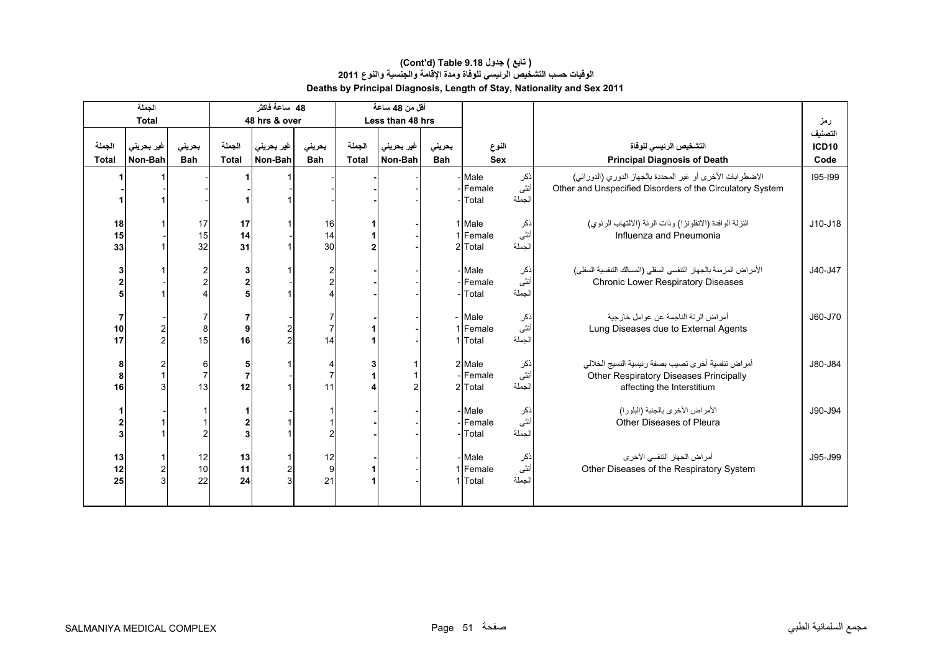|                          | الجملة                       |                           |                      | 48 ساعة فاكثر         |                              |                 | أقل من 48 ساعة        |                      |                                                      |                       |                                                                                                                           |                                      |
|--------------------------|------------------------------|---------------------------|----------------------|-----------------------|------------------------------|-----------------|-----------------------|----------------------|------------------------------------------------------|-----------------------|---------------------------------------------------------------------------------------------------------------------------|--------------------------------------|
|                          | <b>Total</b>                 |                           |                      | 48 hrs & over         |                              |                 | Less than 48 hrs      |                      |                                                      |                       |                                                                                                                           | رمز                                  |
| الجملة<br>Total          | غير بحريني<br>Non-Bah        | بحريني<br><b>Bah</b>      | الجملة<br>Total      | غير بحريني<br>Non-Bah | بحريني<br><b>Bah</b>         | الحملة<br>Total | غير بحريني<br>Non-Bah | بحريني<br><b>Bah</b> | النوع<br><b>Sex</b>                                  |                       | التشخيص الرئيسى للوفاة<br><b>Principal Diagnosis of Death</b>                                                             | التصنيف<br>ICD <sub>10</sub><br>Code |
|                          |                              |                           |                      |                       |                              |                 |                       |                      | - Male<br>Female<br>Total                            | نكر<br>أنثى<br>الجملة | الاضطرابات الأخرى أو غير المحددة بالجهاز الدوري (الدوراني)<br>Other and Unspecified Disorders of the Circulatory System   | 195-199                              |
| 18<br>15<br>33           |                              | 17<br>15<br>32            | 17<br>14<br>31       |                       | 16<br>14<br>30               |                 |                       |                      | 1 Male<br>1 Female<br>2 Total                        | ذكر<br>أنثى<br>الجملة | النزلة الوافدة (الانفلونزا) وذات الرئة (الالتهاب الرئوي)<br>Influenza and Pneumonia                                       | $J10-J18$                            |
| 3<br>$\overline{2}$<br>5 |                              | 2<br>$\overline{c}$       |                      |                       | 2                            |                 |                       |                      | - Male<br>- Female<br>- Total                        | ذکر<br>أنثى<br>الجملة | الأمر اض المزمنة بالجهاز التنفسي السفلي (المسالك التنفسية السفلي)<br><b>Chronic Lower Respiratory Diseases</b>            | J40-J47                              |
| 7<br>10<br>17            | $\frac{2}{2}$                | 8<br>15                   | 9<br>16              |                       | 14                           |                 |                       |                      | - Male<br>1 Female<br>1 Total                        | نكر<br>أنثى<br>الحملة | أمراض الرئة الناجمة عن عوامل خارجية<br>Lung Diseases due to External Agents                                               | J60-J70                              |
| 8<br>8<br>16             | $\overline{\mathbf{c}}$<br>3 | 6<br>$\overline{7}$<br>13 | $\overline{7}$<br>12 |                       | 11                           |                 | $\mathcal{P}$         |                      | 2 Male<br>-Female<br>2 Total                         | ذکر<br>أنثى<br>الجملة | أمراض تنفسية أخرى تصيب بصفة رئيسية النسيج الخلالي<br>Other Respiratory Diseases Principally<br>affecting the Interstitium | J80-J84                              |
| 3                        |                              |                           |                      |                       |                              |                 |                       |                      | ذکر<br>أنثى<br>- Male<br>Female<br>الجملة<br>- Total |                       | الأمراض الأخرى بالجنبة (البلورا)<br>Other Diseases of Pleura                                                              | J90-J94                              |
| 13<br>12<br>25           | $\overline{\mathbf{c}}$<br>3 | 12<br>10<br>22            | 13<br>11<br>24       |                       | 12<br>$\boldsymbol{9}$<br>21 |                 |                       |                      | - Male<br>1 Female<br>1 Total                        | نكر<br>أنثى<br>الجملة | أمراض الجهاز التنفسي الأخرى<br>Other Diseases of the Respiratory System                                                   | J95-J99                              |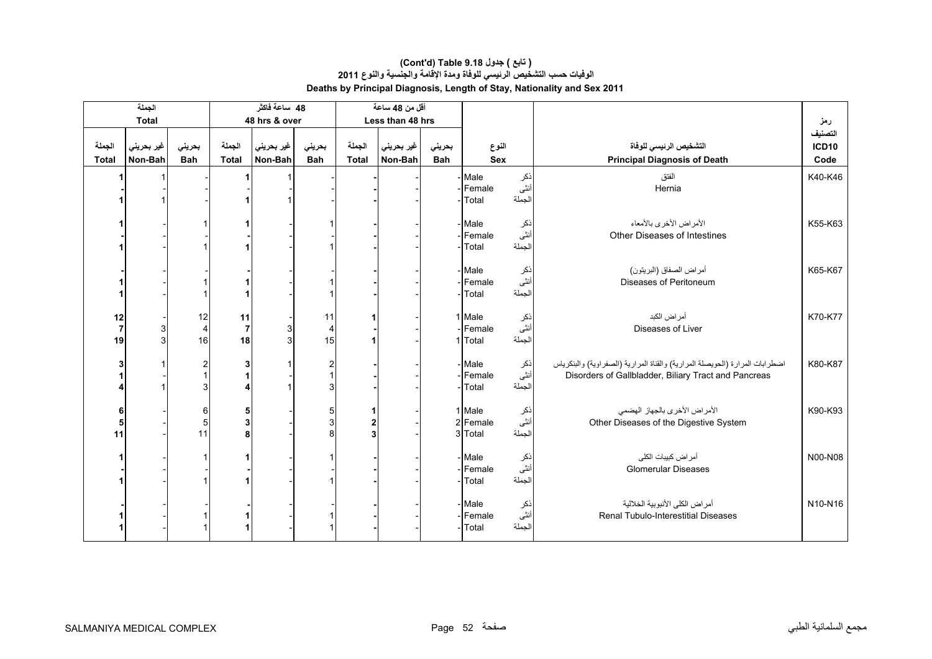|                | الجملة       |                         |                | 48 ساعة فاكثر |                |              | أقل من 48 ساعة   |            |                  |             |                                                                                                                                      |         |
|----------------|--------------|-------------------------|----------------|---------------|----------------|--------------|------------------|------------|------------------|-------------|--------------------------------------------------------------------------------------------------------------------------------------|---------|
|                | <b>Total</b> |                         |                | 48 hrs & over |                |              | Less than 48 hrs |            |                  |             |                                                                                                                                      | رمز     |
|                |              |                         |                |               |                |              |                  |            |                  |             |                                                                                                                                      | التصنيف |
| الجملة         | غير بحريني   | بحريني                  | الجملة         | غير بحريني    | بحريني         | الجملة       | غير بحريني       | بحريني     | النوع            |             | التشخيص الرئيسى للوفاة                                                                                                               | ICD10   |
| <b>Total</b>   | Non-Bah      | <b>Bah</b>              | <b>Total</b>   | Non-Bah       | <b>Bah</b>     | <b>Total</b> | Non-Bah          | <b>Bah</b> | <b>Sex</b>       |             | <b>Principal Diagnosis of Death</b>                                                                                                  | Code    |
|                |              |                         |                |               |                |              |                  |            | Male             | ذكر         | الفتق                                                                                                                                | K40-K46 |
|                |              |                         |                |               |                |              |                  |            | -IFemale         | أنثى        | Hernia                                                                                                                               |         |
|                |              |                         |                |               |                |              |                  |            | -Total           | الجملة      |                                                                                                                                      |         |
|                |              |                         |                |               |                |              |                  |            | Male             |             | الأمراض الأخرى بالأمعاء                                                                                                              | K55-K63 |
|                |              |                         |                |               |                |              |                  |            | Female           | ذکر<br>أنثى | Other Diseases of Intestines                                                                                                         |         |
|                |              |                         |                |               |                |              |                  |            | Total            | الجملة      |                                                                                                                                      |         |
|                |              |                         |                |               |                |              |                  |            |                  |             |                                                                                                                                      |         |
|                |              |                         |                |               |                |              |                  |            | Male             | ذکر<br>أنثى | أمراض الصفاق (البريتون)                                                                                                              | K65-K67 |
|                |              |                         |                |               |                |              |                  |            | Female           | الجملة      | Diseases of Peritoneum                                                                                                               |         |
|                |              |                         |                |               |                |              |                  |            | Total            |             |                                                                                                                                      |         |
| 12             |              | 12                      | 11             |               | 11             |              |                  |            | 1 Male           |             | أمر اض الكبد                                                                                                                         | K70-K77 |
| $\overline{7}$ | 3            | $\overline{4}$          | $\overline{7}$ |               | 4              |              |                  |            | Female           | ذکر<br>أنثى | Diseases of Liver                                                                                                                    |         |
| 19             | 3            | 16                      | 18             |               | 15             |              |                  |            | 1 Total          | الجملة      |                                                                                                                                      |         |
|                |              |                         |                |               |                |              |                  |            |                  |             |                                                                                                                                      |         |
|                |              | $\overline{\mathbf{c}}$ | 3              |               | 2              |              |                  |            | - Male<br>Female | ذکر<br>انٹی | اضطرابات المرارة (الحويصلة المرارية) والقناة المرارية (الصفراوية) والبنكرياس<br>Disorders of Gallbladder, Biliary Tract and Pancreas | K80-K87 |
|                |              | 3                       |                |               | $\overline{3}$ |              |                  |            | Total            | الجملة      |                                                                                                                                      |         |
|                |              |                         |                |               |                |              |                  |            |                  |             |                                                                                                                                      |         |
| 6              |              | $\,6$                   | 5              |               | 5              | 1            |                  |            | 1 Male           | ذکر<br>أنثى | الأمراض الأخرى بالجهاز الهضمى                                                                                                        | K90-K93 |
| 5              |              | 5                       | 3              |               | 3              | 2            |                  |            | 2 Female         |             | Other Diseases of the Digestive System                                                                                               |         |
| 11             |              | 11                      | 8              |               | 8              | 3            |                  |            | 3 Total          | الجملة      |                                                                                                                                      |         |
|                |              |                         |                |               |                |              |                  |            | - Male           |             | أمر اض كبيبات الكلى                                                                                                                  | N00-N08 |
|                |              |                         |                |               |                |              |                  |            | -Female          | ذکر<br>أنثى | <b>Glomerular Diseases</b>                                                                                                           |         |
|                |              |                         |                |               |                |              |                  |            | -Total           | الجملة      |                                                                                                                                      |         |
|                |              |                         |                |               |                |              |                  |            |                  |             |                                                                                                                                      |         |
|                |              |                         |                |               |                |              |                  |            | Male<br>Female   | ذکر<br>أنثى | أمراض الكلى الأنبوبية الخلالية<br><b>Renal Tubulo-Interestitial Diseases</b>                                                         | N10-N16 |
|                |              |                         |                |               |                |              |                  |            | Total            | الجملة      |                                                                                                                                      |         |
|                |              |                         |                |               |                |              |                  |            |                  |             |                                                                                                                                      |         |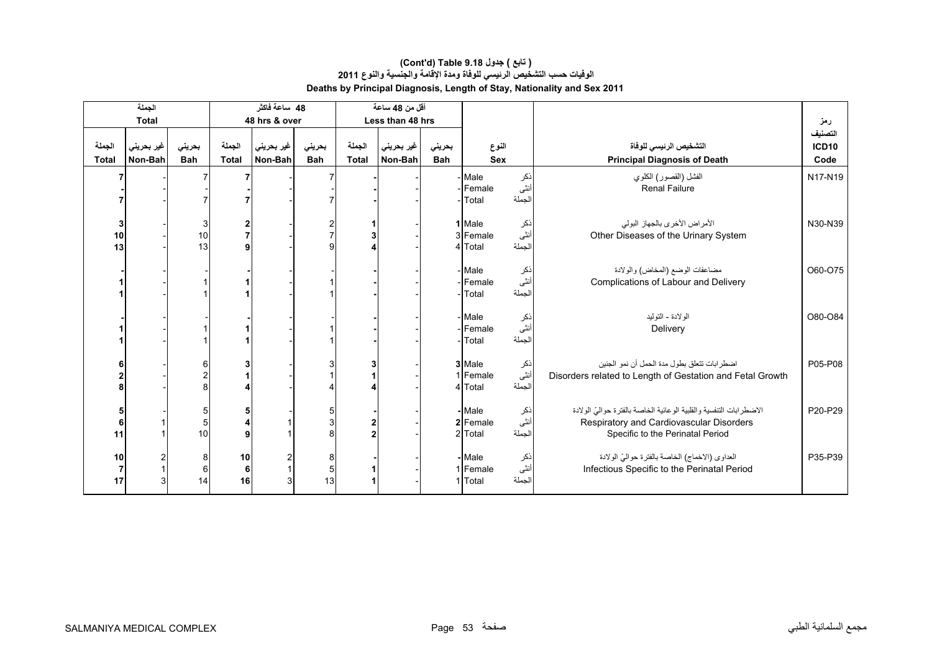#### **Deaths by Principal Diagnosis, Length of Stay, Nationality and Sex 2011 (Cont'd) Table 9.18 جدول ) تابع( الوفيات حسب التشخيص الرئيسي للوفاة ومدة اإلقامة والجنسية والنوع <sup>2011</sup>**

|                            | الجملة                       |                      |                                         | 48 ساعة فاكثر           |                      |                        | أقل من 48 ساعة        |                      |                               |                       |                                                                                                                                                     |                                 |
|----------------------------|------------------------------|----------------------|-----------------------------------------|-------------------------|----------------------|------------------------|-----------------------|----------------------|-------------------------------|-----------------------|-----------------------------------------------------------------------------------------------------------------------------------------------------|---------------------------------|
|                            | <b>Total</b>                 |                      |                                         | 48 hrs & over           |                      |                        | Less than 48 hrs      |                      |                               |                       |                                                                                                                                                     | رمز                             |
| الجملة<br><b>Total</b>     | غير بحريني<br>Non-Bah        | بحريني<br><b>Bah</b> | الجملة<br><b>Total</b>                  | غير بحريني ا<br>Non-Bah | بحريني<br><b>Bah</b> | الجملة<br><b>Total</b> | غير بحريني<br>Non-Bah | بحريني<br><b>Bah</b> | النوع<br><b>Sex</b>           |                       | التشخيص الرئيسى للوفاة<br><b>Principal Diagnosis of Death</b>                                                                                       | التصنيف<br><b>ICD10</b><br>Code |
|                            |                              |                      |                                         |                         |                      |                        |                       |                      | Male<br>- Female<br>Total     | نكر<br>أنثى<br>الجملة | الفشل (القصور) الكلوي<br><b>Renal Failure</b>                                                                                                       | N17-N19                         |
| 3<br>10<br>13              |                              | 3<br>10<br>13        |                                         |                         |                      |                        |                       |                      | 1 Male<br>3 Female<br>4 Total | ذكر<br>أنثى<br>الجملة | الأمر اض الأخر ي بالجهاز البولي<br>Other Diseases of the Urinary System                                                                             | N30-N39                         |
|                            |                              |                      |                                         |                         |                      |                        |                       |                      | - Male<br>Female<br>- Total   | ذکر<br>أنثى<br>الجملة | مضاعفات الوضع (المخاض) والولادة<br>Complications of Labour and Delivery                                                                             | O60-O75                         |
|                            |                              |                      |                                         |                         |                      |                        |                       |                      | - Male<br>Female<br>Total     | ذكر<br>أنثى<br>الجملة | الو لادة - التوليد<br>Delivery                                                                                                                      | O80-O84                         |
|                            |                              | 6                    |                                         |                         |                      |                        |                       |                      | 3 Male<br>1 Female<br>4 Total | ذکر<br>أنثى<br>الجملة | اضطر ابات تتعلق بطو ل مدة الحمل أن نمو الجنين<br>Disorders related to Length of Gestation and Fetal Growth                                          | P05-P08                         |
| 5<br>6<br>11               |                              | 5<br>5<br>10         |                                         |                         |                      |                        |                       |                      | - Male<br>2 Female<br>2 Total | ذکر<br>أنثى<br>الجملة | الاضطرابات التنفسية والقلبية الوعائية الخاصة بالفترة حواليّ الولادة<br>Respiratory and Cardiovascular Disorders<br>Specific to the Perinatal Period | P20-P29                         |
| 10<br>$\overline{7}$<br>17 | $\overline{\mathbf{c}}$<br>3 | 8<br>$\,6$<br>14     | 10<br>6 <sup>1</sup><br>16 <sup>1</sup> |                         | 8<br>5<br>13         |                        |                       |                      | - Male<br>1 Female<br>1 Total | ذكر<br>أنثى<br>الجملة | العداوي (الاخماج) الخاصة بالفترة حواليّ الولادة<br>Infectious Specific to the Perinatal Period                                                      | P35-P39                         |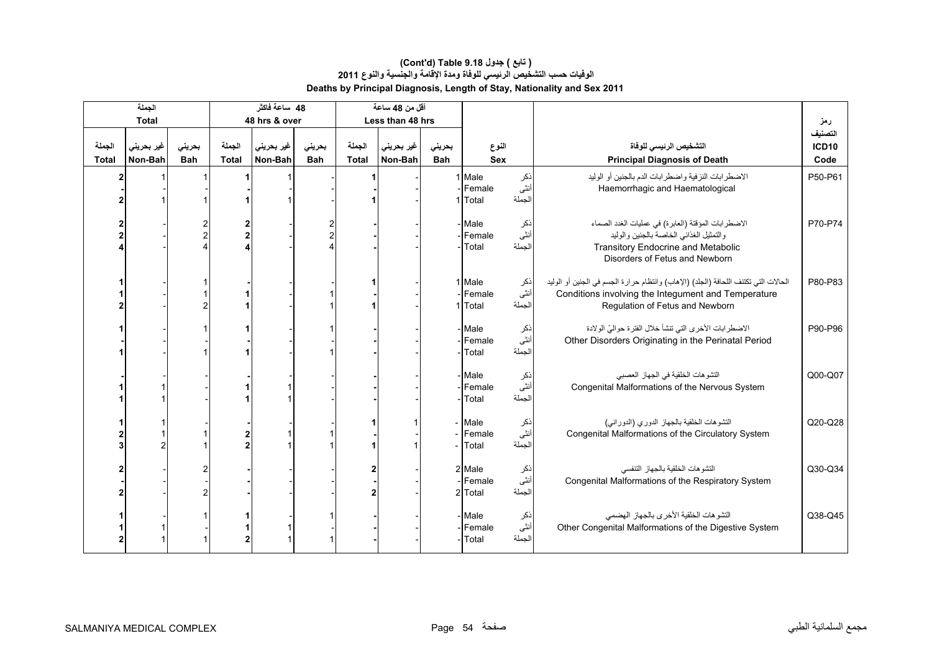|                        | الجملة                |                      |                 | 48 ساعة فاكثر         |                      |                        | أقل من 48 ساعة        |                      |                                      |                       |                                                                                                                                                                               |                                 |
|------------------------|-----------------------|----------------------|-----------------|-----------------------|----------------------|------------------------|-----------------------|----------------------|--------------------------------------|-----------------------|-------------------------------------------------------------------------------------------------------------------------------------------------------------------------------|---------------------------------|
|                        | <b>Total</b>          |                      |                 | 48 hrs & over         |                      |                        | Less than 48 hrs      |                      |                                      |                       |                                                                                                                                                                               | رمز                             |
| الجملة<br><b>Total</b> | غير بحريني<br>Non-Bah | بحريني<br><b>Bah</b> | الجملة<br>Total | غير بحريني<br>Non-Bah | بحريني<br><b>Bah</b> | الجملة<br><b>Total</b> | غير بحريني<br>Non-Bah | بحرينى<br><b>Bah</b> | النوع<br>Sex                         |                       | التشخيص الرئيسى للوفاة<br><b>Principal Diagnosis of Death</b>                                                                                                                 | التصنيف<br><b>ICD10</b><br>Code |
|                        |                       |                      |                 |                       |                      | 1                      |                       |                      | 1 Male<br>-Female<br>1 Total         | ذكر<br>أنثى<br>الجملة | الاضطرابات النزفية واضطرابات الدم بالجنين أو الوليد<br>Haemorrhagic and Haematological                                                                                        | P50-P61                         |
|                        |                       |                      |                 |                       |                      |                        |                       |                      | - Male<br>- <b>Female</b><br>Total   | نكر<br>أنثى<br>الجملة | الاضطرابات المؤقتة (العابرة) في عمليات الغدد الصماء<br>والتمثيل الغذائي الخاصة بالجنين والوليد<br><b>Transitory Endocrine and Metabolic</b><br>Disorders of Fetus and Newborn | P70-P74                         |
|                        |                       |                      |                 |                       |                      |                        |                       |                      | 1 Male<br>-Female<br>1 Total         | نكر<br>أنثى<br>الجملة | الحالات التي تكتنف اللحافة (الجلد) (الإهاب) وانتظام حرارة الجسم في الجنين أو الوليد<br>Conditions involving the Integument and Temperature<br>Regulation of Fetus and Newborn | P80-P83                         |
|                        |                       |                      |                 |                       |                      |                        |                       |                      | - Male<br>- Female<br>Total          | نكر<br>أنثى<br>الجملة | الاضطرابات الأخرى التي تنشأ خلال الفترة حواليّ الولادة<br>Other Disorders Originating in the Perinatal Period                                                                 | P90-P96                         |
|                        |                       |                      |                 |                       |                      |                        |                       |                      | - Male<br>- <b>Female</b><br>- Total | نكر<br>أنثى<br>الجملة | التشوهات الخلقية في الجهاز العصبي<br>Congenital Malformations of the Nervous System                                                                                           | Q00-Q07                         |
|                        |                       |                      |                 |                       |                      |                        |                       |                      | - Male<br>Female<br>Total            | ذكر<br>أنثى<br>الجملة | التشوهات الخلقية بالجهاز الدوري (الدورانبي)<br>Congenital Malformations of the Circulatory System                                                                             | Q20-Q28                         |
|                        |                       |                      |                 |                       |                      |                        |                       |                      | 2 Male<br>- Female<br>2 Total        | ذکر<br>انٹی<br>الجملة | التشو هات الخلقية بالجهاز التنفسي<br>Congenital Malformations of the Respiratory System                                                                                       | Q30-Q34                         |
|                        |                       |                      |                 |                       |                      |                        |                       |                      | - Male<br>-Female<br>- Total         | ذکر<br>انٹی<br>الجملة | التشوهات الخلقية الأخرى بالجهاز الهضمى<br>Other Congenital Malformations of the Digestive System                                                                              | Q38-Q45                         |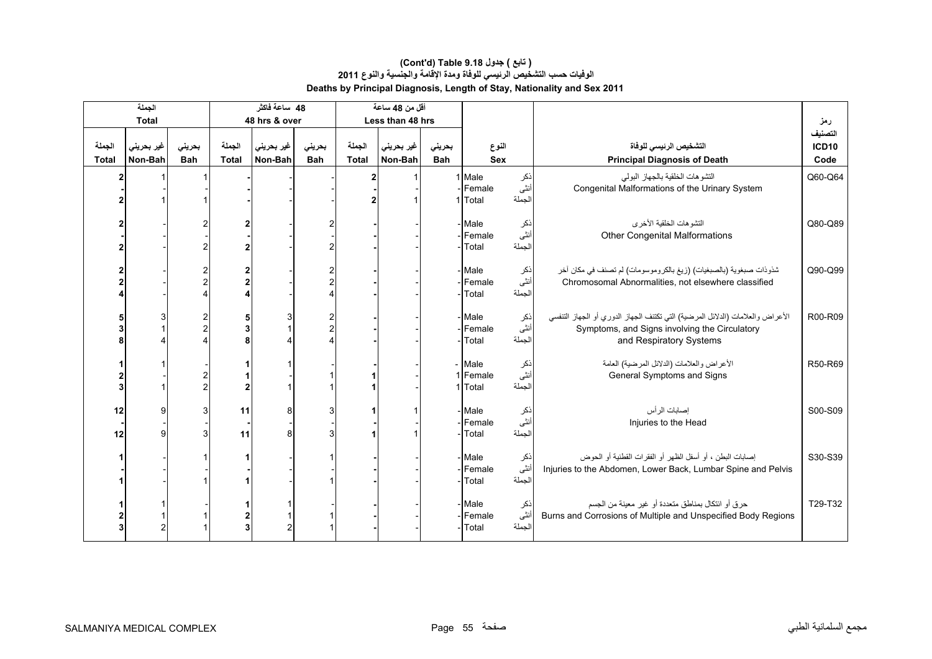|              | الجملة       |            |                | 48 ساعة فاكثر |            |              | أقل من 48 ساعة   |            |                     |                |                                                                                |         |
|--------------|--------------|------------|----------------|---------------|------------|--------------|------------------|------------|---------------------|----------------|--------------------------------------------------------------------------------|---------|
|              | <b>Total</b> |            |                | 48 hrs & over |            |              | Less than 48 hrs |            |                     |                |                                                                                | رمز     |
|              |              |            |                |               |            |              |                  |            |                     |                |                                                                                | التصنيف |
| الجملة       | غير بحريني   | بحريني     | الجملة         | غير بحريني    | بحريني     | الجملة       | غير بحريني       | بحريني     | النوع               |                | التشخيص الرئيسي للوفاة                                                         | ICD10   |
| <b>Total</b> | Non-Bah      | <b>Bah</b> | <b>Total</b>   | Non-Bah       | <b>Bah</b> | <b>Total</b> | Non-Bah          | <b>Bah</b> | <b>Sex</b>          |                | <b>Principal Diagnosis of Death</b>                                            | Code    |
|              |              |            |                |               |            | 2            |                  |            | 1 Male              | ذكر            | التشوهات الخلقية بالجهاز البولى                                                | Q60-Q64 |
|              |              |            |                |               |            |              |                  |            | Female              | أنثى           | Congenital Malformations of the Urinary System                                 |         |
|              |              |            |                |               |            |              |                  |            | 1 Total             | الجملة         |                                                                                |         |
|              |              |            |                |               |            |              |                  |            | Male                |                | التشوهات الخلقية الأخرى                                                        | Q80-Q89 |
|              |              |            |                |               |            |              |                  |            | Female              | نكر<br>أنثى    | <b>Other Congenital Malformations</b>                                          |         |
|              |              |            |                |               |            |              |                  |            | Total               | الجملة         |                                                                                |         |
|              |              |            |                |               |            |              |                  |            |                     |                |                                                                                |         |
|              |              |            | $\overline{2}$ |               |            |              |                  |            | Male                | نكر            | شذوذات صبغوية (بالصبغيات) (زيغ بالكروموسومات) لم تصنف في مكان أخر              | Q90-Q99 |
|              |              |            |                |               |            |              |                  |            | Female              | أنثى           | Chromosomal Abnormalities, not elsewhere classified                            |         |
|              |              |            |                |               |            |              |                  |            | Total               | الجملة         |                                                                                |         |
|              |              |            |                |               |            |              |                  |            |                     |                |                                                                                |         |
|              |              |            | 5              |               |            |              |                  |            | Male                | ذکر<br>انٹی    | الأعراض والعلامات (الدلائل المرضية) التي تكتنف الجهاز الدوري أو الجهاز التنفسي | R00-R09 |
|              |              |            |                |               |            |              |                  |            | Female<br>Total     | الجملة         | Symptoms, and Signs involving the Circulatory<br>and Respiratory Systems       |         |
|              |              |            |                |               |            |              |                  |            |                     |                |                                                                                |         |
|              |              |            |                |               |            |              |                  |            | - Male              |                | الأعراض والعلامات (الدلائل المرضية) العامة                                     | R50-R69 |
|              |              |            |                |               |            |              |                  |            | 1 Female            | ذکر<br>انٹی    | General Symptoms and Signs                                                     |         |
|              |              |            |                |               |            |              |                  |            | 1 Total             | الجملة         |                                                                                |         |
|              |              |            |                |               |            |              |                  |            |                     |                |                                                                                |         |
| 12           | 9            | 3          | 11             |               | 3          |              |                  |            | Male                | ذکر<br>أنثى    | إصابات الرأس                                                                   | S00-S09 |
|              | $\mathbf{Q}$ |            |                |               |            |              |                  |            | Female<br>Total     | الجملة         | Injuries to the Head                                                           |         |
| 12           |              |            | 11             |               |            |              |                  |            |                     |                |                                                                                |         |
|              |              |            |                |               |            |              |                  |            | Male                | نكر            | إصابات البطن ، أو أسفل الظهر أو الفقرات القطنية أو الحوض                       | S30-S39 |
|              |              |            |                |               |            |              |                  |            | Female              | أنثى           | Injuries to the Abdomen, Lower Back, Lumbar Spine and Pelvis                   |         |
|              |              |            |                |               |            |              |                  |            | Total               | الجملة         |                                                                                |         |
|              |              |            |                |               |            |              |                  |            |                     |                |                                                                                |         |
|              |              |            |                |               |            |              |                  |            | - Male              | نكر            | حرق أو ائتكال بمناطق متعددة أو غير معينة من الجسم                              | T29-T32 |
|              |              |            |                |               |            |              |                  |            | - Female<br>- Total | أنثى<br>الجملة | Burns and Corrosions of Multiple and Unspecified Body Regions                  |         |
|              |              |            |                |               |            |              |                  |            |                     |                |                                                                                |         |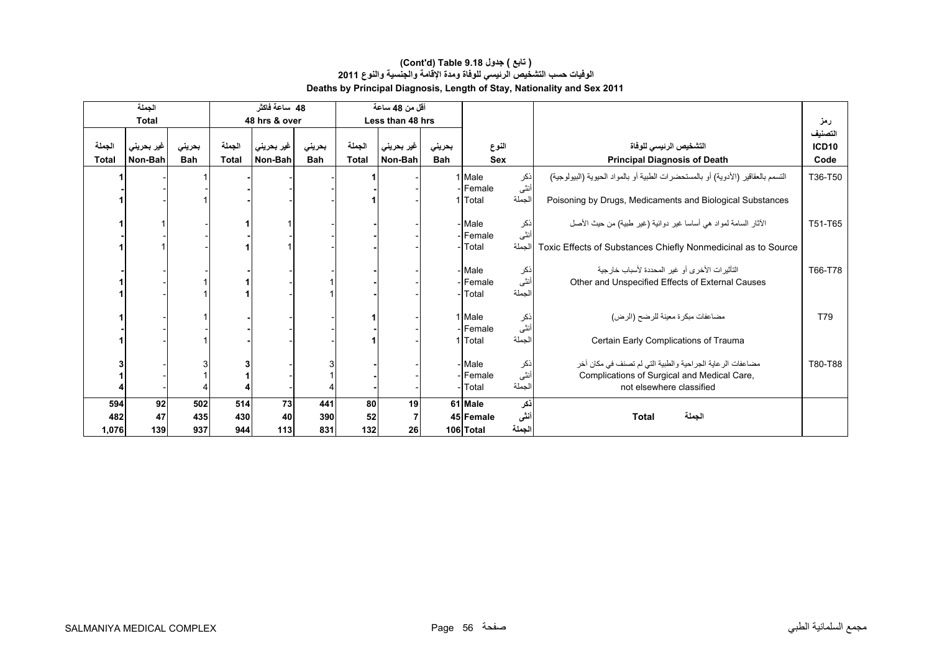|              | الجملة       |            |              | 48 ساعة فاكثر |            |              | أقل من 48 ساعة   |            |                     |                        |                                                                                  |              |
|--------------|--------------|------------|--------------|---------------|------------|--------------|------------------|------------|---------------------|------------------------|----------------------------------------------------------------------------------|--------------|
|              | <b>Total</b> |            |              | 48 hrs & over |            |              | Less than 48 hrs |            |                     |                        |                                                                                  | رمز          |
|              |              |            |              |               |            |              |                  |            |                     |                        |                                                                                  | التصنيف      |
| الجملة       | غير بحريني   | بحريني     | الجملة       | غير بحريني    | بحريني     | الجملة       | غیر بحرینی       | بحريني     | النوع               |                        | التشخيص الرئيسى للوفاة                                                           | <b>ICD10</b> |
| <b>Total</b> | Non-Bah      | <b>Bah</b> | <b>Total</b> | Non-Bah       | <b>Bah</b> | <b>Total</b> | Non-Bah          | <b>Bah</b> | <b>Sex</b>          |                        | <b>Principal Diagnosis of Death</b>                                              | Code         |
|              |              |            |              |               |            |              |                  |            | 1 Male<br>- Female  | ذکر<br>أنثى            | التسمم بالعقاقير (الأدوية) أو بالمستحضرات الطبية أو بالمواد الحيوية (البيولوجية) | T36-T50      |
|              |              |            |              |               |            |              |                  |            | 1 Total             | الجملة                 | Poisoning by Drugs, Medicaments and Biological Substances                        |              |
|              |              |            |              |               |            |              |                  |            | - Male<br>- Female  | نكر<br>أنثى            | الآثار السامة لمواد هي أساسا غير دوائية (غير طبية) من حيث الأصل                  | T51-T65      |
|              |              |            |              |               |            |              |                  |            | - Total             | الجملة                 | Toxic Effects of Substances Chiefly Nonmedicinal as to Source                    |              |
|              |              |            |              |               |            |              |                  |            | - Male              |                        | التَأْثِيرِ ات الأخرِ ي أو غيرِ المحددة لأسبابِ خارِ جِية                        | T66-T78      |
|              |              |            |              |               |            |              |                  |            | - Female<br>- Total | اذکر<br>انٹی<br>الجملة | Other and Unspecified Effects of External Causes                                 |              |
|              |              |            |              |               |            |              |                  |            | 1 Male<br>- Female  | ذکر<br>انٹی            | مضاعفات مبكرة معينة للرضح (الرض)                                                 | T79          |
|              |              |            |              |               |            |              |                  |            | 1 Total             | الجملة                 | Certain Early Complications of Trauma                                            |              |
|              |              |            |              |               |            |              |                  |            | - Male              |                        | مضاعفات الر عاية الجر احية والطبية التي لم تصنف في مكان آخر                      | T80-T88      |
|              |              |            |              |               |            |              |                  |            | -lFemale            | ذکر<br>أنثى            | Complications of Surgical and Medical Care,                                      |              |
|              |              |            |              |               |            |              |                  |            | - Total             | الجملة                 | not elsewhere classified                                                         |              |
| 594          | 92           | 502        | 514          | 73            | 441        | 80           | 19               |            | 61 Male             | ذكر                    |                                                                                  |              |
| 482          | 47           | 435        | 430          | 40            | 390        | 52           | $\overline{7}$   |            | 45 Female           | أننى                   | الجملة<br><b>Total</b>                                                           |              |
| 1,076        | 139          | 937        | 944          | 113           | 831        | 132          | 26               |            | 106 Total           | الجملة                 |                                                                                  |              |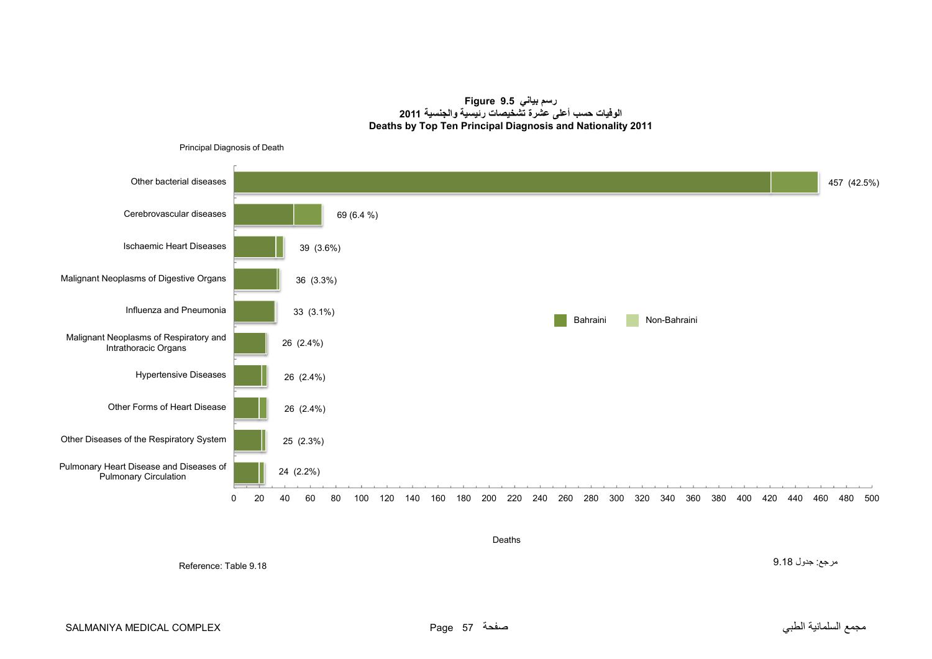**رسم بياني 9.5 Figure الوفيات حسب أعلى عشرة تشخيصات رئيسية والجنسية <sup>2011</sup> Deaths by Top Ten Principal Diagnosis and Nationality 2011**



Deaths

مرجع: جدول 9.18

Reference: Table 9.18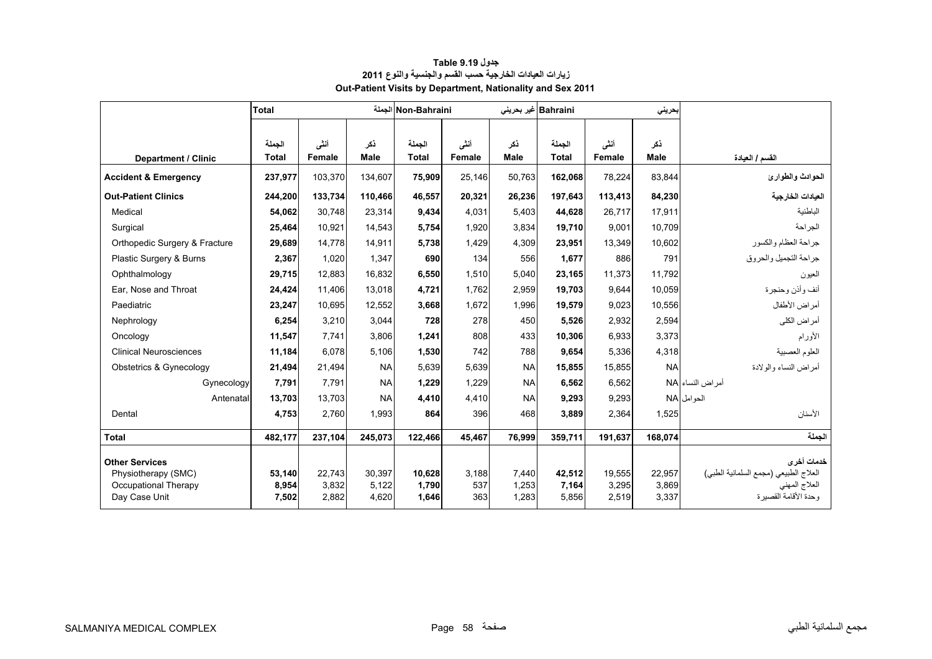<span id="page-56-0"></span>

|                                                                      | <b>Total</b>    |                 |                    | Non-Bahraini الجملة    |                | Bahraini غیر بحرینی |                        |                 | بحرينى             |                                                                      |
|----------------------------------------------------------------------|-----------------|-----------------|--------------------|------------------------|----------------|---------------------|------------------------|-----------------|--------------------|----------------------------------------------------------------------|
| <b>Department / Clinic</b>                                           | الجملة<br>Total | أنشى<br>Female  | ڏکر<br><b>Male</b> | الجملة<br><b>Total</b> | أنشى<br>Female | ذكر<br>Male         | الجملة<br><b>Total</b> | أنشى<br>Female  | ذكر<br><b>Male</b> | القسم / العيادة                                                      |
| <b>Accident &amp; Emergency</b>                                      | 237,977         | 103,370         | 134,607            | 75,909                 | 25,146         | 50,763              | 162,068                | 78,224          | 83,844             | الحوادث والطوارئ                                                     |
| <b>Out-Patient Clinics</b>                                           | 244,200         | 133,734         | 110,466            | 46,557                 | 20,321         | 26,236              | 197,643                | 113,413         | 84,230             | العيادات الخارجية                                                    |
| Medical                                                              | 54.062          | 30.748          | 23.314             | 9.434                  | 4.031          | 5.403               | 44.628                 | 26,717          | 17.911             | الباطنية                                                             |
| Surgical                                                             | 25,464          | 10.921          | 14.543             | 5,754                  | 1,920          | 3.834               | 19.710                 | 9.001           | 10.709             | الجر احة                                                             |
| Orthopedic Surgery & Fracture                                        | 29,689          | 14.778          | 14,911             | 5,738                  | 1,429          | 4.309               | 23,951                 | 13.349          | 10,602             | جراحة العظام والكسور                                                 |
| Plastic Surgery & Burns                                              | 2,367           | 1,020           | 1,347              | 690                    | 134            | 556                 | 1,677                  | 886             | 791                | جراحة التجميل والحروق                                                |
| Ophthalmology                                                        | 29,715          | 12,883          | 16,832             | 6,550                  | 1,510          | 5,040               | 23,165                 | 11,373          | 11,792             | العيون                                                               |
| Ear. Nose and Throat                                                 | 24,424          | 11.406          | 13,018             | 4.721                  | 1.762          | 2.959               | 19.703                 | 9.644           | 10.059             | أنف وأذن وحنجرة                                                      |
| Paediatric                                                           | 23,247          | 10.695          | 12.552             | 3.668                  | 1.672          | 1.996               | 19.579                 | 9.023           | 10,556             | أمراض الأطفال                                                        |
| Nephrology                                                           | 6,254           | 3.210           | 3.044              | 728                    | 278            | 450                 | 5.526                  | 2.932           | 2.594              | أمراض الكلى                                                          |
| Oncology                                                             | 11.547          | 7.741           | 3.806              | 1.241                  | 808            | 433                 | 10.306                 | 6.933           | 3,373              | الأورام                                                              |
| <b>Clinical Neurosciences</b>                                        | 11,184          | 6.078           | 5.106              | 1,530                  | 742            | 788                 | 9.654                  | 5.336           | 4,318              | العلوم العصبية                                                       |
| Obstetrics & Gynecology                                              | 21,494          | 21,494          | <b>NA</b>          | 5.639                  | 5,639          | <b>NA</b>           | 15,855                 | 15,855          | <b>NA</b>          | أمراض النساء والولادة                                                |
| Gynecology                                                           | 7,791           | 7.791           | <b>NA</b>          | 1,229                  | 1,229          | <b>NA</b>           | 6,562                  | 6.562           |                    | أمر اض النساء NA                                                     |
| Antenatal                                                            | 13,703          | 13.703          | <b>NA</b>          | 4,410                  | 4,410          | <b>NA</b>           | 9,293                  | 9,293           |                    | الحوامل NA                                                           |
| Dental                                                               | 4,753           | 2.760           | 1,993              | 864                    | 396            | 468                 | 3,889                  | 2,364           | 1,525              | الأسنان                                                              |
| <b>Total</b>                                                         | 482.177         | 237,104         | 245.073            | 122,466                | 45.467         | 76.999              | 359.711                | 191.637         | 168.074            | الحملة                                                               |
| <b>Other Services</b><br>Physiotherapy (SMC)<br>Occupational Therapy | 53,140<br>8,954 | 22.743<br>3,832 | 30.397<br>5,122    | 10.628<br>1,790        | 3.188<br>537   | 7.440<br>1,253      | 42,512<br>7,164        | 19,555<br>3,295 | 22.957<br>3,869    | خدمات أخرى<br>العلاج الطبيعي (مجمع السلمانية الطبي)<br>العلاج المهنى |
| Day Case Unit                                                        | 7,502           | 2,882           | 4,620              | 1,646                  | 363            | 1,283               | 5,856                  | 2,519           | 3,337              | وحدة الأقامة القصبر ة                                                |

# **جدول 9.19 Table زيارات العيادات الخارجية حسب القسم والجنسية والنوع <sup>2011</sup> Out-Patient Visits by Department, Nationality and Sex 2011**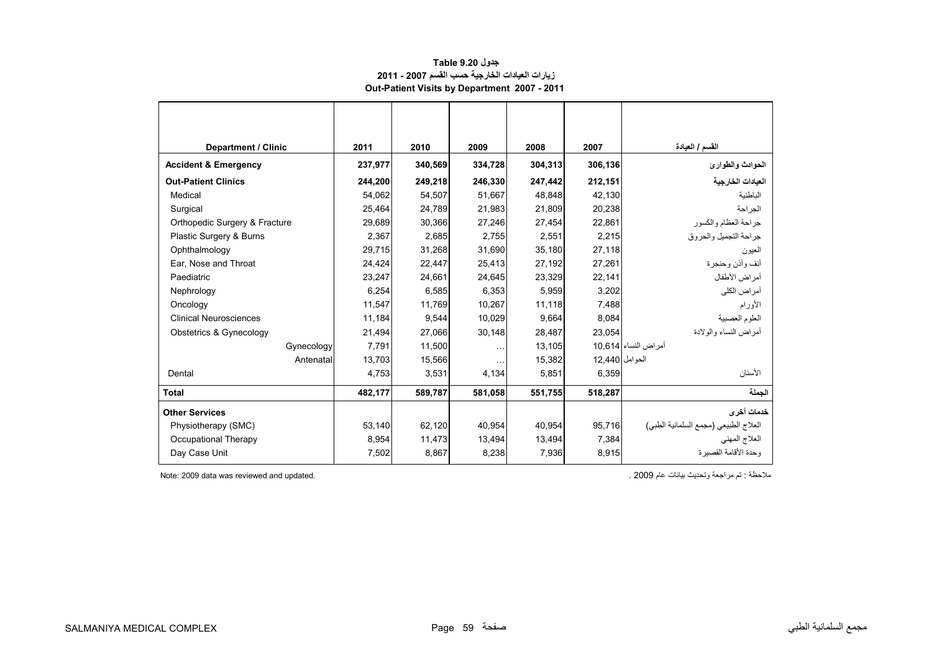# **جدول 9.20 Table زيارات العيادات الخارجية حسب القسم 2007 - 2011 Out-Patient Visits by Department 2007 - 2011**

<span id="page-57-0"></span>

| <b>Department / Clinic</b>      | 2011    | 2010    | 2009                 | 2008    | 2007           | القسم / العيادة                       |
|---------------------------------|---------|---------|----------------------|---------|----------------|---------------------------------------|
| <b>Accident &amp; Emergency</b> | 237,977 | 340,569 | 334,728              | 304,313 | 306,136        | الحوادث والطوارئ                      |
| <b>Out-Patient Clinics</b>      | 244.200 | 249,218 | 246.330              | 247,442 | 212,151        | العبادات الخارجية                     |
| Medical                         | 54,062  | 54,507  | 51,667               | 48,848  | 42,130         | الباطنية                              |
| Surgical                        | 25,464  | 24,789  | 21,983               | 21,809  | 20,238         | الجر احة                              |
| Orthopedic Surgery & Fracture   | 29,689  | 30,366  | 27.246               | 27.454  | 22.861         | جراحة العظام والكسور                  |
| Plastic Surgery & Burns         | 2,367   | 2,685   | 2,755                | 2,551   | 2,215          | جر احة التجميل و الحر و ق             |
| Ophthalmology                   | 29,715  | 31,268  | 31,690               | 35,180  | 27,118         | العيون                                |
| Ear, Nose and Throat            | 24,424  | 22,447  | 25,413               | 27,192  | 27,261         | أنف وأذن وحنجرة                       |
| Paediatric                      | 23,247  | 24,661  | 24,645               | 23,329  | 22,141         | أمراض الأطفال                         |
| Nephrology                      | 6,254   | 6,585   | 6,353                | 5,959   | 3,202          | أمر اض الكلي                          |
| Oncology                        | 11,547  | 11,769  | 10,267               | 11,118  | 7,488          | الأورام                               |
| <b>Clinical Neurosciences</b>   | 11,184  | 9,544   | 10,029               | 9.664   | 8,084          | العلوم العصبية                        |
| Obstetrics & Gynecology         | 21,494  | 27,066  | 30,148               | 28,487  | 23,054         | أمر اض النساء والو لادة               |
| Gynecology                      | 7,791   | 11,500  | $\sim$ $\sim$        | 13,105  |                | أمراض النساء 10,614                   |
| Antenatal                       | 13,703  | 15,566  | $\sim$ $\sim$ $\sim$ | 15,382  | الحوامل 12.440 |                                       |
| Dental                          | 4,753   | 3,531   | 4,134                | 5,851   | 6,359          | الأسنان                               |
| <b>Total</b>                    | 482,177 | 589,787 | 581,058              | 551,755 | 518,287        | الحملة                                |
| <b>Other Services</b>           |         |         |                      |         |                | خدمات أخرى                            |
| Physiotherapy (SMC)             | 53,140  | 62,120  | 40,954               | 40,954  | 95,716         | العلاج الطبيعي (مجمع السلمانية الطبي) |
| Occupational Therapy            | 8,954   | 11,473  | 13,494               | 13,494  | 7,384          | العلاج المهنى                         |
| Day Case Unit                   | 7,502   | 8,867   | 8,238                | 7,936   | 8,915          | ، حدة الأقامة القصير ة                |

ملاحظة : تم مراجعة وتحديث بيانات عام 2009 .<br>ـ .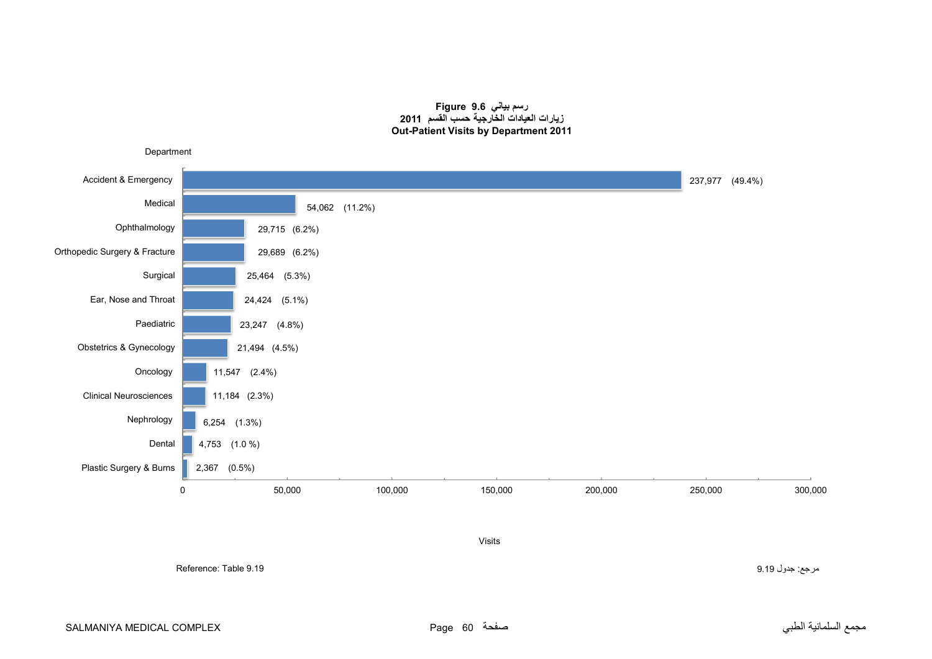#### **رسم بياني 9.6 Figure زيارات العيادات الخارجية حسب القسم <sup>2011</sup> Out-Patient Visits by Department 2011**

<span id="page-58-0"></span>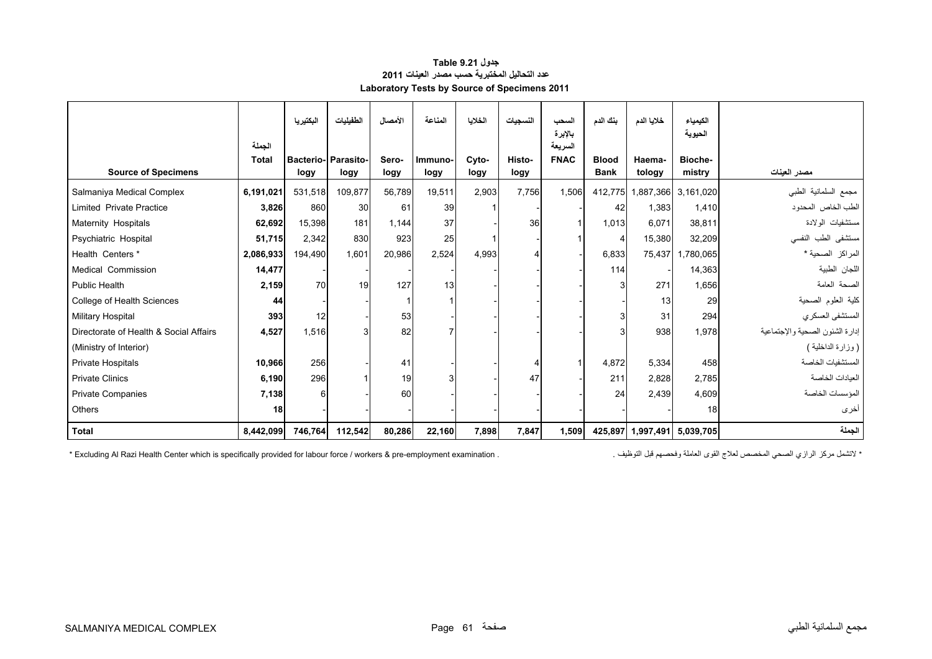# **جدول 9.21 Table عدد التحاليل المختبرية حسب مصدر العينات <sup>2011</sup> Laboratory Tests by Source of Specimens 2011**

<span id="page-59-0"></span>

|                                        |                 | البكتيريا                | الطفيليات         | الأمصال       | المناعة         | الخلايا       | النسجيات       | السحب                             | بنك الدم                    | خلايا الدم        | الكيمياء                     |                                   |
|----------------------------------------|-----------------|--------------------------|-------------------|---------------|-----------------|---------------|----------------|-----------------------------------|-----------------------------|-------------------|------------------------------|-----------------------------------|
| <b>Source of Specimens</b>             | الجملة<br>Total | <b>Bacterio-</b><br>logy | Parasito-<br>logy | Sero-<br>logy | Immuno-<br>logy | Cyto-<br>logy | Histo-<br>logy | بالإبرة<br>السريعة<br><b>FNAC</b> | <b>Blood</b><br><b>Bank</b> | Haema-<br>tology  | الحيوية<br>Bioche-<br>mistry | مصدر العينات                      |
| Salmaniya Medical Complex              | 6,191,021       | 531,518                  | 109,877           | 56,789        | 19,511          | 2,903         | 7.756          | 1.506                             |                             |                   | 412,775 1,887,366 3,161,020  | مجمع السلمانية الطبى              |
| <b>Limited Private Practice</b>        | 3,826           | 860                      | 30                | 61            | 39              |               |                |                                   | 42                          | 1,383             | 1,410                        | الطب الخاص المحدود                |
| Maternity Hospitals                    | 62,692          | 15,398                   | 181               | 1,144         | 37              |               | 36             |                                   | 1,013                       | 6,071             | 38,811                       | مستشفيات الولادة                  |
| Psychiatric Hospital                   | 51,715          | 2,342                    | 830               | 923           | 25              |               |                |                                   | $\overline{4}$              | 15,380            | 32,209                       | مستشفى الطب النفسى                |
| Health Centers*                        | 2,086,933       | 194,490                  | 1.601             | 20,986        | 2,524           | 4,993         | 4              |                                   | 6,833                       | 75,437            | 1,780,065                    | المراكز الصحية *                  |
| Medical Commission                     | 14,477          |                          |                   |               |                 |               |                |                                   | 114                         |                   | 14,363                       | اللجان الطبية                     |
| Public Health                          | 2,159           | 70                       | 19                | 127           | 13              |               |                |                                   | 3                           | 271               | 1.656                        | الصحة العامة                      |
| College of Health Sciences             | 44              |                          |                   |               |                 |               |                |                                   |                             | 13                | 29                           | كلية العلوم الصحية                |
| Military Hospital                      | 393             | 12                       |                   | 53            |                 |               |                |                                   | 3                           | 31                | 294                          | المستشفى العسكري                  |
| Directorate of Health & Social Affairs | 4,527           | 1,516                    | 3                 | 82            |                 |               |                |                                   | 3                           | 938               | 1,978                        | إدار ة الشئون الصحية و الإجتماعية |
| (Ministry of Interior)                 |                 |                          |                   |               |                 |               |                |                                   |                             |                   |                              | ( وزارة الداخلية )                |
| <b>Private Hospitals</b>               | 10,966          | 256                      |                   | 41            |                 |               | 4              |                                   | 4,872                       | 5.334             | 458                          | المستشفيات الخاصة                 |
| <b>Private Clinics</b>                 | 6,190           | 296                      |                   | 19            | 3               |               | 47             |                                   | 211                         | 2,828             | 2,785                        | العدادات الخاصة                   |
| <b>Private Companies</b>               | 7,138           | 6                        |                   | 60            |                 |               |                |                                   | 24                          | 2.439             | 4.609                        | المؤسسات الخاصة                   |
| Others                                 | 18              |                          |                   |               |                 |               |                |                                   |                             |                   | 18                           | أخرى                              |
| <b>Total</b>                           | 8,442,099       | 746,764                  | 112,542           | 80,286        | 22,160          | 7,898         | 7,847          | 1,509                             |                             | 425,897 1,997,491 | 5,039,705                    | الجملة                            |

\* Excluding Al Razi Health Center which is specifically provided for labour force / workers & pre-employment examination . . . التشمل مركز الرازي الصحي المخصص لعلاج القوى العاملة وفحصهم قبل التوظيف .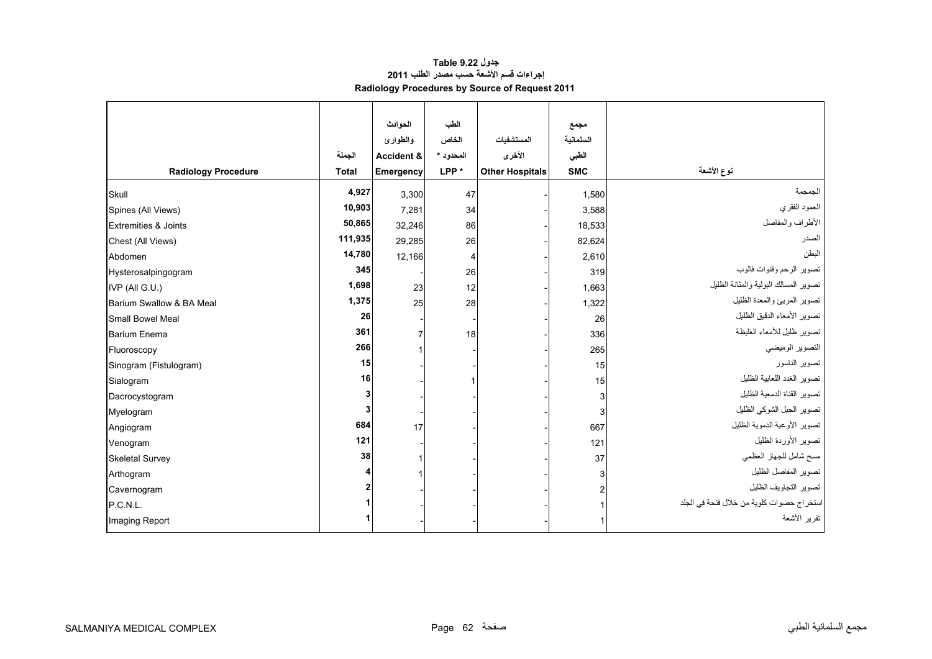# **جدول 9.22 Table إجراءات قسم األشعة حسب مصدر الطلب <sup>2011</sup> Radiology Procedures by Source of Request 2011**

<span id="page-60-0"></span>

|                                 |              | الحوادث    | الطب           |                        | مجمع       |                                           |
|---------------------------------|--------------|------------|----------------|------------------------|------------|-------------------------------------------|
|                                 |              | والطوارئ   | الخاص          | المستشفيات             | السلمانية  |                                           |
|                                 | الجملة       | Accident & | المحدود *      | الأخرى                 | الطبى      |                                           |
| <b>Radiology Procedure</b>      | <b>Total</b> | Emergency  | LPP*           | <b>Other Hospitals</b> | <b>SMC</b> | نوع الأشعة                                |
| Skull                           | 4,927        | 3,300      | 47             |                        | 1,580      | الجمجمة                                   |
| Spines (All Views)              | 10,903       | 7,281      | 34             |                        | 3,588      | العمود الفقري                             |
| <b>Extremities &amp; Joints</b> | 50,865       | 32,246     | 86             |                        | 18,533     | الأطراف والمفاصل                          |
| Chest (All Views)               | 111,935      | 29,285     | 26             |                        | 82,624     | الصدر                                     |
| Abdomen                         | 14,780       | 12,166     | $\overline{4}$ |                        | 2,610      | البطن                                     |
| Hysterosalpingogram             | 345          |            | 26             |                        | 319        | تصوير الرحم وقنوات فالوب                  |
| IVP (All G.U.)                  | 1,698        | 23         | 12             |                        | 1,663      | تصوير المسالك البولية والمثانة الظليل     |
| Barium Swallow & BA Meal        | 1,375        | 25         | 28             |                        | 1,322      | تصوير المريئ والمعدة الظليل               |
| Small Bowel Meal                | 26           |            |                |                        | 26         | تصوير الأمعاء الدقيق الظليل               |
| <b>Barium Enema</b>             | 361          |            | 18             |                        | 336        | تصوير ظليل للأمعاء الغليظة                |
| Fluoroscopy                     | 266          |            |                |                        | 265        | التصوير الوميضى                           |
| Sinogram (Fistulogram)          | 15           |            |                |                        | 15         | تصوير الناسور                             |
| Sialogram                       | 16           |            |                |                        | 15         | تصوير الغدد اللعابية الظليل               |
| Dacrocystogram                  |              |            |                |                        | 3          | تصوير القناة الدمعية الظليل               |
| Myelogram                       |              |            |                |                        | 3          | تصوير الحبل الشوكي الظليل                 |
| Angiogram                       | 684          | 17         |                |                        | 667        | تصوير الأوعية الدموية الظليل              |
| Venogram                        | 121          |            |                |                        | 121        | تصوير الأوردة الظليل                      |
| <b>Skeletal Survey</b>          | 38           |            |                |                        | 37         | مسح شامل للجهاز العظمى                    |
| Arthogram                       |              |            |                |                        |            | تصوير المفاصل الظليل                      |
| Cavernogram                     |              |            |                |                        |            | تصوير التجاويف الظليل                     |
| P.C.N.L.                        |              |            |                |                        |            | استخراج حصوات كلوية من خلال فتحة في الجلد |
| Imaging Report                  |              |            |                |                        |            | تقرير الأشعة                              |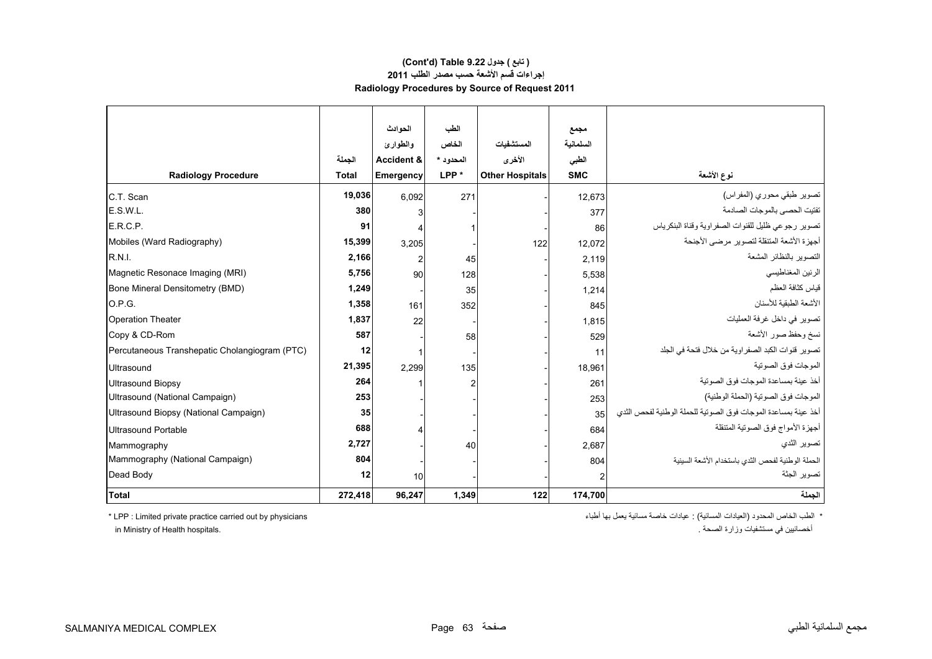# **Radiology Procedures by Source of Request 2011 (Cont'd) Table 9.22 جدول ) تابع( إجراءات قسم األشعة حسب مصدر الطلب <sup>2011</sup>**

|                                               |              | الحوادث               | الطب      |                        | مجمع       |                                                                |
|-----------------------------------------------|--------------|-----------------------|-----------|------------------------|------------|----------------------------------------------------------------|
|                                               |              | والطوارئ              | الخاص     | المستشفيات             | السلمانية  |                                                                |
|                                               | الجملة       | <b>Accident &amp;</b> | المحدود * | الأخرى                 | الطبى      |                                                                |
| <b>Radiology Procedure</b>                    | <b>Total</b> | Emergency             | LPP*      | <b>Other Hospitals</b> | <b>SMC</b> | نوع الأشعة                                                     |
| C.T. Scan                                     | 19,036       | 6.092                 | 271       |                        | 12,673     | تصوير طبقي محوري (المفراس)                                     |
| E.S.W.L.                                      | 380          | 3                     |           |                        | 377        | تفتيت الحصي بالموجات الصادمة                                   |
| E.R.C.P.                                      | 91           | 4                     |           |                        | 86         | تصوير رجوعي ظليل للقنوات الصفراوية وقناة البنكرياس             |
| Mobiles (Ward Radiography)                    | 15,399       | 3,205                 |           | 122                    | 12,072     | أجهزة الأشعة المتنقلة لتصوير مرضى الأجنحة                      |
| R.N.I.                                        | 2,166        | 2                     | 45        |                        | 2,119      | التصوير بالنظائر المشعة                                        |
| Magnetic Resonace Imaging (MRI)               | 5,756        | 90                    | 128       |                        | 5,538      | الرنين المغناطيسي                                              |
| Bone Mineral Densitometry (BMD)               | 1,249        |                       | 35        |                        | 1,214      | قياس كثافة العظم                                               |
| O.P.G.                                        | 1,358        | 161                   | 352       |                        | 845        | الأشعة الطبقية للأسنان                                         |
| <b>Operation Theater</b>                      | 1,837        | 22                    |           |                        | 1,815      | تصوير في داخل غرفة العمليات                                    |
| Copy & CD-Rom                                 | 587          |                       | 58        |                        | 529        | نسخ وحفظ صور الأشعة                                            |
| Percutaneous Transhepatic Cholangiogram (PTC) | 12           | 1                     |           |                        | 11         | تصوير قنوات الكبد الصفر اوية من خلال فتحة في الجلد             |
| Ultrasound                                    | 21,395       | 2.299                 | 135       |                        | 18.961     | الموجات فوق الصوتية                                            |
| <b>Ultrasound Biopsy</b>                      | 264          |                       |           |                        | 261        | أخذ عبنة بمساعدة الموجات فوق الصوتبة                           |
| Ultrasound (National Campaign)                | 253          |                       |           |                        | 253        | الموجات فوق الصوتية (الحملة الوطنية)                           |
| Ultrasound Biopsy (National Campaign)         | 35           |                       |           |                        | 35         | أخذ عينة بمساعدة الموجات فوق الصوتية للحملة الوطنية لفحص الثدى |
| Ultrasound Portable                           | 688          | 4                     |           |                        | 684        | أجهزة الأمواج فوق الصوتية المتنقلة                             |
| Mammography                                   | 2,727        |                       | 40        |                        | 2.687      | تصوير الثدي                                                    |
| Mammography (National Campaign)               | 804          |                       |           |                        | 804        | الحملة الوطنية لفحص الثدى باستخدام الأشعة السينية              |
| Dead Body                                     | 12           | 10                    |           |                        |            | تصوير الجثة                                                    |
| <b>Total</b>                                  | 272,418      | 96,247                | 1,349     | 122                    | 174,700    | الجملة                                                         |

\* الطب الخاص المحدود (العيادات المسائية) : عيادات خاصة مسائية يعمل بھا أطباء physicians by out carried practice private Limited : LPP\*

أخصائيين في مستشفيات وزارة الصحة . .hospitals Health of Ministry in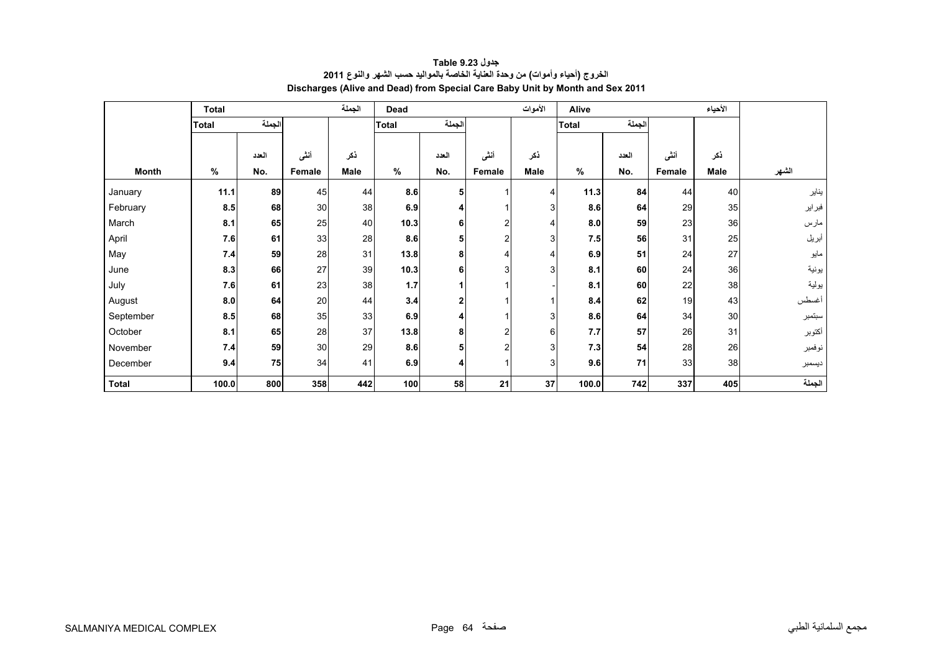<span id="page-62-0"></span>

|              | <b>Total</b> |        |        | الجملة | Dead         |                |                | الأموات | Alive        |       |        | الأحياء         |        |
|--------------|--------------|--------|--------|--------|--------------|----------------|----------------|---------|--------------|-------|--------|-----------------|--------|
|              | <b>Total</b> | الجملة |        |        | <b>Total</b> | الجملة         |                |         | <b>Total</b> | لجملة |        |                 |        |
|              |              |        |        |        |              |                |                |         |              |       |        |                 |        |
|              |              | العدد  | أننى   | ذكر    |              | العدد          | أننى           | ذكر     |              | العدد | أننى   | ذكر             |        |
| <b>Month</b> | $\%$         | No.    | Female | Male   | $\%$         | No.            | Female         | Male    | $\%$         | No.   | Female | Male            | الشهر  |
| January      | 11.1         | 89     | 45     | 44     | 8.6          | 5              |                | 4       | 11.3         | 84    | 44     | 40              | يناير  |
| February     | 8.5          | 68     | 30     | 38     | 6.9          | 4              |                | 3       | 8.6          | 64    | 29     | 35 <sub>5</sub> | فبراير |
| March        | 8.1          | 65     | 25     | 40     | 10.3         | $6 \mid$       | 2              |         | 8.0          | 59    | 23     | 36              | مارس   |
| April        | 7.6          | 61     | 33     | 28     | 8.6          | 5              | $\overline{c}$ | 3       | 7.5          | 56    | 31     | 25              | أبريل  |
| May          | 7.4          | 59     | 28     | 31     | 13.8         | 8 <sub>l</sub> | 4              |         | 6.9          | 51    | 24     | 27              | مايو   |
| June         | 8.3          | 66     | 27     | 39     | 10.3         | 6              | 3              | 3       | 8.1          | 60    | 24     | 36              | يونية  |
| July         | 7.6          | 61     | 23     | 38     | 1.7          |                |                |         | 8.1          | 60    | 22     | 38              | يولية  |
| August       | 8.0          | 64     | 20     | 44     | 3.4          | 2              |                |         | 8.4          | 62    | 19     | 43              | أغسطس  |
| September    | 8.5          | 68     | 35     | 33     | 6.9          | 4              |                | 3       | 8.6          | 64    | 34     | 30              | سبتمبر |
| October      | 8.1          | 65     | 28     | 37     | 13.8         | 8              | 2              | 6       | 7.7          | 57    | 26     | 31              | أكتوبر |
| November     | 7.4          | 59     | 30     | 29     | 8.6          | 5              | 2              | 3       | 7.3          | 54    | 28     | 26              | نوفمبر |
| December     | 9.4          | 75     | 34     | 41     | 6.9          | 4              |                | 3       | 9.6          | 71    | 33     | 38              | ديسمبر |
| <b>Total</b> | 100.0        | 800    | 358    | 442    | 100          | 58             | 21             | 37      | 100.0        | 742   | 337    | 405             | الجملة |

# **جدول 9.23 Table الخروج (أحياء وأموات) من وحدة العناية الخاصة بالمواليد حسب الشھر والنوع <sup>2011</sup> Discharges (Alive and Dead) from Special Care Baby Unit by Month and Sex 2011**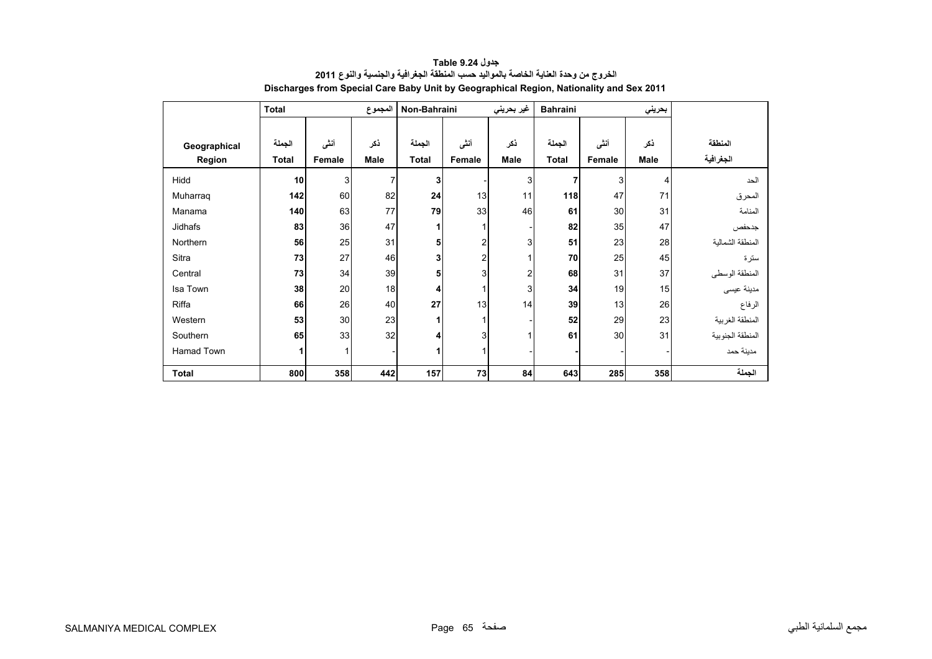<span id="page-63-0"></span>

|              | <b>Total</b> |        | المجموع        | Non-Bahraini |                | غير بحريني | <b>Bahraini</b> | بحريني |      |                  |
|--------------|--------------|--------|----------------|--------------|----------------|------------|-----------------|--------|------|------------------|
|              |              |        |                |              |                |            |                 |        |      |                  |
| Geographical | الجملة       | أنشى   | ذكر            | الجملة       | أنشى           | ذكر        | الجملة          | أنشى   | ذكر  | المنطقة          |
| Region       | <b>Total</b> | Female | <b>Male</b>    | <b>Total</b> | Female         | Male       | <b>Total</b>    | Female | Male | الجغرافية        |
| Hidd         | 10           | 3      | $\overline{7}$ | 3            |                | 3          | 7               | 3      | 4    | الحد             |
| Muharraq     | 142          | 60     | 82             | 24           | 13             | 11         | 118             | 47     | 71   | المحرق           |
| Manama       | 140          | 63     | 77             | 79           | 33             | 46         | 61              | 30     | 31   | المنامة          |
| Jidhafs      | 83           | 36     | 47             | 1            | 1              |            | 82              | 35     | 47   | جدحفص            |
| Northern     | 56           | 25     | 31             | 5            | $\overline{2}$ | 3          | 51              | 23     | 28   | المنطقة الشمالبة |
| Sitra        | 73           | 27     | 46             | 3            | $\overline{2}$ |            | 70              | 25     | 45   | سترة             |
| Central      | 73           | 34     | 39             | 5            | 3              | 2          | 68              | 31     | 37   | المنطقة الوسطى   |
| Isa Town     | 38           | 20     | 18             | 4            | $\mathbf{1}$   | 3          | 34              | 19     | 15   | مدينة عيسى       |
| Riffa        | 66           | 26     | 40             | 27           | 13             | 14         | 39              | 13     | 26   | الرفاع           |
| Western      | 53           | 30     | 23             | 1            | 1              |            | 52              | 29     | 23   | المنطقة الغربية  |
| Southern     | 65           | 33     | 32             | 4            | 3              |            | 61              | 30     | 31   | المنطقة الجنوبية |
| Hamad Town   | 1            | 1      |                | 1            |                |            |                 |        |      | مدينة حمد        |
| <b>Total</b> | 800          | 358    | 442            | 157          | 73             | 84         | 643             | 285    | 358  | الجملة           |

**جدول 9.24 Table الخروج من وحدة العناية الخاصة بالمواليد حسب المنطقة الجغرافية والجنسية والنوع <sup>2011</sup> Discharges from Special Care Baby Unit by Geographical Region, Nationality and Sex 2011**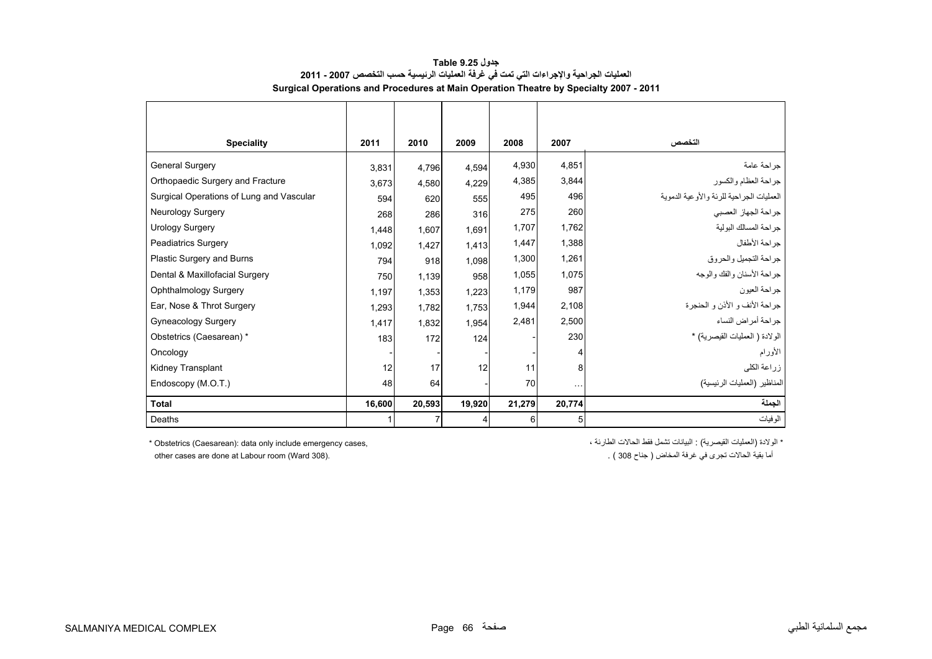<span id="page-64-0"></span>

| <b>Speciality</b>                        | 2011   | 2010   | 2009   | 2008   | 2007     | التخصص                                   |
|------------------------------------------|--------|--------|--------|--------|----------|------------------------------------------|
| <b>General Surgery</b>                   | 3.831  | 4.796  | 4.594  | 4,930  | 4,851    | جر احة عامة                              |
| Orthopaedic Surgery and Fracture         | 3.673  | 4,580  | 4,229  | 4,385  | 3,844    | جراحة العظام والكسور                     |
| Surgical Operations of Lung and Vascular | 594    | 620    | 555    | 495    | 496      | العمليات الجراحية للرئة والأوعية الدموية |
| Neurology Surgery                        | 268    | 286    | 316    | 275    | 260      | جراحة الجهاز العصبي                      |
| <b>Urology Surgery</b>                   | 1,448  | 1,607  | 1.691  | 1,707  | 1,762    | جراحة المسالك البولية                    |
| <b>Peadiatrics Surgery</b>               | 1,092  | 1,427  | 1,413  | 1,447  | 1,388    | جراحة الأطفال                            |
| Plastic Surgery and Burns                | 794    | 918    | 1,098  | 1,300  | 1,261    | جراحة التجميل والحروق                    |
| Dental & Maxillofacial Surgery           | 750    | 1,139  | 958    | 1,055  | 1,075    | جراحة الأسنان والفك والوجه               |
| Ophthalmology Surgery                    | 1,197  | 1,353  | 1,223  | 1,179  | 987      | جراحة العيون                             |
| Ear, Nose & Throt Surgery                | 1,293  | 1,782  | 1,753  | 1,944  | 2,108    | جراحة الأنف و الأذن و الحنجرة            |
| Gyneacology Surgery                      | 1.417  | 1,832  | 1,954  | 2,481  | 2,500    | جراحة أمراض النساء                       |
| Obstetrics (Caesarean) *                 | 183    | 172    | 124    |        | 230      | الولادة ( العمليات القيصرية) *           |
| Oncology                                 |        |        |        |        | 4        | الأورام                                  |
| Kidney Transplant                        | 12     | 17     | 12     | 11     | 8        | زراعة الكلى                              |
| Endoscopy (M.O.T.)                       | 48     | 64     |        | 70     | $\cdots$ | المناظير (العمليات الرئيسية)             |
| Total                                    | 16,600 | 20,593 | 19,920 | 21,279 | 20,774   | الجملة                                   |
| Deaths                                   | 1      |        | 4      | 6      | 5        | الوفيات                                  |

**جدول 9.25 Table العمليات الجراحية واإلجراءات التي تمت في غرفة العمليات الرئيسية حسب التخصص 2007 - 2011 Surgical Operations and Procedures at Main Operation Theatre by Specialty 2007 - 2011**

\* Obstetrics (Caesarean): data only include emergency cases,

other cases are done at Labour room (Ward 308).

\* الولادة (العمليات القيصرية) : البيانات تشمل فقط الحالات الطارئة ،

أما بقية الحالات تجري في غرفة المخاض ( جناح 308 ) .